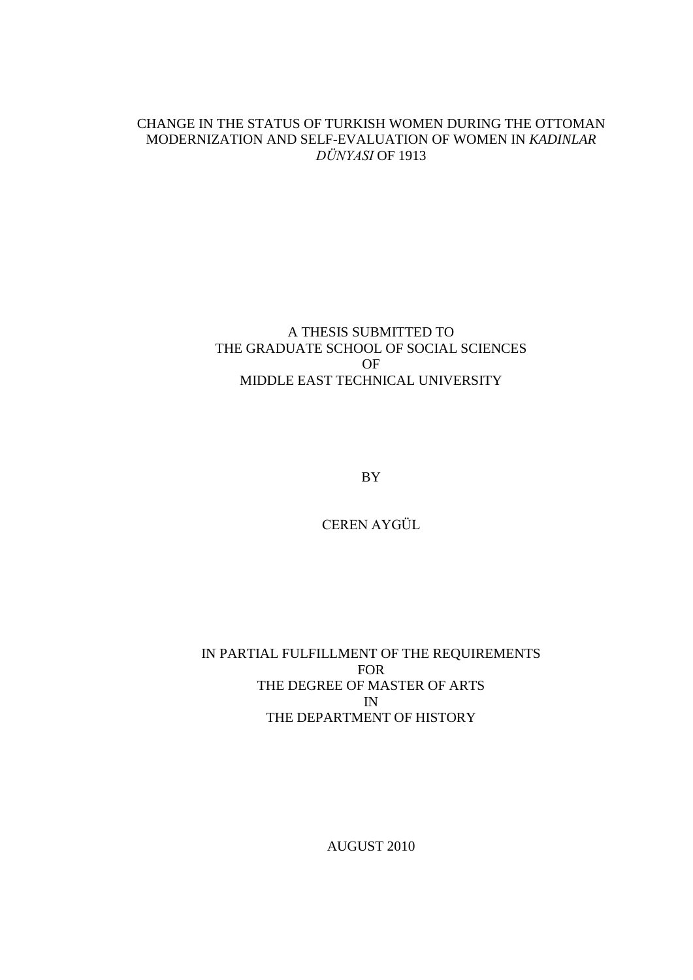#### CHANGE IN THE STATUS OF TURKISH WOMEN DURING THE OTTOMAN MODERNIZATION AND SELF-EVALUATION OF WOMEN IN *KADINLAR DÜNYASI* OF 1913

#### A THESIS SUBMITTED TO THE GRADUATE SCHOOL OF SOCIAL SCIENCES OF MIDDLE EAST TECHNICAL UNIVERSITY

BY

CEREN AYGÜL

IN PARTIAL FULFILLMENT OF THE REQUIREMENTS FOR THE DEGREE OF MASTER OF ARTS IN THE DEPARTMENT OF HISTORY

AUGUST 2010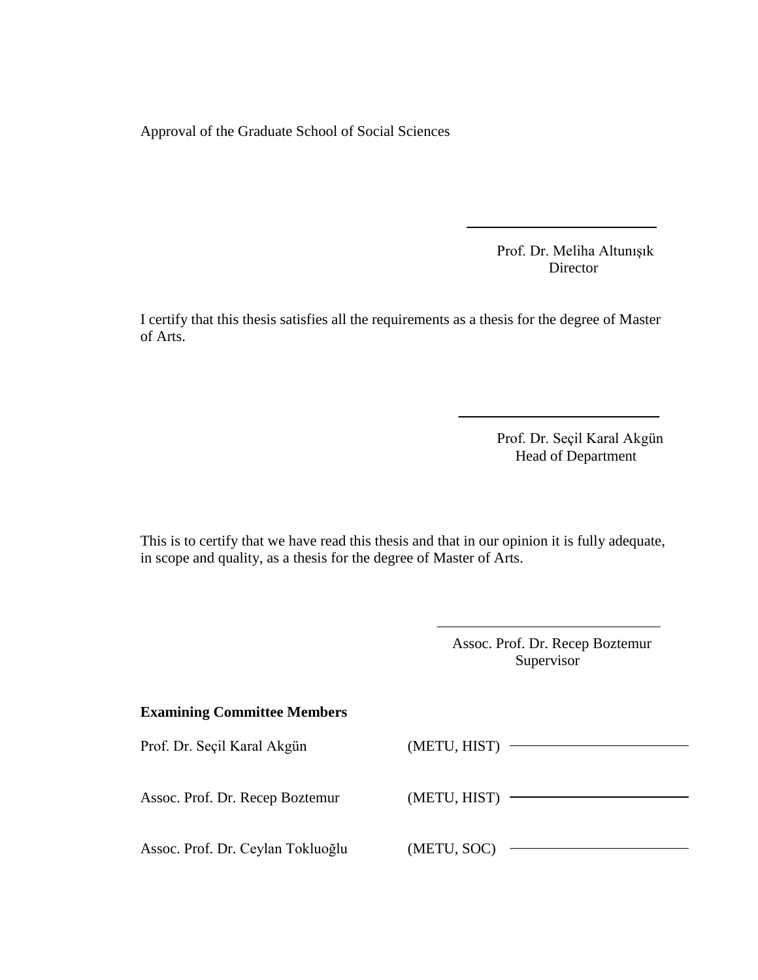Approval of the Graduate School of Social Sciences

Prof. Dr. Meliha Altunışık Director

I certify that this thesis satisfies all the requirements as a thesis for the degree of Master of Arts.

> Prof. Dr. Seçil Karal Akgün Head of Department

This is to certify that we have read this thesis and that in our opinion it is fully adequate, in scope and quality, as a thesis for the degree of Master of Arts.

> Assoc. Prof. Dr. Recep Boztemur Supervisor

#### **Examining Committee Members**

| Prof. Dr. Seçil Karal Akgün       | (METU, HIST) |
|-----------------------------------|--------------|
|                                   |              |
|                                   |              |
| Assoc. Prof. Dr. Recep Boztemur   | (METU, HIST) |
|                                   |              |
| Assoc. Prof. Dr. Ceylan Tokluoğlu | (METU, SOC)  |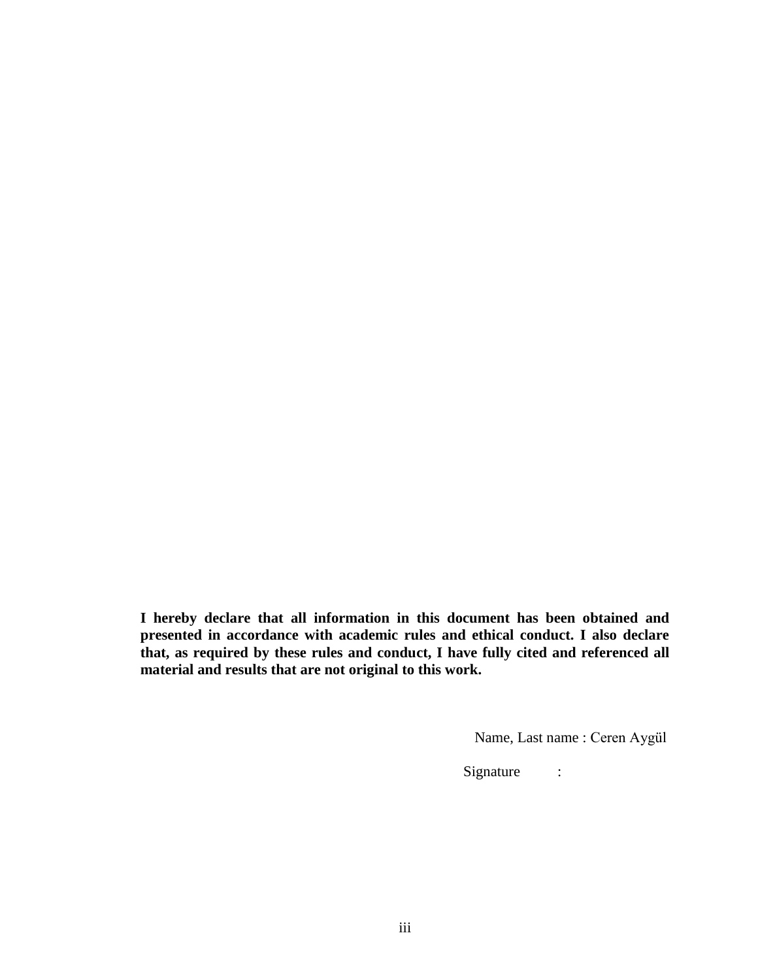**I hereby declare that all information in this document has been obtained and presented in accordance with academic rules and ethical conduct. I also declare that, as required by these rules and conduct, I have fully cited and referenced all material and results that are not original to this work.**

Name, Last name : Ceren Aygül

Signature :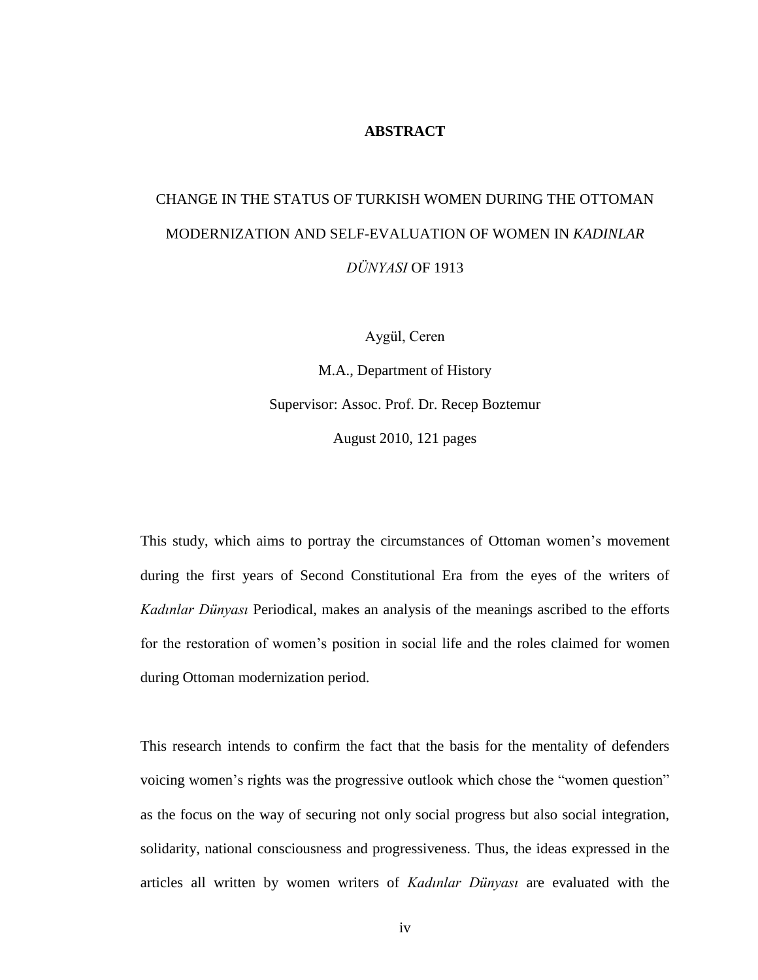#### **ABSTRACT**

## CHANGE IN THE STATUS OF TURKISH WOMEN DURING THE OTTOMAN MODERNIZATION AND SELF-EVALUATION OF WOMEN IN *KADINLAR DÜNYASI* OF 1913

Aygül, Ceren

M.A., Department of History Supervisor: Assoc. Prof. Dr. Recep Boztemur August 2010, 121 pages

This study, which aims to portray the circumstances of Ottoman women's movement during the first years of Second Constitutional Era from the eyes of the writers of *Kadınlar Dünyası* Periodical, makes an analysis of the meanings ascribed to the efforts for the restoration of women's position in social life and the roles claimed for women during Ottoman modernization period.

This research intends to confirm the fact that the basis for the mentality of defenders voicing women's rights was the progressive outlook which chose the "women question" as the focus on the way of securing not only social progress but also social integration, solidarity, national consciousness and progressiveness. Thus, the ideas expressed in the articles all written by women writers of *Kadınlar Dünyası* are evaluated with the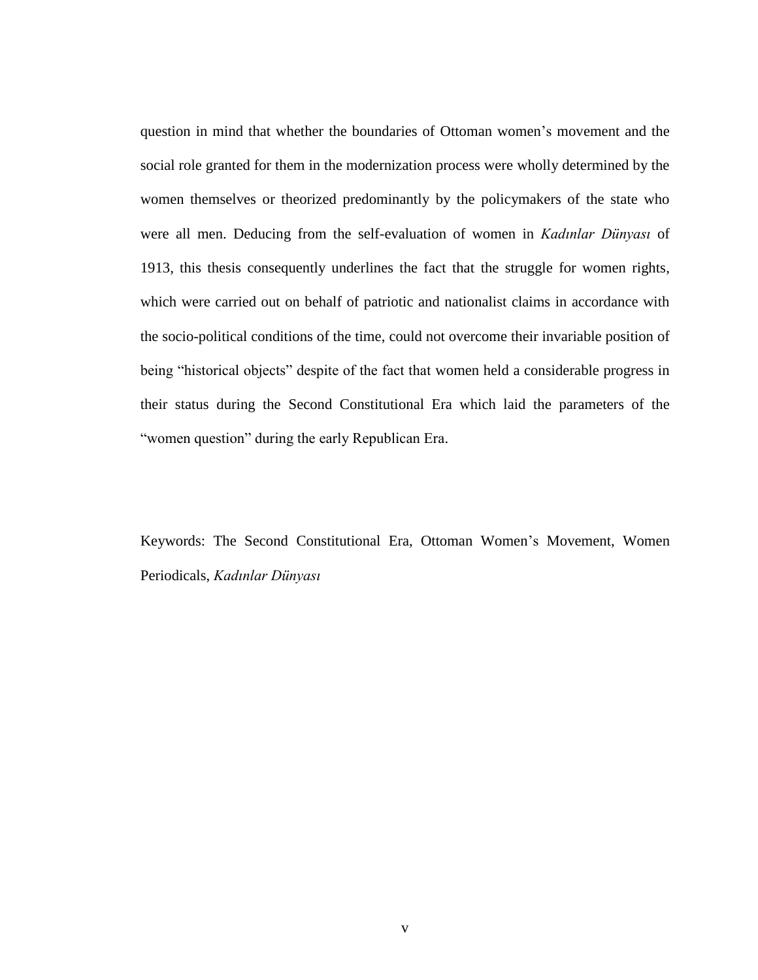question in mind that whether the boundaries of Ottoman women's movement and the social role granted for them in the modernization process were wholly determined by the women themselves or theorized predominantly by the policymakers of the state who were all men. Deducing from the self-evaluation of women in *Kadınlar Dünyası* of 1913, this thesis consequently underlines the fact that the struggle for women rights, which were carried out on behalf of patriotic and nationalist claims in accordance with the socio-political conditions of the time, could not overcome their invariable position of being "historical objects" despite of the fact that women held a considerable progress in their status during the Second Constitutional Era which laid the parameters of the "women question" during the early Republican Era.

Keywords: The Second Constitutional Era, Ottoman Women's Movement, Women Periodicals, *Kadınlar Dünyası*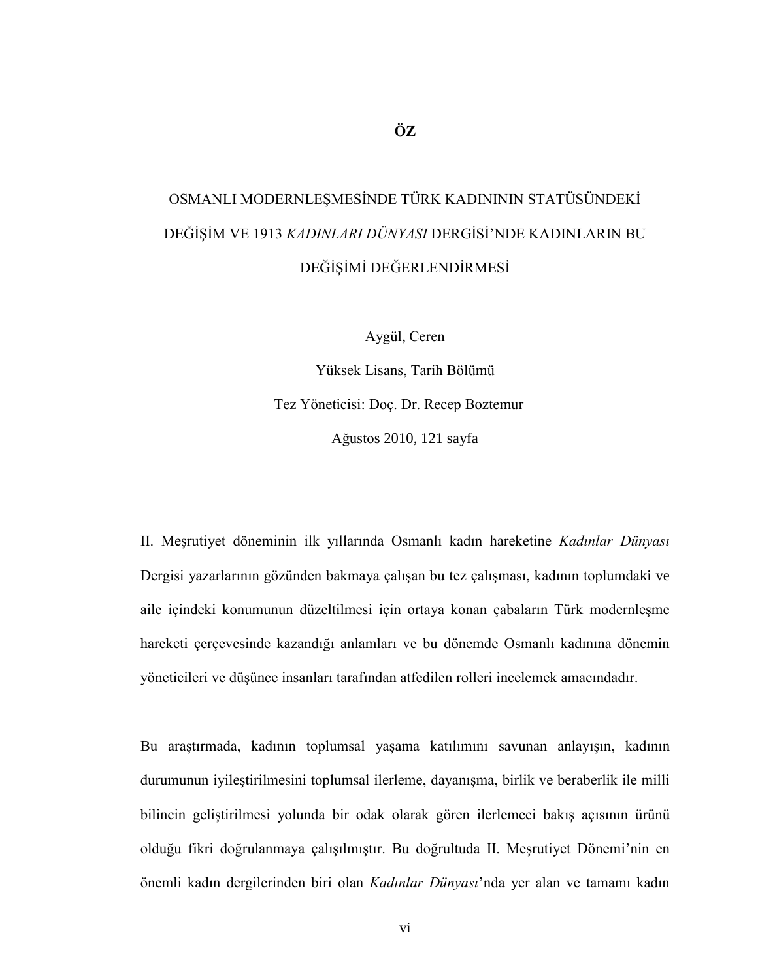# OSMANLI MODERNLEŞMESİNDE TÜRK KADINININ STATÜSÜNDEKİ DEĞİŞİM VE 1913 *KADINLARI DÜNYASI* DERGİSİ'NDE KADINLARIN BU DEĞİŞİMİ DEĞERLENDİRMESİ

Aygül, Ceren

Yüksek Lisans, Tarih Bölümü Tez Yöneticisi: Doç. Dr. Recep Boztemur Ağustos 2010, 121 sayfa

II. MeĢrutiyet döneminin ilk yıllarında Osmanlı kadın hareketine *Kadınlar Dünyası* Dergisi yazarlarının gözünden bakmaya çalışan bu tez çalışması, kadının toplumdaki ve aile içindeki konumunun düzeltilmesi için ortaya konan çabaların Türk modernleşme hareketi çerçevesinde kazandığı anlamları ve bu dönemde Osmanlı kadınına dönemin yöneticileri ve düĢünce insanları tarafından atfedilen rolleri incelemek amacındadır.

Bu araştırmada, kadının toplumsal yaşama katılımını savunan anlayışın, kadının durumunun iyileştirilmesini toplumsal ilerleme, dayanışma, birlik ve beraberlik ile milli bilincin geliştirilmesi yolunda bir odak olarak gören ilerlemeci bakış açısının ürünü olduğu fikri doğrulanmaya çalışılmıştır. Bu doğrultuda II. Meşrutiyet Dönemi'nin en önemli kadın dergilerinden biri olan *Kadınlar Dünyası*'nda yer alan ve tamamı kadın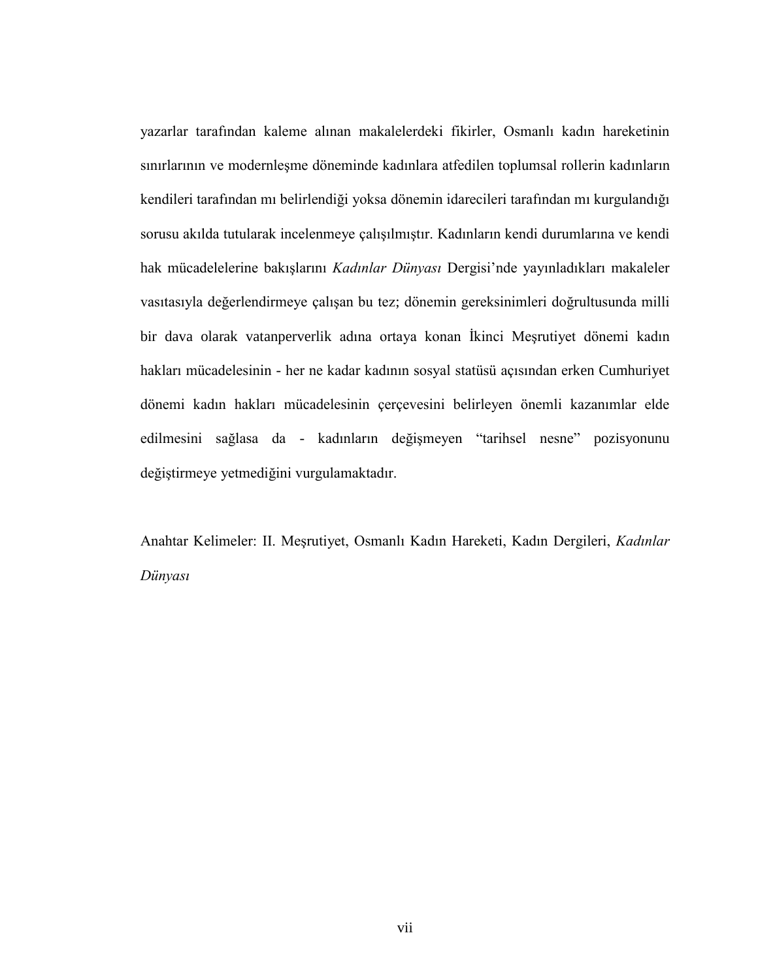yazarlar tarafından kaleme alınan makalelerdeki fikirler, Osmanlı kadın hareketinin sınırlarının ve modernleşme döneminde kadınlara atfedilen toplumsal rollerin kadınların kendileri tarafından mı belirlendiği yoksa dönemin idarecileri tarafından mı kurgulandığı sorusu akılda tutularak incelenmeye çalışılmıştır. Kadınların kendi durumlarına ve kendi hak mücadelelerine bakışlarını *Kadınlar Dünyası* Dergisi'nde yayınladıkları makaleler vasıtasıyla değerlendirmeye çalışan bu tez; dönemin gereksinimleri doğrultusunda milli bir dava olarak vatanperverlik adına ortaya konan İkinci Meşrutiyet dönemi kadın hakları mücadelesinin - her ne kadar kadının sosyal statüsü açısından erken Cumhuriyet dönemi kadın hakları mücadelesinin çerçevesini belirleyen önemli kazanımlar elde edilmesini sağlasa da - kadınların değişmeyen "tarihsel nesne" pozisyonunu değiştirmeye yetmediğini vurgulamaktadır.

Anahtar Kelimeler: II. MeĢrutiyet, Osmanlı Kadın Hareketi, Kadın Dergileri, *Kadınlar Dünyası*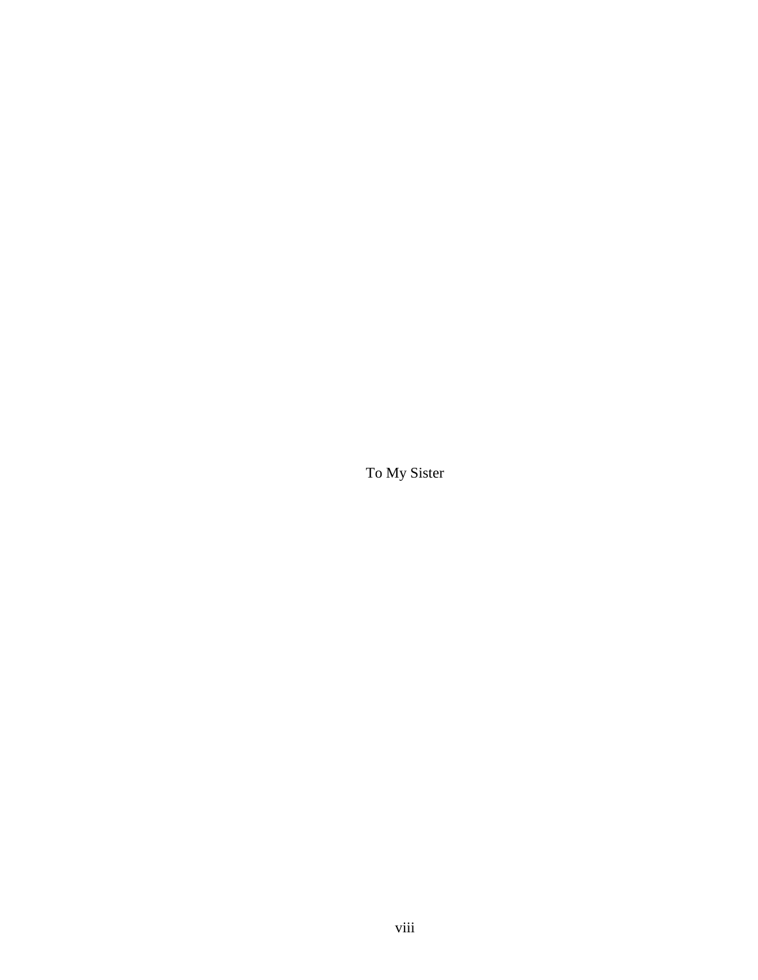To My Sister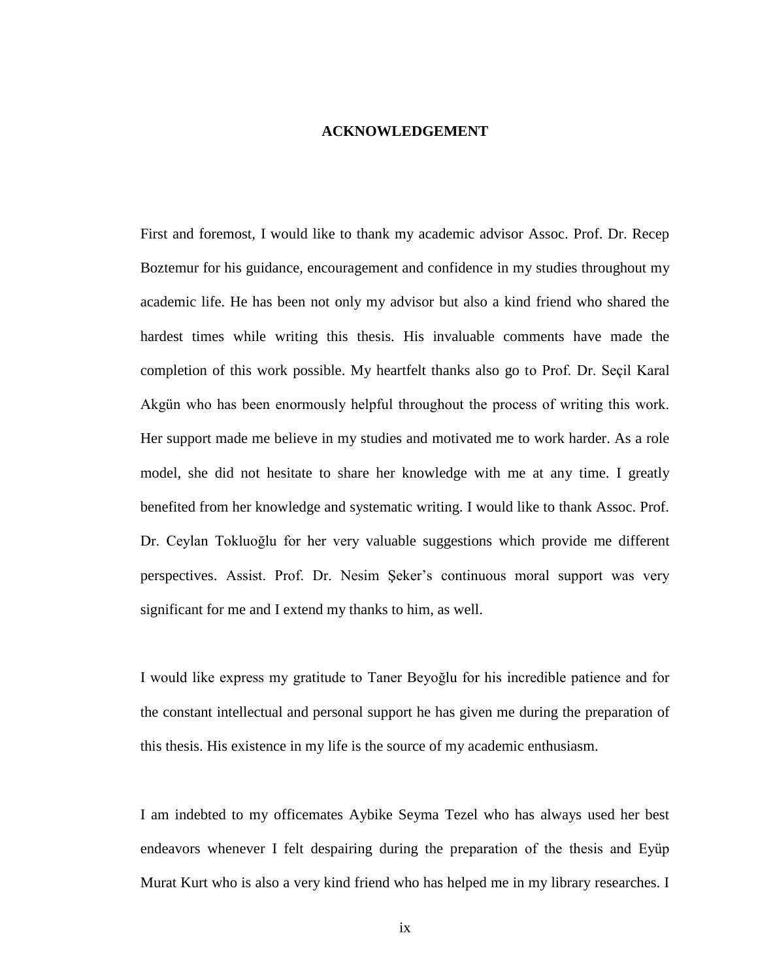#### **ACKNOWLEDGEMENT**

First and foremost, I would like to thank my academic advisor Assoc. Prof. Dr. Recep Boztemur for his guidance, encouragement and confidence in my studies throughout my academic life. He has been not only my advisor but also a kind friend who shared the hardest times while writing this thesis. His invaluable comments have made the completion of this work possible. My heartfelt thanks also go to Prof. Dr. Seçil Karal Akgün who has been enormously helpful throughout the process of writing this work. Her support made me believe in my studies and motivated me to work harder. As a role model, she did not hesitate to share her knowledge with me at any time. I greatly benefited from her knowledge and systematic writing. I would like to thank Assoc. Prof. Dr. Ceylan Tokluoğlu for her very valuable suggestions which provide me different perspectives. Assist. Prof. Dr. Nesim ġeker's continuous moral support was very significant for me and I extend my thanks to him, as well.

I would like express my gratitude to Taner Beyoğlu for his incredible patience and for the constant intellectual and personal support he has given me during the preparation of this thesis. His existence in my life is the source of my academic enthusiasm.

I am indebted to my officemates Aybike Seyma Tezel who has always used her best endeavors whenever I felt despairing during the preparation of the thesis and Eyüp Murat Kurt who is also a very kind friend who has helped me in my library researches. I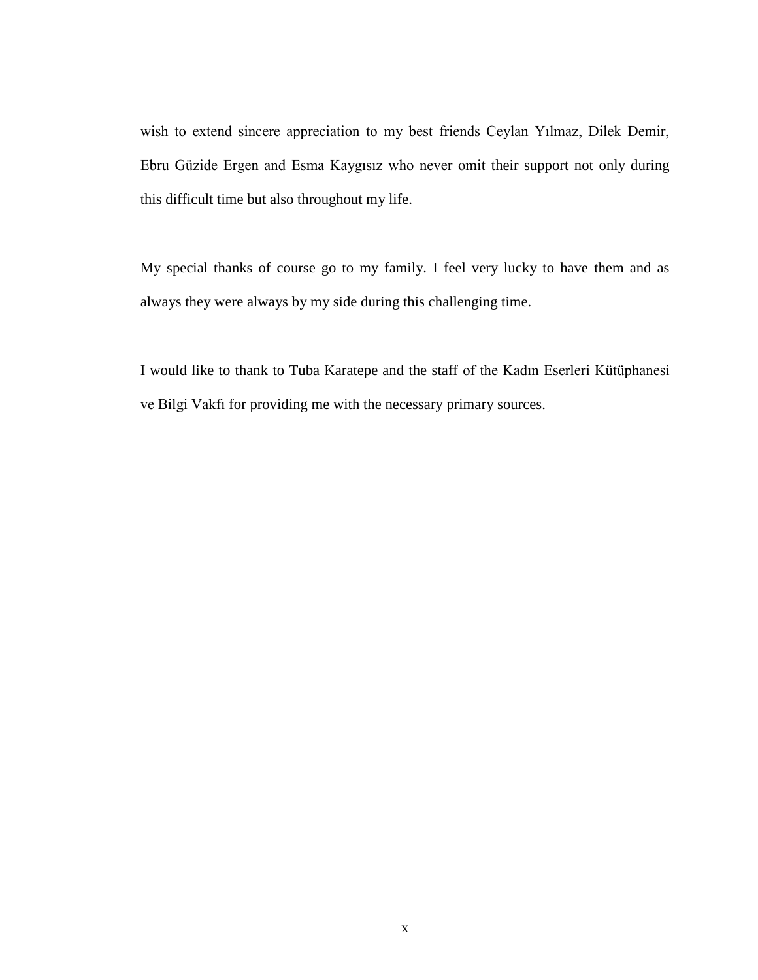wish to extend sincere appreciation to my best friends Ceylan Yılmaz, Dilek Demir, Ebru Güzide Ergen and Esma Kaygısız who never omit their support not only during this difficult time but also throughout my life.

My special thanks of course go to my family. I feel very lucky to have them and as always they were always by my side during this challenging time.

I would like to thank to Tuba Karatepe and the staff of the Kadın Eserleri Kütüphanesi ve Bilgi Vakfı for providing me with the necessary primary sources.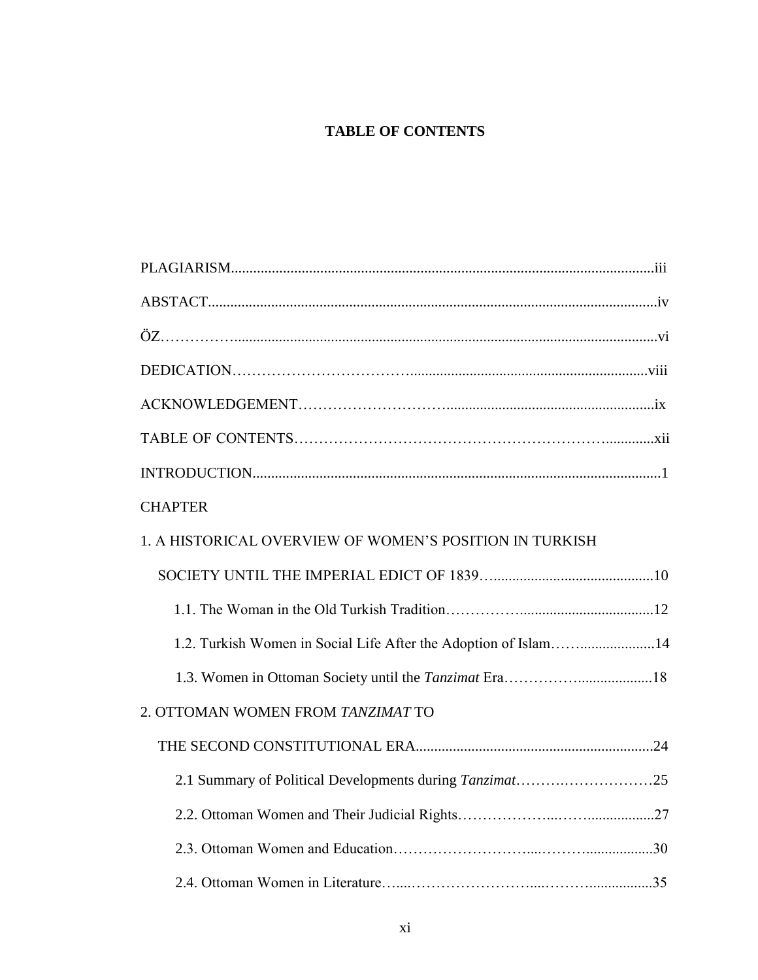### **TABLE OF CONTENTS**

| <b>CHAPTER</b>                                                  |  |
|-----------------------------------------------------------------|--|
| 1. A HISTORICAL OVERVIEW OF WOMEN'S POSITION IN TURKISH         |  |
|                                                                 |  |
|                                                                 |  |
| 1.2. Turkish Women in Social Life After the Adoption of Islam14 |  |
|                                                                 |  |
| 2. OTTOMAN WOMEN FROM TANZIMAT TO                               |  |
|                                                                 |  |
|                                                                 |  |
|                                                                 |  |
|                                                                 |  |
|                                                                 |  |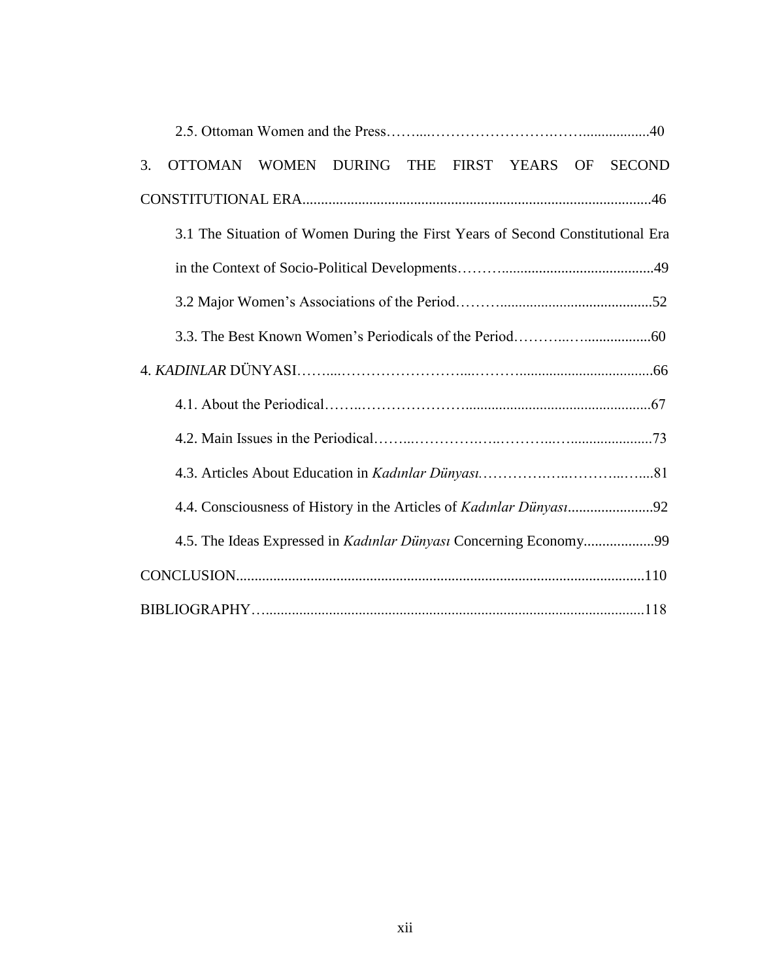| 3.                                                                             | <b>OTTOMAN</b>                                                    | WOMEN DURING THE FIRST YEARS OF |  |  |  |  |  | <b>SECOND</b> |  |
|--------------------------------------------------------------------------------|-------------------------------------------------------------------|---------------------------------|--|--|--|--|--|---------------|--|
|                                                                                |                                                                   |                                 |  |  |  |  |  |               |  |
| 3.1 The Situation of Women During the First Years of Second Constitutional Era |                                                                   |                                 |  |  |  |  |  |               |  |
|                                                                                |                                                                   |                                 |  |  |  |  |  |               |  |
|                                                                                |                                                                   |                                 |  |  |  |  |  |               |  |
|                                                                                |                                                                   |                                 |  |  |  |  |  |               |  |
|                                                                                |                                                                   |                                 |  |  |  |  |  |               |  |
|                                                                                |                                                                   |                                 |  |  |  |  |  |               |  |
|                                                                                |                                                                   |                                 |  |  |  |  |  |               |  |
|                                                                                |                                                                   |                                 |  |  |  |  |  |               |  |
|                                                                                |                                                                   |                                 |  |  |  |  |  |               |  |
|                                                                                | 4.5. The Ideas Expressed in Kadınlar Dünyası Concerning Economy99 |                                 |  |  |  |  |  |               |  |
|                                                                                |                                                                   |                                 |  |  |  |  |  |               |  |
|                                                                                |                                                                   |                                 |  |  |  |  |  |               |  |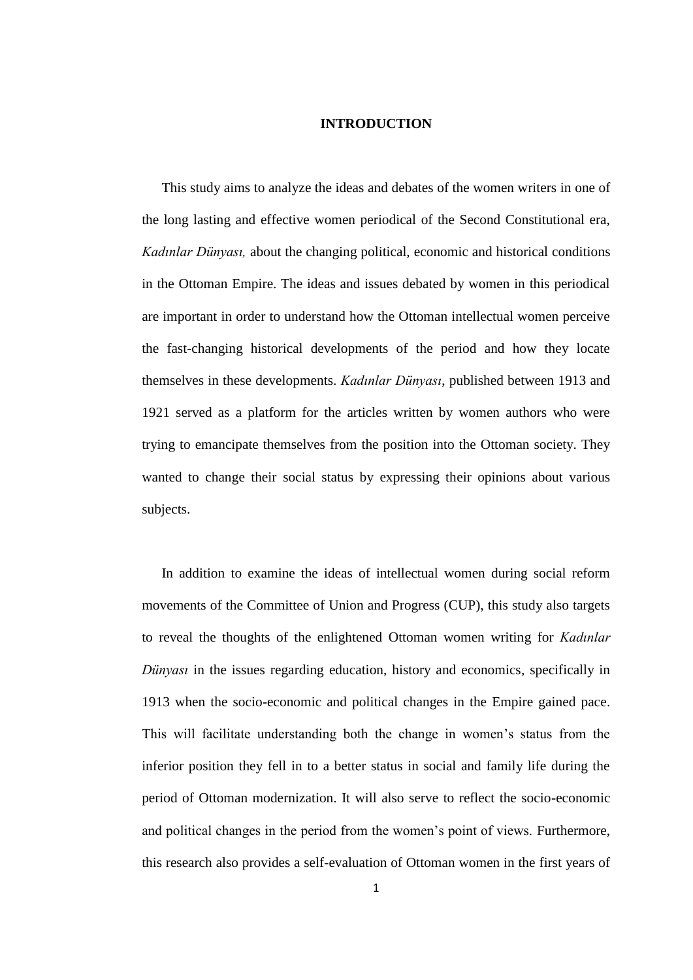#### **INTRODUCTION**

This study aims to analyze the ideas and debates of the women writers in one of the long lasting and effective women periodical of the Second Constitutional era, *Kadınlar Dünyası,* about the changing political, economic and historical conditions in the Ottoman Empire. The ideas and issues debated by women in this periodical are important in order to understand how the Ottoman intellectual women perceive the fast-changing historical developments of the period and how they locate themselves in these developments. *Kadınlar Dünyası*, published between 1913 and 1921 served as a platform for the articles written by women authors who were trying to emancipate themselves from the position into the Ottoman society. They wanted to change their social status by expressing their opinions about various subjects.

In addition to examine the ideas of intellectual women during social reform movements of the Committee of Union and Progress (CUP), this study also targets to reveal the thoughts of the enlightened Ottoman women writing for *Kadınlar Dünyası* in the issues regarding education, history and economics, specifically in 1913 when the socio-economic and political changes in the Empire gained pace. This will facilitate understanding both the change in women"s status from the inferior position they fell in to a better status in social and family life during the period of Ottoman modernization. It will also serve to reflect the socio-economic and political changes in the period from the women"s point of views. Furthermore, this research also provides a self-evaluation of Ottoman women in the first years of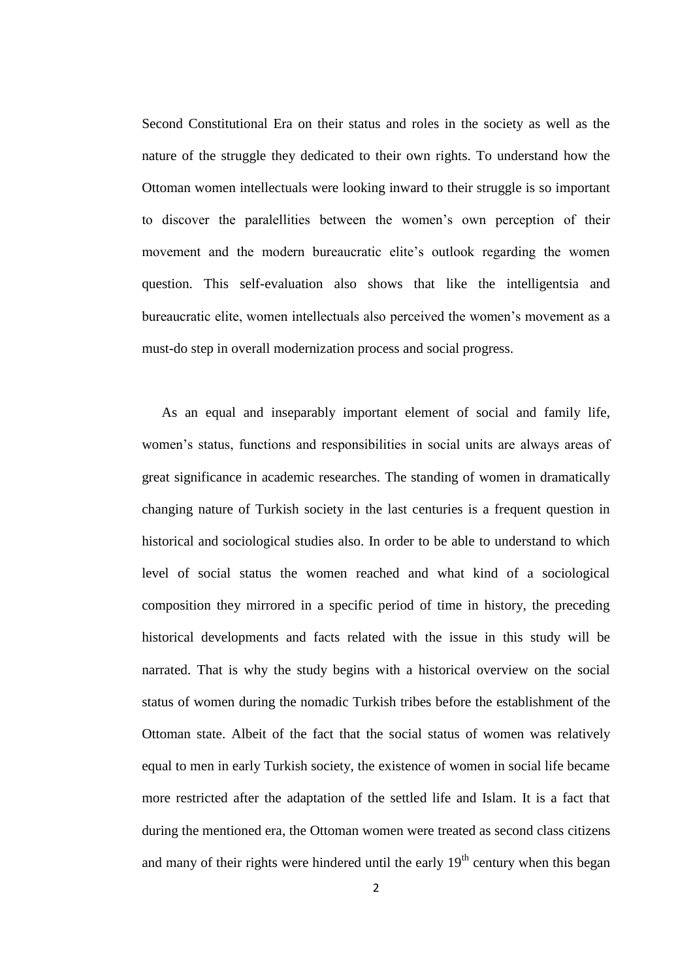Second Constitutional Era on their status and roles in the society as well as the nature of the struggle they dedicated to their own rights. To understand how the Ottoman women intellectuals were looking inward to their struggle is so important to discover the paralellities between the women"s own perception of their movement and the modern bureaucratic elite"s outlook regarding the women question. This self-evaluation also shows that like the intelligentsia and bureaucratic elite, women intellectuals also perceived the women"s movement as a must-do step in overall modernization process and social progress.

As an equal and inseparably important element of social and family life, women"s status, functions and responsibilities in social units are always areas of great significance in academic researches. The standing of women in dramatically changing nature of Turkish society in the last centuries is a frequent question in historical and sociological studies also. In order to be able to understand to which level of social status the women reached and what kind of a sociological composition they mirrored in a specific period of time in history, the preceding historical developments and facts related with the issue in this study will be narrated. That is why the study begins with a historical overview on the social status of women during the nomadic Turkish tribes before the establishment of the Ottoman state. Albeit of the fact that the social status of women was relatively equal to men in early Turkish society, the existence of women in social life became more restricted after the adaptation of the settled life and Islam. It is a fact that during the mentioned era, the Ottoman women were treated as second class citizens and many of their rights were hindered until the early  $19<sup>th</sup>$  century when this began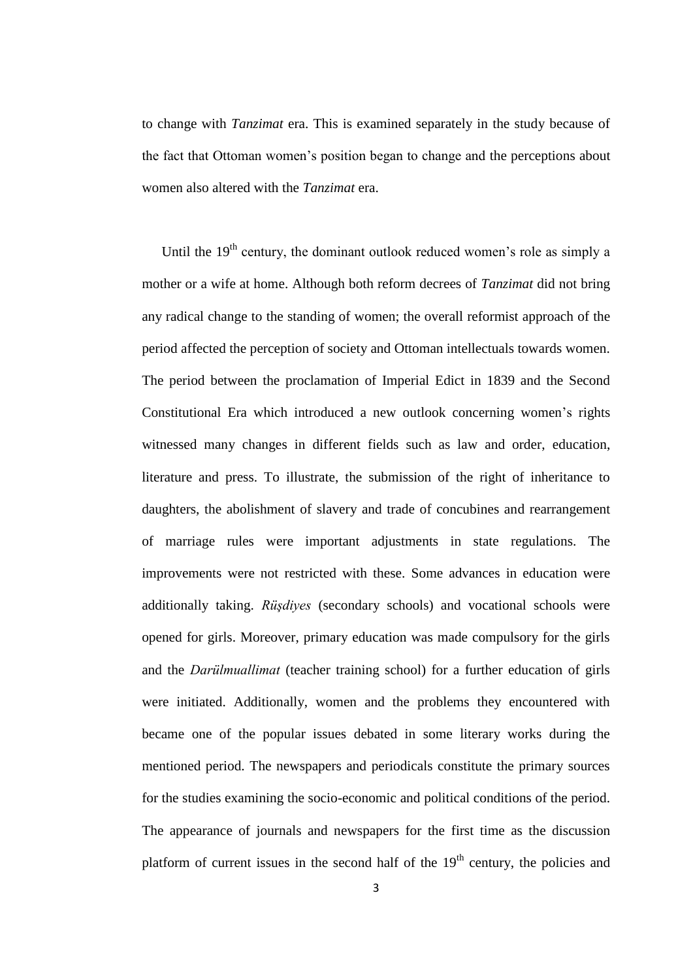to change with *Tanzimat* era. This is examined separately in the study because of the fact that Ottoman women"s position began to change and the perceptions about women also altered with the *Tanzimat* era.

Until the  $19<sup>th</sup>$  century, the dominant outlook reduced women's role as simply a mother or a wife at home. Although both reform decrees of *Tanzimat* did not bring any radical change to the standing of women; the overall reformist approach of the period affected the perception of society and Ottoman intellectuals towards women. The period between the proclamation of Imperial Edict in 1839 and the Second Constitutional Era which introduced a new outlook concerning women"s rights witnessed many changes in different fields such as law and order, education, literature and press. To illustrate, the submission of the right of inheritance to daughters, the abolishment of slavery and trade of concubines and rearrangement of marriage rules were important adjustments in state regulations. The improvements were not restricted with these. Some advances in education were additionally taking. *Rüşdiyes* (secondary schools) and vocational schools were opened for girls. Moreover, primary education was made compulsory for the girls and the *Darülmuallimat* (teacher training school) for a further education of girls were initiated. Additionally, women and the problems they encountered with became one of the popular issues debated in some literary works during the mentioned period. The newspapers and periodicals constitute the primary sources for the studies examining the socio-economic and political conditions of the period. The appearance of journals and newspapers for the first time as the discussion platform of current issues in the second half of the  $19<sup>th</sup>$  century, the policies and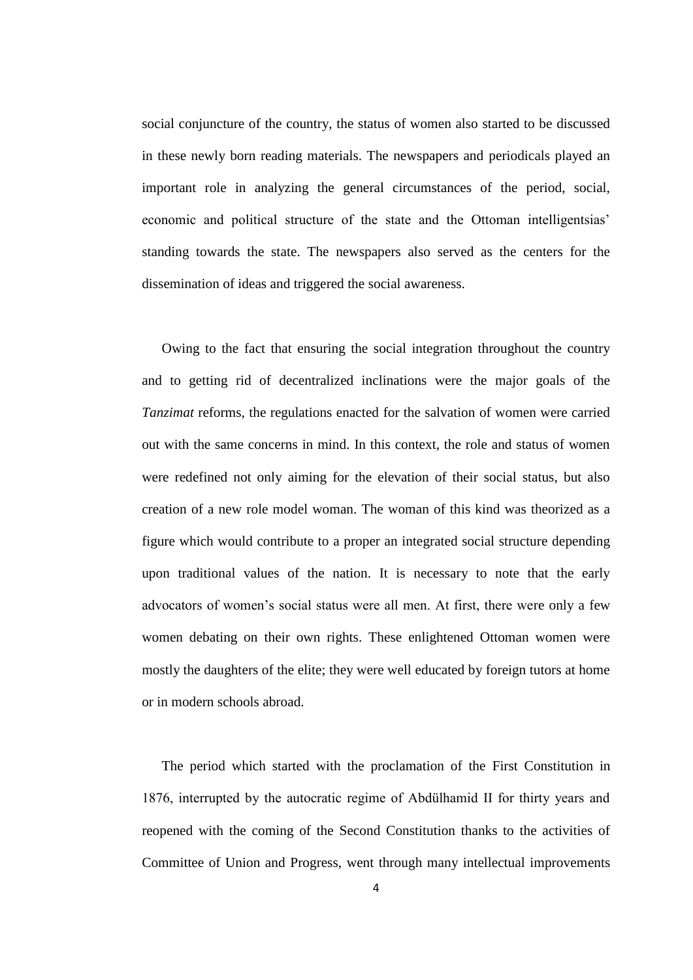social conjuncture of the country, the status of women also started to be discussed in these newly born reading materials. The newspapers and periodicals played an important role in analyzing the general circumstances of the period, social, economic and political structure of the state and the Ottoman intelligentsias' standing towards the state. The newspapers also served as the centers for the dissemination of ideas and triggered the social awareness.

Owing to the fact that ensuring the social integration throughout the country and to getting rid of decentralized inclinations were the major goals of the *Tanzimat* reforms, the regulations enacted for the salvation of women were carried out with the same concerns in mind. In this context, the role and status of women were redefined not only aiming for the elevation of their social status, but also creation of a new role model woman. The woman of this kind was theorized as a figure which would contribute to a proper an integrated social structure depending upon traditional values of the nation. It is necessary to note that the early advocators of women"s social status were all men. At first, there were only a few women debating on their own rights. These enlightened Ottoman women were mostly the daughters of the elite; they were well educated by foreign tutors at home or in modern schools abroad.

The period which started with the proclamation of the First Constitution in 1876, interrupted by the autocratic regime of Abdülhamid II for thirty years and reopened with the coming of the Second Constitution thanks to the activities of Committee of Union and Progress, went through many intellectual improvements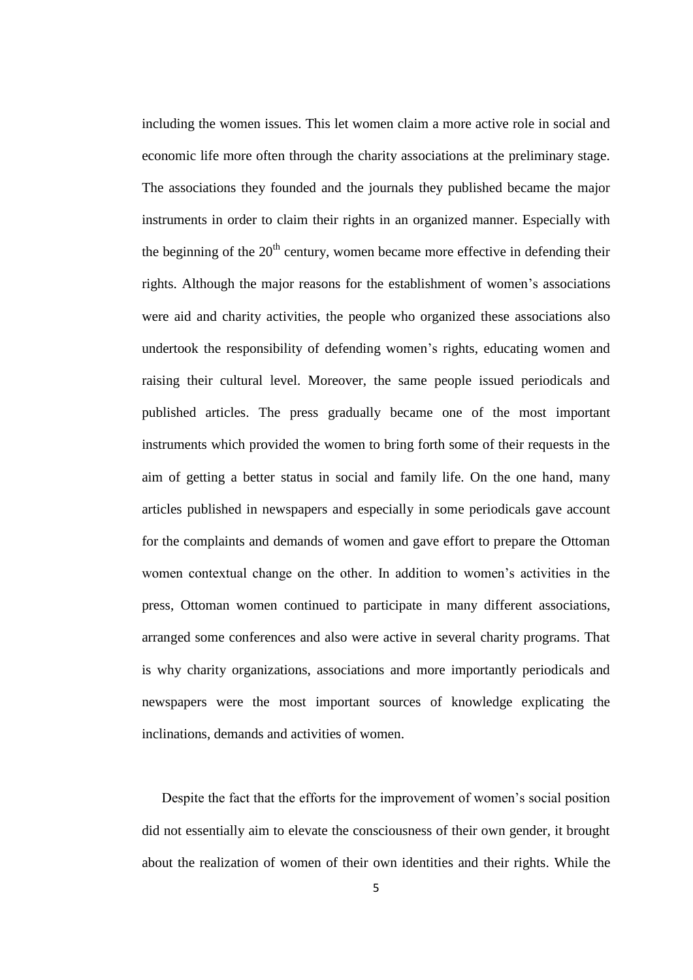including the women issues. This let women claim a more active role in social and economic life more often through the charity associations at the preliminary stage. The associations they founded and the journals they published became the major instruments in order to claim their rights in an organized manner. Especially with the beginning of the  $20<sup>th</sup>$  century, women became more effective in defending their rights. Although the major reasons for the establishment of women"s associations were aid and charity activities, the people who organized these associations also undertook the responsibility of defending women"s rights, educating women and raising their cultural level. Moreover, the same people issued periodicals and published articles. The press gradually became one of the most important instruments which provided the women to bring forth some of their requests in the aim of getting a better status in social and family life. On the one hand, many articles published in newspapers and especially in some periodicals gave account for the complaints and demands of women and gave effort to prepare the Ottoman women contextual change on the other. In addition to women"s activities in the press, Ottoman women continued to participate in many different associations, arranged some conferences and also were active in several charity programs. That is why charity organizations, associations and more importantly periodicals and newspapers were the most important sources of knowledge explicating the inclinations, demands and activities of women.

Despite the fact that the efforts for the improvement of women's social position did not essentially aim to elevate the consciousness of their own gender, it brought about the realization of women of their own identities and their rights. While the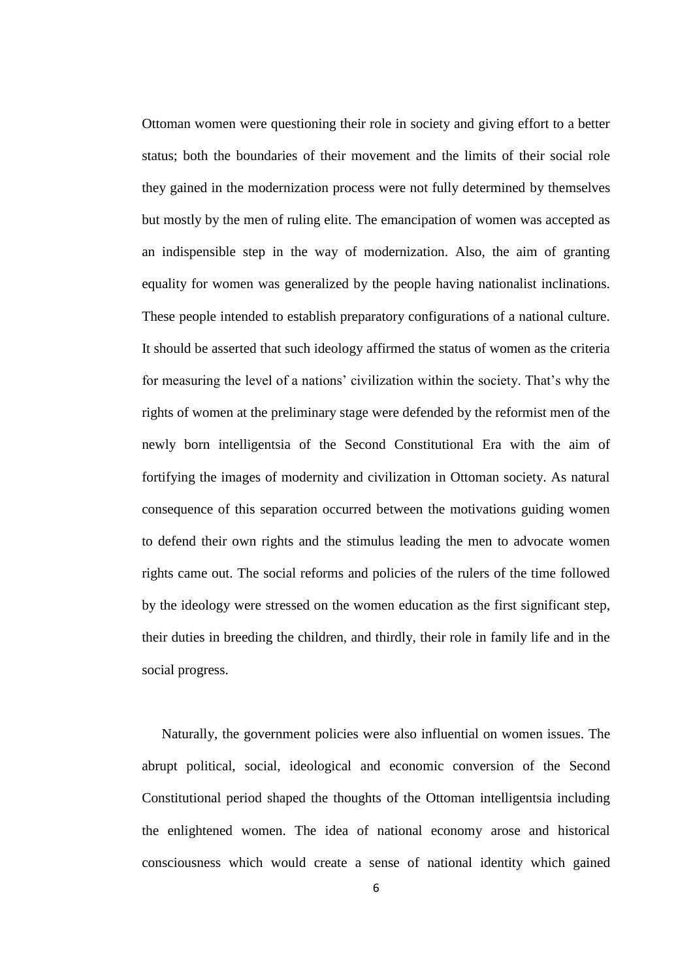Ottoman women were questioning their role in society and giving effort to a better status; both the boundaries of their movement and the limits of their social role they gained in the modernization process were not fully determined by themselves but mostly by the men of ruling elite. The emancipation of women was accepted as an indispensible step in the way of modernization. Also, the aim of granting equality for women was generalized by the people having nationalist inclinations. These people intended to establish preparatory configurations of a national culture. It should be asserted that such ideology affirmed the status of women as the criteria for measuring the level of a nations' civilization within the society. That's why the rights of women at the preliminary stage were defended by the reformist men of the newly born intelligentsia of the Second Constitutional Era with the aim of fortifying the images of modernity and civilization in Ottoman society. As natural consequence of this separation occurred between the motivations guiding women to defend their own rights and the stimulus leading the men to advocate women rights came out. The social reforms and policies of the rulers of the time followed by the ideology were stressed on the women education as the first significant step, their duties in breeding the children, and thirdly, their role in family life and in the social progress.

Naturally, the government policies were also influential on women issues. The abrupt political, social, ideological and economic conversion of the Second Constitutional period shaped the thoughts of the Ottoman intelligentsia including the enlightened women. The idea of national economy arose and historical consciousness which would create a sense of national identity which gained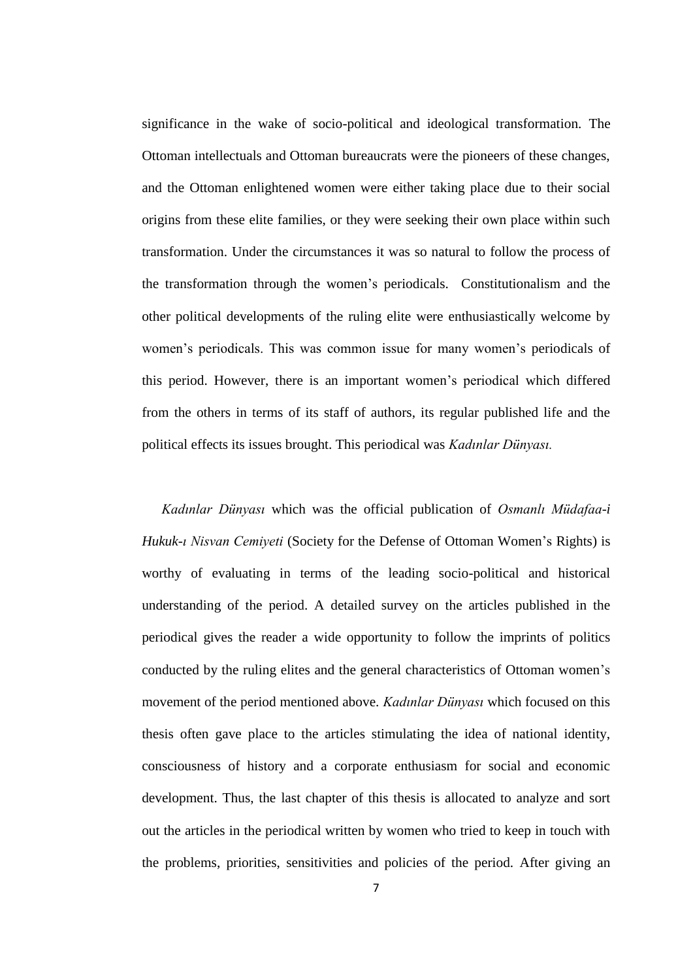significance in the wake of socio-political and ideological transformation. The Ottoman intellectuals and Ottoman bureaucrats were the pioneers of these changes, and the Ottoman enlightened women were either taking place due to their social origins from these elite families, or they were seeking their own place within such transformation. Under the circumstances it was so natural to follow the process of the transformation through the women"s periodicals. Constitutionalism and the other political developments of the ruling elite were enthusiastically welcome by women"s periodicals. This was common issue for many women"s periodicals of this period. However, there is an important women"s periodical which differed from the others in terms of its staff of authors, its regular published life and the political effects its issues brought. This periodical was *Kadınlar Dünyası.*

*Kadınlar Dünyası* which was the official publication of *Osmanlı Müdafaa-i Hukuk-ı Nisvan Cemiyeti* (Society for the Defense of Ottoman Women"s Rights) is worthy of evaluating in terms of the leading socio-political and historical understanding of the period. A detailed survey on the articles published in the periodical gives the reader a wide opportunity to follow the imprints of politics conducted by the ruling elites and the general characteristics of Ottoman women"s movement of the period mentioned above. *Kadınlar Dünyası* which focused on this thesis often gave place to the articles stimulating the idea of national identity, consciousness of history and a corporate enthusiasm for social and economic development. Thus, the last chapter of this thesis is allocated to analyze and sort out the articles in the periodical written by women who tried to keep in touch with the problems, priorities, sensitivities and policies of the period. After giving an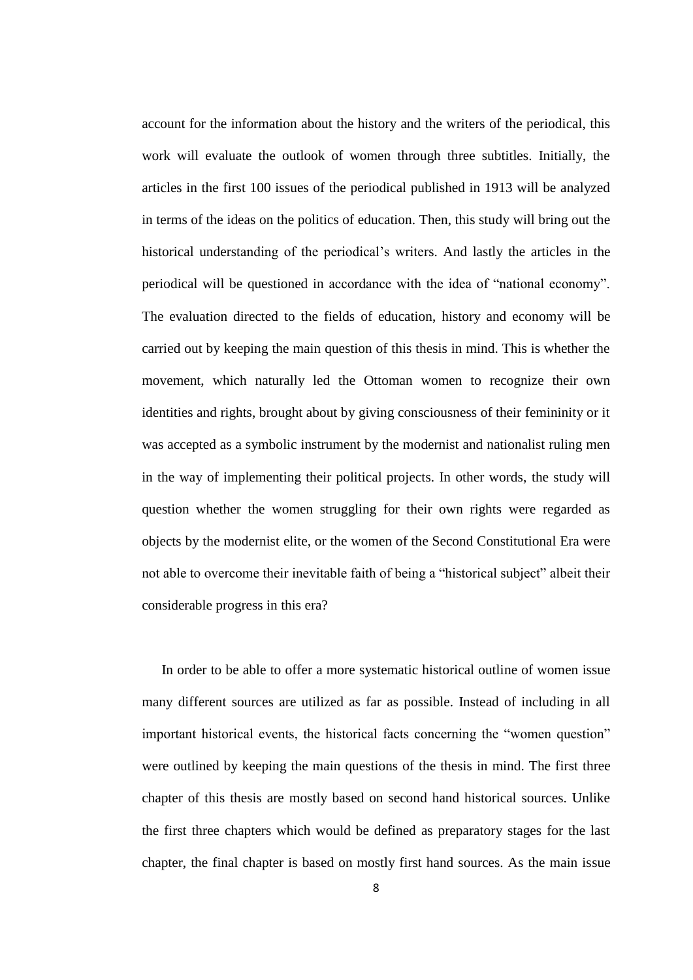account for the information about the history and the writers of the periodical, this work will evaluate the outlook of women through three subtitles. Initially, the articles in the first 100 issues of the periodical published in 1913 will be analyzed in terms of the ideas on the politics of education. Then, this study will bring out the historical understanding of the periodical's writers. And lastly the articles in the periodical will be questioned in accordance with the idea of "national economy". The evaluation directed to the fields of education, history and economy will be carried out by keeping the main question of this thesis in mind. This is whether the movement, which naturally led the Ottoman women to recognize their own identities and rights, brought about by giving consciousness of their femininity or it was accepted as a symbolic instrument by the modernist and nationalist ruling men in the way of implementing their political projects. In other words, the study will question whether the women struggling for their own rights were regarded as objects by the modernist elite, or the women of the Second Constitutional Era were not able to overcome their inevitable faith of being a "historical subject" albeit their considerable progress in this era?

In order to be able to offer a more systematic historical outline of women issue many different sources are utilized as far as possible. Instead of including in all important historical events, the historical facts concerning the "women question" were outlined by keeping the main questions of the thesis in mind. The first three chapter of this thesis are mostly based on second hand historical sources. Unlike the first three chapters which would be defined as preparatory stages for the last chapter, the final chapter is based on mostly first hand sources. As the main issue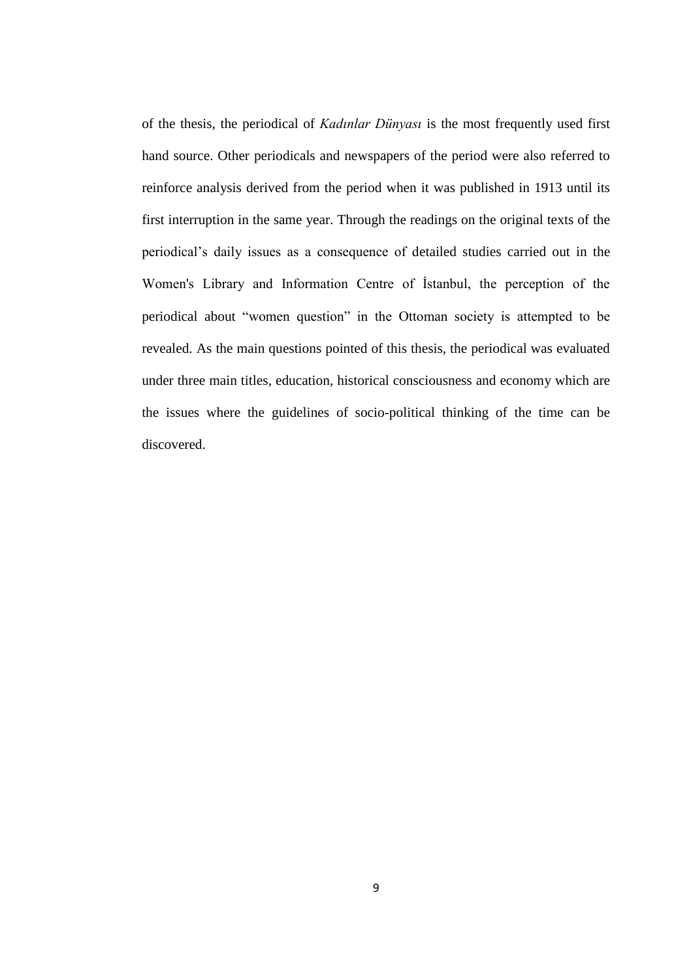of the thesis, the periodical of *Kadınlar Dünyası* is the most frequently used first hand source. Other periodicals and newspapers of the period were also referred to reinforce analysis derived from the period when it was published in 1913 until its first interruption in the same year. Through the readings on the original texts of the periodical"s daily issues as a consequence of detailed studies carried out in the Women's Library and Information Centre of İstanbul, the perception of the periodical about "women question" in the Ottoman society is attempted to be revealed. As the main questions pointed of this thesis, the periodical was evaluated under three main titles, education, historical consciousness and economy which are the issues where the guidelines of socio-political thinking of the time can be discovered.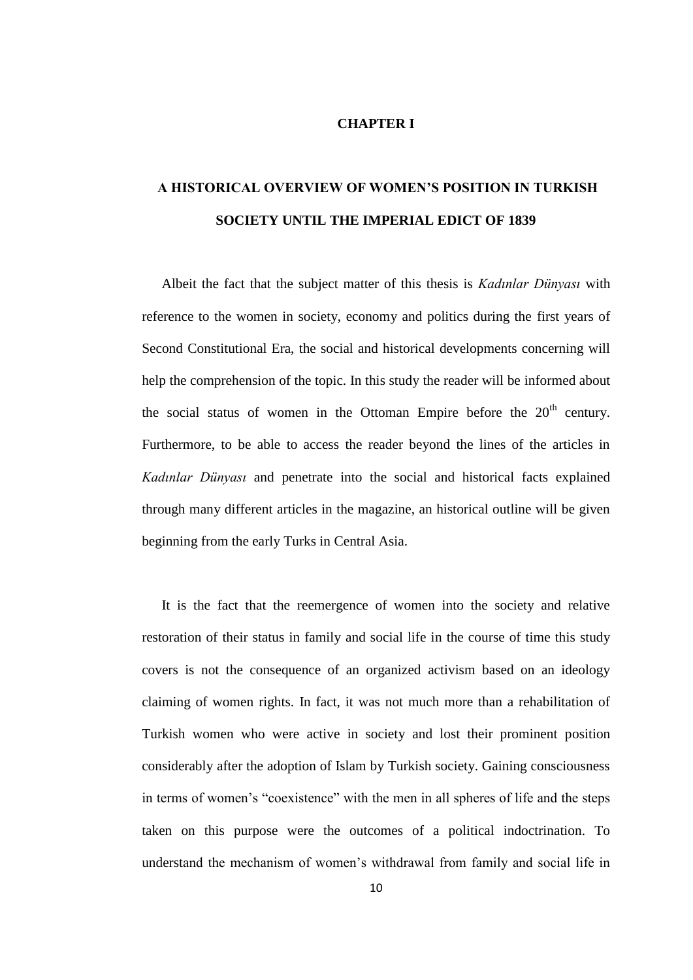#### **CHAPTER I**

## **A HISTORICAL OVERVIEW OF WOMEN'S POSITION IN TURKISH SOCIETY UNTIL THE IMPERIAL EDICT OF 1839**

Albeit the fact that the subject matter of this thesis is *Kadınlar Dünyası* with reference to the women in society, economy and politics during the first years of Second Constitutional Era, the social and historical developments concerning will help the comprehension of the topic. In this study the reader will be informed about the social status of women in the Ottoman Empire before the  $20<sup>th</sup>$  century. Furthermore, to be able to access the reader beyond the lines of the articles in *Kadınlar Dünyası* and penetrate into the social and historical facts explained through many different articles in the magazine, an historical outline will be given beginning from the early Turks in Central Asia.

It is the fact that the reemergence of women into the society and relative restoration of their status in family and social life in the course of time this study covers is not the consequence of an organized activism based on an ideology claiming of women rights. In fact, it was not much more than a rehabilitation of Turkish women who were active in society and lost their prominent position considerably after the adoption of Islam by Turkish society. Gaining consciousness in terms of women"s "coexistence" with the men in all spheres of life and the steps taken on this purpose were the outcomes of a political indoctrination. To understand the mechanism of women"s withdrawal from family and social life in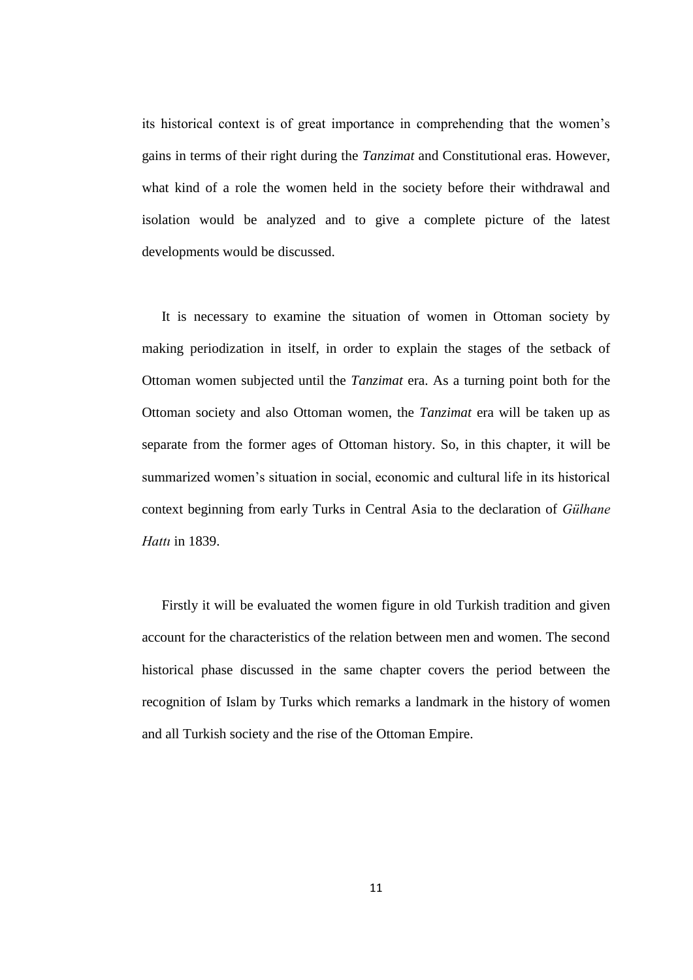its historical context is of great importance in comprehending that the women"s gains in terms of their right during the *Tanzimat* and Constitutional eras. However, what kind of a role the women held in the society before their withdrawal and isolation would be analyzed and to give a complete picture of the latest developments would be discussed.

It is necessary to examine the situation of women in Ottoman society by making periodization in itself, in order to explain the stages of the setback of Ottoman women subjected until the *Tanzimat* era. As a turning point both for the Ottoman society and also Ottoman women, the *Tanzimat* era will be taken up as separate from the former ages of Ottoman history. So, in this chapter, it will be summarized women's situation in social, economic and cultural life in its historical context beginning from early Turks in Central Asia to the declaration of *Gülhane Hattı* in 1839.

Firstly it will be evaluated the women figure in old Turkish tradition and given account for the characteristics of the relation between men and women. The second historical phase discussed in the same chapter covers the period between the recognition of Islam by Turks which remarks a landmark in the history of women and all Turkish society and the rise of the Ottoman Empire.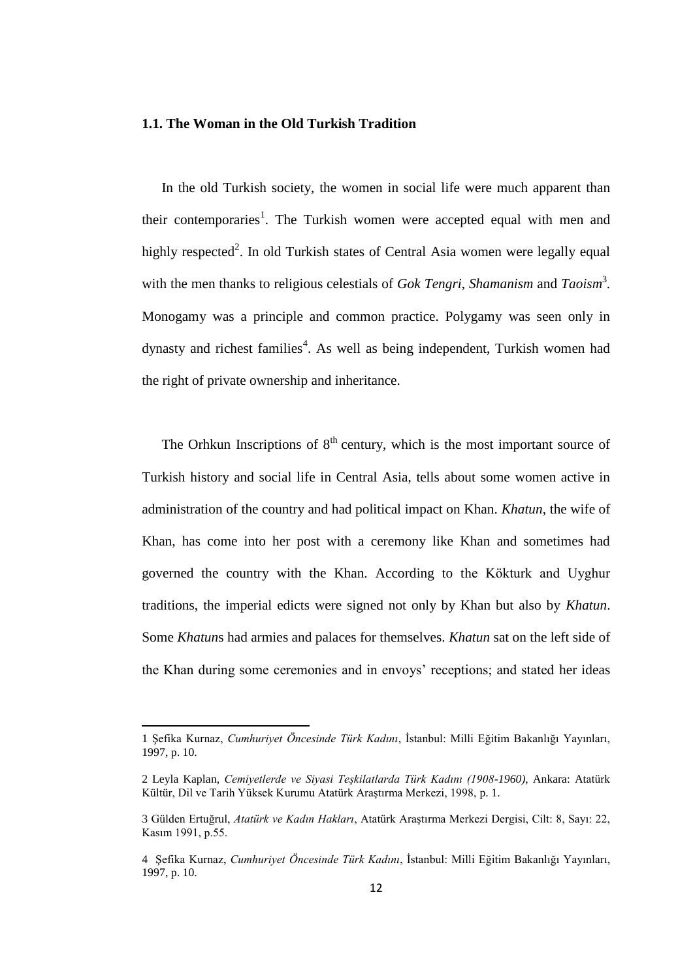#### **1.1. The Woman in the Old Turkish Tradition**

In the old Turkish society, the women in social life were much apparent than their contemporaries<sup>1</sup>. The Turkish women were accepted equal with men and highly respected<sup>2</sup>. In old Turkish states of Central Asia women were legally equal with the men thanks to religious celestials of *Gok Tengri*, *Shamanism* and *Taoism*<sup>3</sup>. Monogamy was a principle and common practice. Polygamy was seen only in dynasty and richest families<sup>4</sup>. As well as being independent, Turkish women had the right of private ownership and inheritance.

The Orhkun Inscriptions of  $8<sup>th</sup>$  century, which is the most important source of Turkish history and social life in Central Asia, tells about some women active in administration of the country and had political impact on Khan. *Khatun*, the wife of Khan, has come into her post with a ceremony like Khan and sometimes had governed the country with the Khan. According to the Kökturk and Uyghur traditions, the imperial edicts were signed not only by Khan but also by *Khatun*. Some *Khatun*s had armies and palaces for themselves. *Khatun* sat on the left side of the Khan during some ceremonies and in envoys" receptions; and stated her ideas

 $\overline{a}$ 

<sup>1</sup> Şefika Kurnaz, *Cumhuriyet Öncesinde Türk Kadını*, İstanbul: Milli Eğitim Bakanlığı Yayınları, 1997, p. 10.

<sup>2</sup> Leyla Kaplan, *Cemiyetlerde ve Siyasi Teşkilatlarda Türk Kadını (1908-1960)*, Ankara: Atatürk Kültür, Dil ve Tarih Yüksek Kurumu Atatürk Araştırma Merkezi, 1998, p. 1.

<sup>3</sup> Gülden Ertuğrul, *Atatürk ve Kadın Hakları*, Atatürk Araştırma Merkezi Dergisi, Cilt: 8, Sayı: 22, Kasım 1991, p.55.

<sup>4</sup> Şefika Kurnaz, *Cumhuriyet Öncesinde Türk Kadını*, İstanbul: Milli Eğitim Bakanlığı Yayınları, 1997, p. 10.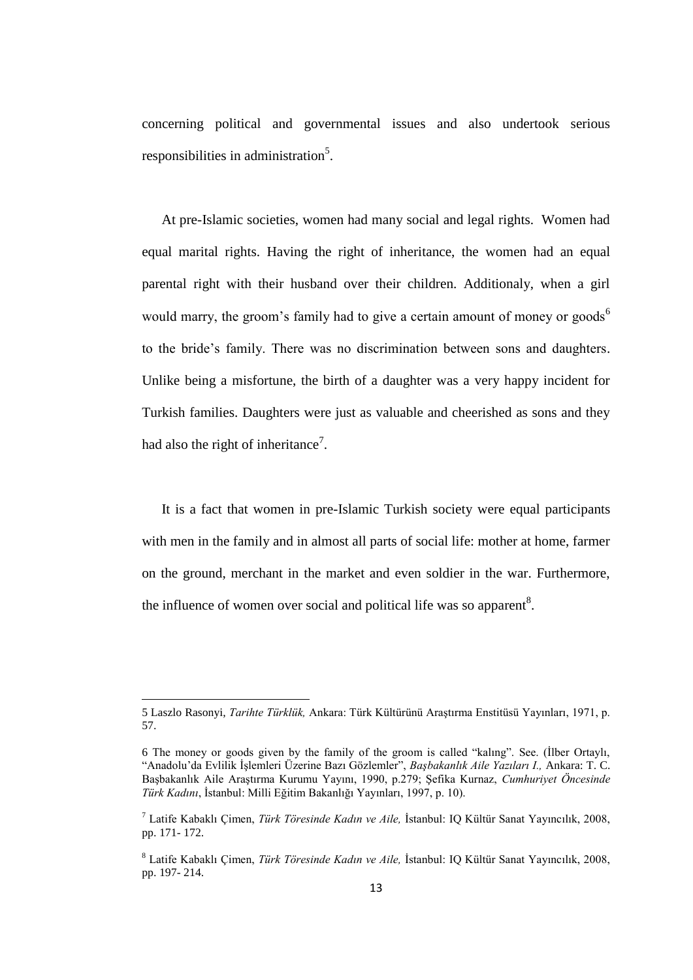concerning political and governmental issues and also undertook serious responsibilities in administration<sup>5</sup>.

At pre-Islamic societies, women had many social and legal rights. Women had equal marital rights. Having the right of inheritance, the women had an equal parental right with their husband over their children. Additionaly, when a girl would marry, the groom's family had to give a certain amount of money or goods<sup>6</sup> to the bride"s family. There was no discrimination between sons and daughters. Unlike being a misfortune, the birth of a daughter was a very happy incident for Turkish families. Daughters were just as valuable and cheerished as sons and they had also the right of inheritance<sup>7</sup>.

It is a fact that women in pre-Islamic Turkish society were equal participants with men in the family and in almost all parts of social life: mother at home, farmer on the ground, merchant in the market and even soldier in the war. Furthermore, the influence of women over social and political life was so apparent<sup>8</sup>.

1

<sup>5</sup> Laszlo Rasonyi, *Tarihte Türklük,* Ankara: Türk Kültürünü Araştırma Enstitüsü Yayınları, 1971, p. 57.

<sup>6</sup> The money or goods given by the family of the groom is called "kalıng". See. (İlber Ortaylı, "Anadolu"da Evlilik İşlemleri Üzerine Bazı Gözlemler", *Başbakanlık Aile Yazıları I.,* Ankara: T. C. Başbakanlık Aile Araştırma Kurumu Yayını, 1990, p.279; Şefika Kurnaz, *Cumhuriyet Öncesinde Türk Kadını*, İstanbul: Milli Eğitim Bakanlığı Yayınları, 1997, p. 10).

<sup>7</sup> Latife Kabaklı Çimen, *Türk Töresinde Kadın ve Aile,* İstanbul: IQ Kültür Sanat Yayıncılık, 2008, pp. 171- 172.

<sup>8</sup> Latife Kabaklı Çimen, *Türk Töresinde Kadın ve Aile,* İstanbul: IQ Kültür Sanat Yayıncılık, 2008, pp. 197- 214.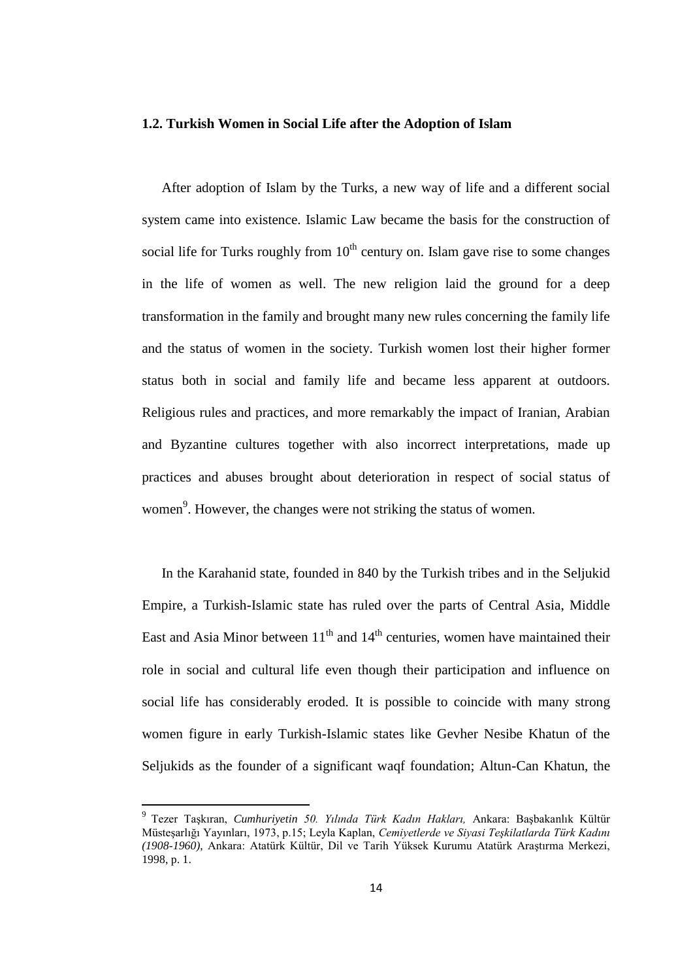#### **1.2. Turkish Women in Social Life after the Adoption of Islam**

After adoption of Islam by the Turks, a new way of life and a different social system came into existence. Islamic Law became the basis for the construction of social life for Turks roughly from  $10<sup>th</sup>$  century on. Islam gave rise to some changes in the life of women as well. The new religion laid the ground for a deep transformation in the family and brought many new rules concerning the family life and the status of women in the society. Turkish women lost their higher former status both in social and family life and became less apparent at outdoors. Religious rules and practices, and more remarkably the impact of Iranian, Arabian and Byzantine cultures together with also incorrect interpretations, made up practices and abuses brought about deterioration in respect of social status of women<sup>9</sup>. However, the changes were not striking the status of women.

In the Karahanid state, founded in 840 by the Turkish tribes and in the Seljukid Empire, a Turkish-Islamic state has ruled over the parts of Central Asia, Middle East and Asia Minor between  $11<sup>th</sup>$  and  $14<sup>th</sup>$  centuries, women have maintained their role in social and cultural life even though their participation and influence on social life has considerably eroded. It is possible to coincide with many strong women figure in early Turkish-Islamic states like Gevher Nesibe Khatun of the Seljukids as the founder of a significant waqf foundation; Altun-Can Khatun, the

**.** 

<sup>9</sup> Tezer Taşkıran, *Cumhuriyetin 50. Yılında Türk Kadın Hakları,* Ankara: Başbakanlık Kültür Müsteşarlığı Yayınları, 1973, p.15; Leyla Kaplan, *Cemiyetlerde ve Siyasi Teşkilatlarda Türk Kadını (1908-1960)*, Ankara: Atatürk Kültür, Dil ve Tarih Yüksek Kurumu Atatürk Araştırma Merkezi, 1998, p. 1.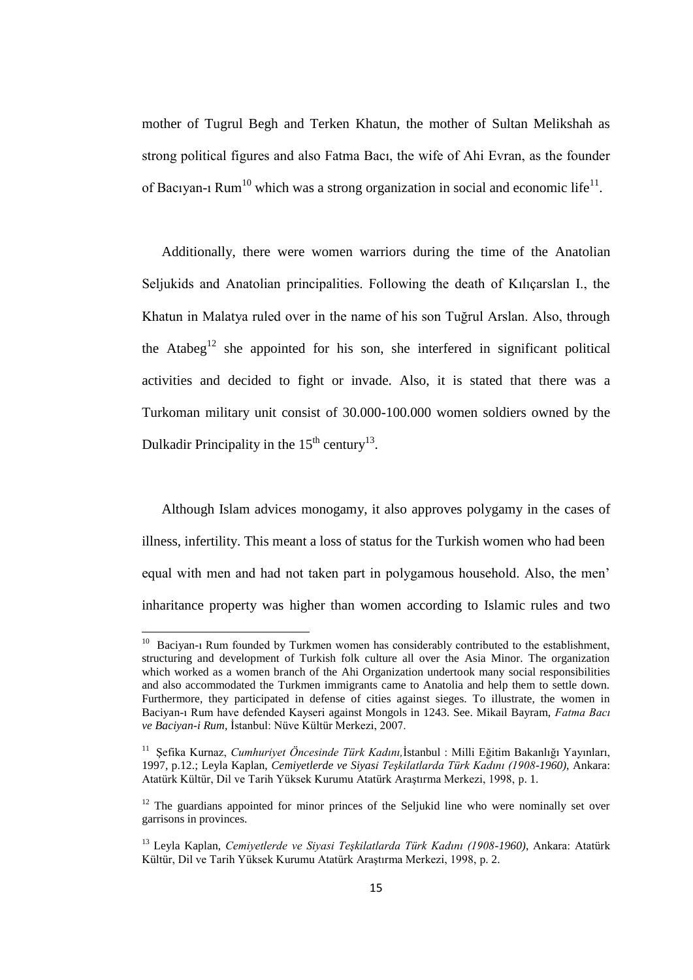mother of Tugrul Begh and Terken Khatun, the mother of Sultan Melikshah as strong political figures and also Fatma Bacı, the wife of Ahi Evran, as the founder of Bacıyan-ı Rum<sup>10</sup> which was a strong organization in social and economic life<sup>11</sup>.

Additionally, there were women warriors during the time of the Anatolian Seljukids and Anatolian principalities. Following the death of Kılıçarslan I., the Khatun in Malatya ruled over in the name of his son Tuğrul Arslan. Also, through the Atabeg<sup>12</sup> she appointed for his son, she interfered in significant political activities and decided to fight or invade. Also, it is stated that there was a Turkoman military unit consist of 30.000-100.000 women soldiers owned by the Dulkadir Principality in the  $15<sup>th</sup>$  century<sup>13</sup>.

Although Islam advices monogamy, it also approves polygamy in the cases of illness, infertility. This meant a loss of status for the Turkish women who had been equal with men and had not taken part in polygamous household. Also, the men" inharitance property was higher than women according to Islamic rules and two

<sup>&</sup>lt;sup>10</sup> Baciyan-ı Rum founded by Turkmen women has considerably contributed to the establishment, structuring and development of Turkish folk culture all over the Asia Minor. The organization which worked as a women branch of the Ahi Organization undertook many social responsibilities and also accommodated the Turkmen immigrants came to Anatolia and help them to settle down. Furthermore, they participated in defense of cities against sieges. To illustrate, the women in Baciyan-ı Rum have defended Kayseri against Mongols in 1243. See. Mikail Bayram, *Fatma Bacı ve Baciyan-i Rum,* İstanbul: Nüve Kültür Merkezi, 2007.

<sup>11</sup> Şefika Kurnaz, *Cumhuriyet Öncesinde Türk Kadını,*İstanbul : Milli Eğitim Bakanlığı Yayınları, 1997, p.12.; Leyla Kaplan, *Cemiyetlerde ve Siyasi Teşkilatlarda Türk Kadını (1908-1960)*, Ankara: Atatürk Kültür, Dil ve Tarih Yüksek Kurumu Atatürk Araştırma Merkezi, 1998, p. 1.

 $12$  The guardians appointed for minor princes of the Seljukid line who were nominally set over garrisons in provinces.

<sup>13</sup> Leyla Kaplan, *Cemiyetlerde ve Siyasi Teşkilatlarda Türk Kadını (1908-1960)*, Ankara: Atatürk Kültür, Dil ve Tarih Yüksek Kurumu Atatürk Araştırma Merkezi, 1998, p. 2.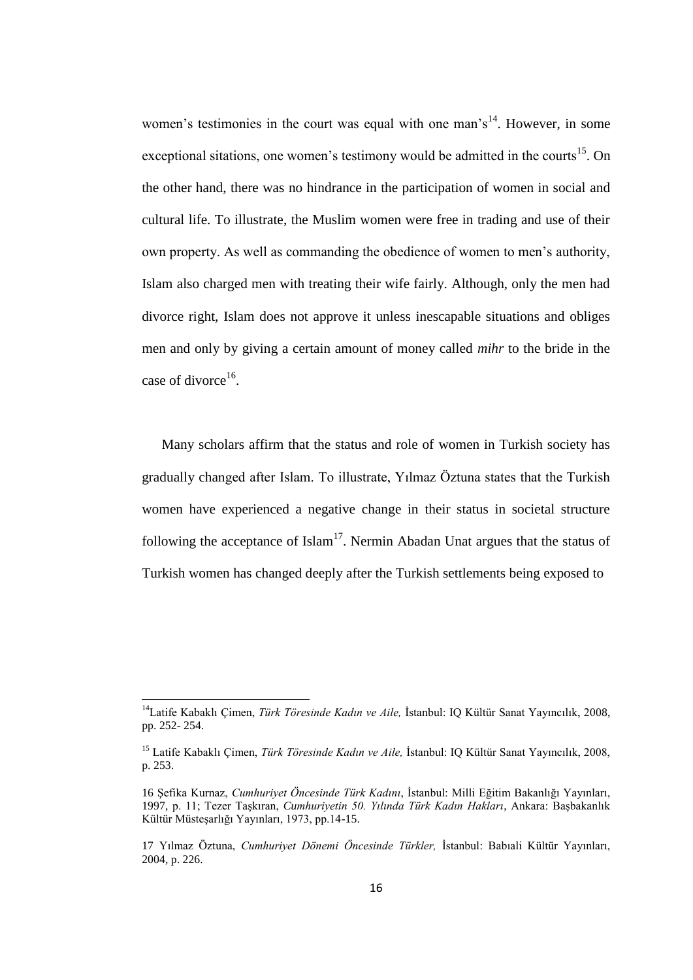women's testimonies in the court was equal with one man's<sup>14</sup>. However, in some exceptional sitations, one women's testimony would be admitted in the courts<sup>15</sup>. On the other hand, there was no hindrance in the participation of women in social and cultural life. To illustrate, the Muslim women were free in trading and use of their own property. As well as commanding the obedience of women to men"s authority, Islam also charged men with treating their wife fairly. Although, only the men had divorce right, Islam does not approve it unless inescapable situations and obliges men and only by giving a certain amount of money called *mihr* to the bride in the case of divorce<sup>16</sup>.

Many scholars affirm that the status and role of women in Turkish society has gradually changed after Islam. To illustrate, Yılmaz Öztuna states that the Turkish women have experienced a negative change in their status in societal structure following the acceptance of Islam<sup>17</sup>. Nermin Abadan Unat argues that the status of Turkish women has changed deeply after the Turkish settlements being exposed to

1

<sup>14</sup>Latife Kabaklı Çimen, *Türk Töresinde Kadın ve Aile,* İstanbul: IQ Kültür Sanat Yayıncılık, 2008, pp. 252- 254.

<sup>15</sup> Latife Kabaklı Çimen, *Türk Töresinde Kadın ve Aile,* İstanbul: IQ Kültür Sanat Yayıncılık, 2008, p. 253.

<sup>16</sup> Şefika Kurnaz, *Cumhuriyet Öncesinde Türk Kadını*, İstanbul: Milli Eğitim Bakanlığı Yayınları, 1997, p. 11; Tezer Taşkıran, *Cumhuriyetin 50. Yılında Türk Kadın Hakları*, Ankara: Başbakanlık Kültür Müsteşarlığı Yayınları, 1973, pp.14-15.

<sup>17</sup> Yılmaz Öztuna, *Cumhuriyet Dönemi Öncesinde Türkler,* İstanbul: Babıali Kültür Yayınları, 2004, p. 226.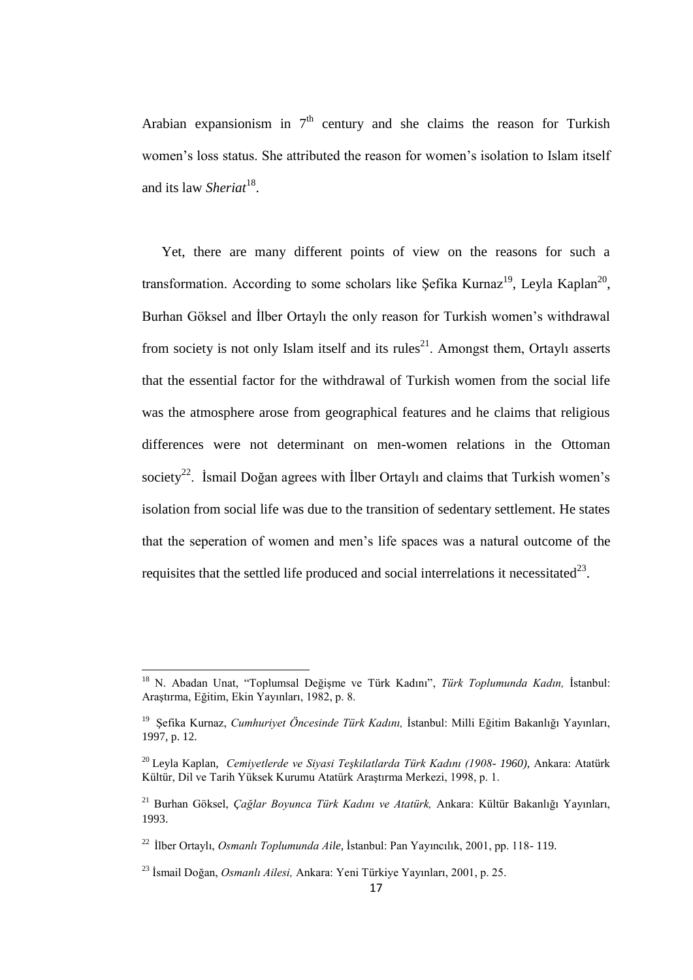Arabian expansionism in  $7<sup>th</sup>$  century and she claims the reason for Turkish women"s loss status. She attributed the reason for women"s isolation to Islam itself and its law *Sheriat*<sup>18</sup>.

Yet, there are many different points of view on the reasons for such a transformation. According to some scholars like Şefika Kurnaz<sup>19</sup>, Leyla Kaplan<sup>20</sup>, Burhan Göksel and İlber Ortaylı the only reason for Turkish women"s withdrawal from society is not only Islam itself and its rules<sup>21</sup>. Amongst them, Ortaylı asserts that the essential factor for the withdrawal of Turkish women from the social life was the atmosphere arose from geographical features and he claims that religious differences were not determinant on men-women relations in the Ottoman society<sup>22</sup>. Ismail Doğan agrees with Ilber Ortaylı and claims that Turkish women's isolation from social life was due to the transition of sedentary settlement. He states that the seperation of women and men"s life spaces was a natural outcome of the requisites that the settled life produced and social interrelations it necessitated<sup>23</sup>.

**.** 

<sup>18</sup> N. Abadan Unat, "Toplumsal Değişme ve Türk Kadını", *Türk Toplumunda Kadın,* İstanbul: Araştırma, Eğitim, Ekin Yayınları, 1982, p. 8.

<sup>19</sup> Şefika Kurnaz, *Cumhuriyet Öncesinde Türk Kadını,* İstanbul: Milli Eğitim Bakanlığı Yayınları, 1997, p. 12.

<sup>20</sup> Leyla Kaplan, *Cemiyetlerde ve Siyasi Teşkilatlarda Türk Kadını (1908- 1960),* Ankara: Atatürk Kültür, Dil ve Tarih Yüksek Kurumu Atatürk Araştırma Merkezi, 1998, p. 1.

<sup>21</sup> Burhan Göksel, *Çağlar Boyunca Türk Kadını ve Atatürk,* Ankara: Kültür Bakanlığı Yayınları, 1993.

<sup>22</sup> İlber Ortaylı, *Osmanlı Toplumunda Aile,* İstanbul: Pan Yayıncılık, 2001, pp. 118- 119.

<sup>23</sup> İsmail Doğan, *Osmanlı Ailesi,* Ankara: Yeni Türkiye Yayınları, 2001, p. 25.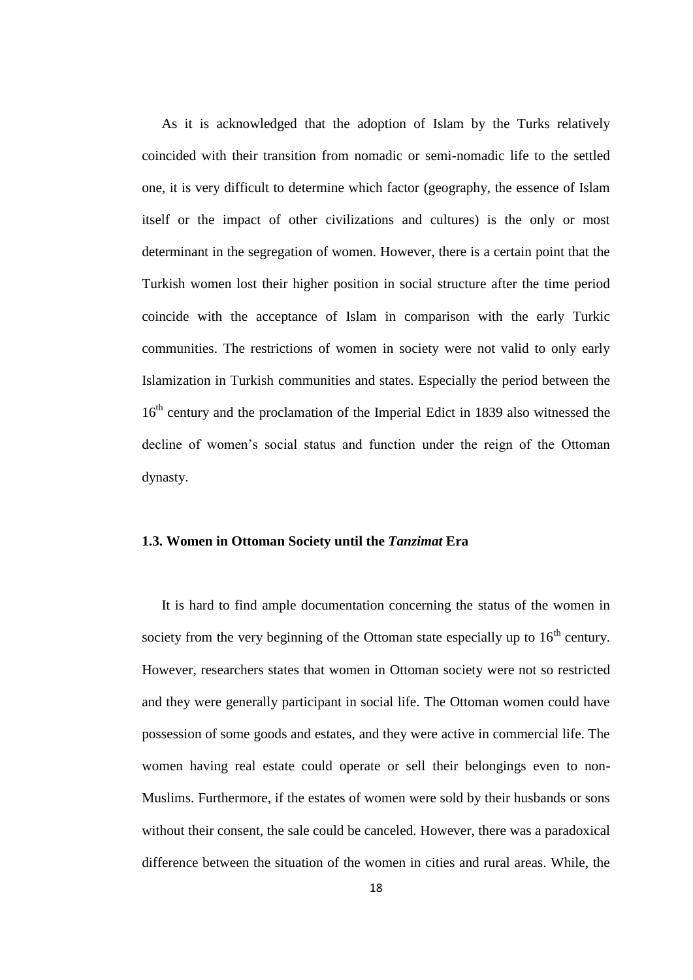As it is acknowledged that the adoption of Islam by the Turks relatively coincided with their transition from nomadic or semi-nomadic life to the settled one, it is very difficult to determine which factor (geography, the essence of Islam itself or the impact of other civilizations and cultures) is the only or most determinant in the segregation of women. However, there is a certain point that the Turkish women lost their higher position in social structure after the time period coincide with the acceptance of Islam in comparison with the early Turkic communities. The restrictions of women in society were not valid to only early Islamization in Turkish communities and states. Especially the period between the 16<sup>th</sup> century and the proclamation of the Imperial Edict in 1839 also witnessed the decline of women"s social status and function under the reign of the Ottoman dynasty.

#### **1.3. Women in Ottoman Society until the** *Tanzimat* **Era**

It is hard to find ample documentation concerning the status of the women in society from the very beginning of the Ottoman state especially up to  $16<sup>th</sup>$  century. However, researchers states that women in Ottoman society were not so restricted and they were generally participant in social life. The Ottoman women could have possession of some goods and estates, and they were active in commercial life. The women having real estate could operate or sell their belongings even to non-Muslims. Furthermore, if the estates of women were sold by their husbands or sons without their consent, the sale could be canceled. However, there was a paradoxical difference between the situation of the women in cities and rural areas. While, the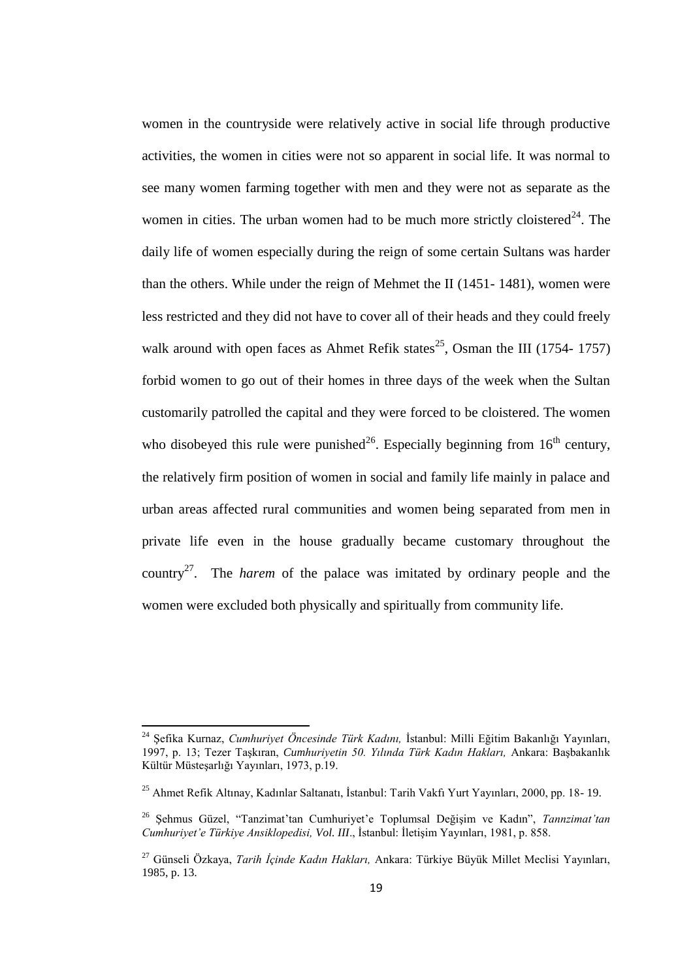women in the countryside were relatively active in social life through productive activities, the women in cities were not so apparent in social life. It was normal to see many women farming together with men and they were not as separate as the women in cities. The urban women had to be much more strictly cloistered<sup>24</sup>. The daily life of women especially during the reign of some certain Sultans was harder than the others. While under the reign of Mehmet the II (1451- 1481), women were less restricted and they did not have to cover all of their heads and they could freely walk around with open faces as Ahmet Refik states<sup>25</sup>, Osman the III (1754- 1757) forbid women to go out of their homes in three days of the week when the Sultan customarily patrolled the capital and they were forced to be cloistered. The women who disobeyed this rule were punished<sup>26</sup>. Especially beginning from  $16<sup>th</sup>$  century, the relatively firm position of women in social and family life mainly in palace and urban areas affected rural communities and women being separated from men in private life even in the house gradually became customary throughout the country<sup>27</sup>. The *harem* of the palace was imitated by ordinary people and the women were excluded both physically and spiritually from community life.

 $\overline{a}$ 

<sup>24</sup> Şefika Kurnaz, *Cumhuriyet Öncesinde Türk Kadını,* İstanbul: Milli Eğitim Bakanlığı Yayınları, 1997, p. 13; Tezer Taşkıran, *Cumhuriyetin 50. Yılında Türk Kadın Hakları,* Ankara: Başbakanlık Kültür Müsteşarlığı Yayınları, 1973, p.19.

<sup>25</sup> Ahmet Refik Altınay, Kadınlar Saltanatı, İstanbul: Tarih Vakfı Yurt Yayınları, 2000, pp. 18- 19.

<sup>&</sup>lt;sup>26</sup> Şehmus Güzel, "Tanzimat'tan Cumhuriyet'e Toplumsal Değişim ve Kadın", Tannzimat'tan *Cumhuriyet'e Türkiye Ansiklopedisi, Vol. III*., İstanbul: İletişim Yayınları, 1981, p. 858.

<sup>27</sup> Günseli Özkaya, *Tarih İçinde Kadın Hakları,* Ankara: Türkiye Büyük Millet Meclisi Yayınları, 1985, p. 13.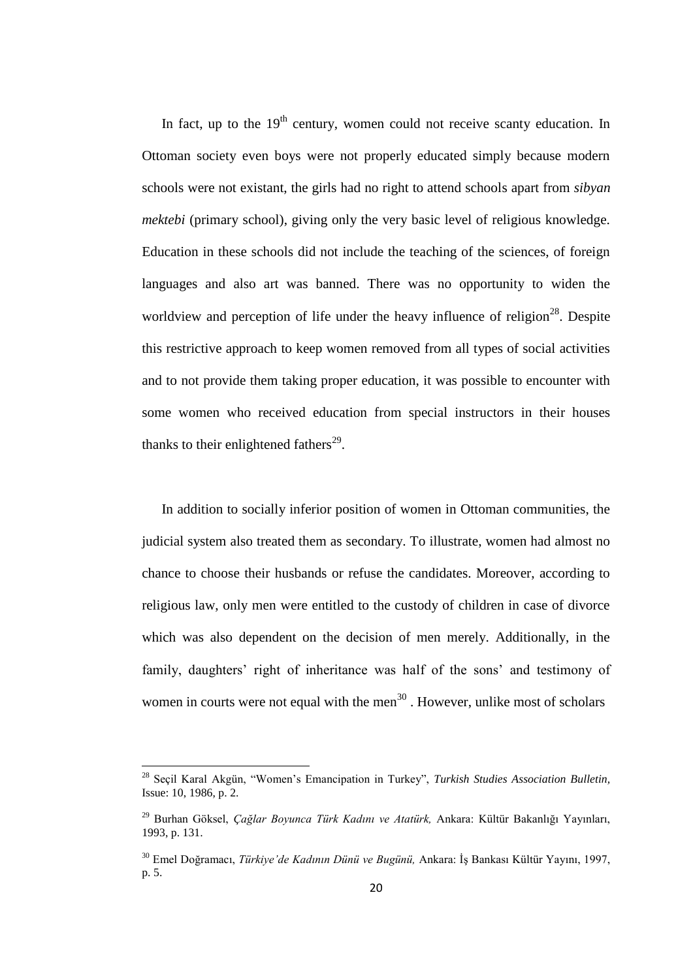In fact, up to the  $19<sup>th</sup>$  century, women could not receive scanty education. In Ottoman society even boys were not properly educated simply because modern schools were not existant, the girls had no right to attend schools apart from *sibyan mektebi* (primary school), giving only the very basic level of religious knowledge. Education in these schools did not include the teaching of the sciences, of foreign languages and also art was banned. There was no opportunity to widen the worldview and perception of life under the heavy influence of religion<sup>28</sup>. Despite this restrictive approach to keep women removed from all types of social activities and to not provide them taking proper education, it was possible to encounter with some women who received education from special instructors in their houses thanks to their enlightened fathers<sup>29</sup>.

In addition to socially inferior position of women in Ottoman communities, the judicial system also treated them as secondary. To illustrate, women had almost no chance to choose their husbands or refuse the candidates. Moreover, according to religious law, only men were entitled to the custody of children in case of divorce which was also dependent on the decision of men merely. Additionally, in the family, daughters' right of inheritance was half of the sons' and testimony of women in courts were not equal with the men $^{30}$ . However, unlike most of scholars

**.** 

<sup>28</sup> Seçil Karal Akgün, "Women"s Emancipation in Turkey", *Turkish Studies Association Bulletin,* Issue: 10, 1986, p. 2.

<sup>29</sup> Burhan Göksel, *Çağlar Boyunca Türk Kadını ve Atatürk,* Ankara: Kültür Bakanlığı Yayınları, 1993, p. 131.

<sup>30</sup> Emel Doğramacı, *Türkiye'de Kadının Dünü ve Bugünü,* Ankara: İş Bankası Kültür Yayını, 1997, p. 5.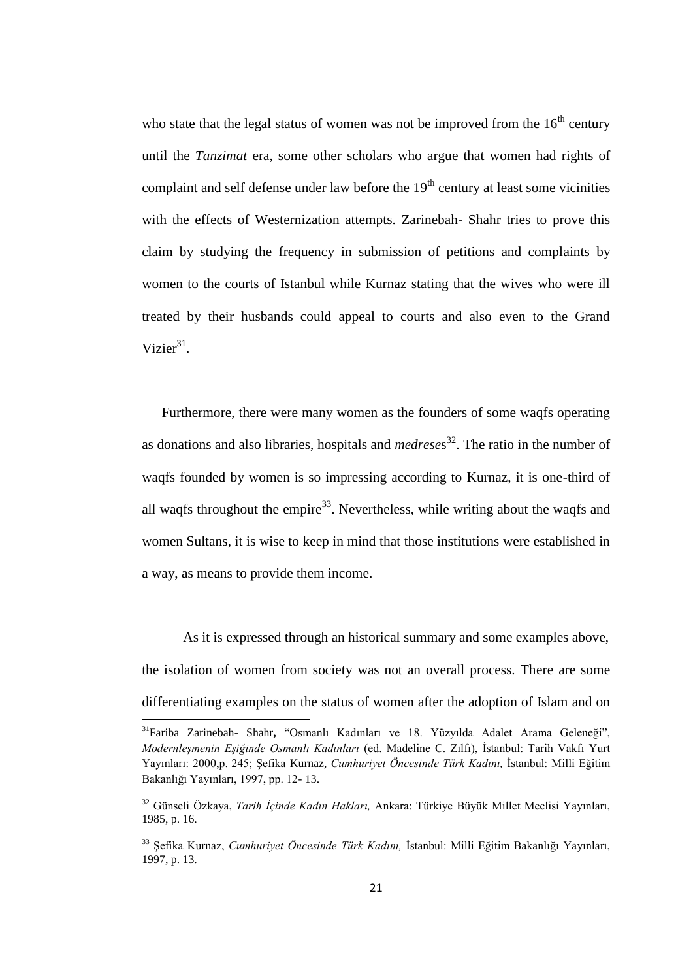who state that the legal status of women was not be improved from the  $16<sup>th</sup>$  century until the *Tanzimat* era, some other scholars who argue that women had rights of complaint and self defense under law before the  $19<sup>th</sup>$  century at least some vicinities with the effects of Westernization attempts. Zarinebah- Shahr tries to prove this claim by studying the frequency in submission of petitions and complaints by women to the courts of Istanbul while Kurnaz stating that the wives who were ill treated by their husbands could appeal to courts and also even to the Grand Vizier $31$ .

Furthermore, there were many women as the founders of some waqfs operating as donations and also libraries, hospitals and *medrese*s <sup>32</sup>. The ratio in the number of waqfs founded by women is so impressing according to Kurnaz, it is one-third of all waqfs throughout the empire<sup>33</sup>. Nevertheless, while writing about the waqfs and women Sultans, it is wise to keep in mind that those institutions were established in a way, as means to provide them income.

As it is expressed through an historical summary and some examples above, the isolation of women from society was not an overall process. There are some differentiating examples on the status of women after the adoption of Islam and on

**.** 

<sup>31</sup>Fariba Zarinebah- Shahr**,** "Osmanlı Kadınları ve 18. Yüzyılda Adalet Arama Geleneği", *Modernleşmenin Eşiğinde Osmanlı Kadınları* (ed. Madeline C. Zılfı), İstanbul: Tarih Vakfı Yurt Yayınları: 2000,p. 245; Şefika Kurnaz, *Cumhuriyet Öncesinde Türk Kadını,* İstanbul: Milli Eğitim Bakanlığı Yayınları, 1997, pp. 12- 13.

<sup>32</sup> Günseli Özkaya, *Tarih İçinde Kadın Hakları,* Ankara: Türkiye Büyük Millet Meclisi Yayınları, 1985, p. 16.

<sup>33</sup> Şefika Kurnaz, *Cumhuriyet Öncesinde Türk Kadını,* İstanbul: Milli Eğitim Bakanlığı Yayınları, 1997, p. 13.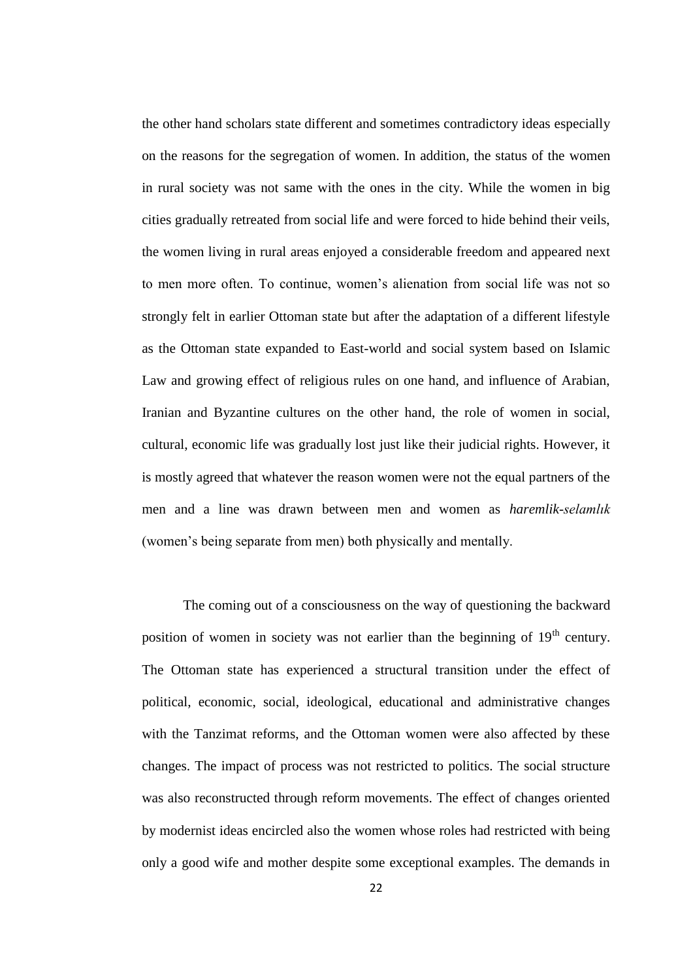the other hand scholars state different and sometimes contradictory ideas especially on the reasons for the segregation of women. In addition, the status of the women in rural society was not same with the ones in the city. While the women in big cities gradually retreated from social life and were forced to hide behind their veils, the women living in rural areas enjoyed a considerable freedom and appeared next to men more often. To continue, women"s alienation from social life was not so strongly felt in earlier Ottoman state but after the adaptation of a different lifestyle as the Ottoman state expanded to East-world and social system based on Islamic Law and growing effect of religious rules on one hand, and influence of Arabian, Iranian and Byzantine cultures on the other hand, the role of women in social, cultural, economic life was gradually lost just like their judicial rights. However, it is mostly agreed that whatever the reason women were not the equal partners of the men and a line was drawn between men and women as *haremlik-selamlık* (women"s being separate from men) both physically and mentally.

The coming out of a consciousness on the way of questioning the backward position of women in society was not earlier than the beginning of 19<sup>th</sup> century. The Ottoman state has experienced a structural transition under the effect of political, economic, social, ideological, educational and administrative changes with the Tanzimat reforms, and the Ottoman women were also affected by these changes. The impact of process was not restricted to politics. The social structure was also reconstructed through reform movements. The effect of changes oriented by modernist ideas encircled also the women whose roles had restricted with being only a good wife and mother despite some exceptional examples. The demands in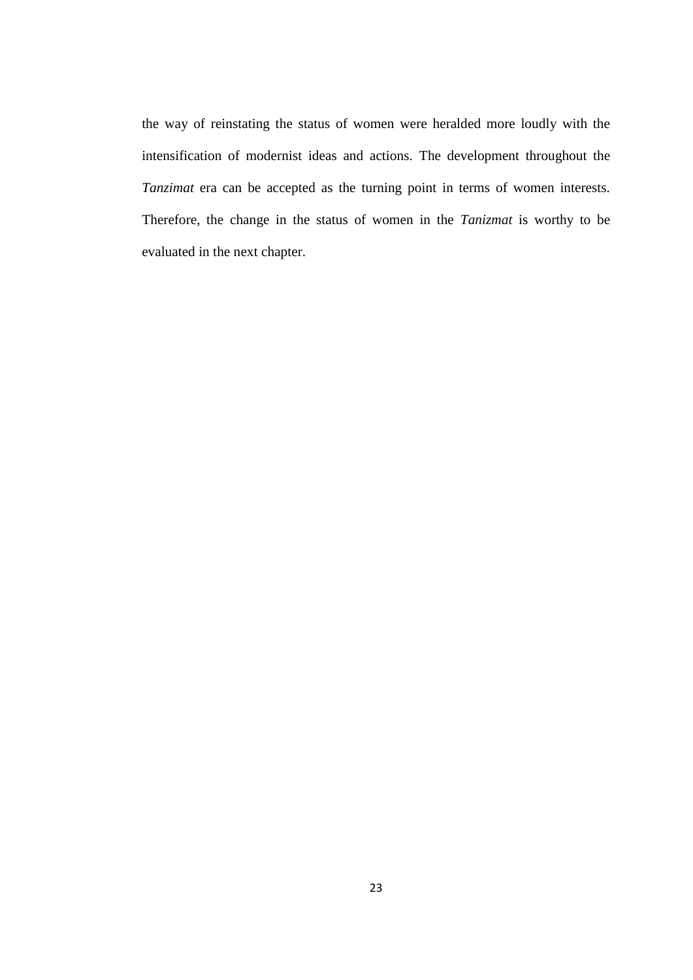the way of reinstating the status of women were heralded more loudly with the intensification of modernist ideas and actions. The development throughout the *Tanzimat* era can be accepted as the turning point in terms of women interests. Therefore, the change in the status of women in the *Tanizmat* is worthy to be evaluated in the next chapter.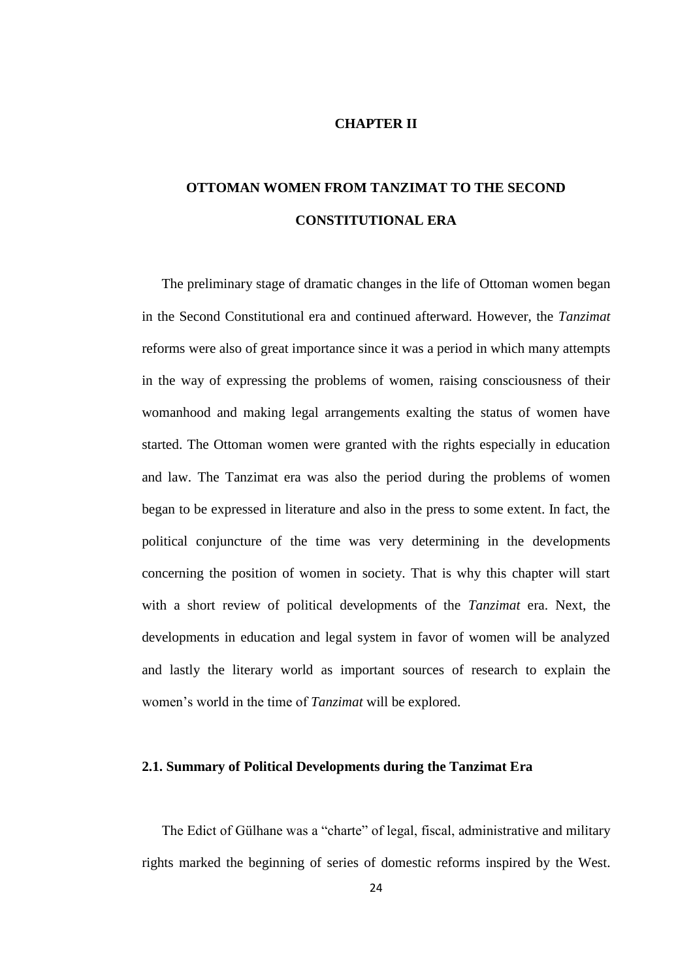#### **CHAPTER II**

## **OTTOMAN WOMEN FROM TANZIMAT TO THE SECOND CONSTITUTIONAL ERA**

The preliminary stage of dramatic changes in the life of Ottoman women began in the Second Constitutional era and continued afterward. However, the *Tanzimat* reforms were also of great importance since it was a period in which many attempts in the way of expressing the problems of women, raising consciousness of their womanhood and making legal arrangements exalting the status of women have started. The Ottoman women were granted with the rights especially in education and law. The Tanzimat era was also the period during the problems of women began to be expressed in literature and also in the press to some extent. In fact, the political conjuncture of the time was very determining in the developments concerning the position of women in society. That is why this chapter will start with a short review of political developments of the *Tanzimat* era. Next, the developments in education and legal system in favor of women will be analyzed and lastly the literary world as important sources of research to explain the women"s world in the time of *Tanzimat* will be explored.

#### **2.1. Summary of Political Developments during the Tanzimat Era**

The Edict of Gülhane was a "charte" of legal, fiscal, administrative and military rights marked the beginning of series of domestic reforms inspired by the West.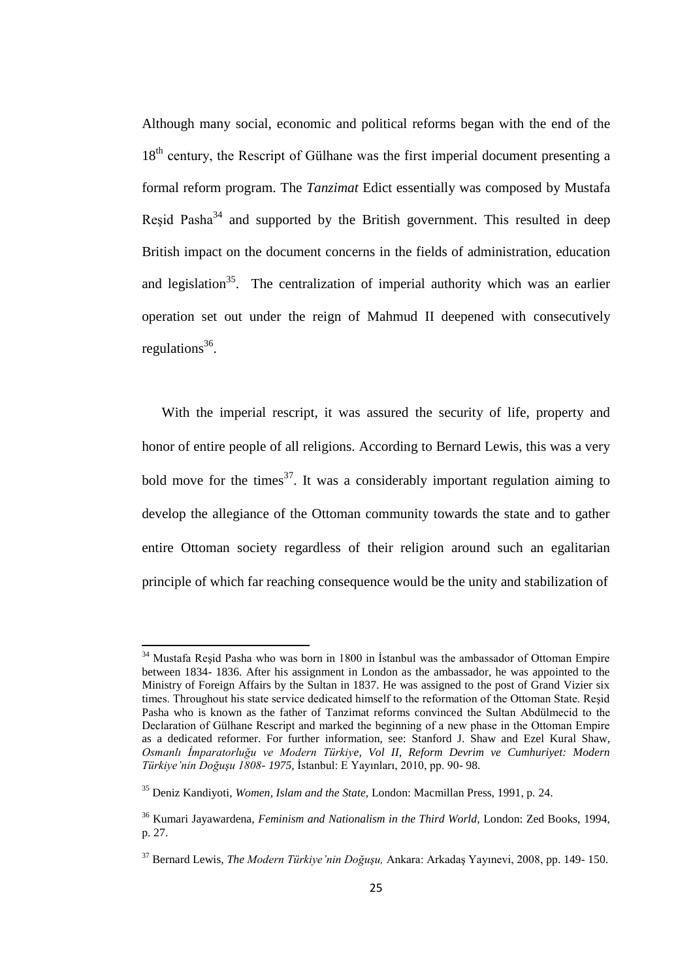Although many social, economic and political reforms began with the end of the 18<sup>th</sup> century, the Rescript of Gülhane was the first imperial document presenting a formal reform program. The *Tanzimat* Edict essentially was composed by Mustafa Resid Pasha<sup>34</sup> and supported by the British government. This resulted in deep British impact on the document concerns in the fields of administration, education and legislation<sup>35</sup>. The centralization of imperial authority which was an earlier operation set out under the reign of Mahmud II deepened with consecutively regulations<sup>36</sup>.

With the imperial rescript, it was assured the security of life, property and honor of entire people of all religions. According to Bernard Lewis, this was a very bold move for the times<sup>37</sup>. It was a considerably important regulation aiming to develop the allegiance of the Ottoman community towards the state and to gather entire Ottoman society regardless of their religion around such an egalitarian principle of which far reaching consequence would be the unity and stabilization of

<sup>&</sup>lt;sup>34</sup> Mustafa Reșid Pasha who was born in 1800 in İstanbul was the ambassador of Ottoman Empire between 1834- 1836. After his assignment in London as the ambassador, he was appointed to the Ministry of Foreign Affairs by the Sultan in 1837. He was assigned to the post of Grand Vizier six times. Throughout his state service dedicated himself to the reformation of the Ottoman State. Reşid Pasha who is known as the father of Tanzimat reforms convinced the Sultan Abdülmecid to the Declaration of Gülhane Rescript and marked the beginning of a new phase in the Ottoman Empire as a dedicated reformer. For further information, see: Stanford J. Shaw and Ezel Kural Shaw, *Osmanlı İmparatorluğu ve Modern Türkiye, Vol II, Reform Devrim ve Cumhuriyet: Modern Türkiye'nin Doğuşu 1808- 1975,* İstanbul: E Yayınları, 2010, pp. 90- 98.

<sup>35</sup> Deniz Kandiyoti, *Women, Islam and the State,* London: Macmillan Press, 1991, p. 24.

<sup>36</sup> Kumari Jayawardena, *Feminism and Nationalism in the Third World,* London: Zed Books, 1994, p. 27.

<sup>37</sup> Bernard Lewis, *The Modern Türkiye'nin Doğuşu,* Ankara: Arkadaş Yayınevi, 2008, pp. 149- 150.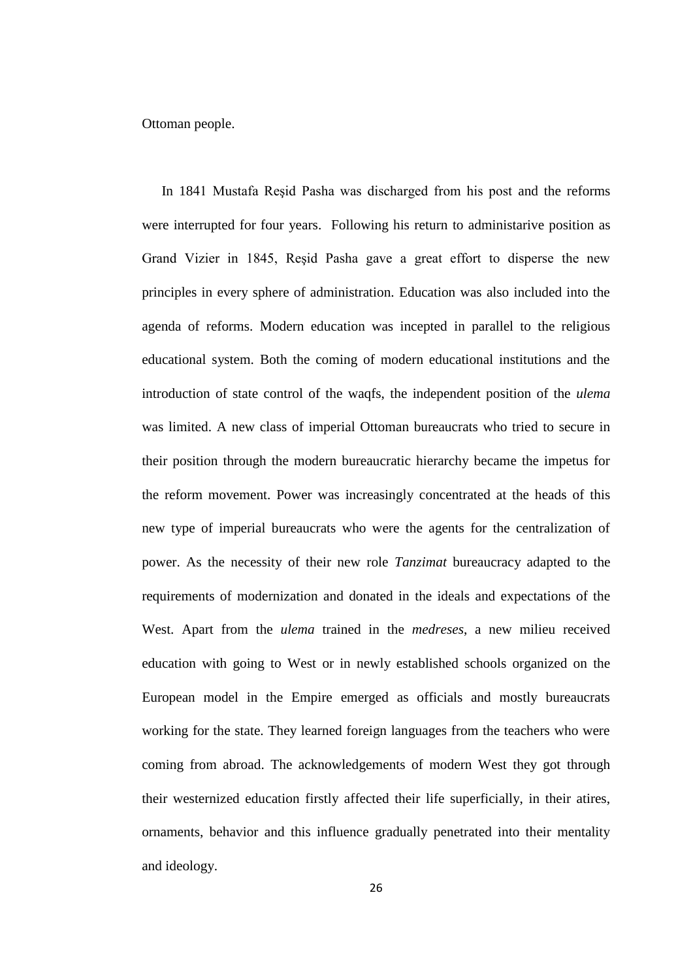Ottoman people.

In 1841 Mustafa Reşid Pasha was discharged from his post and the reforms were interrupted for four years. Following his return to administarive position as Grand Vizier in 1845, Reşid Pasha gave a great effort to disperse the new principles in every sphere of administration. Education was also included into the agenda of reforms. Modern education was incepted in parallel to the religious educational system. Both the coming of modern educational institutions and the introduction of state control of the waqfs, the independent position of the *ulema* was limited. A new class of imperial Ottoman bureaucrats who tried to secure in their position through the modern bureaucratic hierarchy became the impetus for the reform movement. Power was increasingly concentrated at the heads of this new type of imperial bureaucrats who were the agents for the centralization of power. As the necessity of their new role *Tanzimat* bureaucracy adapted to the requirements of modernization and donated in the ideals and expectations of the West. Apart from the *ulema* trained in the *medreses*, a new milieu received education with going to West or in newly established schools organized on the European model in the Empire emerged as officials and mostly bureaucrats working for the state. They learned foreign languages from the teachers who were coming from abroad. The acknowledgements of modern West they got through their westernized education firstly affected their life superficially, in their atires, ornaments, behavior and this influence gradually penetrated into their mentality and ideology.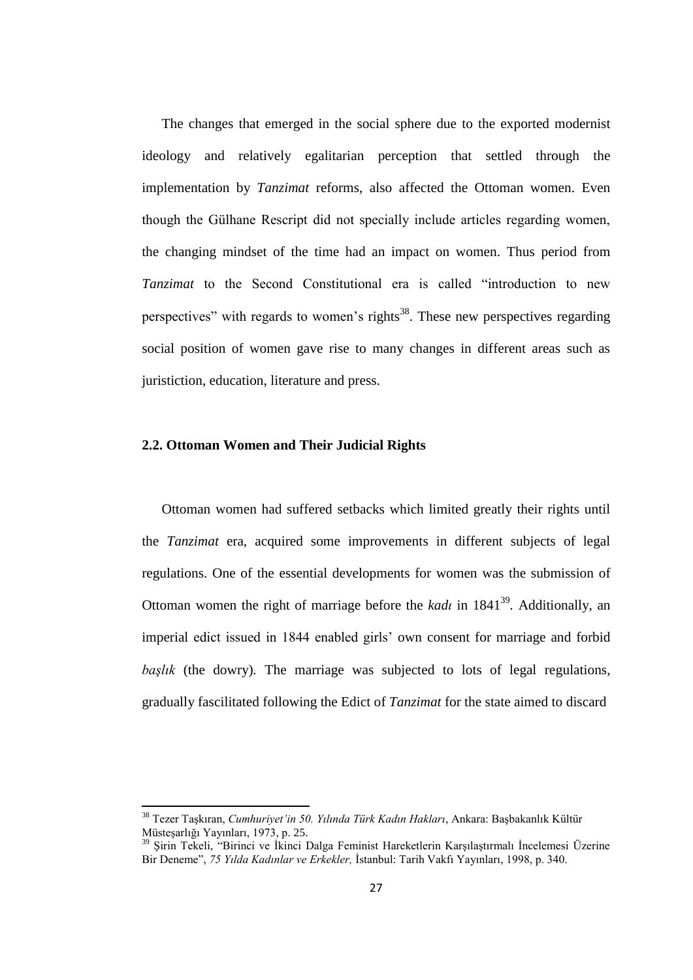The changes that emerged in the social sphere due to the exported modernist ideology and relatively egalitarian perception that settled through the implementation by *Tanzimat* reforms, also affected the Ottoman women. Even though the Gülhane Rescript did not specially include articles regarding women, the changing mindset of the time had an impact on women. Thus period from *Tanzimat* to the Second Constitutional era is called "introduction to new perspectives" with regards to women's rights<sup>38</sup>. These new perspectives regarding social position of women gave rise to many changes in different areas such as juristiction, education, literature and press.

#### **2.2. Ottoman Women and Their Judicial Rights**

**.** 

Ottoman women had suffered setbacks which limited greatly their rights until the *Tanzimat* era, acquired some improvements in different subjects of legal regulations. One of the essential developments for women was the submission of Ottoman women the right of marriage before the *kadı* in 1841<sup>39</sup>. Additionally, an imperial edict issued in 1844 enabled girls' own consent for marriage and forbid *başlık* (the dowry)*.* The marriage was subjected to lots of legal regulations, gradually fascilitated following the Edict of *Tanzimat* for the state aimed to discard

<sup>38</sup> Tezer Taşkıran, *Cumhuriyet'in 50. Yılında Türk Kadın Hakları*, Ankara: Başbakanlık Kültür Müsteşarlığı Yayınları, 1973, p. 25.

<sup>39</sup> Şirin Tekeli, "Birinci ve İkinci Dalga Feminist Hareketlerin Karşılaştırmalı İncelemesi Üzerine Bir Deneme", *75 Yılda Kadınlar ve Erkekler,* İstanbul: Tarih Vakfı Yayınları, 1998, p. 340.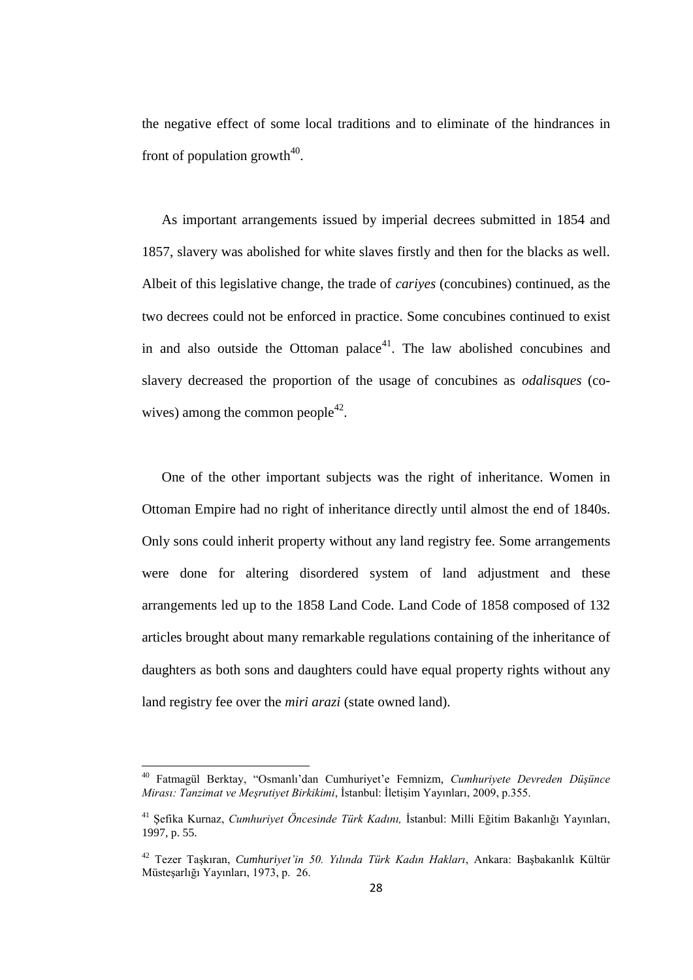the negative effect of some local traditions and to eliminate of the hindrances in front of population growth $40$ .

As important arrangements issued by imperial decrees submitted in 1854 and 1857, slavery was abolished for white slaves firstly and then for the blacks as well. Albeit of this legislative change, the trade of *cariyes* (concubines) continued, as the two decrees could not be enforced in practice. Some concubines continued to exist in and also outside the Ottoman palace<sup>41</sup>. The law abolished concubines and slavery decreased the proportion of the usage of concubines as *odalisques* (cowives) among the common people<sup>42</sup>.

One of the other important subjects was the right of inheritance. Women in Ottoman Empire had no right of inheritance directly until almost the end of 1840s. Only sons could inherit property without any land registry fee. Some arrangements were done for altering disordered system of land adjustment and these arrangements led up to the 1858 Land Code. Land Code of 1858 composed of 132 articles brought about many remarkable regulations containing of the inheritance of daughters as both sons and daughters could have equal property rights without any land registry fee over the *miri arazi* (state owned land).

<sup>40</sup> Fatmagül Berktay, "Osmanlı"dan Cumhuriyet"e Femnizm, *Cumhuriyete Devreden Düşünce Mirası: Tanzimat ve Meşrutiyet Birkikimi*, İstanbul: İletişim Yayınları, 2009, p.355.

<sup>41</sup> Şefika Kurnaz, *Cumhuriyet Öncesinde Türk Kadını,* İstanbul: Milli Eğitim Bakanlığı Yayınları, 1997, p. 55.

<sup>42</sup> Tezer Taşkıran, *Cumhuriyet'in 50. Yılında Türk Kadın Hakları*, Ankara: Başbakanlık Kültür Müsteşarlığı Yayınları, 1973, p. 26.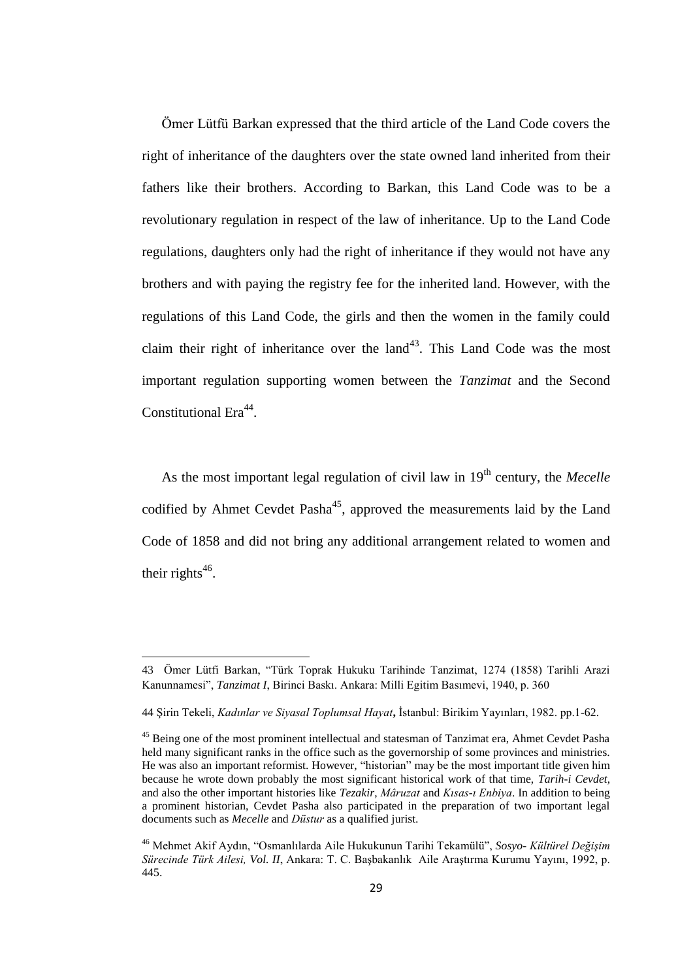Ömer Lütfü Barkan expressed that the third article of the Land Code covers the right of inheritance of the daughters over the state owned land inherited from their fathers like their brothers. According to Barkan, this Land Code was to be a revolutionary regulation in respect of the law of inheritance. Up to the Land Code regulations, daughters only had the right of inheritance if they would not have any brothers and with paying the registry fee for the inherited land. However, with the regulations of this Land Code, the girls and then the women in the family could claim their right of inheritance over the land<sup>43</sup>. This Land Code was the most important regulation supporting women between the *Tanzimat* and the Second Constitutional Era<sup>44</sup>.

As the most important legal regulation of civil law in 19<sup>th</sup> century, the *Mecelle* codified by Ahmet Cevdet Pasha<sup>45</sup>, approved the measurements laid by the Land Code of 1858 and did not bring any additional arrangement related to women and their rights<sup>46</sup>.

<sup>43</sup> Ömer Lütfi Barkan, "Türk Toprak Hukuku Tarihinde Tanzimat, 1274 (1858) Tarihli Arazi Kanunnamesi", *Tanzimat I*, Birinci Baskı. Ankara: Milli Egitim Basımevi, 1940, p. 360

<sup>44</sup> Şirin Tekeli, *Kadınlar ve Siyasal Toplumsal Hayat***,** İstanbul: Birikim Yayınları, 1982. pp.1-62.

<sup>&</sup>lt;sup>45</sup> Being one of the most prominent intellectual and statesman of Tanzimat era, Ahmet Cevdet Pasha held many significant ranks in the office such as the governorship of some provinces and ministries. He was also an important reformist. However, "historian" may be the most important title given him because he wrote down probably the most significant historical work of that time, *Tarih-i Cevdet*, and also the other important histories like *Tezakir*, *Mâruzat* and *Kısas-ı Enbiya*. In addition to being a prominent historian, Cevdet Pasha also participated in the preparation of two important legal documents such as *Mecelle* and *Düstur* as a qualified jurist.

<sup>46</sup> Mehmet Akif Aydın, "Osmanlılarda Aile Hukukunun Tarihi Tekamülü", *Sosyo- Kültürel Değişim Sürecinde Türk Ailesi, Vol. II*, Ankara: T. C. Başbakanlık Aile Araştırma Kurumu Yayını, 1992, p. 445.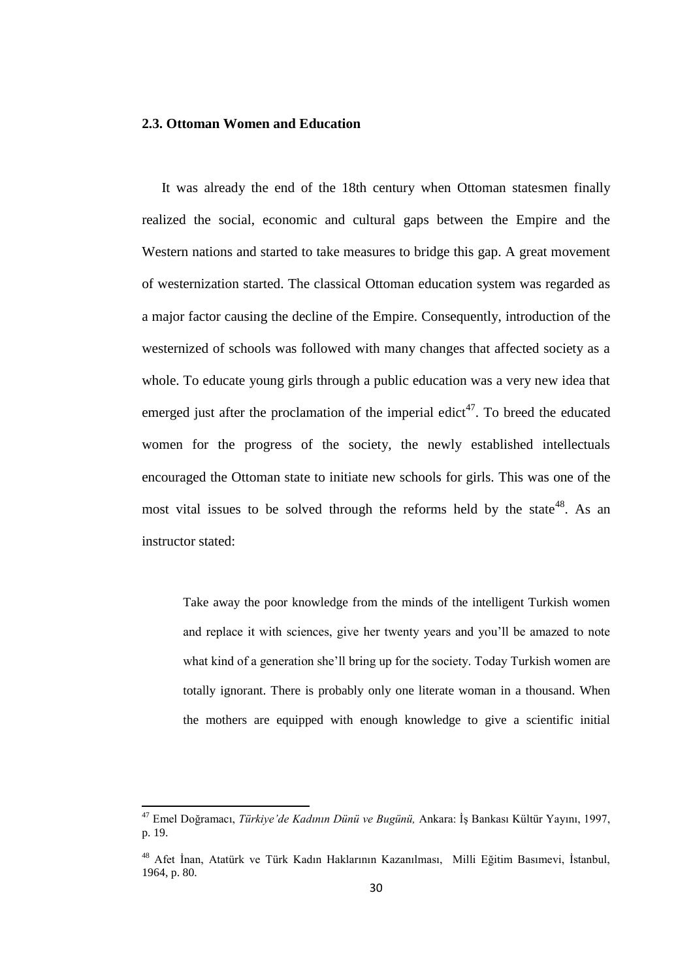### **2.3. Ottoman Women and Education**

It was already the end of the 18th century when Ottoman statesmen finally realized the social, economic and cultural gaps between the Empire and the Western nations and started to take measures to bridge this gap. A great movement of westernization started. The classical Ottoman education system was regarded as a major factor causing the decline of the Empire. Consequently, introduction of the westernized of schools was followed with many changes that affected society as a whole. To educate young girls through a public education was a very new idea that emerged just after the proclamation of the imperial edict<sup>47</sup>. To breed the educated women for the progress of the society, the newly established intellectuals encouraged the Ottoman state to initiate new schools for girls. This was one of the most vital issues to be solved through the reforms held by the state<sup>48</sup>. As an instructor stated:

Take away the poor knowledge from the minds of the intelligent Turkish women and replace it with sciences, give her twenty years and you"ll be amazed to note what kind of a generation she'll bring up for the society. Today Turkish women are totally ignorant. There is probably only one literate woman in a thousand. When the mothers are equipped with enough knowledge to give a scientific initial

<sup>47</sup> Emel Doğramacı, *Türkiye'de Kadının Dünü ve Bugünü,* Ankara: İş Bankası Kültür Yayını, 1997, p. 19.

<sup>48</sup> Afet İnan, Atatürk ve Türk Kadın Haklarının Kazanılması, Milli Eğitim Basımevi, İstanbul, 1964, p. 80.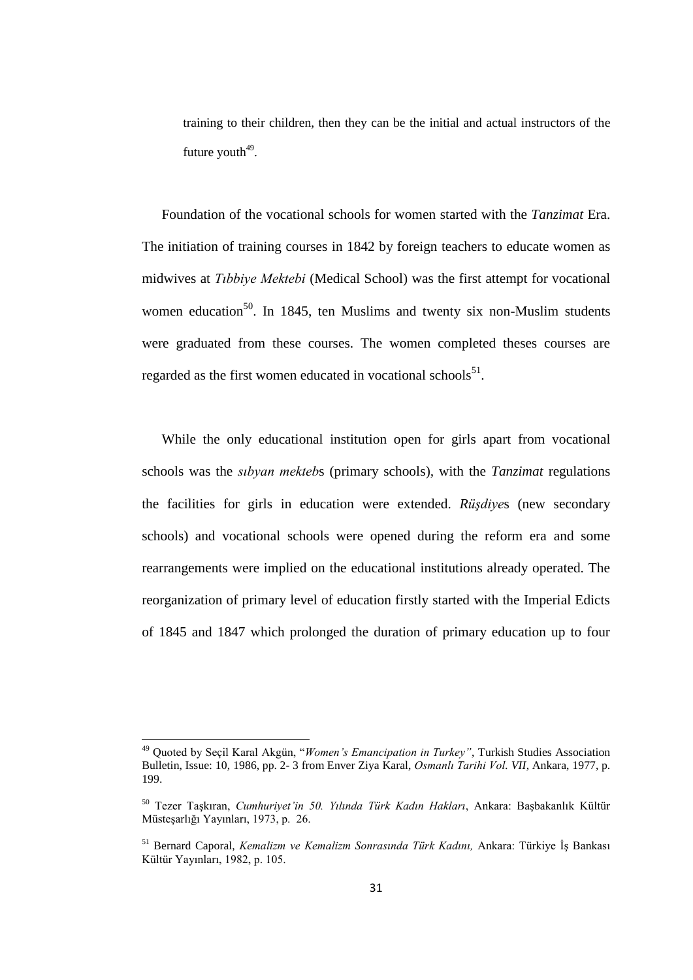training to their children, then they can be the initial and actual instructors of the future youth $49$ .

Foundation of the vocational schools for women started with the *Tanzimat* Era. The initiation of training courses in 1842 by foreign teachers to educate women as midwives at *Tıbbiye Mektebi* (Medical School) was the first attempt for vocational women education<sup>50</sup>. In 1845, ten Muslims and twenty six non-Muslim students were graduated from these courses. The women completed theses courses are regarded as the first women educated in vocational schools<sup>51</sup>.

While the only educational institution open for girls apart from vocational schools was the *sıbyan mekteb*s (primary schools)*,* with the *Tanzimat* regulations the facilities for girls in education were extended. *Rüşdiye*s (new secondary schools) and vocational schools were opened during the reform era and some rearrangements were implied on the educational institutions already operated. The reorganization of primary level of education firstly started with the Imperial Edicts of 1845 and 1847 which prolonged the duration of primary education up to four

<sup>49</sup> Quoted by Seçil Karal Akgün, "*Women's Emancipation in Turkey"*, Turkish Studies Association Bulletin, Issue: 10, 1986, pp. 2- 3 from Enver Ziya Karal, *Osmanlı Tarihi Vol. VII*, Ankara, 1977, p. 199.

<sup>50</sup> Tezer Taşkıran, *Cumhuriyet'in 50. Yılında Türk Kadın Hakları*, Ankara: Başbakanlık Kültür Müsteşarlığı Yayınları, 1973, p. 26.

<sup>51</sup> Bernard Caporal, *Kemalizm ve Kemalizm Sonrasında Türk Kadını,* Ankara: Türkiye İş Bankası Kültür Yayınları, 1982, p. 105.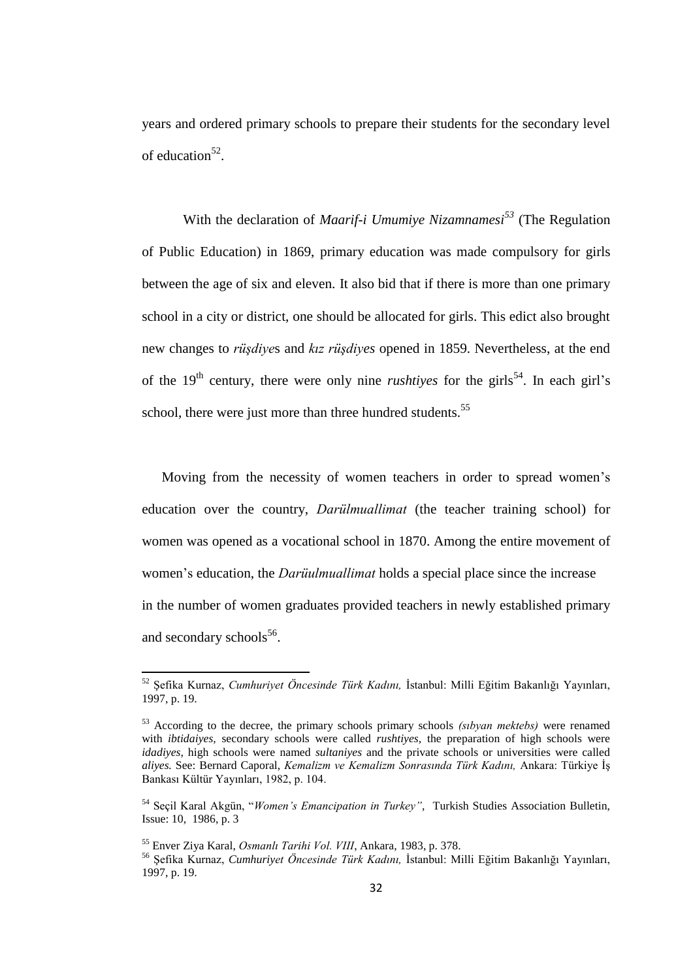years and ordered primary schools to prepare their students for the secondary level of education<sup>52</sup>.

With the declaration of *Maarif-i Umumiye Nizamnamesi<sup>53</sup>* (The Regulation of Public Education) in 1869, primary education was made compulsory for girls between the age of six and eleven. It also bid that if there is more than one primary school in a city or district, one should be allocated for girls. This edict also brought new changes to *rüşdiye*s and *kız rüşdiyes* opened in 1859. Nevertheless, at the end of the  $19<sup>th</sup>$  century, there were only nine *rushtiyes* for the girls<sup>54</sup>. In each girl's school, there were just more than three hundred students.<sup>55</sup>

Moving from the necessity of women teachers in order to spread women"s education over the country, *Darülmuallimat* (the teacher training school) for women was opened as a vocational school in 1870. Among the entire movement of women"s education, the *Darüulmuallimat* holds a special place since the increase in the number of women graduates provided teachers in newly established primary and secondary schools<sup>56</sup>.

<sup>52</sup> Şefika Kurnaz, *Cumhuriyet Öncesinde Türk Kadını,* İstanbul: Milli Eğitim Bakanlığı Yayınları, 1997, p. 19.

<sup>53</sup> According to the decree, the primary schools primary schools *(sıbyan mektebs)* were renamed with *ibtidaiyes,* secondary schools were called *rushtiyes,* the preparation of high schools were *idadiyes*, high schools were named *sultaniyes* and the private schools or universities were called *aliyes.* See: Bernard Caporal, *Kemalizm ve Kemalizm Sonrasında Türk Kadını,* Ankara: Türkiye İş Bankası Kültür Yayınları, 1982, p. 104.

<sup>54</sup> Seçil Karal Akgün, "*Women's Emancipation in Turkey"*, Turkish Studies Association Bulletin, Issue: 10, 1986, p. 3

<sup>55</sup> Enver Ziya Karal, *Osmanlı Tarihi Vol. VIII*, Ankara, 1983, p. 378.

<sup>56</sup> Şefika Kurnaz, *Cumhuriyet Öncesinde Türk Kadını,* İstanbul: Milli Eğitim Bakanlığı Yayınları, 1997, p. 19.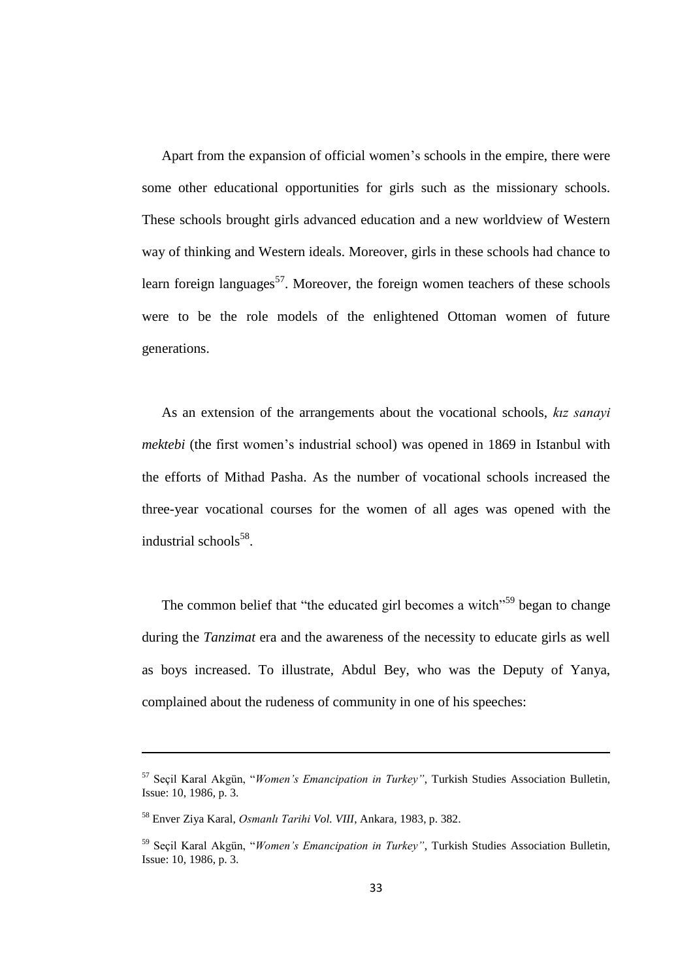Apart from the expansion of official women"s schools in the empire, there were some other educational opportunities for girls such as the missionary schools. These schools brought girls advanced education and a new worldview of Western way of thinking and Western ideals. Moreover, girls in these schools had chance to learn foreign languages<sup>57</sup>. Moreover, the foreign women teachers of these schools were to be the role models of the enlightened Ottoman women of future generations.

As an extension of the arrangements about the vocational schools, *kız sanayi mektebi* (the first women"s industrial school) was opened in 1869 in Istanbul with the efforts of Mithad Pasha. As the number of vocational schools increased the three-year vocational courses for the women of all ages was opened with the industrial schools<sup>58</sup>.

The common belief that "the educated girl becomes a witch"<sup>59</sup> began to change during the *Tanzimat* era and the awareness of the necessity to educate girls as well as boys increased. To illustrate, Abdul Bey, who was the Deputy of Yanya, complained about the rudeness of community in one of his speeches:

<sup>57</sup> Seçil Karal Akgün, "*Women's Emancipation in Turkey"*, Turkish Studies Association Bulletin, Issue: 10, 1986, p. 3.

<sup>58</sup> Enver Ziya Karal, *Osmanlı Tarihi Vol. VIII*, Ankara, 1983, p. 382.

<sup>59</sup> Seçil Karal Akgün, "*Women's Emancipation in Turkey"*, Turkish Studies Association Bulletin, Issue: 10, 1986, p. 3.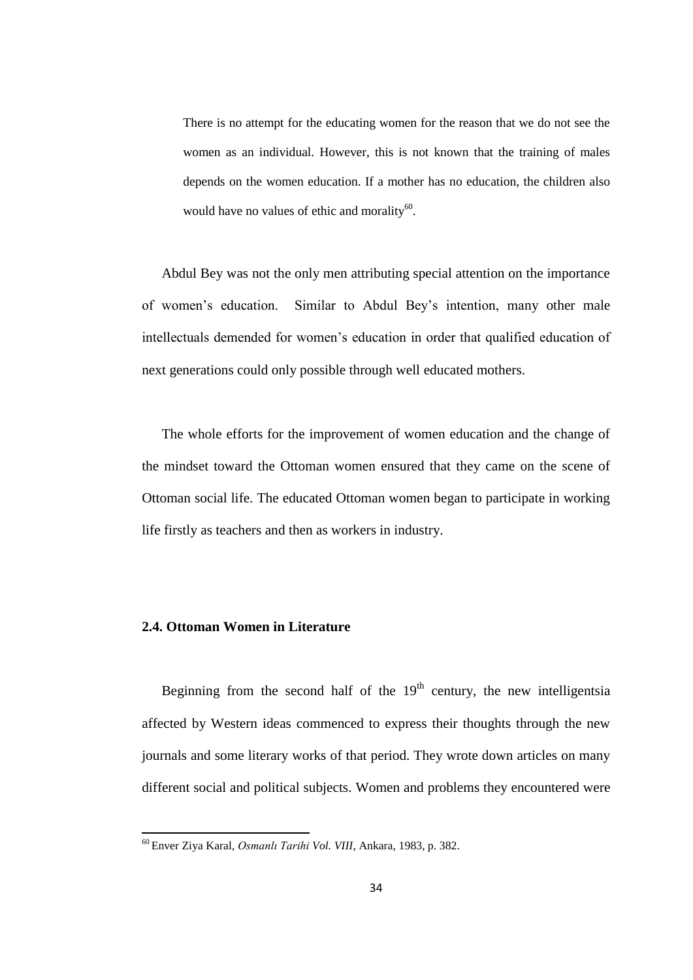There is no attempt for the educating women for the reason that we do not see the women as an individual. However, this is not known that the training of males depends on the women education. If a mother has no education, the children also would have no values of ethic and morality<sup>60</sup>.

Abdul Bey was not the only men attributing special attention on the importance of women"s education. Similar to Abdul Bey"s intention, many other male intellectuals demended for women"s education in order that qualified education of next generations could only possible through well educated mothers.

The whole efforts for the improvement of women education and the change of the mindset toward the Ottoman women ensured that they came on the scene of Ottoman social life. The educated Ottoman women began to participate in working life firstly as teachers and then as workers in industry.

#### **2.4. Ottoman Women in Literature**

**.** 

Beginning from the second half of the  $19<sup>th</sup>$  century, the new intelligentsia affected by Western ideas commenced to express their thoughts through the new journals and some literary works of that period. They wrote down articles on many different social and political subjects. Women and problems they encountered were

<sup>60</sup> Enver Ziya Karal, *Osmanlı Tarihi Vol. VIII*, Ankara, 1983, p. 382.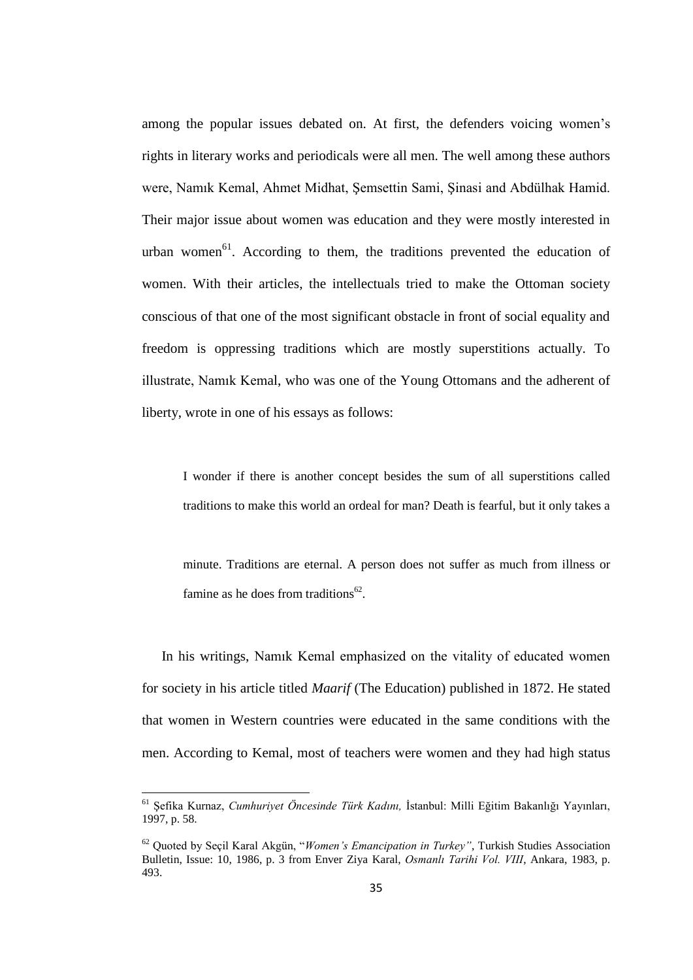among the popular issues debated on. At first, the defenders voicing women"s rights in literary works and periodicals were all men. The well among these authors were, Namık Kemal, Ahmet Midhat, Şemsettin Sami, Şinasi and Abdülhak Hamid. Their major issue about women was education and they were mostly interested in urban women<sup>61</sup>. According to them, the traditions prevented the education of women. With their articles, the intellectuals tried to make the Ottoman society conscious of that one of the most significant obstacle in front of social equality and freedom is oppressing traditions which are mostly superstitions actually. To illustrate, Namık Kemal, who was one of the Young Ottomans and the adherent of liberty, wrote in one of his essays as follows:

I wonder if there is another concept besides the sum of all superstitions called traditions to make this world an ordeal for man? Death is fearful, but it only takes a

minute. Traditions are eternal. A person does not suffer as much from illness or famine as he does from traditions<sup>62</sup>.

In his writings, Namık Kemal emphasized on the vitality of educated women for society in his article titled *Maarif* (The Education) published in 1872. He stated that women in Western countries were educated in the same conditions with the men. According to Kemal, most of teachers were women and they had high status

<sup>61</sup> Şefika Kurnaz, *Cumhuriyet Öncesinde Türk Kadını,* İstanbul: Milli Eğitim Bakanlığı Yayınları, 1997, p. 58.

<sup>62</sup> Quoted by Seçil Karal Akgün, "*Women's Emancipation in Turkey"*, Turkish Studies Association Bulletin, Issue: 10, 1986, p. 3 from Enver Ziya Karal, *Osmanlı Tarihi Vol. VIII*, Ankara, 1983, p. 493.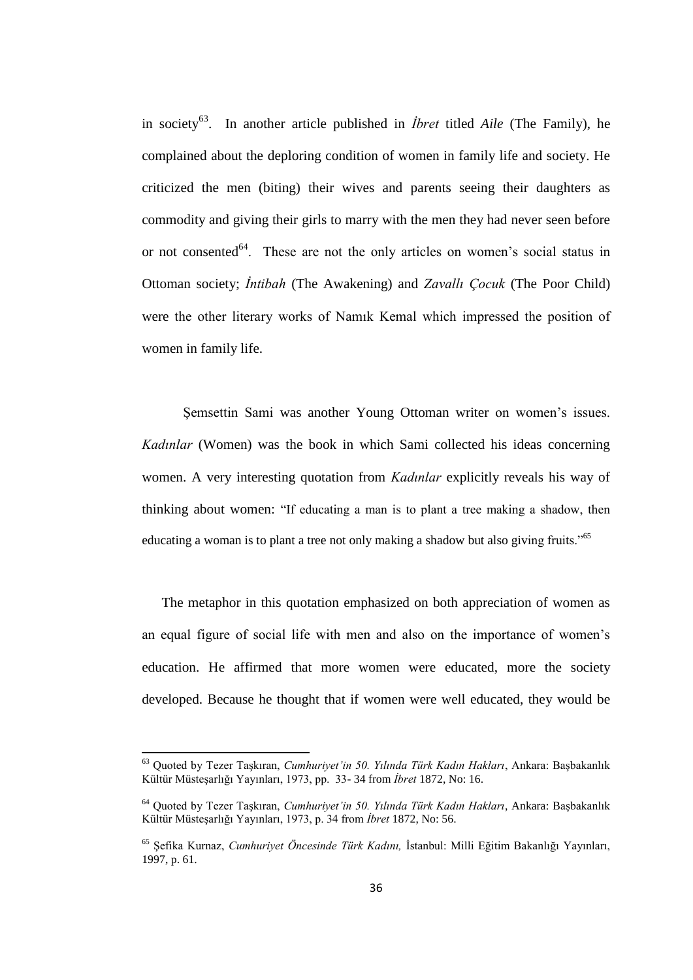in society<sup>63</sup>. In another article published in *İbret* titled *Aile* (The Family), he complained about the deploring condition of women in family life and society. He criticized the men (biting) their wives and parents seeing their daughters as commodity and giving their girls to marry with the men they had never seen before or not consented $^{64}$ . These are not the only articles on women's social status in Ottoman society; *İntibah* (The Awakening) and *Zavallı Çocuk* (The Poor Child) were the other literary works of Namık Kemal which impressed the position of women in family life.

Şemsettin Sami was another Young Ottoman writer on women"s issues. *Kadınlar* (Women) was the book in which Sami collected his ideas concerning women. A very interesting quotation from *Kadınlar* explicitly reveals his way of thinking about women: "If educating a man is to plant a tree making a shadow, then educating a woman is to plant a tree not only making a shadow but also giving fruits."<sup>65</sup>

The metaphor in this quotation emphasized on both appreciation of women as an equal figure of social life with men and also on the importance of women"s education. He affirmed that more women were educated, more the society developed. Because he thought that if women were well educated, they would be

<sup>63</sup> Quoted by Tezer Taşkıran, *Cumhuriyet'in 50. Yılında Türk Kadın Hakları*, Ankara: Başbakanlık Kültür Müsteşarlığı Yayınları, 1973, pp. 33- 34 from *İbret* 1872, No: 16.

<sup>64</sup> Quoted by Tezer Taşkıran, *Cumhuriyet'in 50. Yılında Türk Kadın Hakları*, Ankara: Başbakanlık Kültür Müsteşarlığı Yayınları, 1973, p. 34 from *İbret* 1872, No: 56.

<sup>65</sup> Şefika Kurnaz, *Cumhuriyet Öncesinde Türk Kadını,* İstanbul: Milli Eğitim Bakanlığı Yayınları, 1997, p. 61.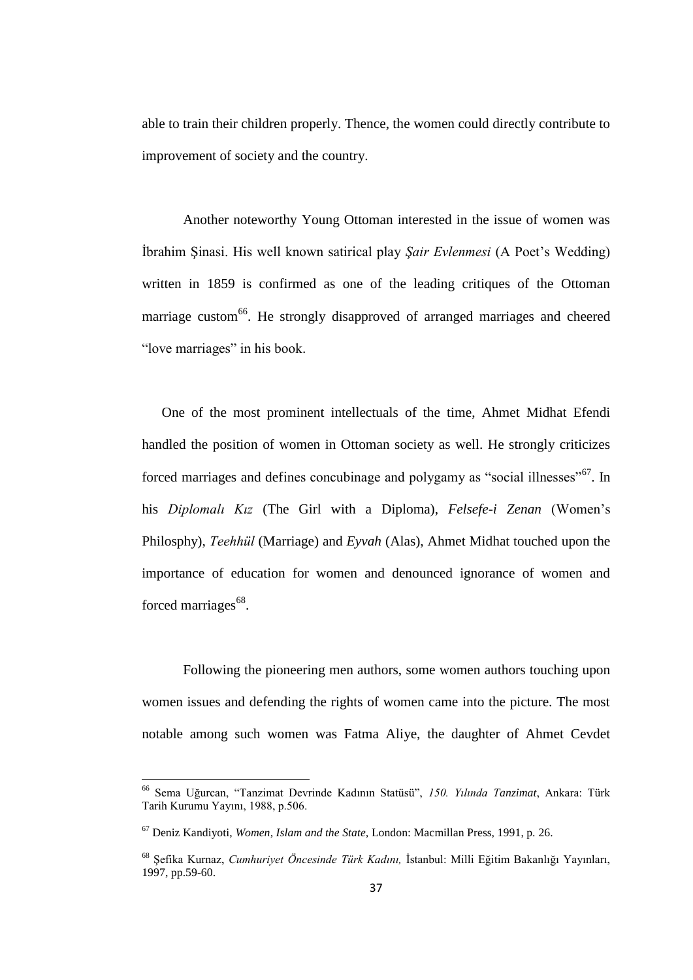able to train their children properly. Thence, the women could directly contribute to improvement of society and the country.

Another noteworthy Young Ottoman interested in the issue of women was İbrahim Şinasi. His well known satirical play *Şair Evlenmesi* (A Poet"s Wedding) written in 1859 is confirmed as one of the leading critiques of the Ottoman marriage custom<sup>66</sup>. He strongly disapproved of arranged marriages and cheered "love marriages" in his book.

One of the most prominent intellectuals of the time, Ahmet Midhat Efendi handled the position of women in Ottoman society as well. He strongly criticizes forced marriages and defines concubinage and polygamy as "social illnesses"<sup>67</sup>. In his *Diplomalı Kız* (The Girl with a Diploma), *Felsefe-i Zenan* (Women"s Philosphy), *Teehhül* (Marriage) and *Eyvah* (Alas), Ahmet Midhat touched upon the importance of education for women and denounced ignorance of women and forced marriages<sup>68</sup>.

Following the pioneering men authors, some women authors touching upon women issues and defending the rights of women came into the picture. The most notable among such women was Fatma Aliye, the daughter of Ahmet Cevdet

 $\overline{\phantom{a}}$ 

<sup>66</sup> Sema Uğurcan, "Tanzimat Devrinde Kadının Statüsü", *150. Yılında Tanzimat*, Ankara: Türk Tarih Kurumu Yayını, 1988, p.506.

<sup>67</sup> Deniz Kandiyoti, *Women, Islam and the State,* London: Macmillan Press, 1991, p. 26.

<sup>68</sup> Şefika Kurnaz, *Cumhuriyet Öncesinde Türk Kadını,* İstanbul: Milli Eğitim Bakanlığı Yayınları, 1997, pp.59-60.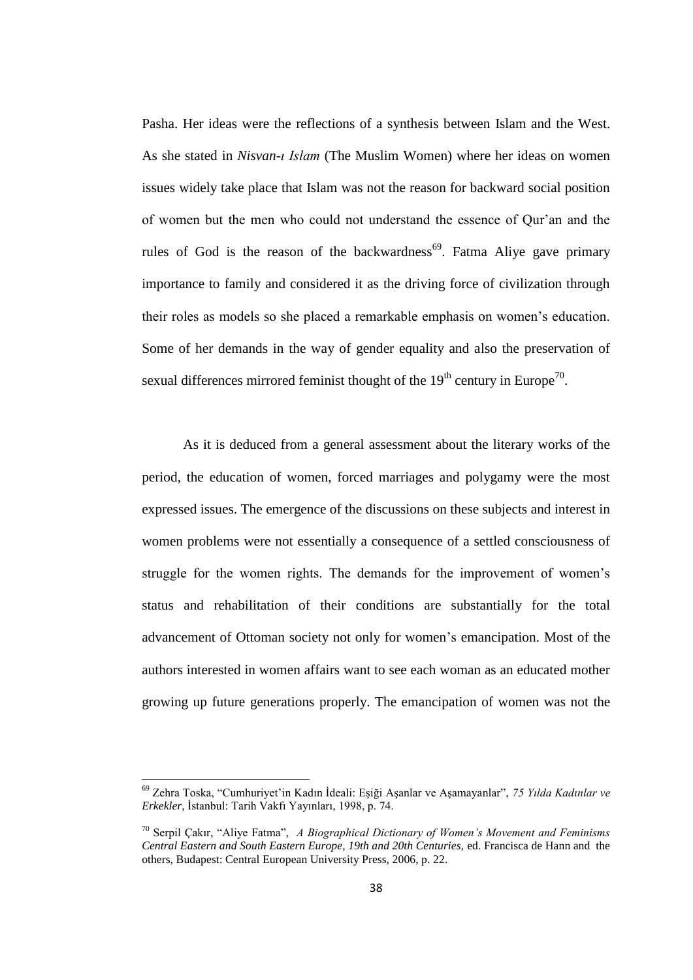Pasha. Her ideas were the reflections of a synthesis between Islam and the West. As she stated in *Nisvan-ı Islam* (The Muslim Women) where her ideas on women issues widely take place that Islam was not the reason for backward social position of women but the men who could not understand the essence of Qur"an and the rules of God is the reason of the backwardness<sup>69</sup>. Fatma Aliye gave primary importance to family and considered it as the driving force of civilization through their roles as models so she placed a remarkable emphasis on women"s education. Some of her demands in the way of gender equality and also the preservation of sexual differences mirrored feminist thought of the  $19<sup>th</sup>$  century in Europe<sup>70</sup>.

As it is deduced from a general assessment about the literary works of the period, the education of women, forced marriages and polygamy were the most expressed issues. The emergence of the discussions on these subjects and interest in women problems were not essentially a consequence of a settled consciousness of struggle for the women rights. The demands for the improvement of women"s status and rehabilitation of their conditions are substantially for the total advancement of Ottoman society not only for women"s emancipation. Most of the authors interested in women affairs want to see each woman as an educated mother growing up future generations properly. The emancipation of women was not the

 $\overline{\phantom{a}}$ 

<sup>69</sup> Zehra Toska, "Cumhuriyet"in Kadın İdeali: Eşiği Aşanlar ve Aşamayanlar", *75 Yılda Kadınlar ve Erkekler,* İstanbul: Tarih Vakfı Yayınları, 1998, p. 74.

<sup>70</sup> Serpil Çakır, "Aliye Fatma", *A Biographical Dictionary of Women's Movement and Feminisms Central Eastern and South Eastern Europe, 19th and 20th Centuries,* ed. Francisca de Hann and the others, Budapest: Central European University Press, 2006, p. 22.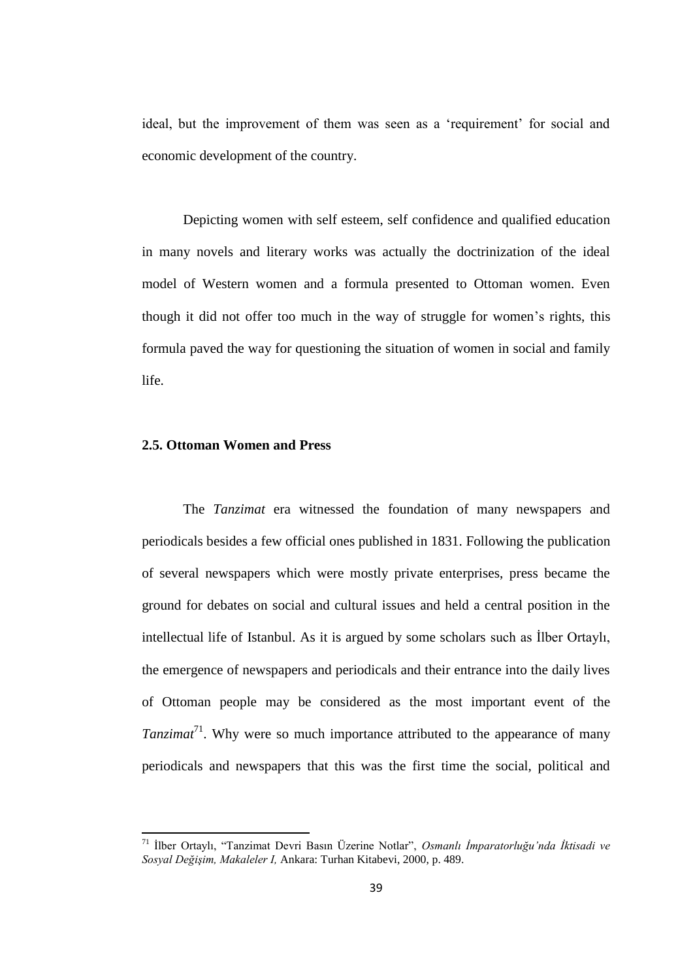ideal, but the improvement of them was seen as a "requirement" for social and economic development of the country.

Depicting women with self esteem, self confidence and qualified education in many novels and literary works was actually the doctrinization of the ideal model of Western women and a formula presented to Ottoman women. Even though it did not offer too much in the way of struggle for women"s rights, this formula paved the way for questioning the situation of women in social and family life.

# **2.5. Ottoman Women and Press**

**.** 

The *Tanzimat* era witnessed the foundation of many newspapers and periodicals besides a few official ones published in 1831. Following the publication of several newspapers which were mostly private enterprises, press became the ground for debates on social and cultural issues and held a central position in the intellectual life of Istanbul. As it is argued by some scholars such as İlber Ortaylı, the emergence of newspapers and periodicals and their entrance into the daily lives of Ottoman people may be considered as the most important event of the *Tanzimat*<sup>71</sup>. Why were so much importance attributed to the appearance of many periodicals and newspapers that this was the first time the social, political and

<sup>71</sup> İlber Ortaylı, "Tanzimat Devri Basın Üzerine Notlar", *Osmanlı İmparatorluğu'nda İktisadi ve Sosyal Değişim, Makaleler I,* Ankara: Turhan Kitabevi, 2000, p. 489.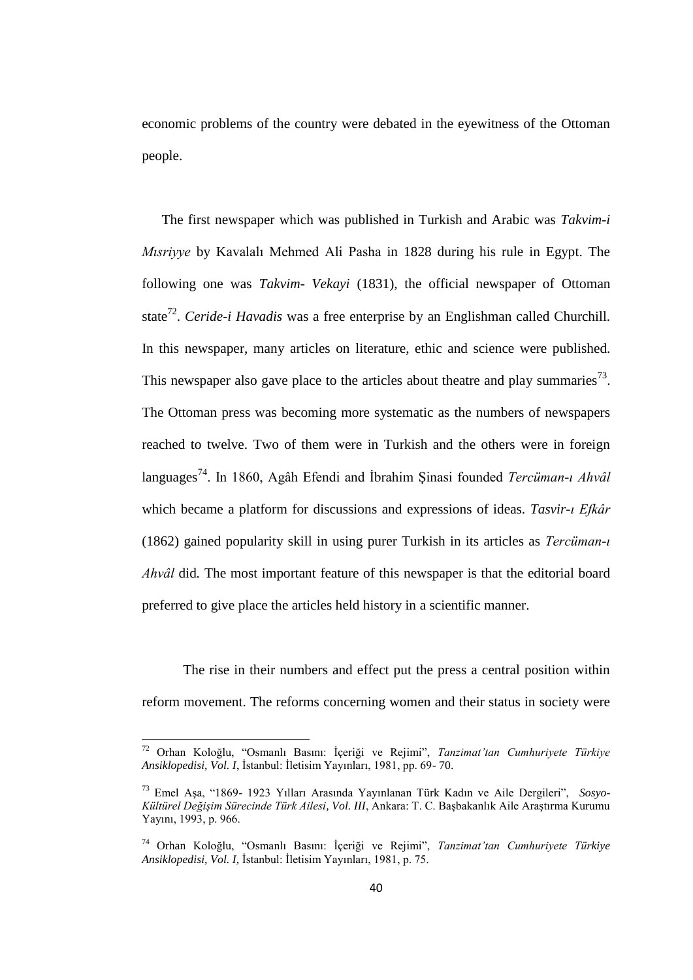economic problems of the country were debated in the eyewitness of the Ottoman people.

The first newspaper which was published in Turkish and Arabic was *Takvim-i Mısriyye* by Kavalalı Mehmed Ali Pasha in 1828 during his rule in Egypt. The following one was *Takvim- Vekayi* (1831), the official newspaper of Ottoman state<sup>72</sup>. *Ceride-i Havadis* was a free enterprise by an Englishman called Churchill. In this newspaper, many articles on literature, ethic and science were published. This newspaper also gave place to the articles about theatre and play summaries<sup>73</sup>. The Ottoman press was becoming more systematic as the numbers of newspapers reached to twelve. Two of them were in Turkish and the others were in foreign languages<sup>74</sup>. In 1860, Agâh Efendi and İbrahim Şinasi founded *Tercüman-ı Ahvâl*  which became a platform for discussions and expressions of ideas. *Tasvir-ı Efkâr*  (1862) gained popularity skill in using purer Turkish in its articles as *Tercüman-ı Ahvâl* did*.* The most important feature of this newspaper is that the editorial board preferred to give place the articles held history in a scientific manner.

The rise in their numbers and effect put the press a central position within reform movement. The reforms concerning women and their status in society were

<sup>72</sup> Orhan Koloğlu, "Osmanlı Basını: İçeriği ve Rejimi", *Tanzimat'tan Cumhuriyete Türkiye Ansiklopedisi*, *Vol. I*, İstanbul: İletisim Yayınları, 1981, pp. 69- 70.

<sup>73</sup> Emel Aşa, "1869- 1923 Yılları Arasında Yayınlanan Türk Kadın ve Aile Dergileri", *Sosyo-Kültürel Değişim Sürecinde Türk Ailesi, Vol. III*, Ankara: T. C. Başbakanlık Aile Araştırma Kurumu Yayını, 1993, p. 966.

<sup>74</sup> Orhan Koloğlu, "Osmanlı Basını: İçeriği ve Rejimi", *Tanzimat'tan Cumhuriyete Türkiye Ansiklopedisi*, *Vol. I,* İstanbul: İletisim Yayınları, 1981, p. 75.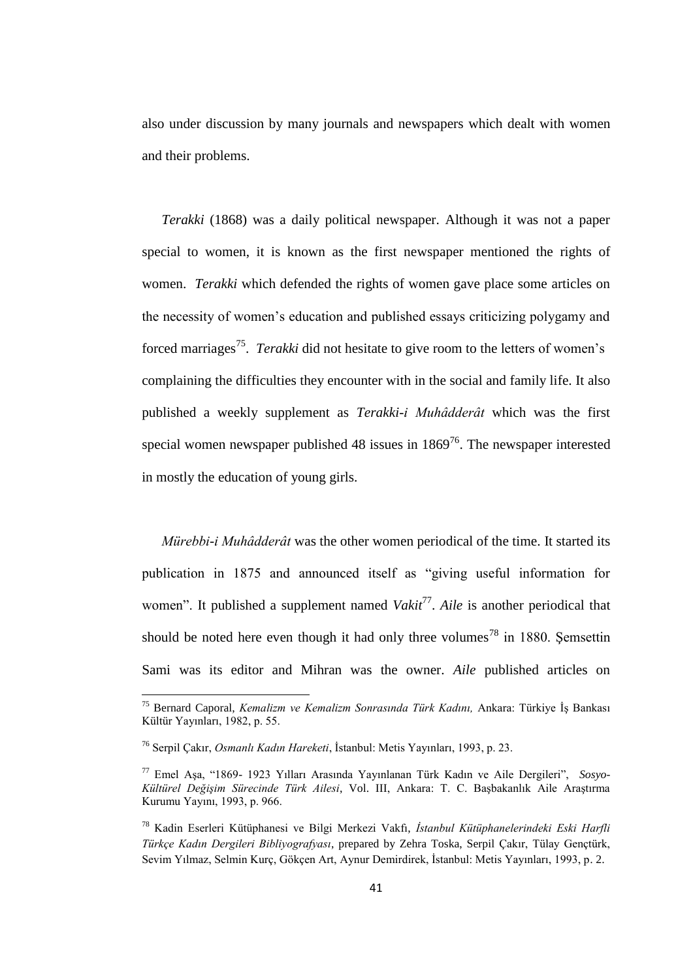also under discussion by many journals and newspapers which dealt with women and their problems.

*Terakki* (1868) was a daily political newspaper. Although it was not a paper special to women, it is known as the first newspaper mentioned the rights of women. *Terakki* which defended the rights of women gave place some articles on the necessity of women"s education and published essays criticizing polygamy and forced marriages<sup>75</sup>. *Terakki* did not hesitate to give room to the letters of women's complaining the difficulties they encounter with in the social and family life. It also published a weekly supplement as *Terakki-i Muhâdderât* which was the first special women newspaper published 48 issues in  $1869^{76}$ . The newspaper interested in mostly the education of young girls.

*Mürebbi-i Muhâdderât* was the other women periodical of the time. It started its publication in 1875 and announced itself as "giving useful information for women". It published a supplement named *Vakit<sup>77</sup>*. Aile is another periodical that should be noted here even though it had only three volumes<sup>78</sup> in 1880. Semsettin Sami was its editor and Mihran was the owner. *Aile* published articles on

<sup>75</sup> Bernard Caporal, *Kemalizm ve Kemalizm Sonrasında Türk Kadını,* Ankara: Türkiye İş Bankası Kültür Yayınları, 1982, p. 55.

<sup>76</sup> Serpil Çakır, *Osmanlı Kadın Hareketi*, İstanbul: Metis Yayınları, 1993, p. 23.

<sup>77</sup> Emel Aşa, "1869- 1923 Yılları Arasında Yayınlanan Türk Kadın ve Aile Dergileri", *Sosyo-Kültürel Değişim Sürecinde Türk Ailesi*, Vol. III, Ankara: T. C. Başbakanlık Aile Araştırma Kurumu Yayını, 1993, p. 966.

<sup>78</sup> Kadin Eserleri Kütüphanesi ve Bilgi Merkezi Vakfı, *İstanbul Kütüphanelerindeki Eski Harfli Türkçe Kadın Dergileri Bibliyografyası*, prepared by Zehra Toska, Serpil Çakır, Tülay Gençtürk, Sevim Yılmaz, Selmin Kurç, Gökçen Art, Aynur Demirdirek, İstanbul: Metis Yayınları, 1993, p. 2.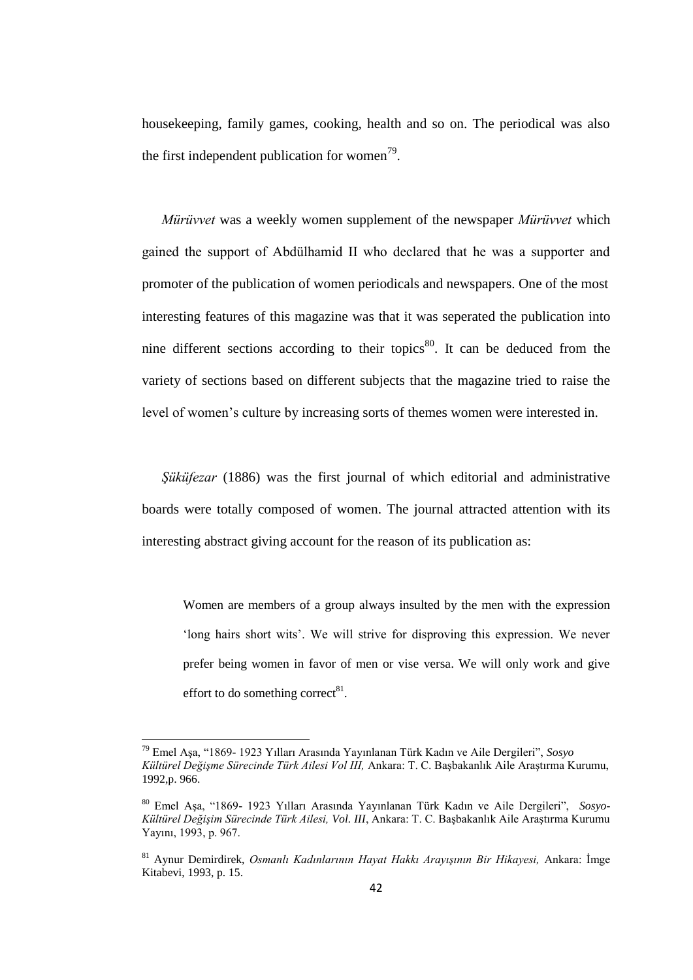housekeeping, family games, cooking, health and so on. The periodical was also the first independent publication for women<sup>79</sup>.

*Mürüvvet* was a weekly women supplement of the newspaper *Mürüvvet* which gained the support of Abdülhamid II who declared that he was a supporter and promoter of the publication of women periodicals and newspapers. One of the most interesting features of this magazine was that it was seperated the publication into nine different sections according to their topics<sup>80</sup>. It can be deduced from the variety of sections based on different subjects that the magazine tried to raise the level of women"s culture by increasing sorts of themes women were interested in.

*Şüküfezar* (1886) was the first journal of which editorial and administrative boards were totally composed of women. The journal attracted attention with its interesting abstract giving account for the reason of its publication as:

Women are members of a group always insulted by the men with the expression "long hairs short wits". We will strive for disproving this expression. We never prefer being women in favor of men or vise versa. We will only work and give effort to do something correct $81$ .

<sup>79</sup> Emel Aşa, "1869- 1923 Yılları Arasında Yayınlanan Türk Kadın ve Aile Dergileri", *Sosyo Kültürel Değişme Sürecinde Türk Ailesi Vol III,* Ankara: T. C. Başbakanlık Aile Araştırma Kurumu, 1992,p. 966.

<sup>80</sup> Emel Aşa, "1869- 1923 Yılları Arasında Yayınlanan Türk Kadın ve Aile Dergileri", *Sosyo-Kültürel Değişim Sürecinde Türk Ailesi, Vol. III*, Ankara: T. C. Başbakanlık Aile Araştırma Kurumu Yayını, 1993, p. 967.

<sup>81</sup> Aynur Demirdirek, *Osmanlı Kadınlarının Hayat Hakkı Arayışının Bir Hikayesi,* Ankara: İmge Kitabevi, 1993, p. 15.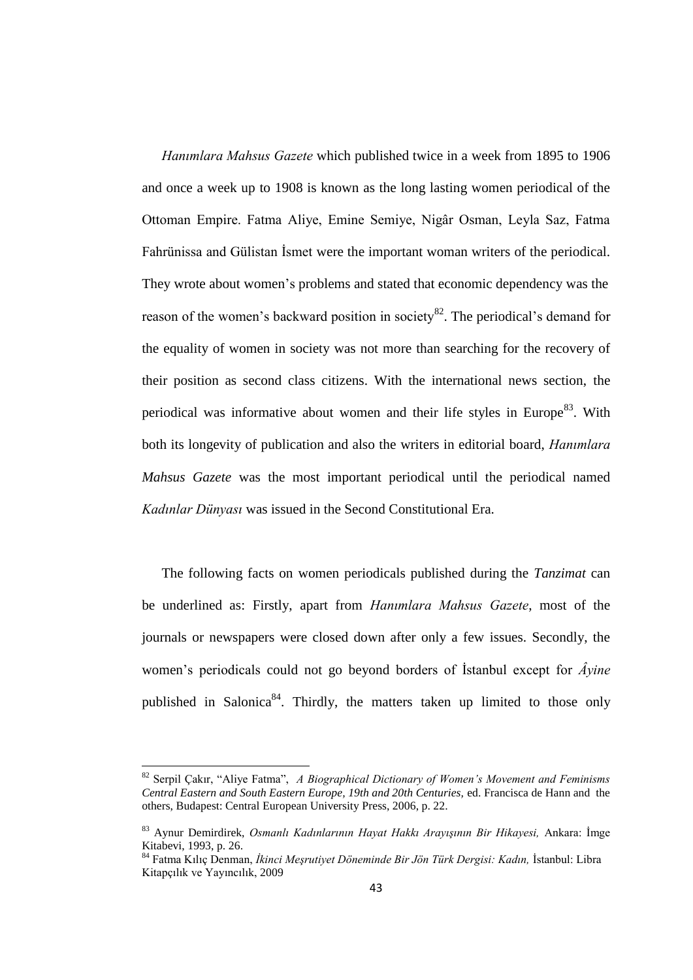*Hanımlara Mahsus Gazete* which published twice in a week from 1895 to 1906 and once a week up to 1908 is known as the long lasting women periodical of the Ottoman Empire. Fatma Aliye, Emine Semiye, Nigâr Osman, Leyla Saz, Fatma Fahrünissa and Gülistan İsmet were the important woman writers of the periodical. They wrote about women"s problems and stated that economic dependency was the reason of the women's backward position in society<sup>82</sup>. The periodical's demand for the equality of women in society was not more than searching for the recovery of their position as second class citizens. With the international news section, the periodical was informative about women and their life styles in Europe<sup>83</sup>. With both its longevity of publication and also the writers in editorial board, *Hanımlara Mahsus Gazete* was the most important periodical until the periodical named *Kadınlar Dünyası* was issued in the Second Constitutional Era.

The following facts on women periodicals published during the *Tanzimat* can be underlined as: Firstly, apart from *Hanımlara Mahsus Gazete*, most of the journals or newspapers were closed down after only a few issues. Secondly, the women"s periodicals could not go beyond borders of İstanbul except for *Âyine* published in Salonica<sup>84</sup>. Thirdly, the matters taken up limited to those only

<sup>82</sup> Serpil Çakır, "Aliye Fatma", *A Biographical Dictionary of Women's Movement and Feminisms Central Eastern and South Eastern Europe, 19th and 20th Centuries,* ed. Francisca de Hann and the others, Budapest: Central European University Press, 2006, p. 22.

<sup>83</sup> Aynur Demirdirek, *Osmanlı Kadınlarının Hayat Hakkı Arayışının Bir Hikayesi,* Ankara: İmge Kitabevi, 1993, p. 26.

<sup>84</sup> Fatma Kılıç Denman, *İkinci Meşrutiyet Döneminde Bir Jön Türk Dergisi: Kadın,* İstanbul: Libra Kitapçılık ve Yayıncılık, 2009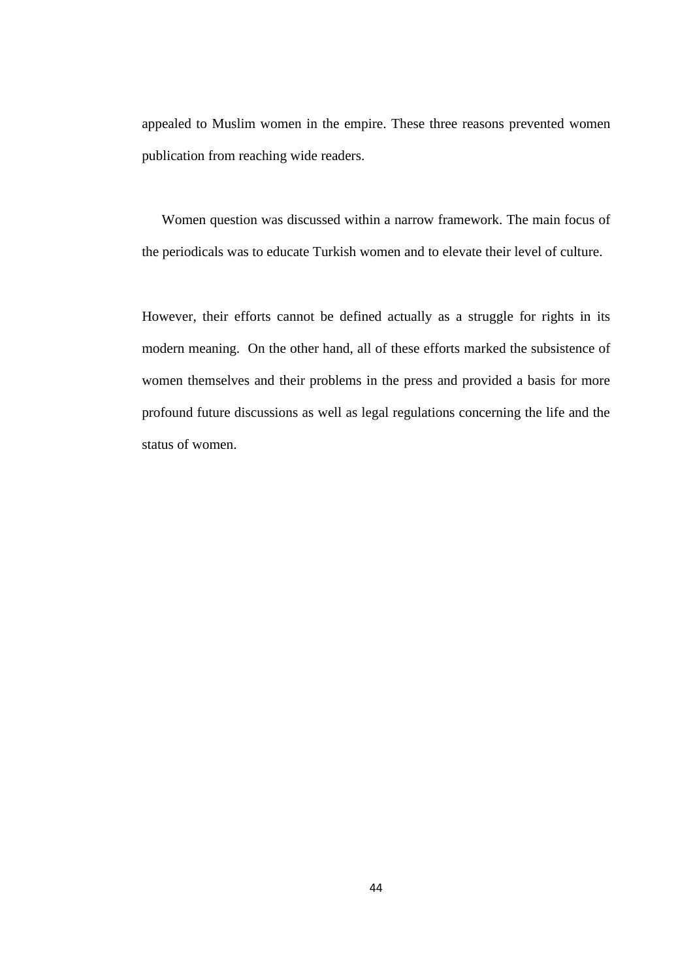appealed to Muslim women in the empire. These three reasons prevented women publication from reaching wide readers.

Women question was discussed within a narrow framework. The main focus of the periodicals was to educate Turkish women and to elevate their level of culture.

However, their efforts cannot be defined actually as a struggle for rights in its modern meaning. On the other hand, all of these efforts marked the subsistence of women themselves and their problems in the press and provided a basis for more profound future discussions as well as legal regulations concerning the life and the status of women.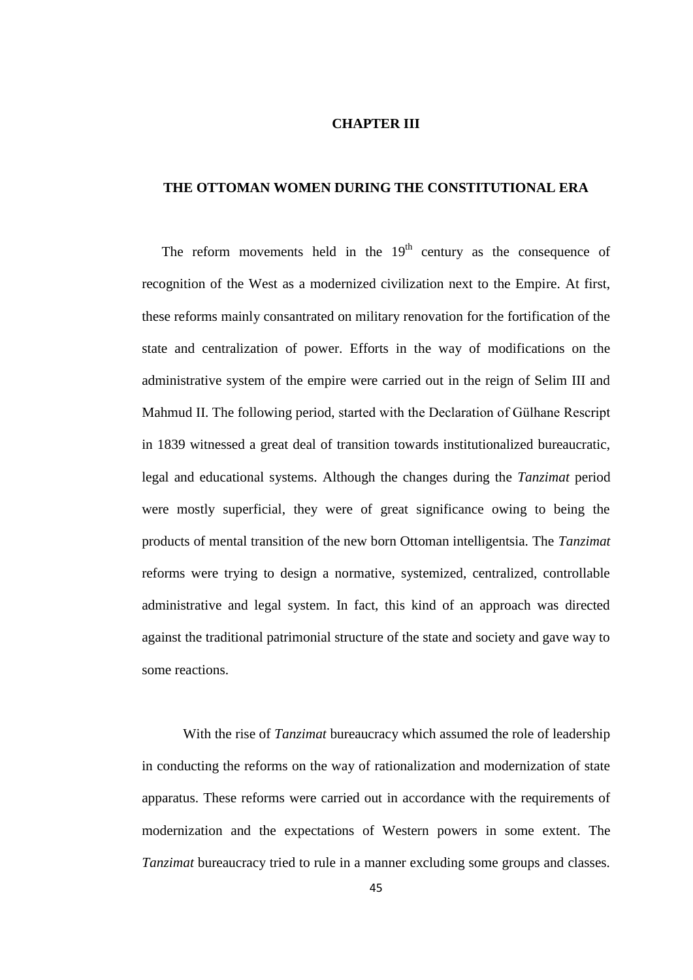## **CHAPTER III**

# **THE OTTOMAN WOMEN DURING THE CONSTITUTIONAL ERA**

The reform movements held in the  $19<sup>th</sup>$  century as the consequence of recognition of the West as a modernized civilization next to the Empire. At first, these reforms mainly consantrated on military renovation for the fortification of the state and centralization of power. Efforts in the way of modifications on the administrative system of the empire were carried out in the reign of Selim III and Mahmud II. The following period, started with the Declaration of Gülhane Rescript in 1839 witnessed a great deal of transition towards institutionalized bureaucratic, legal and educational systems. Although the changes during the *Tanzimat* period were mostly superficial, they were of great significance owing to being the products of mental transition of the new born Ottoman intelligentsia. The *Tanzimat* reforms were trying to design a normative, systemized, centralized, controllable administrative and legal system. In fact, this kind of an approach was directed against the traditional patrimonial structure of the state and society and gave way to some reactions.

With the rise of *Tanzimat* bureaucracy which assumed the role of leadership in conducting the reforms on the way of rationalization and modernization of state apparatus. These reforms were carried out in accordance with the requirements of modernization and the expectations of Western powers in some extent. The *Tanzimat* bureaucracy tried to rule in a manner excluding some groups and classes.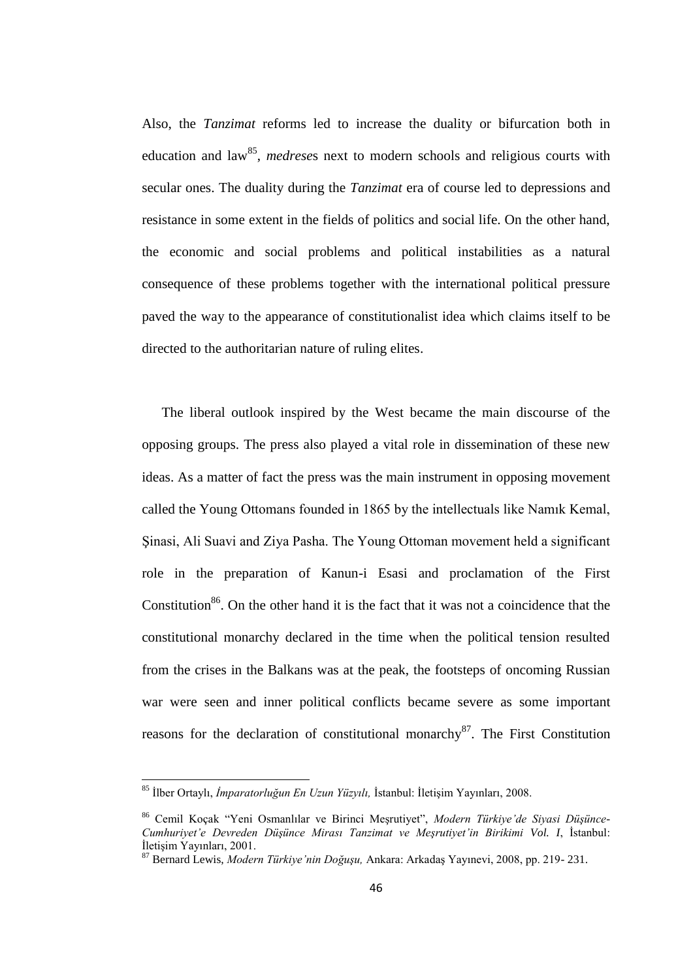Also, the *Tanzimat* reforms led to increase the duality or bifurcation both in education and law<sup>85</sup>, *medreses* next to modern schools and religious courts with secular ones. The duality during the *Tanzimat* era of course led to depressions and resistance in some extent in the fields of politics and social life. On the other hand, the economic and social problems and political instabilities as a natural consequence of these problems together with the international political pressure paved the way to the appearance of constitutionalist idea which claims itself to be directed to the authoritarian nature of ruling elites.

The liberal outlook inspired by the West became the main discourse of the opposing groups. The press also played a vital role in dissemination of these new ideas. As a matter of fact the press was the main instrument in opposing movement called the Young Ottomans founded in 1865 by the intellectuals like Namık Kemal, Şinasi, Ali Suavi and Ziya Pasha. The Young Ottoman movement held a significant role in the preparation of Kanun-i Esasi and proclamation of the First Constitution<sup>86</sup>. On the other hand it is the fact that it was not a coincidence that the constitutional monarchy declared in the time when the political tension resulted from the crises in the Balkans was at the peak, the footsteps of oncoming Russian war were seen and inner political conflicts became severe as some important reasons for the declaration of constitutional monarchy $^{87}$ . The First Constitution

 $\overline{\phantom{a}}$ 

<sup>85</sup> İlber Ortaylı, *İmparatorluğun En Uzun Yüzyılı,* İstanbul: İletişim Yayınları, 2008.

<sup>86</sup> Cemil Koçak "Yeni Osmanlılar ve Birinci Meşrutiyet", *Modern Türkiye'de Siyasi Düşünce-Cumhuriyet'e Devreden Düşünce Mirası Tanzimat ve Meşrutiyet'in Birikimi Vol. I*, İstanbul: İletişim Yayınları, 2001.

<sup>87</sup> Bernard Lewis, *Modern Türkiye'nin Doğuşu,* Ankara: Arkadaş Yayınevi, 2008, pp. 219- 231.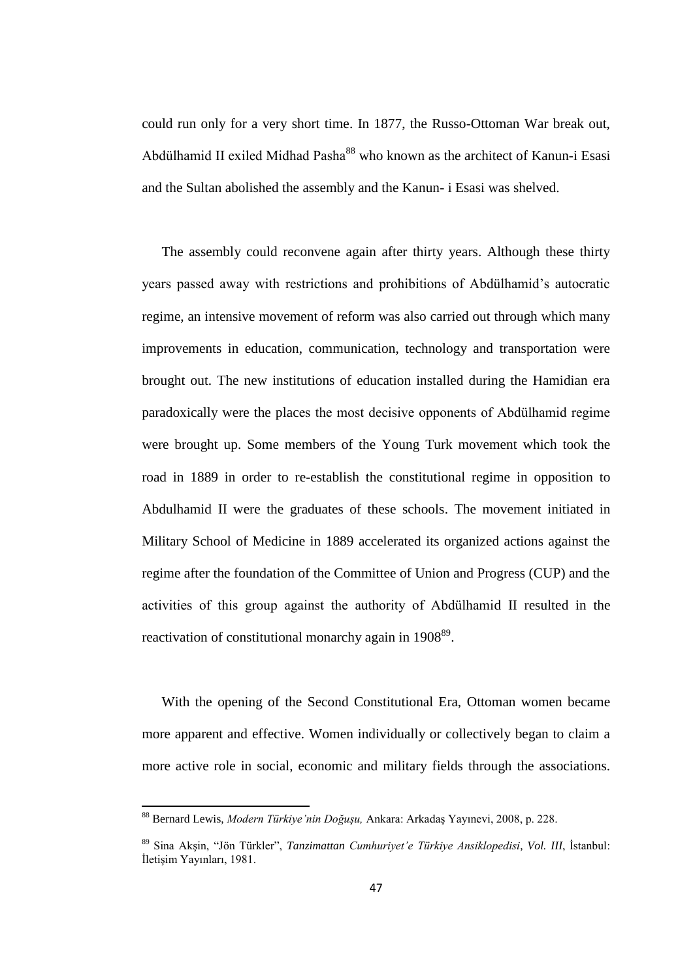could run only for a very short time. In 1877, the Russo-Ottoman War break out, Abdülhamid II exiled Midhad Pasha<sup>88</sup> who known as the architect of Kanun-i Esasi and the Sultan abolished the assembly and the Kanun- i Esasi was shelved.

The assembly could reconvene again after thirty years. Although these thirty years passed away with restrictions and prohibitions of Abdülhamid"s autocratic regime, an intensive movement of reform was also carried out through which many improvements in education, communication, technology and transportation were brought out. The new institutions of education installed during the Hamidian era paradoxically were the places the most decisive opponents of Abdülhamid regime were brought up. Some members of the Young Turk movement which took the road in 1889 in order to re-establish the constitutional regime in opposition to Abdulhamid II were the graduates of these schools. The movement initiated in Military School of Medicine in 1889 accelerated its organized actions against the regime after the foundation of the Committee of Union and Progress (CUP) and the activities of this group against the authority of Abdülhamid II resulted in the reactivation of constitutional monarchy again in 1908<sup>89</sup>.

With the opening of the Second Constitutional Era, Ottoman women became more apparent and effective. Women individually or collectively began to claim a more active role in social, economic and military fields through the associations.

<sup>88</sup> Bernard Lewis, *Modern Türkiye'nin Doğuşu,* Ankara: Arkadaş Yayınevi, 2008, p. 228.

<sup>89</sup> Sina Akşin, "Jön Türkler", *Tanzimattan Cumhuriyet'e Türkiye Ansiklopedisi*, *Vol. III*, İstanbul: İletişim Yayınları, 1981.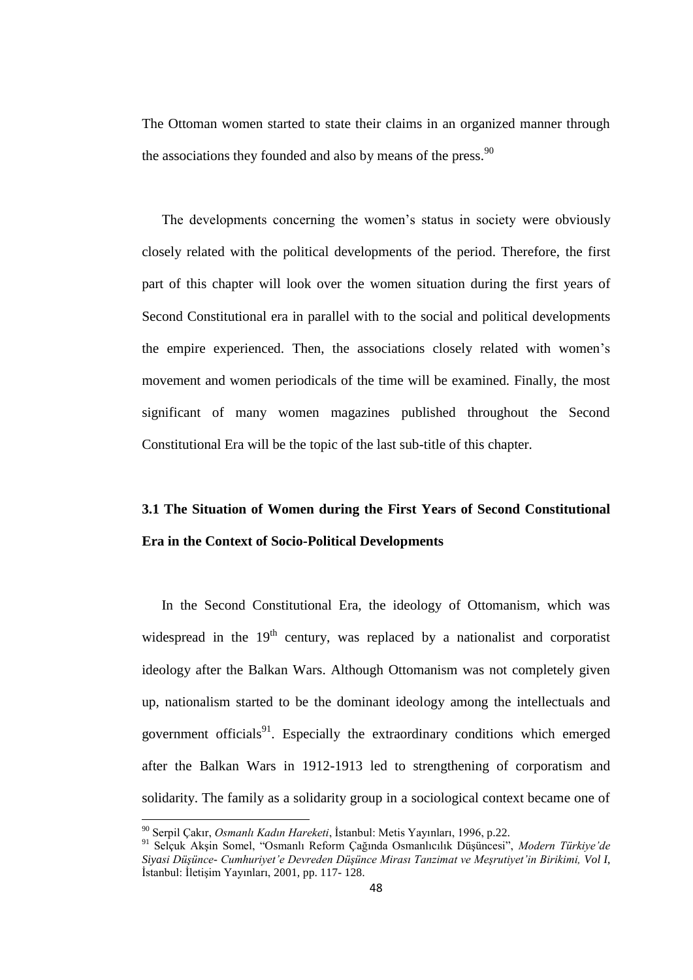The Ottoman women started to state their claims in an organized manner through the associations they founded and also by means of the press. $90$ 

The developments concerning the women"s status in society were obviously closely related with the political developments of the period. Therefore, the first part of this chapter will look over the women situation during the first years of Second Constitutional era in parallel with to the social and political developments the empire experienced. Then, the associations closely related with women"s movement and women periodicals of the time will be examined. Finally, the most significant of many women magazines published throughout the Second Constitutional Era will be the topic of the last sub-title of this chapter.

# **3.1 The Situation of Women during the First Years of Second Constitutional Era in the Context of Socio-Political Developments**

In the Second Constitutional Era, the ideology of Ottomanism, which was widespread in the  $19<sup>th</sup>$  century, was replaced by a nationalist and corporatist ideology after the Balkan Wars. Although Ottomanism was not completely given up, nationalism started to be the dominant ideology among the intellectuals and government officials<sup>91</sup>. Especially the extraordinary conditions which emerged after the Balkan Wars in 1912-1913 led to strengthening of corporatism and solidarity. The family as a solidarity group in a sociological context became one of

<sup>90</sup> Serpil Çakır, *Osmanlı Kadın Hareketi*, İstanbul: Metis Yayınları, 1996, p.22.

<sup>91</sup> Selçuk Akşin Somel, "Osmanlı Reform Çağında Osmanlıcılık Düşüncesi", *Modern Türkiye'de Siyasi Düşünce- Cumhuriyet'e Devreden Düşünce Mirası Tanzimat ve Meşrutiyet'in Birikimi, Vol I*, İstanbul: İletişim Yayınları, 2001, pp. 117- 128.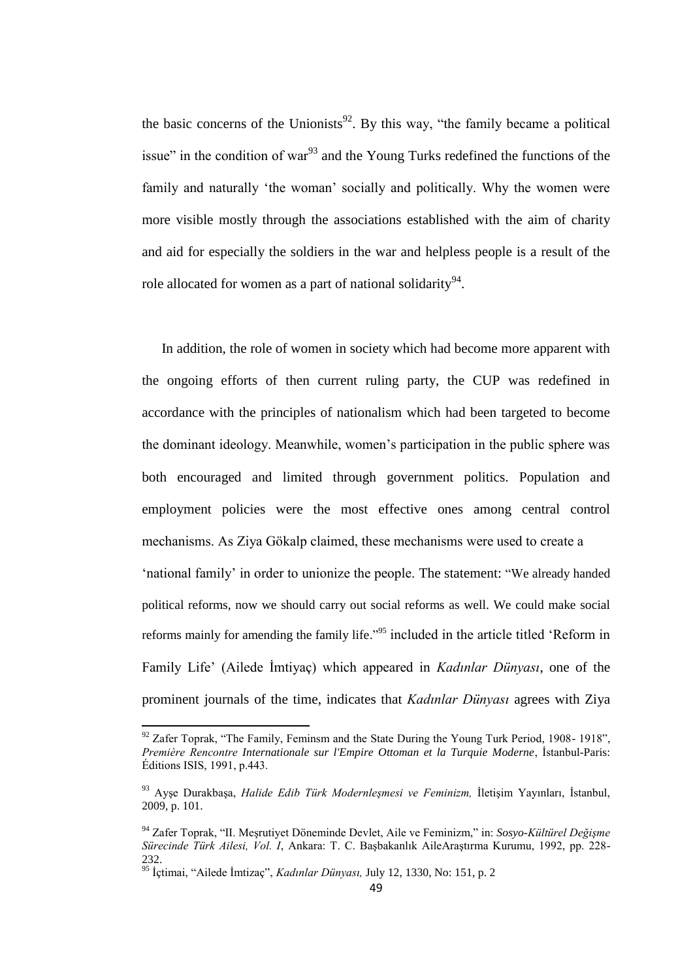the basic concerns of the Unionists<sup>92</sup>. By this way, "the family became a political issue" in the condition of war $^{93}$  and the Young Turks redefined the functions of the family and naturally "the woman" socially and politically. Why the women were more visible mostly through the associations established with the aim of charity and aid for especially the soldiers in the war and helpless people is a result of the role allocated for women as a part of national solidarity<sup>94</sup>.

In addition, the role of women in society which had become more apparent with the ongoing efforts of then current ruling party, the CUP was redefined in accordance with the principles of nationalism which had been targeted to become the dominant ideology. Meanwhile, women"s participation in the public sphere was both encouraged and limited through government politics. Population and employment policies were the most effective ones among central control mechanisms. As Ziya Gökalp claimed, these mechanisms were used to create a "national family" in order to unionize the people. The statement: "We already handed political reforms, now we should carry out social reforms as well. We could make social reforms mainly for amending the family life."<sup>95</sup> included in the article titled 'Reform in Family Life" (Ailede İmtiyaç) which appeared in *Kadınlar Dünyası*, one of the prominent journals of the time, indicates that *Kadınlar Dünyası* agrees with Ziya

 $\overline{\phantom{a}}$ 

 $92$  Zafer Toprak, "The Family, Feminsm and the State During the Young Turk Period, 1908-1918", *Première Rencontre Internationale sur l'Empire Ottoman et la Turquie Moderne*, İstanbul-Paris: Éditions ISIS, 1991, p.443.

<sup>93</sup> Ayşe Durakbaşa, *Halide Edib Türk Modernleşmesi ve Feminizm,* İletişim Yayınları, İstanbul, 2009, p. 101.

<sup>94</sup> Zafer Toprak, "II. Meşrutiyet Döneminde Devlet, Aile ve Feminizm," in: *Sosyo-Kültürel Değişme Sürecinde Türk Ailesi, Vol. I*, Ankara: T. C. Başbakanlık AileAraştırma Kurumu, 1992, pp. 228- 232

<sup>95</sup> İçtimai, "Ailede İmtizaç", *Kadınlar Dünyası,* July 12, 1330, No: 151, p. 2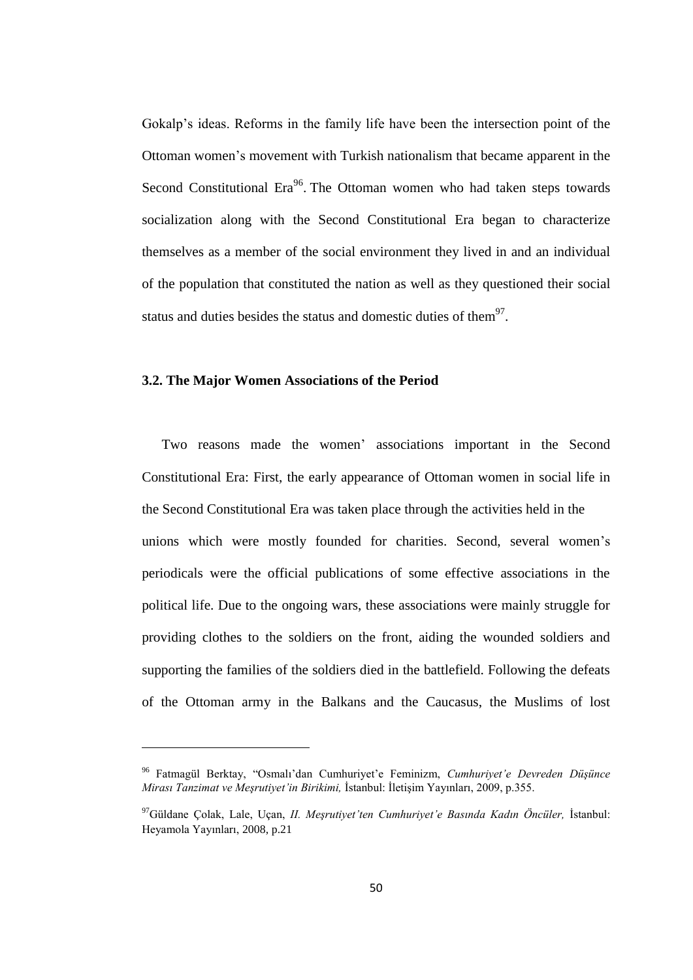Gokalp"s ideas. Reforms in the family life have been the intersection point of the Ottoman women"s movement with Turkish nationalism that became apparent in the Second Constitutional Era<sup>96</sup>. The Ottoman women who had taken steps towards socialization along with the Second Constitutional Era began to characterize themselves as a member of the social environment they lived in and an individual of the population that constituted the nation as well as they questioned their social status and duties besides the status and domestic duties of them $97$ .

#### **3.2. The Major Women Associations of the Period**

**.** 

Two reasons made the women" associations important in the Second Constitutional Era: First, the early appearance of Ottoman women in social life in the Second Constitutional Era was taken place through the activities held in the unions which were mostly founded for charities. Second, several women"s periodicals were the official publications of some effective associations in the political life. Due to the ongoing wars, these associations were mainly struggle for providing clothes to the soldiers on the front, aiding the wounded soldiers and supporting the families of the soldiers died in the battlefield. Following the defeats of the Ottoman army in the Balkans and the Caucasus, the Muslims of lost

<sup>96</sup> Fatmagül Berktay, "Osmalı"dan Cumhuriyet"e Feminizm, *Cumhuriyet'e Devreden Düşünce Mirası Tanzimat ve Meşrutiyet'in Birikimi,* İstanbul: İletişim Yayınları, 2009, p.355.

<sup>97</sup>Güldane Çolak, Lale, Uçan, *II. Meşrutiyet'ten Cumhuriyet'e Basında Kadın Öncüler,* İstanbul: Heyamola Yayınları, 2008, p.21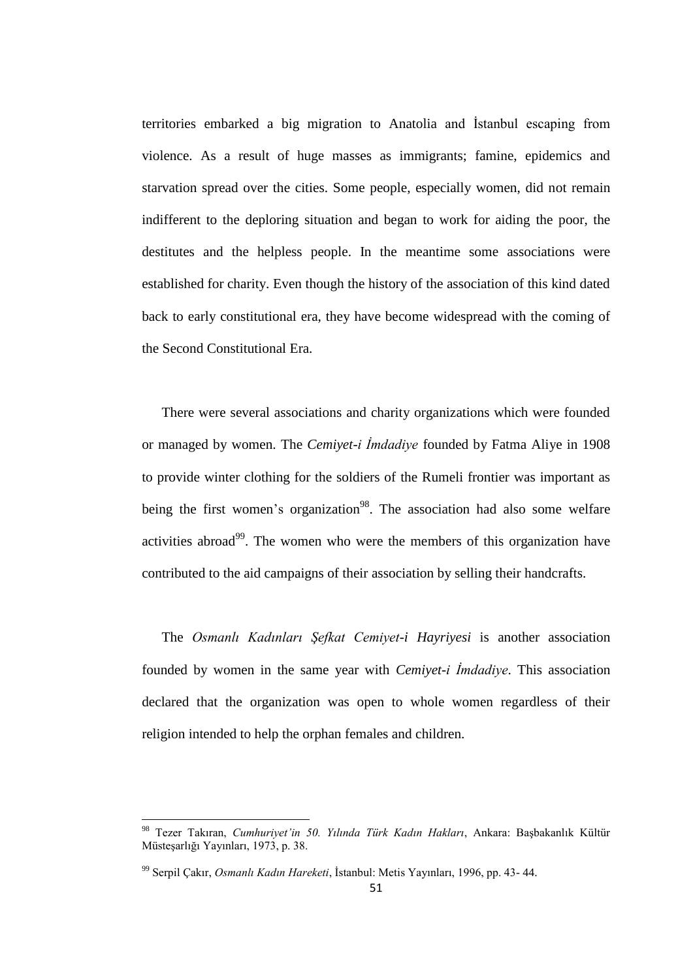territories embarked a big migration to Anatolia and İstanbul escaping from violence. As a result of huge masses as immigrants; famine, epidemics and starvation spread over the cities. Some people, especially women, did not remain indifferent to the deploring situation and began to work for aiding the poor, the destitutes and the helpless people. In the meantime some associations were established for charity. Even though the history of the association of this kind dated back to early constitutional era, they have become widespread with the coming of the Second Constitutional Era.

There were several associations and charity organizations which were founded or managed by women. The *Cemiyet-i İmdadiye* founded by Fatma Aliye in 1908 to provide winter clothing for the soldiers of the Rumeli frontier was important as being the first women's organization<sup>98</sup>. The association had also some welfare activities abroad<sup>99</sup>. The women who were the members of this organization have contributed to the aid campaigns of their association by selling their handcrafts.

The *Osmanlı Kadınları Şefkat Cemiyet-i Hayriyesi* is another association founded by women in the same year with *Cemiyet-i İmdadiye*. This association declared that the organization was open to whole women regardless of their religion intended to help the orphan females and children.

<sup>98</sup> Tezer Takıran, *Cumhuriyet'in 50. Yılında Türk Kadın Hakları*, Ankara: Başbakanlık Kültür Müsteşarlığı Yayınları, 1973, p. 38.

<sup>99</sup> Serpil Çakır, *Osmanlı Kadın Hareketi*, İstanbul: Metis Yayınları, 1996, pp. 43- 44.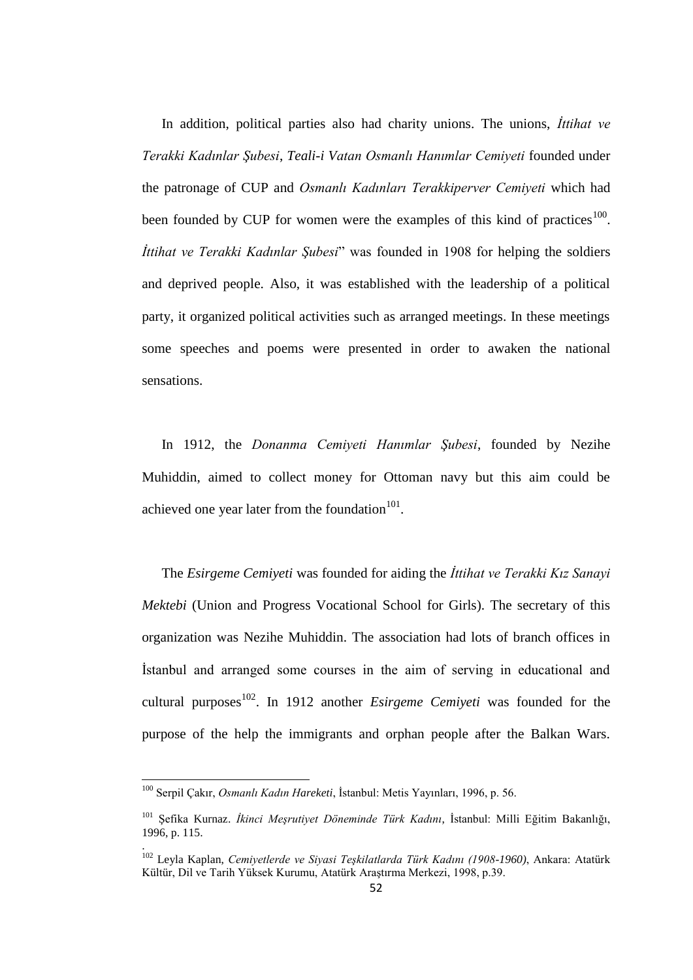In addition, political parties also had charity unions. The unions, *İttihat ve Terakki Kadınlar Şubesi*, *Teali-i Vatan Osmanlı Hanımlar Cemiyeti* founded under the patronage of CUP and *Osmanlı Kadınları Terakkiperver Cemiyeti* which had been founded by CUP for women were the examples of this kind of practices<sup>100</sup>. *İttihat ve Terakki Kadınlar Şubesi*" was founded in 1908 for helping the soldiers and deprived people. Also, it was established with the leadership of a political party, it organized political activities such as arranged meetings. In these meetings some speeches and poems were presented in order to awaken the national sensations.

In 1912, the *Donanma Cemiyeti Hanımlar Şubesi*, founded by Nezihe Muhiddin, aimed to collect money for Ottoman navy but this aim could be achieved one year later from the foundation $101$ .

The *Esirgeme Cemiyeti* was founded for aiding the *İttihat ve Terakki Kız Sanayi Mektebi* (Union and Progress Vocational School for Girls). The secretary of this organization was Nezihe Muhiddin. The association had lots of branch offices in İstanbul and arranged some courses in the aim of serving in educational and cultural purposes<sup>102</sup>. In 1912 another *Esirgeme Cemiyeti* was founded for the purpose of the help the immigrants and orphan people after the Balkan Wars.

 $\overline{\phantom{a}}$ 

<sup>100</sup> Serpil Çakır, *Osmanlı Kadın Hareketi*, İstanbul: Metis Yayınları, 1996, p. 56.

<sup>101</sup> Şefika Kurnaz. *İkinci Meşrutiyet Döneminde Türk Kadını*, İstanbul: Milli Eğitim Bakanlığı, 1996, p. 115.

<sup>102</sup> Leyla Kaplan, *Cemiyetlerde ve Siyasi Teşkilatlarda Türk Kadını (1908-1960)*, Ankara: Atatürk Kültür, Dil ve Tarih Yüksek Kurumu, Atatürk Araştırma Merkezi, 1998, p.39.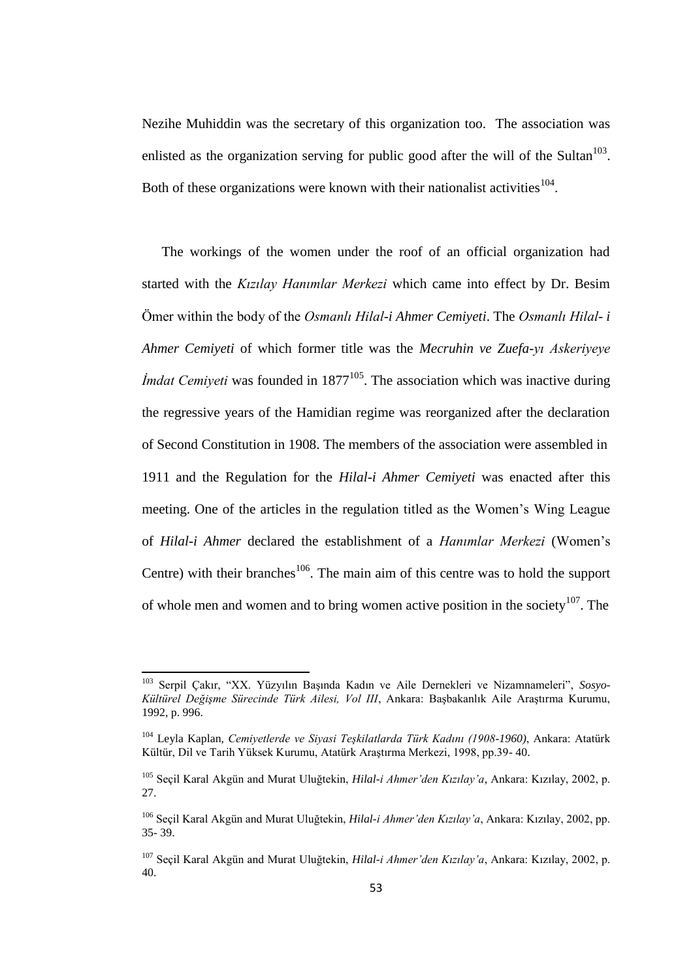Nezihe Muhiddin was the secretary of this organization too. The association was enlisted as the organization serving for public good after the will of the Sultan $103$ . Both of these organizations were known with their nationalist activities  $104$ .

The workings of the women under the roof of an official organization had started with the *Kızılay Hanımlar Merkezi* which came into effect by Dr. Besim Ömer within the body of the *Osmanlı Hilal-i Ahmer Cemiyeti*. The *Osmanlı Hilal- i Ahmer Cemiyeti* of which former title was the *Mecruhin ve Zuefa-yı Askeriyeye Imdat Cemiyeti* was founded in 1877<sup>105</sup>. The association which was inactive during the regressive years of the Hamidian regime was reorganized after the declaration of Second Constitution in 1908. The members of the association were assembled in 1911 and the Regulation for the *Hilal-i Ahmer Cemiyeti* was enacted after this meeting. One of the articles in the regulation titled as the Women"s Wing League of *Hilal-i Ahmer* declared the establishment of a *Hanımlar Merkezi* (Women"s Centre) with their branches<sup>106</sup>. The main aim of this centre was to hold the support of whole men and women and to bring women active position in the society<sup>107</sup>. The

<sup>103</sup> Serpil Çakır, "XX. Yüzyılın Başında Kadın ve Aile Dernekleri ve Nizamnameleri", *Sosyo-Kültürel Değişme Sürecinde Türk Ailesi, Vol III*, Ankara: Başbakanlık Aile Araştırma Kurumu, 1992, p. 996.

<sup>104</sup> Leyla Kaplan, *Cemiyetlerde ve Siyasi Teşkilatlarda Türk Kadını (1908-1960)*, Ankara: Atatürk Kültür, Dil ve Tarih Yüksek Kurumu, Atatürk Araştırma Merkezi, 1998, pp.39- 40.

<sup>105</sup> Seçil Karal Akgün and Murat Uluğtekin, *Hilal-i Ahmer'den Kızılay'a*, Ankara: Kızılay, 2002, p. 27.

<sup>106</sup> Seçil Karal Akgün and Murat Uluğtekin, *Hilal-i Ahmer'den Kızılay'a*, Ankara: Kızılay, 2002, pp. 35- 39.

<sup>107</sup> Seçil Karal Akgün and Murat Uluğtekin, *Hilal-i Ahmer'den Kızılay'a*, Ankara: Kızılay, 2002, p. 40.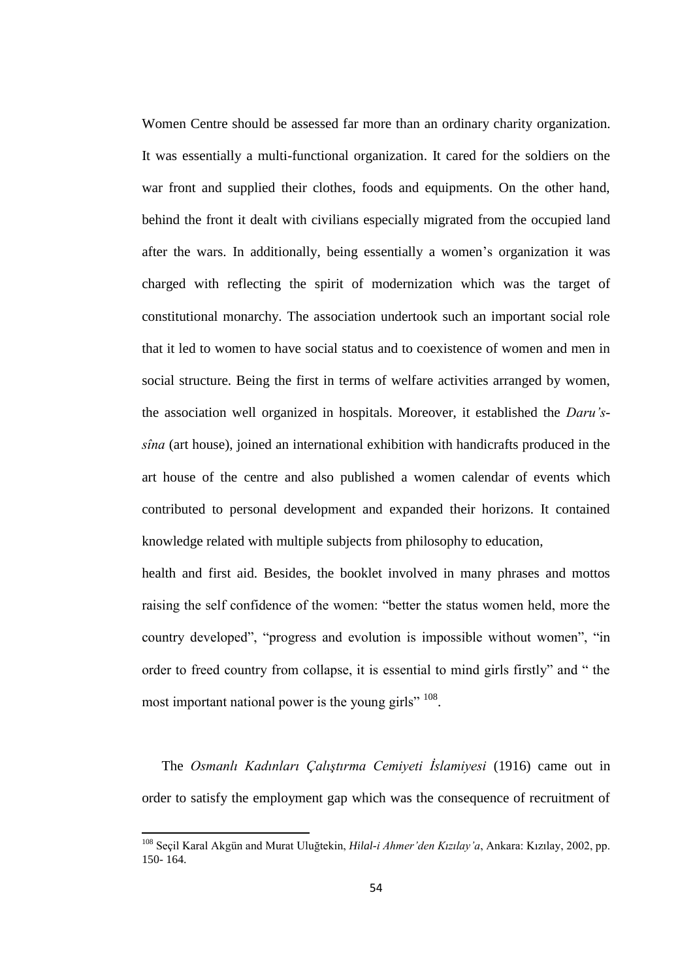Women Centre should be assessed far more than an ordinary charity organization. It was essentially a multi-functional organization. It cared for the soldiers on the war front and supplied their clothes, foods and equipments. On the other hand, behind the front it dealt with civilians especially migrated from the occupied land after the wars. In additionally, being essentially a women"s organization it was charged with reflecting the spirit of modernization which was the target of constitutional monarchy. The association undertook such an important social role that it led to women to have social status and to coexistence of women and men in social structure. Being the first in terms of welfare activities arranged by women, the association well organized in hospitals. Moreover, it established the *Daru'ssîna* (art house), joined an international exhibition with handicrafts produced in the art house of the centre and also published a women calendar of events which contributed to personal development and expanded their horizons. It contained knowledge related with multiple subjects from philosophy to education,

health and first aid. Besides, the booklet involved in many phrases and mottos raising the self confidence of the women: "better the status women held, more the country developed", "progress and evolution is impossible without women", "in order to freed country from collapse, it is essential to mind girls firstly" and " the most important national power is the young girls" <sup>108</sup>.

The *Osmanlı Kadınları Çalıştırma Cemiyeti İslamiyesi* (1916) came out in order to satisfy the employment gap which was the consequence of recruitment of

<sup>108</sup> Seçil Karal Akgün and Murat Uluğtekin, *Hilal-i Ahmer'den Kızılay'a*, Ankara: Kızılay, 2002, pp. 150- 164.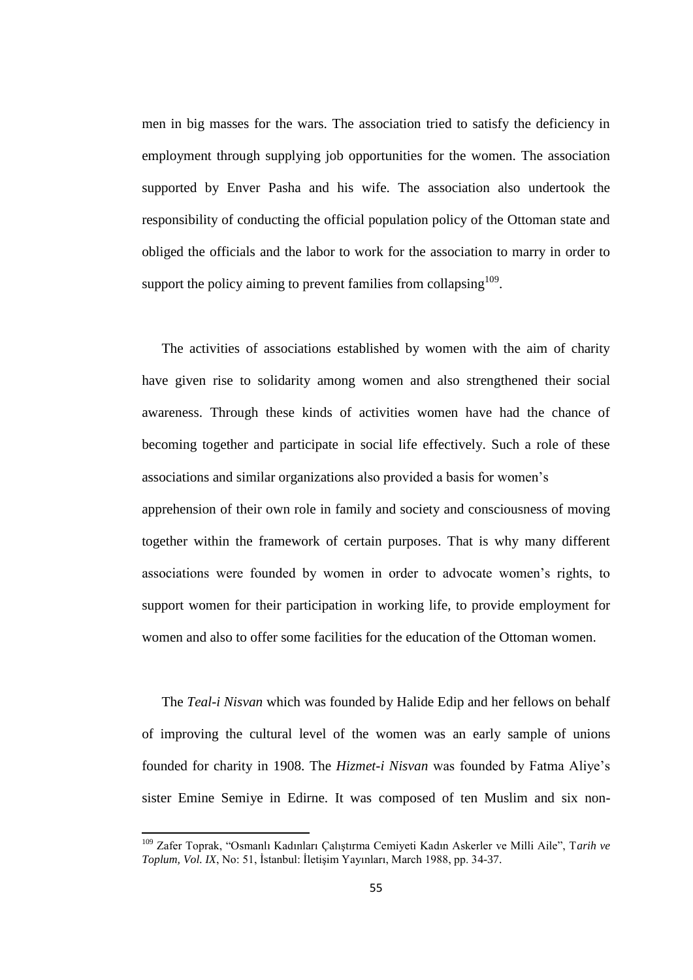men in big masses for the wars. The association tried to satisfy the deficiency in employment through supplying job opportunities for the women. The association supported by Enver Pasha and his wife. The association also undertook the responsibility of conducting the official population policy of the Ottoman state and obliged the officials and the labor to work for the association to marry in order to support the policy aiming to prevent families from collapsing  $109$ .

The activities of associations established by women with the aim of charity have given rise to solidarity among women and also strengthened their social awareness. Through these kinds of activities women have had the chance of becoming together and participate in social life effectively. Such a role of these associations and similar organizations also provided a basis for women"s

apprehension of their own role in family and society and consciousness of moving together within the framework of certain purposes. That is why many different associations were founded by women in order to advocate women"s rights, to support women for their participation in working life, to provide employment for women and also to offer some facilities for the education of the Ottoman women.

The *Teal-i Nisvan* which was founded by Halide Edip and her fellows on behalf of improving the cultural level of the women was an early sample of unions founded for charity in 1908. The *Hizmet-i Nisvan* was founded by Fatma Aliye"s sister Emine Semiye in Edirne. It was composed of ten Muslim and six non-

<sup>109</sup> Zafer Toprak, "Osmanlı Kadınları Çalıştırma Cemiyeti Kadın Askerler ve Milli Aile", T*arih ve Toplum, Vol. IX*, No: 51, İstanbul: İletişim Yayınları, March 1988, pp. 34-37.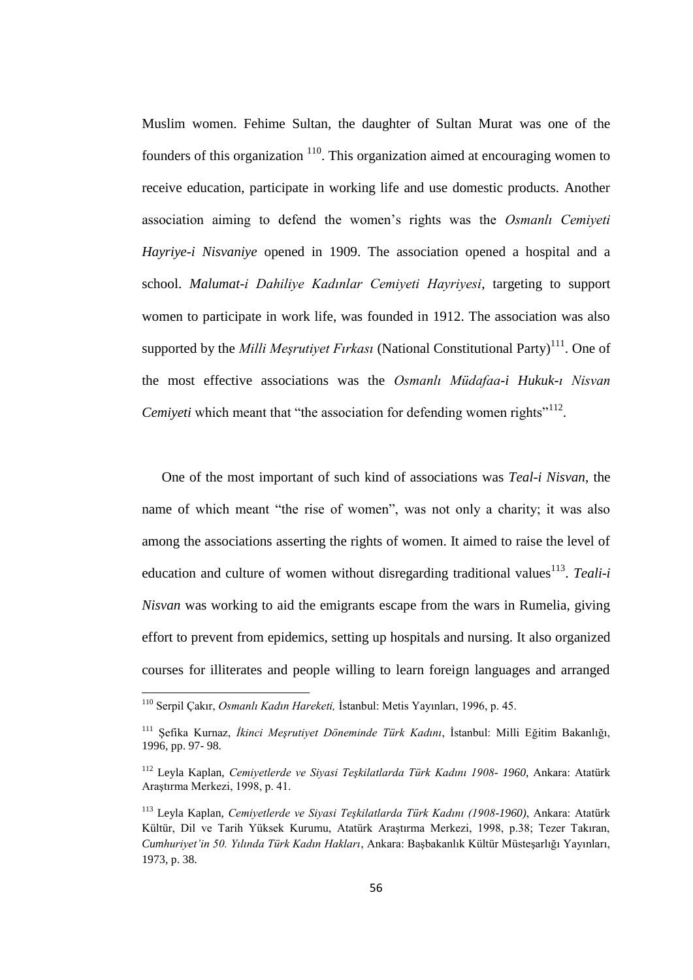Muslim women. Fehime Sultan, the daughter of Sultan Murat was one of the founders of this organization  $110$ . This organization aimed at encouraging women to receive education, participate in working life and use domestic products. Another association aiming to defend the women"s rights was the *Osmanlı Cemiyeti Hayriye-i Nisvaniye* opened in 1909. The association opened a hospital and a school. *Malumat-i Dahiliye Kadınlar Cemiyeti Hayriyesi*, targeting to support women to participate in work life, was founded in 1912. The association was also supported by the *Milli Meşrutiyet Fırkası* (National Constitutional Party)<sup>111</sup>. One of the most effective associations was the *Osmanlı Müdafaa-i Hukuk-ı Nisvan*  Cemiyeti which meant that "the association for defending women rights"<sup>112</sup>.

One of the most important of such kind of associations was *Teal-i Nisvan*, the name of which meant "the rise of women", was not only a charity; it was also among the associations asserting the rights of women. It aimed to raise the level of education and culture of women without disregarding traditional values<sup>113</sup>. Teali-i *Nisvan* was working to aid the emigrants escape from the wars in Rumelia, giving effort to prevent from epidemics, setting up hospitals and nursing. It also organized courses for illiterates and people willing to learn foreign languages and arranged

<sup>110</sup> Serpil Çakır, *Osmanlı Kadın Hareketi,* İstanbul: Metis Yayınları, 1996, p. 45.

<sup>111</sup> Şefika Kurnaz, *İkinci Meşrutiyet Döneminde Türk Kadını*, İstanbul: Milli Eğitim Bakanlığı, 1996, pp. 97- 98.

<sup>112</sup> Leyla Kaplan, *Cemiyetlerde ve Siyasi Teşkilatlarda Türk Kadını 1908- 1960,* Ankara: Atatürk Araştırma Merkezi, 1998, p. 41.

<sup>113</sup> Leyla Kaplan, *Cemiyetlerde ve Siyasi Teşkilatlarda Türk Kadını (1908-1960)*, Ankara: Atatürk Kültür, Dil ve Tarih Yüksek Kurumu, Atatürk Araştırma Merkezi, 1998, p.38; Tezer Takıran, *Cumhuriyet'in 50. Yılında Türk Kadın Hakları*, Ankara: Başbakanlık Kültür Müsteşarlığı Yayınları, 1973, p. 38.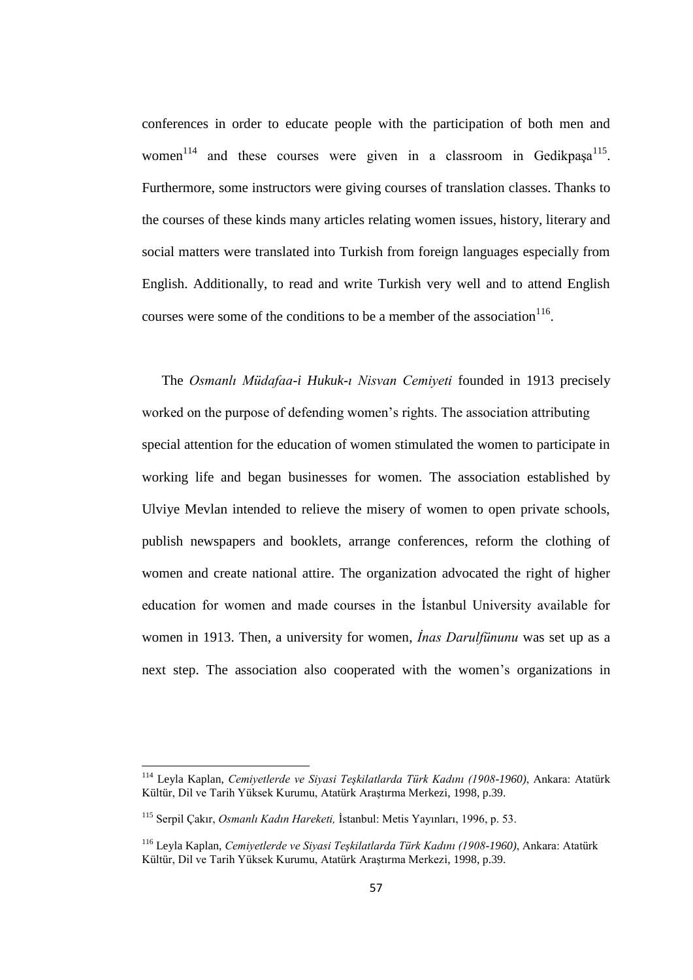conferences in order to educate people with the participation of both men and women<sup>114</sup> and these courses were given in a classroom in Gedikpaşa<sup>115</sup>. Furthermore, some instructors were giving courses of translation classes. Thanks to the courses of these kinds many articles relating women issues, history, literary and social matters were translated into Turkish from foreign languages especially from English. Additionally, to read and write Turkish very well and to attend English courses were some of the conditions to be a member of the association  $116$ .

The *Osmanlı Müdafaa-i Hukuk-ı Nisvan Cemiyeti* founded in 1913 precisely worked on the purpose of defending women's rights. The association attributing special attention for the education of women stimulated the women to participate in working life and began businesses for women. The association established by Ulviye Mevlan intended to relieve the misery of women to open private schools, publish newspapers and booklets, arrange conferences, reform the clothing of women and create national attire. The organization advocated the right of higher education for women and made courses in the İstanbul University available for women in 1913. Then, a university for women, *İnas Darulfünunu* was set up as a next step. The association also cooperated with the women"s organizations in

<sup>114</sup> Leyla Kaplan, *Cemiyetlerde ve Siyasi Teşkilatlarda Türk Kadını (1908-1960)*, Ankara: Atatürk Kültür, Dil ve Tarih Yüksek Kurumu, Atatürk Araştırma Merkezi, 1998, p.39.

<sup>115</sup> Serpil Çakır, *Osmanlı Kadın Hareketi,* İstanbul: Metis Yayınları, 1996, p. 53.

<sup>116</sup> Leyla Kaplan, *Cemiyetlerde ve Siyasi Teşkilatlarda Türk Kadını (1908-1960)*, Ankara: Atatürk Kültür, Dil ve Tarih Yüksek Kurumu, Atatürk Araştırma Merkezi, 1998, p.39.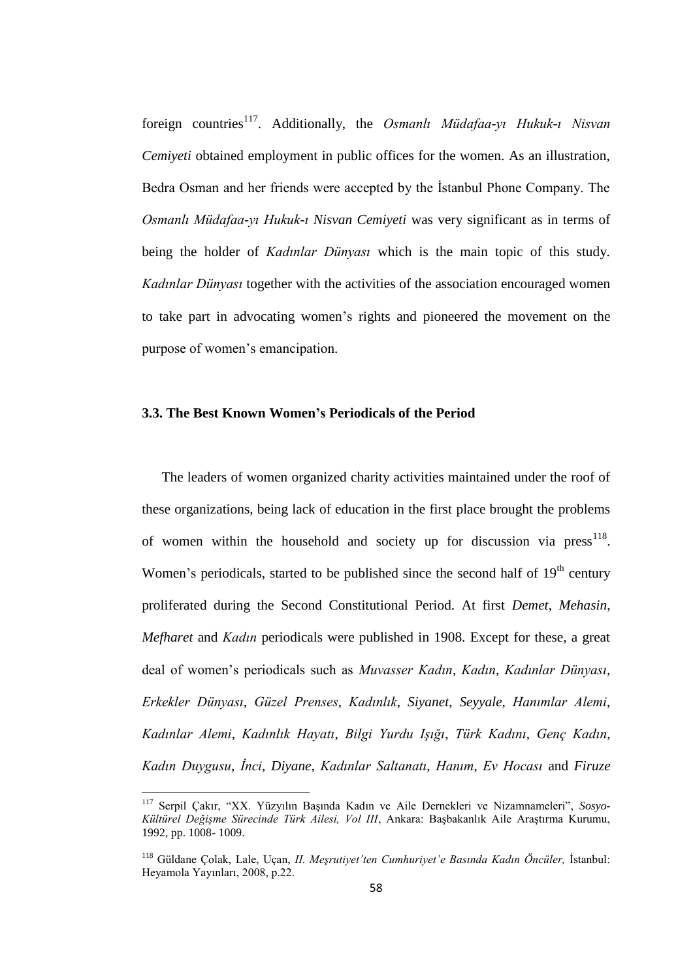foreign countries<sup>117</sup>. Additionally, the *Osmanlı Müdafaa-yı Hukuk-ı Nisvan Cemiyeti* obtained employment in public offices for the women. As an illustration, Bedra Osman and her friends were accepted by the İstanbul Phone Company. The *Osmanlı Müdafaa-yı Hukuk-ı Nisvan Cemiyeti* was very significant as in terms of being the holder of *Kadınlar Dünyası* which is the main topic of this study. *Kadınlar Dünyası* together with the activities of the association encouraged women to take part in advocating women"s rights and pioneered the movement on the purpose of women"s emancipation.

## **3.3. The Best Known Women's Periodicals of the Period**

The leaders of women organized charity activities maintained under the roof of these organizations, being lack of education in the first place brought the problems of women within the household and society up for discussion via  $press<sup>118</sup>$ . Women's periodicals, started to be published since the second half of  $19<sup>th</sup>$  century proliferated during the Second Constitutional Period. At first *Demet*, *Mehasin*, *Mefharet* and *Kadın* periodicals were published in 1908. Except for these, a great deal of women"s periodicals such as *Muvasser Kadın*, *Kadın*, *Kadınlar Dünyası*, *Erkekler Dünyası*, *Güzel Prenses*, *Kadınlık*, *Siyanet*, *Seyyale*, *Hanımlar Alemi*, *Kadınlar Alemi*, *Kadınlık Hayatı*, *Bilgi Yurdu Işığı*, *Türk Kadını*, *Genç Kadın*, *Kadın Duygusu*, *İnci*, *Diyane*, *Kadınlar Saltanatı*, *Hanım*, *Ev Hocası* and *Firuze*

<sup>117</sup> Serpil Çakır, "XX. Yüzyılın Başında Kadın ve Aile Dernekleri ve Nizamnameleri", *Sosyo-Kültürel Değişme Sürecinde Türk Ailesi, Vol III*, Ankara: Başbakanlık Aile Araştırma Kurumu, 1992, pp. 1008- 1009.

<sup>118</sup> Güldane Çolak, Lale, Uçan, *II. Meşrutiyet'ten Cumhuriyet'e Basında Kadın Öncüler,* İstanbul: Heyamola Yayınları, 2008, p.22.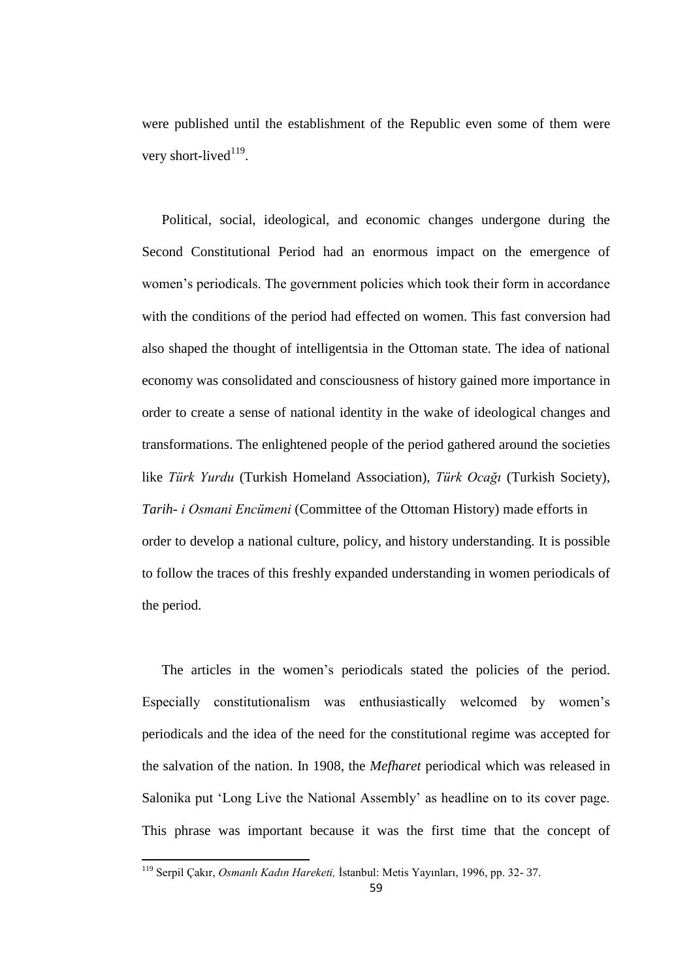were published until the establishment of the Republic even some of them were very short-lived $119$ .

Political, social, ideological, and economic changes undergone during the Second Constitutional Period had an enormous impact on the emergence of women"s periodicals. The government policies which took their form in accordance with the conditions of the period had effected on women. This fast conversion had also shaped the thought of intelligentsia in the Ottoman state. The idea of national economy was consolidated and consciousness of history gained more importance in order to create a sense of national identity in the wake of ideological changes and transformations. The enlightened people of the period gathered around the societies like *Türk Yurdu* (Turkish Homeland Association), *Türk Ocağı* (Turkish Society), *Tarih- i Osmani Encümeni* (Committee of the Ottoman History) made efforts in order to develop a national culture, policy, and history understanding. It is possible to follow the traces of this freshly expanded understanding in women periodicals of the period.

The articles in the women"s periodicals stated the policies of the period. Especially constitutionalism was enthusiastically welcomed by women"s periodicals and the idea of the need for the constitutional regime was accepted for the salvation of the nation. In 1908, the *Mefharet* periodical which was released in Salonika put "Long Live the National Assembly" as headline on to its cover page. This phrase was important because it was the first time that the concept of

 $\overline{\phantom{a}}$ 

<sup>119</sup> Serpil Çakır, *Osmanlı Kadın Hareketi,* İstanbul: Metis Yayınları, 1996, pp. 32- 37.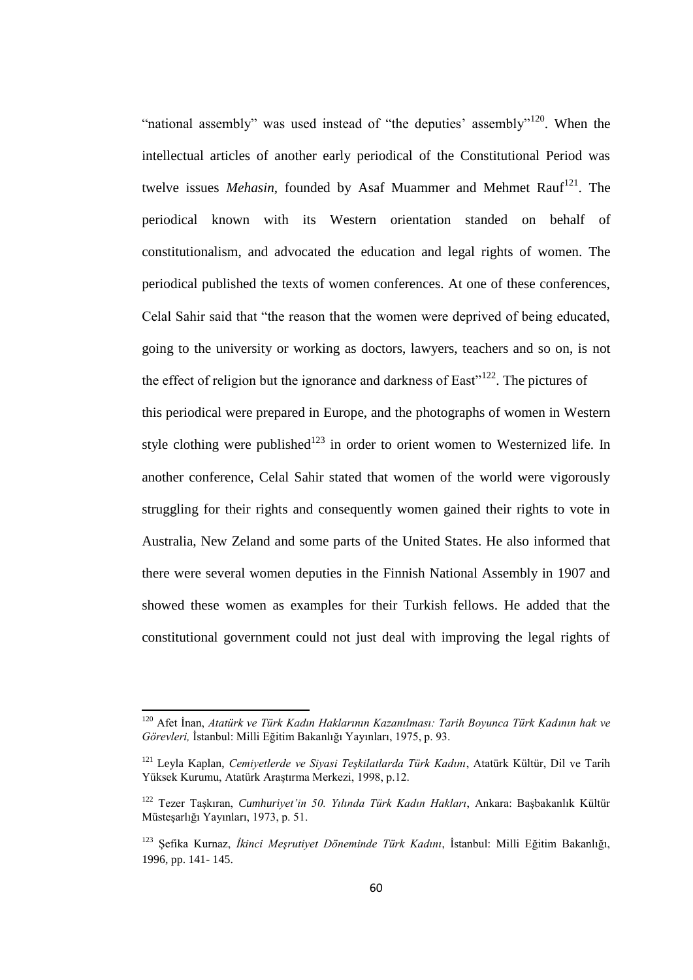"national assembly" was used instead of "the deputies" assembly"<sup>120</sup>. When the intellectual articles of another early periodical of the Constitutional Period was twelve issues *Mehasin*, founded by Asaf Muammer and Mehmet Rauf<sup>121</sup>. The periodical known with its Western orientation standed on behalf of constitutionalism, and advocated the education and legal rights of women. The periodical published the texts of women conferences. At one of these conferences, Celal Sahir said that "the reason that the women were deprived of being educated, going to the university or working as doctors, lawyers, teachers and so on, is not the effect of religion but the ignorance and darkness of East $n^{122}$ . The pictures of this periodical were prepared in Europe, and the photographs of women in Western style clothing were published<sup>123</sup> in order to orient women to Westernized life. In another conference, Celal Sahir stated that women of the world were vigorously struggling for their rights and consequently women gained their rights to vote in Australia, New Zeland and some parts of the United States. He also informed that there were several women deputies in the Finnish National Assembly in 1907 and showed these women as examples for their Turkish fellows. He added that the constitutional government could not just deal with improving the legal rights of

<sup>120</sup> Afet İnan, *Atatürk ve Türk Kadın Haklarının Kazanılması: Tarih Boyunca Türk Kadının hak ve Görevleri,* İstanbul: Milli Eğitim Bakanlığı Yayınları, 1975, p. 93.

<sup>121</sup> Leyla Kaplan, *Cemiyetlerde ve Siyasi Teşkilatlarda Türk Kadını*, Atatürk Kültür, Dil ve Tarih Yüksek Kurumu, Atatürk Araştırma Merkezi, 1998, p.12.

<sup>122</sup> Tezer Taşkıran, *Cumhuriyet'in 50. Yılında Türk Kadın Hakları*, Ankara: Başbakanlık Kültür Müsteşarlığı Yayınları, 1973, p. 51.

<sup>123</sup> Şefika Kurnaz, *İkinci Meşrutiyet Döneminde Türk Kadını*, İstanbul: Milli Eğitim Bakanlığı, 1996, pp. 141- 145.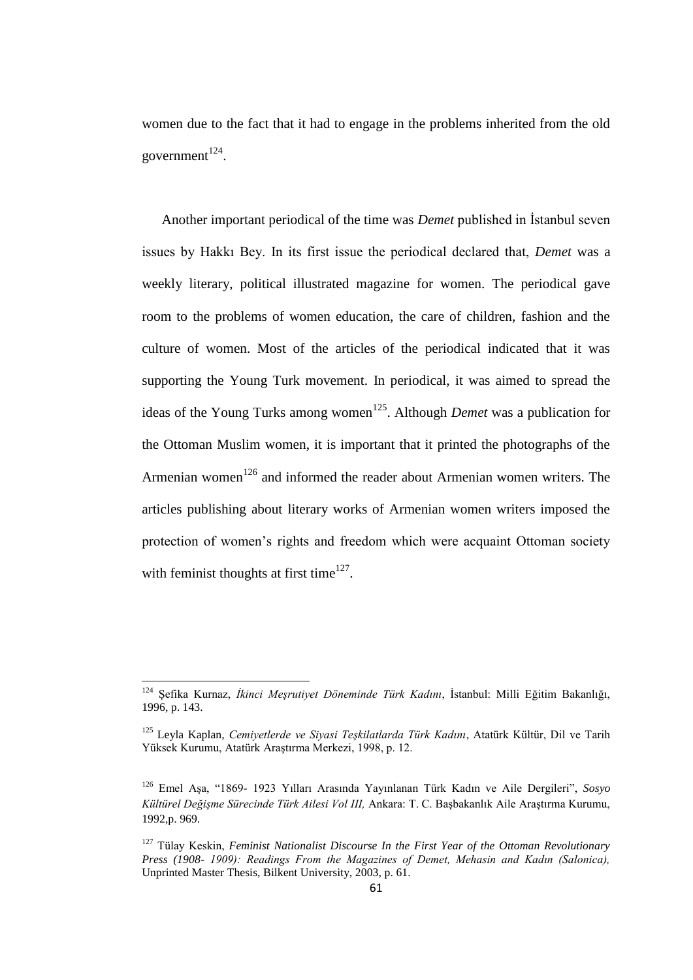women due to the fact that it had to engage in the problems inherited from the old government $^{124}$ .

Another important periodical of the time was *Demet* published in İstanbul seven issues by Hakkı Bey. In its first issue the periodical declared that, *Demet* was a weekly literary, political illustrated magazine for women. The periodical gave room to the problems of women education, the care of children, fashion and the culture of women. Most of the articles of the periodical indicated that it was supporting the Young Turk movement. In periodical, it was aimed to spread the ideas of the Young Turks among women<sup>125</sup>. Although *Demet* was a publication for the Ottoman Muslim women, it is important that it printed the photographs of the Armenian women<sup>126</sup> and informed the reader about Armenian women writers. The articles publishing about literary works of Armenian women writers imposed the protection of women"s rights and freedom which were acquaint Ottoman society with feminist thoughts at first time $^{127}$ .

<sup>124</sup> Şefika Kurnaz, *İkinci Meşrutiyet Döneminde Türk Kadını*, İstanbul: Milli Eğitim Bakanlığı, 1996, p. 143.

<sup>125</sup> Leyla Kaplan, *Cemiyetlerde ve Siyasi Teşkilatlarda Türk Kadını*, Atatürk Kültür, Dil ve Tarih Yüksek Kurumu, Atatürk Araştırma Merkezi, 1998, p. 12.

<sup>126</sup> Emel Aşa, "1869- 1923 Yılları Arasında Yayınlanan Türk Kadın ve Aile Dergileri", *Sosyo Kültürel Değişme Sürecinde Türk Ailesi Vol III,* Ankara: T. C. Başbakanlık Aile Araştırma Kurumu, 1992,p. 969.

<sup>127</sup> Tülay Keskin, *Feminist Nationalist Discourse In the First Year of the Ottoman Revolutionary Press (1908- 1909): Readings From the Magazines of Demet, Mehasin and Kadın (Salonica),* Unprinted Master Thesis, Bilkent University, 2003, p. 61.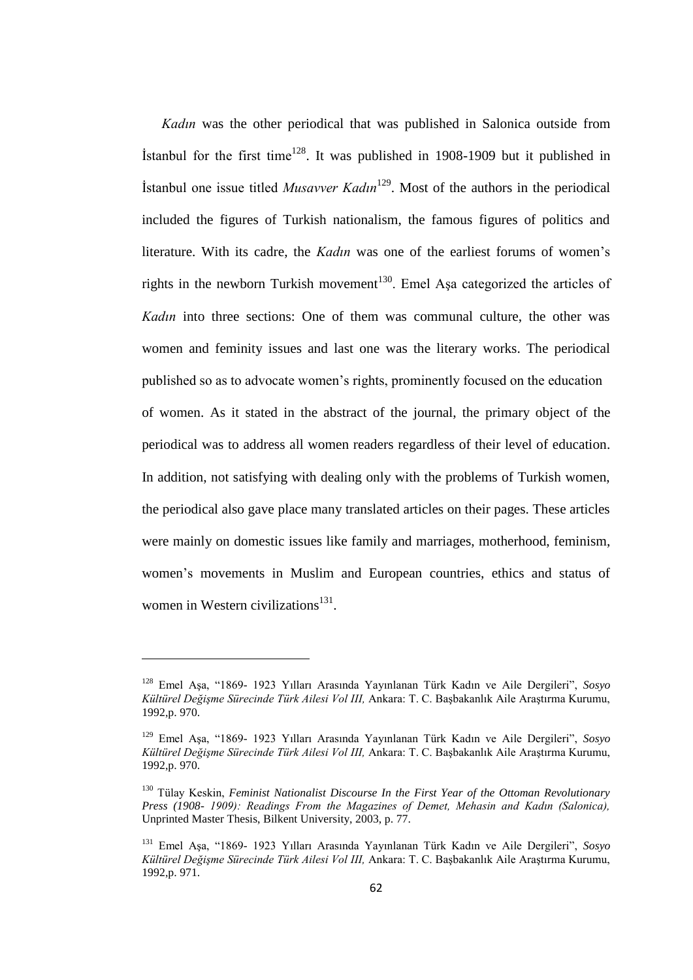*Kadın* was the other periodical that was published in Salonica outside from Istanbul for the first time<sup>128</sup>. It was published in 1908-1909 but it published in İstanbul one issue titled *Musavver Kadın*<sup>129</sup>. Most of the authors in the periodical included the figures of Turkish nationalism, the famous figures of politics and literature. With its cadre, the *Kadın* was one of the earliest forums of women's rights in the newborn Turkish movement<sup>130</sup>. Emel Aşa categorized the articles of *Kadın* into three sections: One of them was communal culture, the other was women and feminity issues and last one was the literary works. The periodical published so as to advocate women"s rights, prominently focused on the education of women. As it stated in the abstract of the journal, the primary object of the periodical was to address all women readers regardless of their level of education. In addition, not satisfying with dealing only with the problems of Turkish women, the periodical also gave place many translated articles on their pages. These articles were mainly on domestic issues like family and marriages, motherhood, feminism, women"s movements in Muslim and European countries, ethics and status of women in Western civilizations<sup>131</sup>.

<sup>128</sup> Emel Aşa, "1869- 1923 Yılları Arasında Yayınlanan Türk Kadın ve Aile Dergileri", *Sosyo Kültürel Değişme Sürecinde Türk Ailesi Vol III,* Ankara: T. C. Başbakanlık Aile Araştırma Kurumu, 1992,p. 970.

<sup>129</sup> Emel Aşa, "1869- 1923 Yılları Arasında Yayınlanan Türk Kadın ve Aile Dergileri", *Sosyo Kültürel Değişme Sürecinde Türk Ailesi Vol III,* Ankara: T. C. Başbakanlık Aile Araştırma Kurumu, 1992,p. 970.

<sup>130</sup> Tülay Keskin, *Feminist Nationalist Discourse In the First Year of the Ottoman Revolutionary Press (1908- 1909): Readings From the Magazines of Demet, Mehasin and Kadın (Salonica),* Unprinted Master Thesis, Bilkent University, 2003, p. 77.

<sup>131</sup> Emel Aşa, "1869- 1923 Yılları Arasında Yayınlanan Türk Kadın ve Aile Dergileri", *Sosyo Kültürel Değişme Sürecinde Türk Ailesi Vol III,* Ankara: T. C. Başbakanlık Aile Araştırma Kurumu, 1992,p. 971.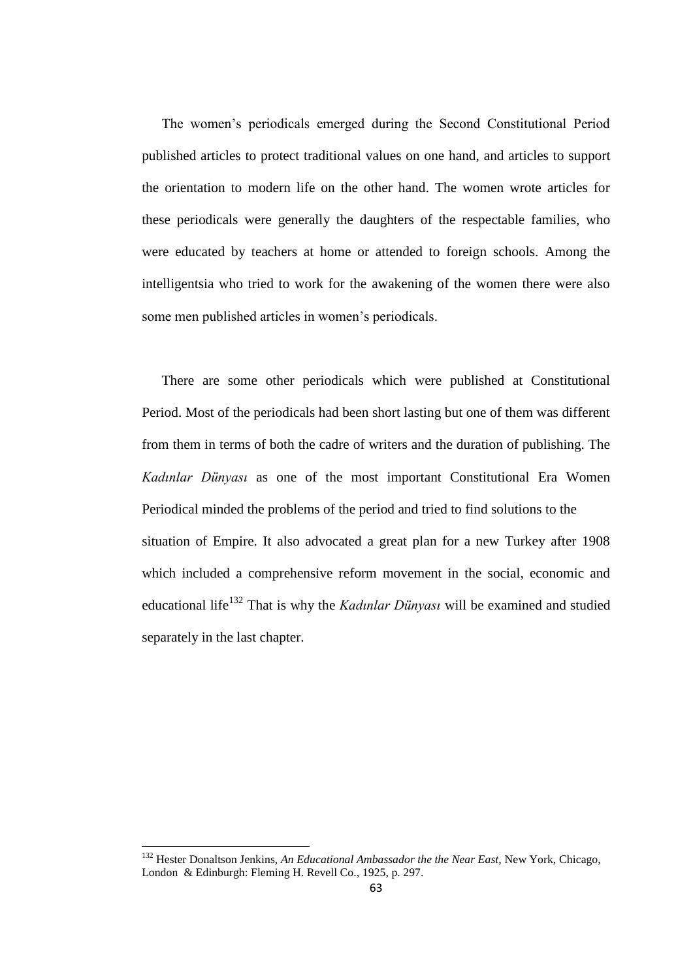The women"s periodicals emerged during the Second Constitutional Period published articles to protect traditional values on one hand, and articles to support the orientation to modern life on the other hand. The women wrote articles for these periodicals were generally the daughters of the respectable families, who were educated by teachers at home or attended to foreign schools. Among the intelligentsia who tried to work for the awakening of the women there were also some men published articles in women"s periodicals.

There are some other periodicals which were published at Constitutional Period. Most of the periodicals had been short lasting but one of them was different from them in terms of both the cadre of writers and the duration of publishing. The *Kadınlar Dünyası* as one of the most important Constitutional Era Women Periodical minded the problems of the period and tried to find solutions to the situation of Empire. It also advocated a great plan for a new Turkey after 1908 which included a comprehensive reform movement in the social, economic and educational life<sup>132</sup> That is why the *Kadınlar Dünyası* will be examined and studied separately in the last chapter.

<sup>132</sup> Hester Donaltson Jenkins, *An Educational Ambassador the the Near East,* New York, Chicago, London & Edinburgh: Fleming H. Revell Co., 1925, p. 297.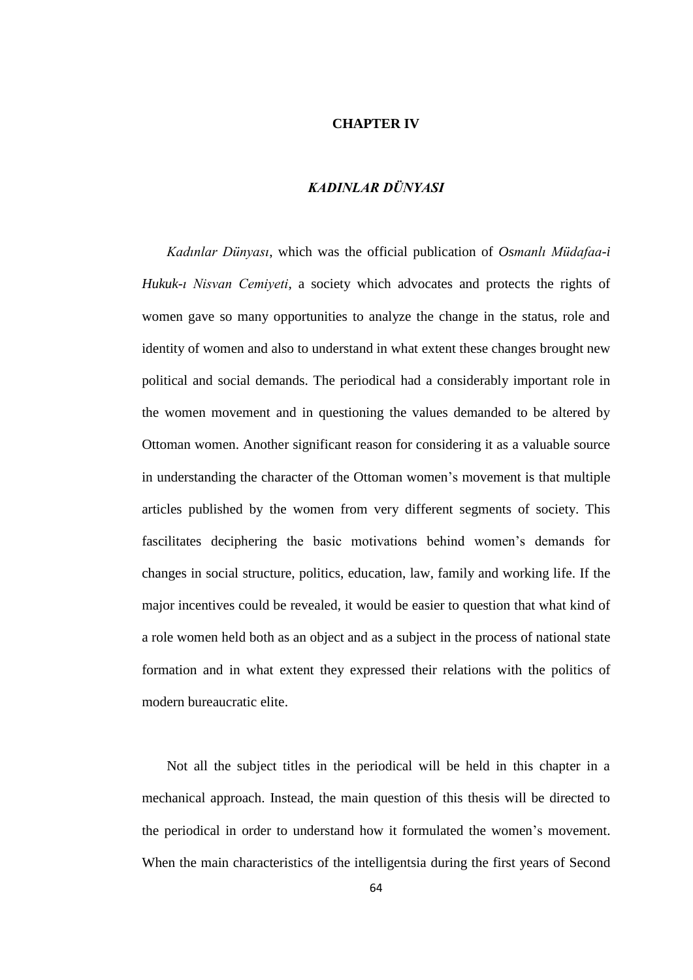## **CHAPTER IV**

# *KADINLAR DÜNYASI*

*Kadınlar Dünyası*, which was the official publication of *Osmanlı Müdafaa-i Hukuk-ı Nisvan Cemiyeti,* a society which advocates and protects the rights of women gave so many opportunities to analyze the change in the status, role and identity of women and also to understand in what extent these changes brought new political and social demands. The periodical had a considerably important role in the women movement and in questioning the values demanded to be altered by Ottoman women. Another significant reason for considering it as a valuable source in understanding the character of the Ottoman women"s movement is that multiple articles published by the women from very different segments of society. This fascilitates deciphering the basic motivations behind women"s demands for changes in social structure, politics, education, law, family and working life. If the major incentives could be revealed, it would be easier to question that what kind of a role women held both as an object and as a subject in the process of national state formation and in what extent they expressed their relations with the politics of modern bureaucratic elite.

Not all the subject titles in the periodical will be held in this chapter in a mechanical approach. Instead, the main question of this thesis will be directed to the periodical in order to understand how it formulated the women"s movement. When the main characteristics of the intelligentsia during the first years of Second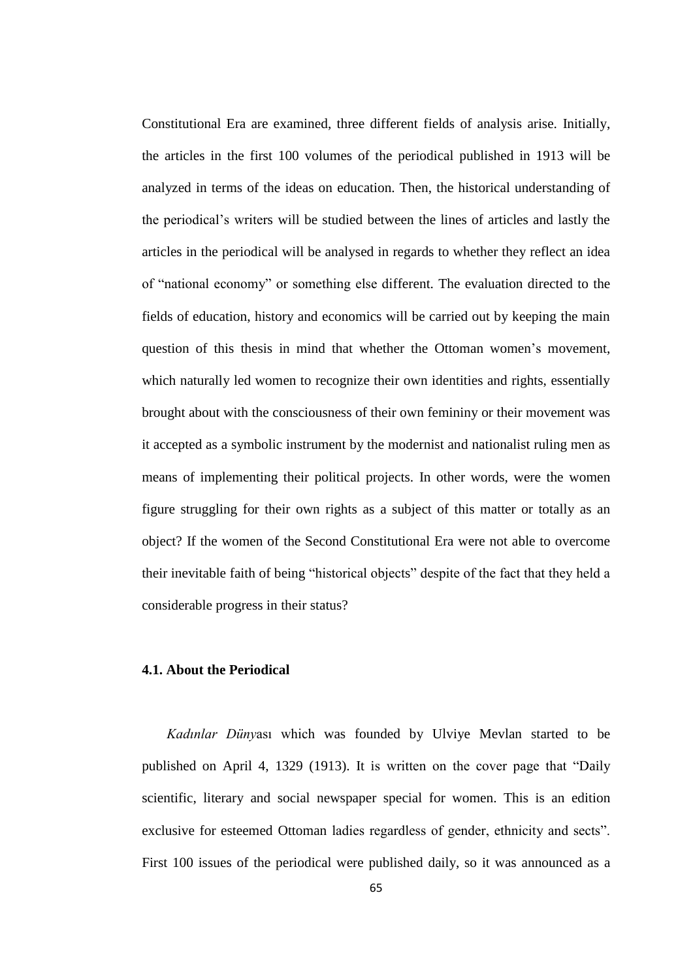Constitutional Era are examined, three different fields of analysis arise. Initially, the articles in the first 100 volumes of the periodical published in 1913 will be analyzed in terms of the ideas on education. Then, the historical understanding of the periodical"s writers will be studied between the lines of articles and lastly the articles in the periodical will be analysed in regards to whether they reflect an idea of "national economy" or something else different. The evaluation directed to the fields of education, history and economics will be carried out by keeping the main question of this thesis in mind that whether the Ottoman women"s movement, which naturally led women to recognize their own identities and rights, essentially brought about with the consciousness of their own femininy or their movement was it accepted as a symbolic instrument by the modernist and nationalist ruling men as means of implementing their political projects. In other words, were the women figure struggling for their own rights as a subject of this matter or totally as an object? If the women of the Second Constitutional Era were not able to overcome their inevitable faith of being "historical objects" despite of the fact that they held a considerable progress in their status?

#### **4.1. About the Periodical**

*Kadınlar Düny*ası which was founded by Ulviye Mevlan started to be published on April 4, 1329 (1913). It is written on the cover page that "Daily scientific, literary and social newspaper special for women. This is an edition exclusive for esteemed Ottoman ladies regardless of gender, ethnicity and sects". First 100 issues of the periodical were published daily, so it was announced as a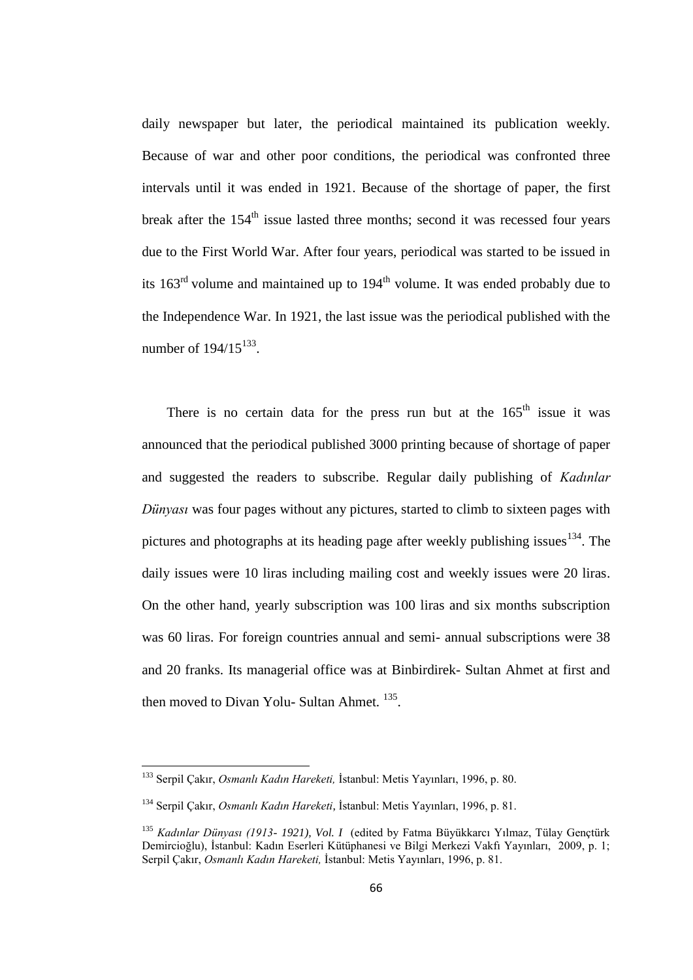daily newspaper but later, the periodical maintained its publication weekly. Because of war and other poor conditions, the periodical was confronted three intervals until it was ended in 1921. Because of the shortage of paper, the first break after the  $154<sup>th</sup>$  issue lasted three months; second it was recessed four years due to the First World War. After four years, periodical was started to be issued in its  $163<sup>rd</sup>$  volume and maintained up to  $194<sup>th</sup>$  volume. It was ended probably due to the Independence War. In 1921, the last issue was the periodical published with the number of  $194/15^{133}$ .

There is no certain data for the press run but at the  $165<sup>th</sup>$  issue it was announced that the periodical published 3000 printing because of shortage of paper and suggested the readers to subscribe. Regular daily publishing of *Kadınlar Dünyası* was four pages without any pictures, started to climb to sixteen pages with pictures and photographs at its heading page after weekly publishing issues<sup>134</sup>. The daily issues were 10 liras including mailing cost and weekly issues were 20 liras. On the other hand, yearly subscription was 100 liras and six months subscription was 60 liras. For foreign countries annual and semi- annual subscriptions were 38 and 20 franks. Its managerial office was at Binbirdirek- Sultan Ahmet at first and then moved to Divan Yolu- Sultan Ahmet.<sup>135</sup>.

<sup>133</sup> Serpil Çakır, *Osmanlı Kadın Hareketi,* İstanbul: Metis Yayınları, 1996, p. 80.

<sup>134</sup> Serpil Çakır, *Osmanlı Kadın Hareketi*, İstanbul: Metis Yayınları, 1996, p. 81.

<sup>135</sup> *Kadınlar Dünyası (1913- 1921), Vol. I* (edited by Fatma Büyükkarcı Yılmaz, Tülay Gençtürk Demircioğlu), İstanbul: Kadın Eserleri Kütüphanesi ve Bilgi Merkezi Vakfı Yayınları, 2009, p. 1; Serpil Çakır, *Osmanlı Kadın Hareketi,* İstanbul: Metis Yayınları, 1996, p. 81.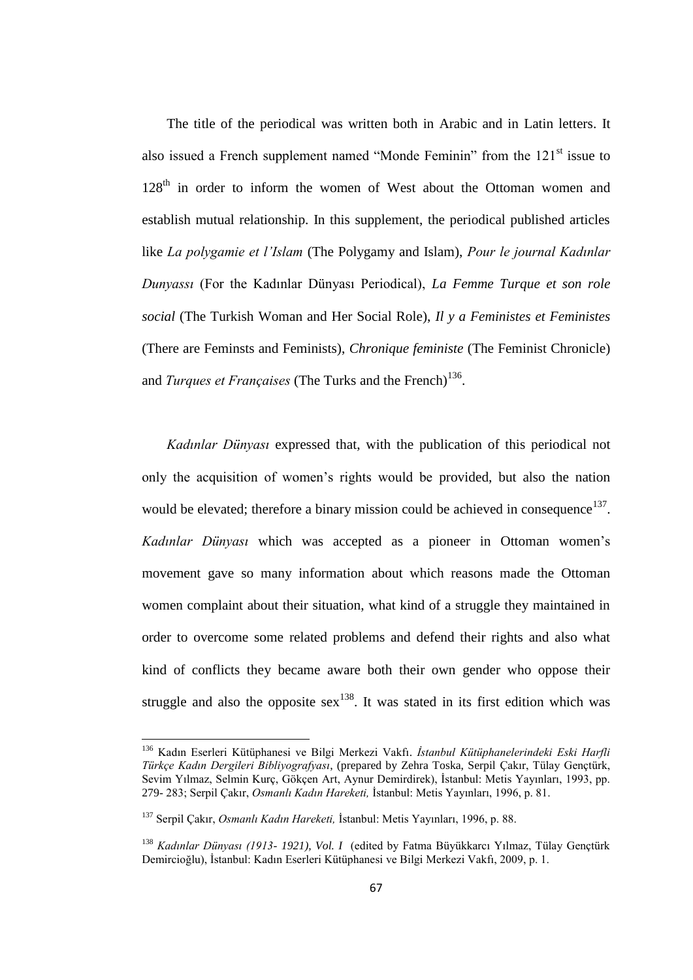The title of the periodical was written both in Arabic and in Latin letters. It also issued a French supplement named "Monde Feminin" from the 121<sup>st</sup> issue to 128<sup>th</sup> in order to inform the women of West about the Ottoman women and establish mutual relationship. In this supplement, the periodical published articles like *La polygamie et l'Islam* (The Polygamy and Islam), *Pour le journal Kadınlar Dunyassı* (For the Kadınlar Dünyası Periodical), *La Femme Turque et son role social* (The Turkish Woman and Her Social Role), *Il y a Feministes et Feministes* (There are Feminsts and Feminists), *Chronique feministe* (The Feminist Chronicle) and *Turques et Françaises* (The Turks and the French)<sup>136</sup>.

*Kadınlar Dünyası* expressed that, with the publication of this periodical not only the acquisition of women"s rights would be provided, but also the nation would be elevated; therefore a binary mission could be achieved in consequence<sup>137</sup>. *Kadınlar Dünyası* which was accepted as a pioneer in Ottoman women"s movement gave so many information about which reasons made the Ottoman women complaint about their situation, what kind of a struggle they maintained in order to overcome some related problems and defend their rights and also what kind of conflicts they became aware both their own gender who oppose their struggle and also the opposite sex<sup>138</sup>. It was stated in its first edition which was

<sup>136</sup> Kadın Eserleri Kütüphanesi ve Bilgi Merkezi Vakfı. *İstanbul Kütüphanelerindeki Eski Harfli Türkçe Kadın Dergileri Bibliyografyası*, (prepared by Zehra Toska, Serpil Çakır, Tülay Gençtürk, Sevim Yılmaz, Selmin Kurç, Gökçen Art, Aynur Demirdirek), İstanbul: Metis Yayınları, 1993, pp. 279- 283; Serpil Çakır, *Osmanlı Kadın Hareketi,* İstanbul: Metis Yayınları, 1996, p. 81.

<sup>137</sup> Serpil Çakır, *Osmanlı Kadın Hareketi,* İstanbul: Metis Yayınları, 1996, p. 88.

<sup>138</sup> *Kadınlar Dünyası (1913- 1921), Vol. I* (edited by Fatma Büyükkarcı Yılmaz, Tülay Gençtürk Demircioğlu), İstanbul: Kadın Eserleri Kütüphanesi ve Bilgi Merkezi Vakfı, 2009, p. 1.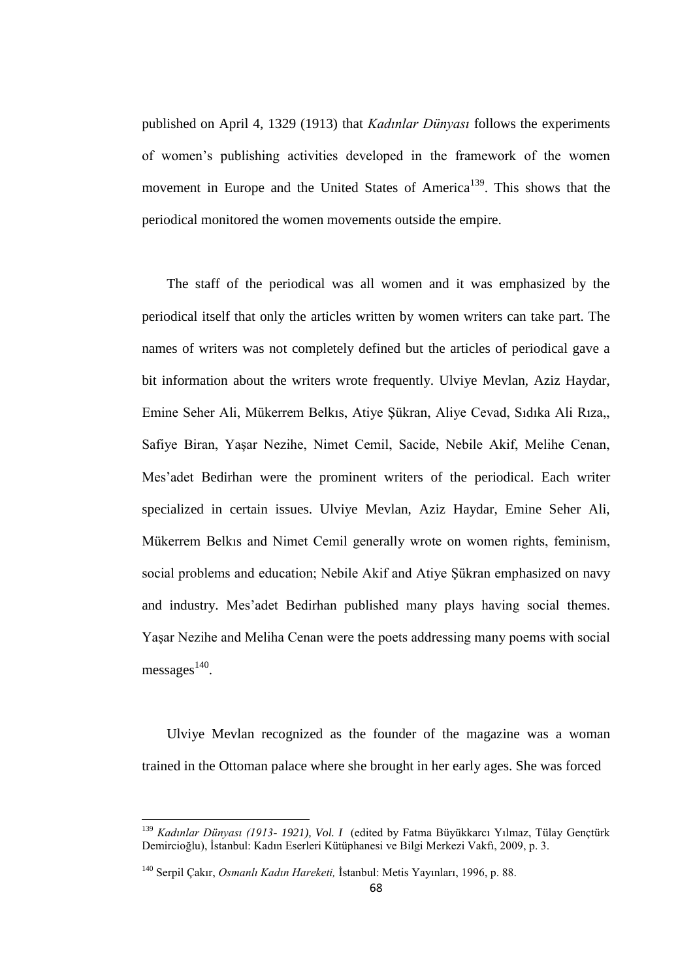published on April 4, 1329 (1913) that *Kadınlar Dünyası* follows the experiments of women"s publishing activities developed in the framework of the women movement in Europe and the United States of America<sup>139</sup>. This shows that the periodical monitored the women movements outside the empire.

The staff of the periodical was all women and it was emphasized by the periodical itself that only the articles written by women writers can take part. The names of writers was not completely defined but the articles of periodical gave a bit information about the writers wrote frequently. Ulviye Mevlan, Aziz Haydar, Emine Seher Ali, Mükerrem Belkıs, Atiye Şükran, Aliye Cevad, Sıdıka Ali Rıza,, Safiye Biran, Yaşar Nezihe, Nimet Cemil, Sacide, Nebile Akif, Melihe Cenan, Mes"adet Bedirhan were the prominent writers of the periodical. Each writer specialized in certain issues. Ulviye Mevlan, Aziz Haydar, Emine Seher Ali, Mükerrem Belkıs and Nimet Cemil generally wrote on women rights, feminism, social problems and education; Nebile Akif and Atiye Şükran emphasized on navy and industry. Mes'adet Bedirhan published many plays having social themes. Yaşar Nezihe and Meliha Cenan were the poets addressing many poems with social  $m$ essages $^{140}$ .

Ulviye Mevlan recognized as the founder of the magazine was a woman trained in the Ottoman palace where she brought in her early ages. She was forced

<sup>139</sup> *Kadınlar Dünyası (1913- 1921), Vol. I* (edited by Fatma Büyükkarcı Yılmaz, Tülay Gençtürk Demircioğlu), İstanbul: Kadın Eserleri Kütüphanesi ve Bilgi Merkezi Vakfı, 2009, p. 3.

<sup>140</sup> Serpil Çakır, *Osmanlı Kadın Hareketi,* İstanbul: Metis Yayınları, 1996, p. 88.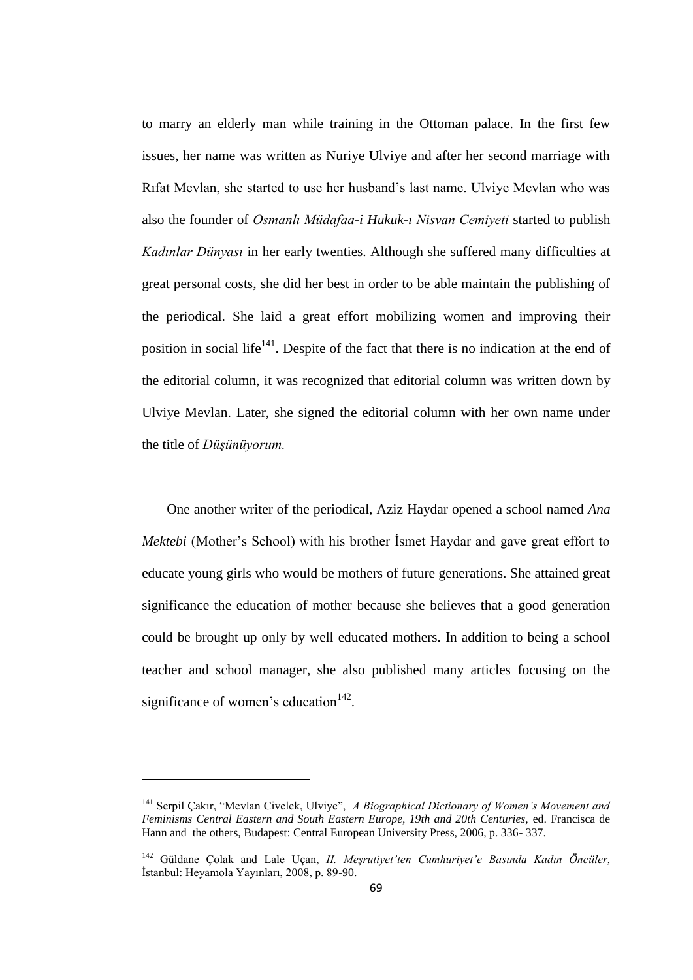to marry an elderly man while training in the Ottoman palace. In the first few issues, her name was written as Nuriye Ulviye and after her second marriage with Rıfat Mevlan, she started to use her husband"s last name. Ulviye Mevlan who was also the founder of *Osmanlı Müdafaa-i Hukuk-ı Nisvan Cemiyeti* started to publish *Kadınlar Dünyası* in her early twenties. Although she suffered many difficulties at great personal costs, she did her best in order to be able maintain the publishing of the periodical. She laid a great effort mobilizing women and improving their position in social life<sup> $141$ </sup>. Despite of the fact that there is no indication at the end of the editorial column, it was recognized that editorial column was written down by Ulviye Mevlan. Later, she signed the editorial column with her own name under the title of *Düşünüyorum.*

One another writer of the periodical, Aziz Haydar opened a school named *Ana Mektebi* (Mother's School) with his brother Ismet Haydar and gave great effort to educate young girls who would be mothers of future generations. She attained great significance the education of mother because she believes that a good generation could be brought up only by well educated mothers. In addition to being a school teacher and school manager, she also published many articles focusing on the significance of women's education $142$ .

 $\overline{a}$ 

<sup>141</sup> Serpil Çakır, "Mevlan Civelek, Ulviye", *A Biographical Dictionary of Women's Movement and Feminisms Central Eastern and South Eastern Europe, 19th and 20th Centuries,* ed. Francisca de Hann and the others, Budapest: Central European University Press, 2006, p. 336- 337.

<sup>142</sup> Güldane Çolak and Lale Uçan, *II. Meşrutiyet'ten Cumhuriyet'e Basında Kadın Öncüler*, İstanbul: Heyamola Yayınları, 2008, p. 89-90.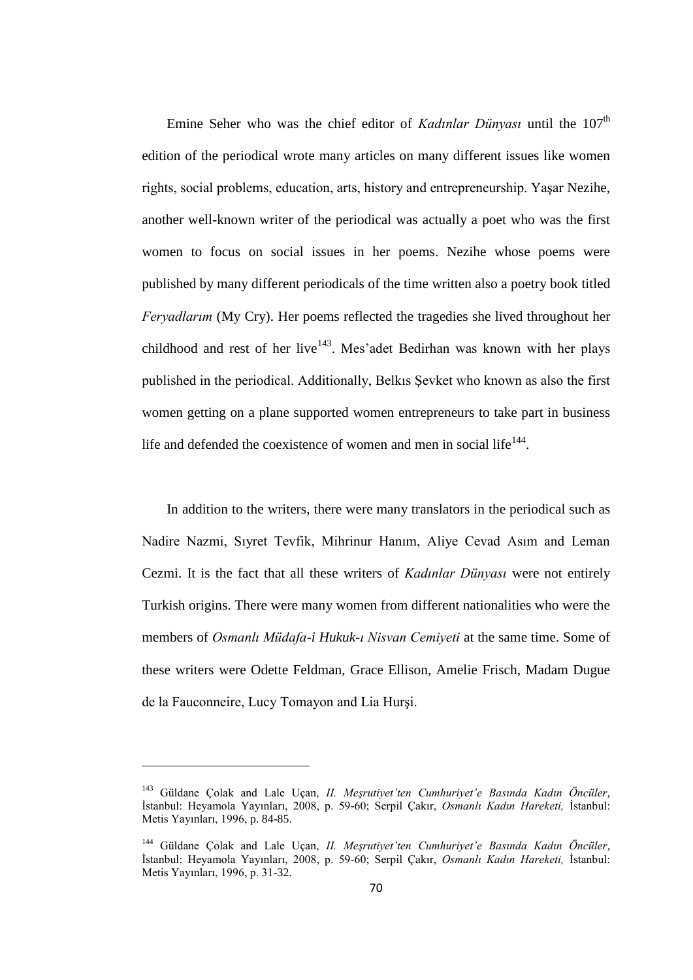Emine Seher who was the chief editor of *Kadınlar Dünyası* until the 107<sup>th</sup> edition of the periodical wrote many articles on many different issues like women rights, social problems, education, arts, history and entrepreneurship. Yaşar Nezihe, another well-known writer of the periodical was actually a poet who was the first women to focus on social issues in her poems. Nezihe whose poems were published by many different periodicals of the time written also a poetry book titled *Feryadlarım* (My Cry). Her poems reflected the tragedies she lived throughout her childhood and rest of her live<sup>143</sup>. Mes'adet Bedirhan was known with her plays published in the periodical. Additionally, Belkıs Şevket who known as also the first women getting on a plane supported women entrepreneurs to take part in business life and defended the coexistence of women and men in social life $^{144}$ .

In addition to the writers, there were many translators in the periodical such as Nadire Nazmi, Sıyret Tevfik, Mihrinur Hanım, Aliye Cevad Asım and Leman Cezmi. It is the fact that all these writers of *Kadınlar Dünyası* were not entirely Turkish origins. There were many women from different nationalities who were the members of *Osmanlı Müdafa-i Hukuk-ı Nisvan Cemiyeti* at the same time. Some of these writers were Odette Feldman, Grace Ellison, Amelie Frisch, Madam Dugue de la Fauconneire, Lucy Tomayon and Lia Hurşi.

<sup>143</sup> Güldane Çolak and Lale Uçan, *II. Meşrutiyet'ten Cumhuriyet'e Basında Kadın Öncüler*, İstanbul: Heyamola Yayınları, 2008, p. 59-60; Serpil Çakır, *Osmanlı Kadın Hareketi,* İstanbul: Metis Yayınları, 1996, p. 84-85.

<sup>144</sup> Güldane Çolak and Lale Uçan, *II. Meşrutiyet'ten Cumhuriyet'e Basında Kadın Öncüler*, İstanbul: Heyamola Yayınları, 2008, p. 59-60; Serpil Çakır, *Osmanlı Kadın Hareketi,* İstanbul: Metis Yayınları, 1996, p. 31-32.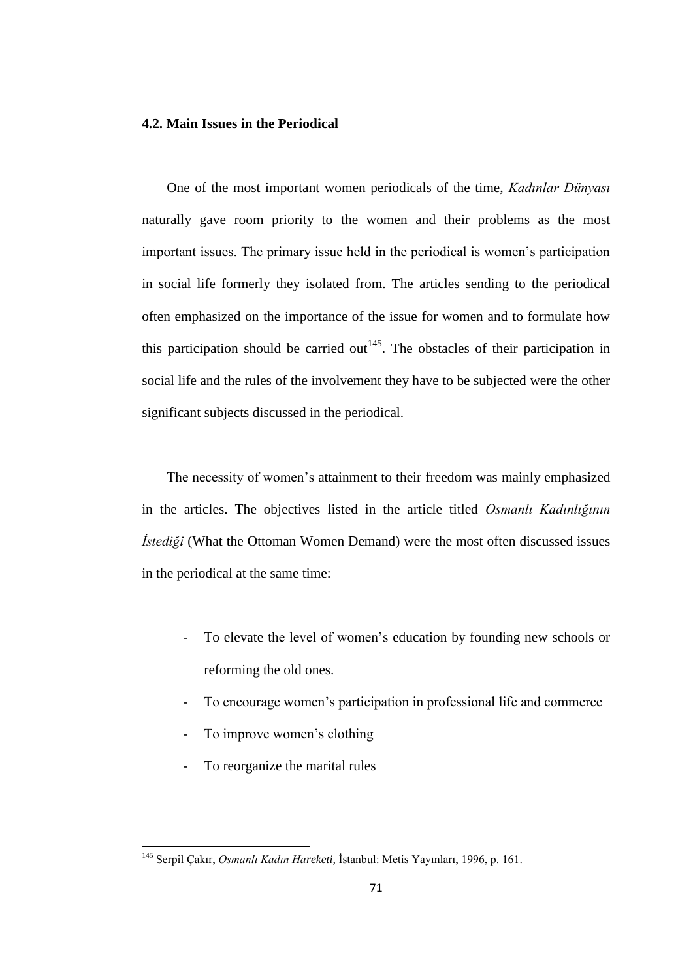# **4.2. Main Issues in the Periodical**

One of the most important women periodicals of the time, *Kadınlar Dünyası* naturally gave room priority to the women and their problems as the most important issues. The primary issue held in the periodical is women"s participation in social life formerly they isolated from. The articles sending to the periodical often emphasized on the importance of the issue for women and to formulate how this participation should be carried  $out<sup>145</sup>$ . The obstacles of their participation in social life and the rules of the involvement they have to be subjected were the other significant subjects discussed in the periodical.

The necessity of women's attainment to their freedom was mainly emphasized in the articles. The objectives listed in the article titled *Osmanlı Kadınlığının İstediği* (What the Ottoman Women Demand) were the most often discussed issues in the periodical at the same time:

- To elevate the level of women's education by founding new schools or reforming the old ones.
- To encourage women's participation in professional life and commerce
- To improve women's clothing
- To reorganize the marital rules

<sup>145</sup> Serpil Çakır, *Osmanlı Kadın Hareketi,* İstanbul: Metis Yayınları, 1996, p. 161.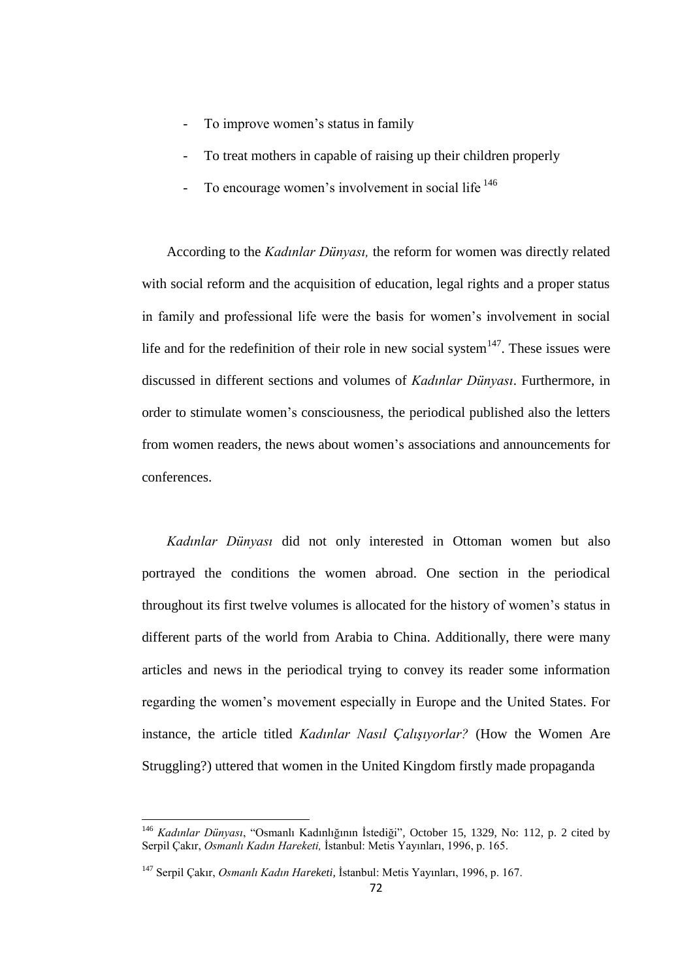- To improve women's status in family
- To treat mothers in capable of raising up their children properly
- To encourage women's involvement in social life <sup>146</sup>

According to the *Kadınlar Dünyası,* the reform for women was directly related with social reform and the acquisition of education, legal rights and a proper status in family and professional life were the basis for women"s involvement in social life and for the redefinition of their role in new social system $147$ . These issues were discussed in different sections and volumes of *Kadınlar Dünyası*. Furthermore, in order to stimulate women"s consciousness, the periodical published also the letters from women readers, the news about women"s associations and announcements for conferences.

*Kadınlar Dünyası* did not only interested in Ottoman women but also portrayed the conditions the women abroad. One section in the periodical throughout its first twelve volumes is allocated for the history of women"s status in different parts of the world from Arabia to China. Additionally, there were many articles and news in the periodical trying to convey its reader some information regarding the women"s movement especially in Europe and the United States. For instance, the article titled *Kadınlar Nasıl Çalışıyorlar?* (How the Women Are Struggling?) uttered that women in the United Kingdom firstly made propaganda

<sup>146</sup> *Kadınlar Dünyası*, "Osmanlı Kadınlığının İstediği"*,* October 15, 1329, No: 112, p. 2 cited by Serpil Çakır, *Osmanlı Kadın Hareketi,* İstanbul: Metis Yayınları, 1996, p. 165.

<sup>147</sup> Serpil Çakır, *Osmanlı Kadın Hareketi,* İstanbul: Metis Yayınları, 1996, p. 167.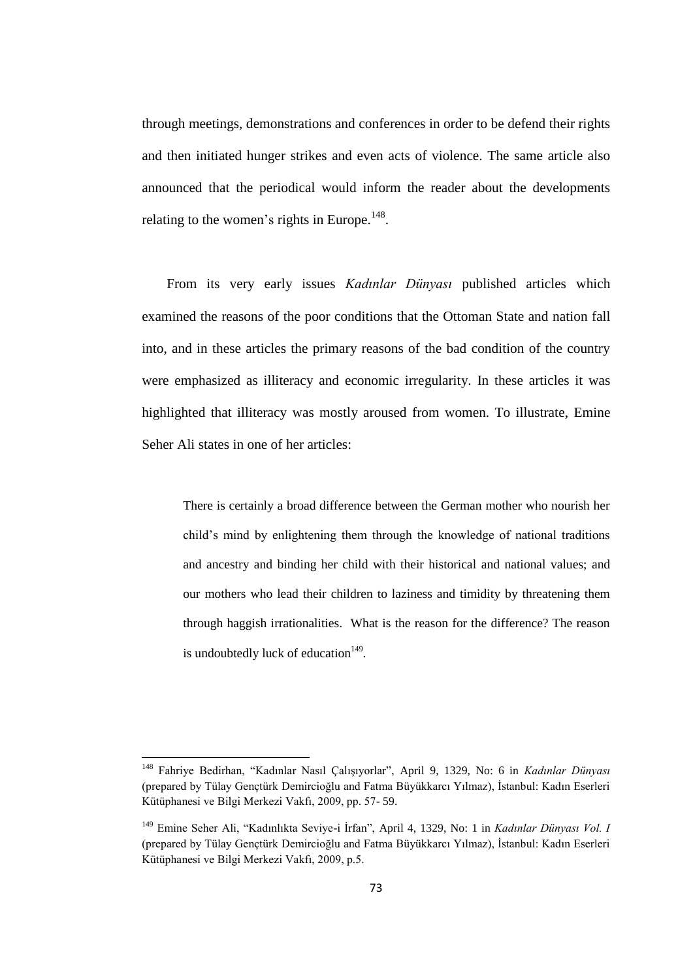through meetings, demonstrations and conferences in order to be defend their rights and then initiated hunger strikes and even acts of violence. The same article also announced that the periodical would inform the reader about the developments relating to the women's rights in Europe.<sup>148</sup>.

From its very early issues *Kadınlar Dünyası* published articles which examined the reasons of the poor conditions that the Ottoman State and nation fall into, and in these articles the primary reasons of the bad condition of the country were emphasized as illiteracy and economic irregularity. In these articles it was highlighted that illiteracy was mostly aroused from women. To illustrate, Emine Seher Ali states in one of her articles:

There is certainly a broad difference between the German mother who nourish her child"s mind by enlightening them through the knowledge of national traditions and ancestry and binding her child with their historical and national values; and our mothers who lead their children to laziness and timidity by threatening them through haggish irrationalities. What is the reason for the difference? The reason is undoubtedly luck of education<sup>149</sup>.

<sup>148</sup> Fahriye Bedirhan, "Kadınlar Nasıl Çalışıyorlar", April 9, 1329, No: 6 in *Kadınlar Dünyası*  (prepared by Tülay Gençtürk Demircioğlu and Fatma Büyükkarcı Yılmaz), İstanbul: Kadın Eserleri Kütüphanesi ve Bilgi Merkezi Vakfı, 2009, pp. 57- 59.

<sup>149</sup> Emine Seher Ali, "Kadınlıkta Seviye-i İrfan", April 4, 1329, No: 1 in *Kadınlar Dünyası Vol. I*  (prepared by Tülay Gençtürk Demircioğlu and Fatma Büyükkarcı Yılmaz), İstanbul: Kadın Eserleri Kütüphanesi ve Bilgi Merkezi Vakfı, 2009, p.5.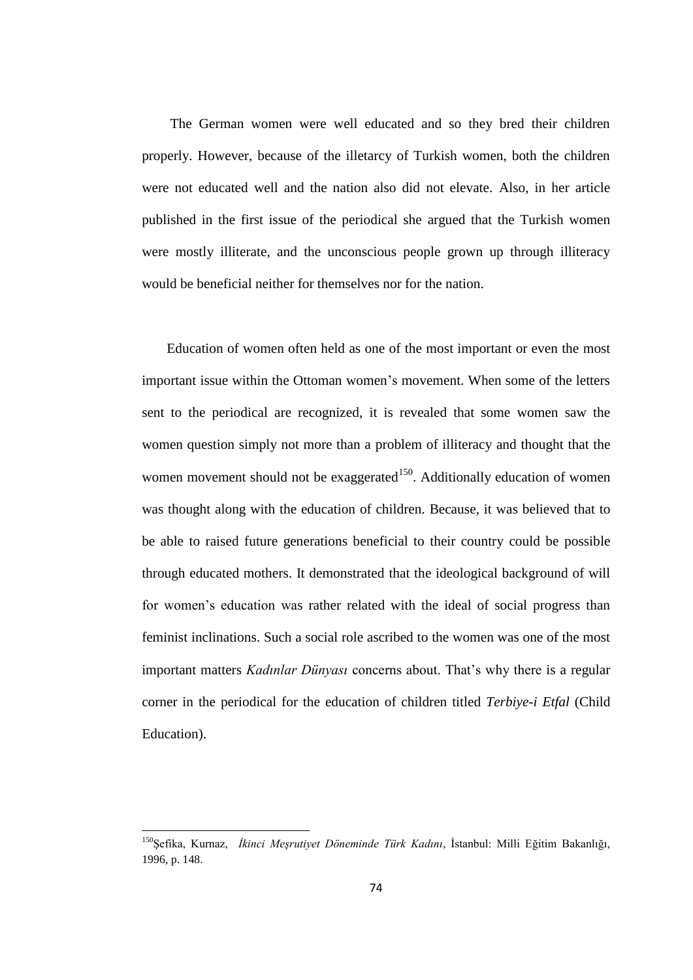The German women were well educated and so they bred their children properly. However, because of the illetarcy of Turkish women, both the children were not educated well and the nation also did not elevate. Also, in her article published in the first issue of the periodical she argued that the Turkish women were mostly illiterate, and the unconscious people grown up through illiteracy would be beneficial neither for themselves nor for the nation.

Education of women often held as one of the most important or even the most important issue within the Ottoman women"s movement. When some of the letters sent to the periodical are recognized, it is revealed that some women saw the women question simply not more than a problem of illiteracy and thought that the women movement should not be exaggerated<sup>150</sup>. Additionally education of women was thought along with the education of children. Because, it was believed that to be able to raised future generations beneficial to their country could be possible through educated mothers. It demonstrated that the ideological background of will for women"s education was rather related with the ideal of social progress than feminist inclinations. Such a social role ascribed to the women was one of the most important matters *Kadınlar Dünyası* concerns about. That's why there is a regular corner in the periodical for the education of children titled *Terbiye-i Etfal* (Child Education).

<sup>150</sup>Şefika, Kurnaz, *İkinci Meşrutiyet Döneminde Türk Kadını*, İstanbul: Milli Eğitim Bakanlığı, 1996, p. 148.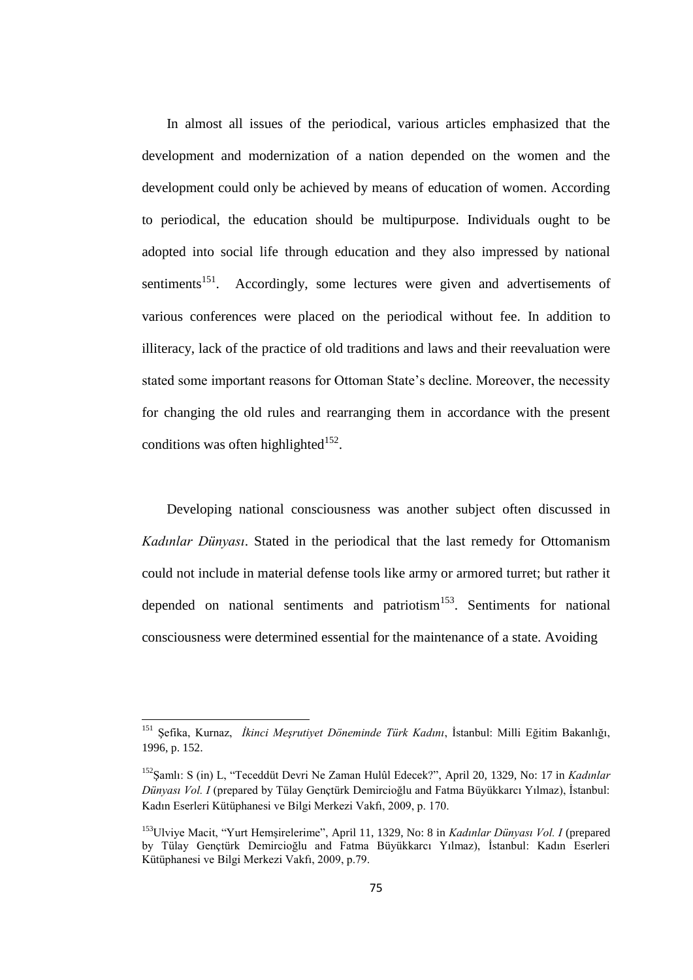In almost all issues of the periodical, various articles emphasized that the development and modernization of a nation depended on the women and the development could only be achieved by means of education of women. According to periodical, the education should be multipurpose. Individuals ought to be adopted into social life through education and they also impressed by national sentiments<sup>151</sup>. Accordingly, some lectures were given and advertisements of various conferences were placed on the periodical without fee. In addition to illiteracy, lack of the practice of old traditions and laws and their reevaluation were stated some important reasons for Ottoman State's decline. Moreover, the necessity for changing the old rules and rearranging them in accordance with the present conditions was often highlighted $152$ .

Developing national consciousness was another subject often discussed in *Kadınlar Dünyası*. Stated in the periodical that the last remedy for Ottomanism could not include in material defense tools like army or armored turret; but rather it depended on national sentiments and patriotism<sup>153</sup>. Sentiments for national consciousness were determined essential for the maintenance of a state. Avoiding

<sup>151</sup> Şefika, Kurnaz, *İkinci Meşrutiyet Döneminde Türk Kadını*, İstanbul: Milli Eğitim Bakanlığı, 1996, p. 152.

<sup>152</sup>Şamlı: S (in) L, "Teceddüt Devri Ne Zaman Hulûl Edecek?", April 20, 1329, No: 17 in *Kadınlar Dünyası Vol. I* (prepared by Tülay Gençtürk Demircioğlu and Fatma Büyükkarcı Yılmaz), İstanbul: Kadın Eserleri Kütüphanesi ve Bilgi Merkezi Vakfı, 2009, p. 170.

<sup>153</sup>Ulviye Macit, "Yurt Hemşirelerime", April 11, 1329, No: 8 in *Kadınlar Dünyası Vol. I* (prepared by Tülay Gençtürk Demircioğlu and Fatma Büyükkarcı Yılmaz), İstanbul: Kadın Eserleri Kütüphanesi ve Bilgi Merkezi Vakfı, 2009, p.79.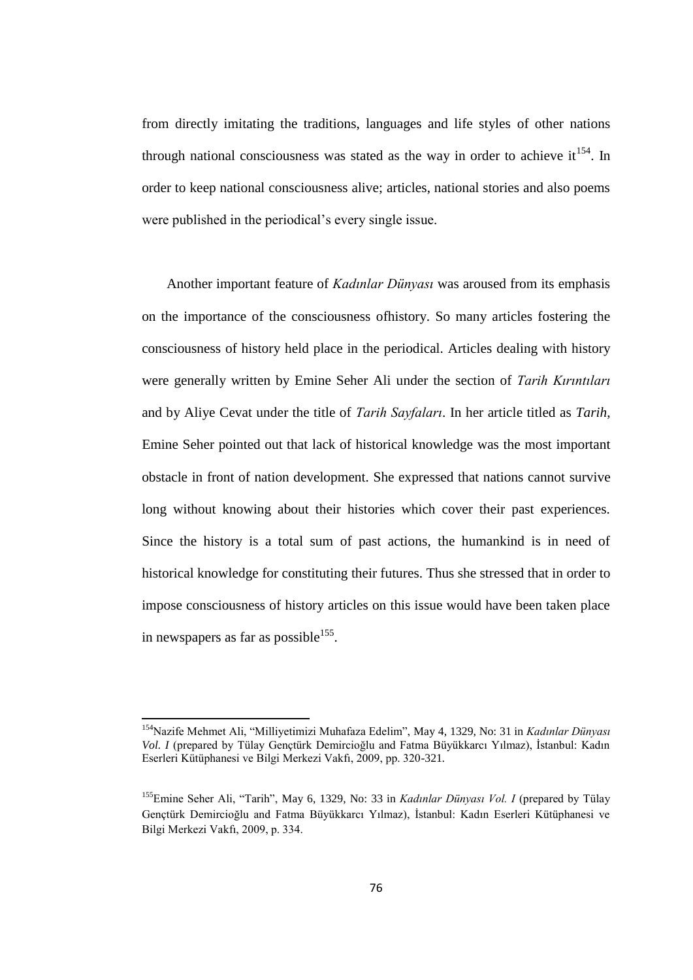from directly imitating the traditions, languages and life styles of other nations through national consciousness was stated as the way in order to achieve it<sup>154</sup>. In order to keep national consciousness alive; articles, national stories and also poems were published in the periodical's every single issue.

Another important feature of *Kadınlar Dünyası* was aroused from its emphasis on the importance of the consciousness ofhistory. So many articles fostering the consciousness of history held place in the periodical. Articles dealing with history were generally written by Emine Seher Ali under the section of *Tarih Kırıntıları* and by Aliye Cevat under the title of *Tarih Sayfaları*. In her article titled as *Tarih*, Emine Seher pointed out that lack of historical knowledge was the most important obstacle in front of nation development. She expressed that nations cannot survive long without knowing about their histories which cover their past experiences. Since the history is a total sum of past actions, the humankind is in need of historical knowledge for constituting their futures. Thus she stressed that in order to impose consciousness of history articles on this issue would have been taken place in newspapers as far as possible $^{155}$ .

<sup>154</sup>Nazife Mehmet Ali, "Milliyetimizi Muhafaza Edelim", May 4, 1329, No: 31 in *Kadınlar Dünyası Vol. I* (prepared by Tülay Gençtürk Demircioğlu and Fatma Büyükkarcı Yılmaz), İstanbul: Kadın Eserleri Kütüphanesi ve Bilgi Merkezi Vakfı, 2009, pp. 320-321*.*

<sup>155</sup>Emine Seher Ali, "Tarih", May 6, 1329, No: 33 in *Kadınlar Dünyası Vol. I* (prepared by Tülay Gençtürk Demircioğlu and Fatma Büyükkarcı Yılmaz), İstanbul: Kadın Eserleri Kütüphanesi ve Bilgi Merkezi Vakfı, 2009, p. 334.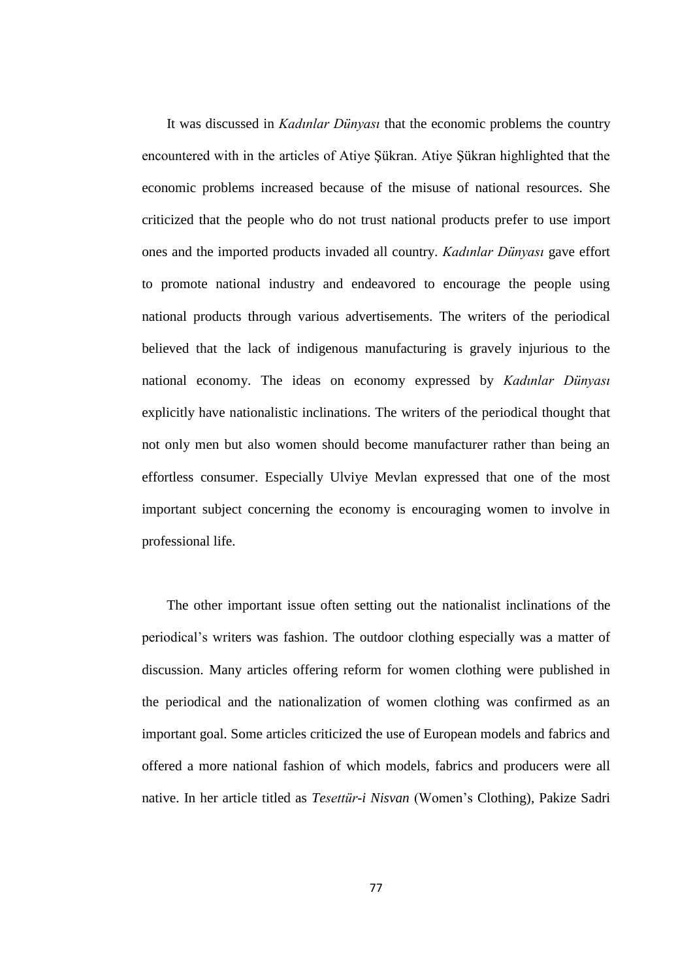It was discussed in *Kadınlar Dünyası* that the economic problems the country encountered with in the articles of Atiye Şükran. Atiye Şükran highlighted that the economic problems increased because of the misuse of national resources. She criticized that the people who do not trust national products prefer to use import ones and the imported products invaded all country. *Kadınlar Dünyası* gave effort to promote national industry and endeavored to encourage the people using national products through various advertisements. The writers of the periodical believed that the lack of indigenous manufacturing is gravely injurious to the national economy. The ideas on economy expressed by *Kadınlar Dünyası* explicitly have nationalistic inclinations. The writers of the periodical thought that not only men but also women should become manufacturer rather than being an effortless consumer. Especially Ulviye Mevlan expressed that one of the most important subject concerning the economy is encouraging women to involve in professional life.

The other important issue often setting out the nationalist inclinations of the periodical"s writers was fashion. The outdoor clothing especially was a matter of discussion. Many articles offering reform for women clothing were published in the periodical and the nationalization of women clothing was confirmed as an important goal. Some articles criticized the use of European models and fabrics and offered a more national fashion of which models, fabrics and producers were all native. In her article titled as *Tesettür-i Nisvan* (Women"s Clothing), Pakize Sadri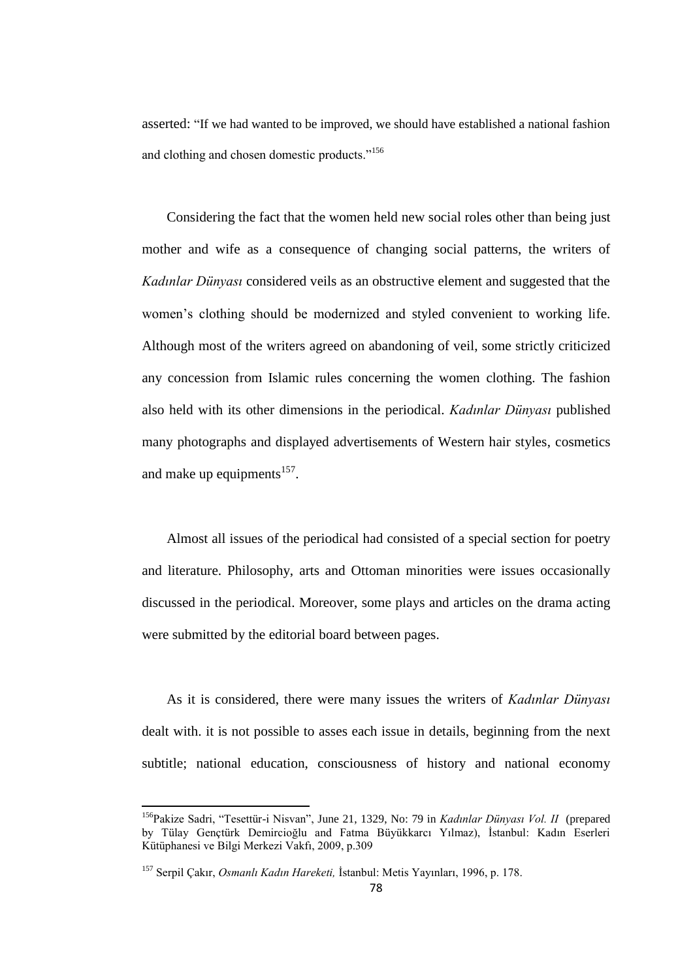asserted: "If we had wanted to be improved, we should have established a national fashion and clothing and chosen domestic products."<sup>156</sup>

Considering the fact that the women held new social roles other than being just mother and wife as a consequence of changing social patterns, the writers of *Kadınlar Dünyası* considered veils as an obstructive element and suggested that the women"s clothing should be modernized and styled convenient to working life. Although most of the writers agreed on abandoning of veil, some strictly criticized any concession from Islamic rules concerning the women clothing. The fashion also held with its other dimensions in the periodical. *Kadınlar Dünyası* published many photographs and displayed advertisements of Western hair styles, cosmetics and make up equipments $157$ .

Almost all issues of the periodical had consisted of a special section for poetry and literature. Philosophy, arts and Ottoman minorities were issues occasionally discussed in the periodical. Moreover, some plays and articles on the drama acting were submitted by the editorial board between pages.

As it is considered, there were many issues the writers of *Kadınlar Dünyası* dealt with. it is not possible to asses each issue in details, beginning from the next subtitle; national education, consciousness of history and national economy

<sup>156</sup>Pakize Sadri, "Tesettür-i Nisvan", June 21, 1329, No: 79 in *Kadınlar Dünyası Vol. II* (prepared by Tülay Gençtürk Demircioğlu and Fatma Büyükkarcı Yılmaz), İstanbul: Kadın Eserleri Kütüphanesi ve Bilgi Merkezi Vakfı, 2009, p.309

<sup>157</sup> Serpil Çakır, *Osmanlı Kadın Hareketi,* İstanbul: Metis Yayınları, 1996, p. 178.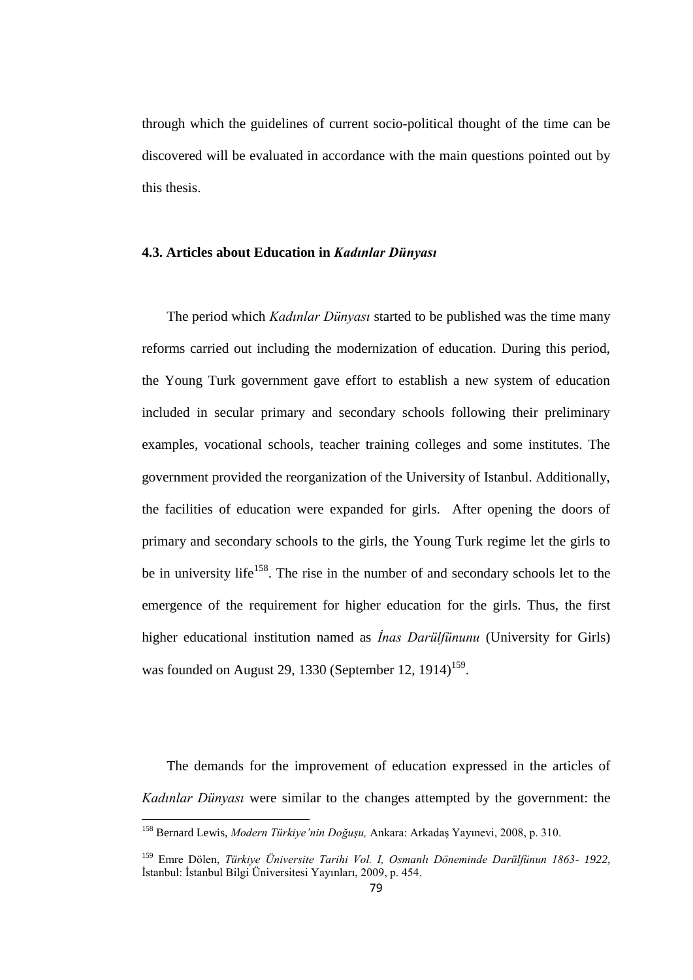through which the guidelines of current socio-political thought of the time can be discovered will be evaluated in accordance with the main questions pointed out by this thesis.

### **4.3. Articles about Education in** *Kadınlar Dünyası*

The period which *Kadınlar Dünyası* started to be published was the time many reforms carried out including the modernization of education. During this period, the Young Turk government gave effort to establish a new system of education included in secular primary and secondary schools following their preliminary examples, vocational schools, teacher training colleges and some institutes. The government provided the reorganization of the University of Istanbul. Additionally, the facilities of education were expanded for girls. After opening the doors of primary and secondary schools to the girls, the Young Turk regime let the girls to be in university life<sup>158</sup>. The rise in the number of and secondary schools let to the emergence of the requirement for higher education for the girls. Thus, the first higher educational institution named as *İnas Darülfünunu* (University for Girls) was founded on August 29, 1330 (September 12,  $1914$ )<sup>159</sup>.

The demands for the improvement of education expressed in the articles of *Kadınlar Dünyası* were similar to the changes attempted by the government: the

<sup>158</sup> Bernard Lewis, *Modern Türkiye'nin Doğuşu,* Ankara: Arkadaş Yayınevi, 2008, p. 310.

<sup>159</sup> Emre Dölen, *Türkiye Üniversite Tarihi Vol. I, Osmanlı Döneminde Darülfünun 1863- 1922,* İstanbul: İstanbul Bilgi Üniversitesi Yayınları, 2009, p. 454.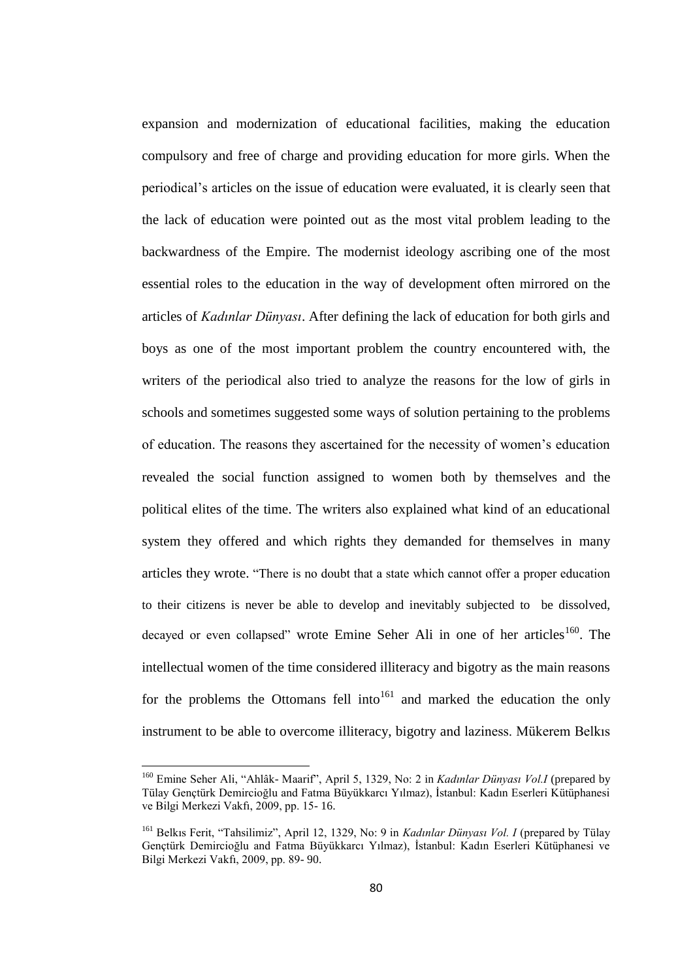expansion and modernization of educational facilities, making the education compulsory and free of charge and providing education for more girls. When the periodical"s articles on the issue of education were evaluated, it is clearly seen that the lack of education were pointed out as the most vital problem leading to the backwardness of the Empire. The modernist ideology ascribing one of the most essential roles to the education in the way of development often mirrored on the articles of *Kadınlar Dünyası*. After defining the lack of education for both girls and boys as one of the most important problem the country encountered with, the writers of the periodical also tried to analyze the reasons for the low of girls in schools and sometimes suggested some ways of solution pertaining to the problems of education. The reasons they ascertained for the necessity of women"s education revealed the social function assigned to women both by themselves and the political elites of the time. The writers also explained what kind of an educational system they offered and which rights they demanded for themselves in many articles they wrote. "There is no doubt that a state which cannot offer a proper education to their citizens is never be able to develop and inevitably subjected to be dissolved, decayed or even collapsed" wrote Emine Seher Ali in one of her articles<sup>160</sup>. The intellectual women of the time considered illiteracy and bigotry as the main reasons for the problems the Ottomans fell into<sup>161</sup> and marked the education the only instrument to be able to overcome illiteracy, bigotry and laziness. Mükerem Belkıs

<sup>160</sup> Emine Seher Ali, "Ahlâk- Maarif", April 5, 1329, No: 2 in *Kadınlar Dünyası Vol.I* (prepared by Tülay Gençtürk Demircioğlu and Fatma Büyükkarcı Yılmaz), İstanbul: Kadın Eserleri Kütüphanesi ve Bilgi Merkezi Vakfı, 2009, pp. 15- 16.

<sup>161</sup> Belkıs Ferit, "Tahsilimiz", April 12, 1329, No: 9 in *Kadınlar Dünyası Vol. I* (prepared by Tülay Gençtürk Demircioğlu and Fatma Büyükkarcı Yılmaz), İstanbul: Kadın Eserleri Kütüphanesi ve Bilgi Merkezi Vakfı, 2009, pp. 89- 90.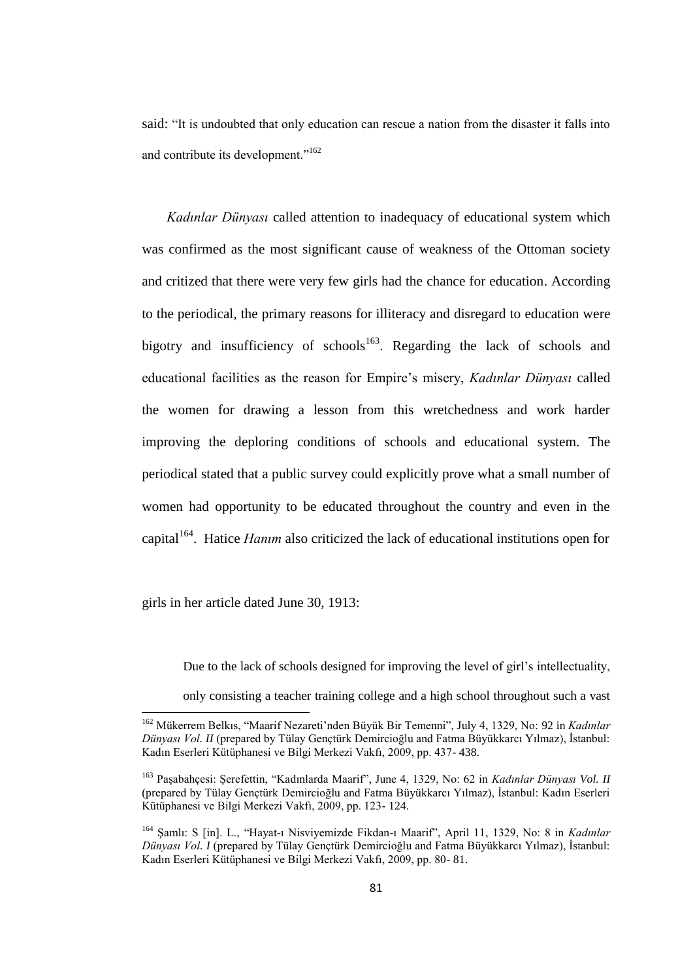said: "It is undoubted that only education can rescue a nation from the disaster it falls into and contribute its development."<sup>162</sup>

*Kadınlar Dünyası* called attention to inadequacy of educational system which was confirmed as the most significant cause of weakness of the Ottoman society and critized that there were very few girls had the chance for education. According to the periodical, the primary reasons for illiteracy and disregard to education were bigotry and insufficiency of schools<sup>163</sup>. Regarding the lack of schools and educational facilities as the reason for Empire"s misery, *Kadınlar Dünyası* called the women for drawing a lesson from this wretchedness and work harder improving the deploring conditions of schools and educational system. The periodical stated that a public survey could explicitly prove what a small number of women had opportunity to be educated throughout the country and even in the capital<sup>164</sup>. Hatice *Hanım* also criticized the lack of educational institutions open for

girls in her article dated June 30, 1913:

**.** 

Due to the lack of schools designed for improving the level of girl"s intellectuality,

only consisting a teacher training college and a high school throughout such a vast

<sup>&</sup>lt;sup>162</sup> Mükerrem Belkıs, "Maarif Nezareti'nden Büyük Bir Temenni", July 4, 1329, No: 92 in *Kadınlar Dünyası Vol. II* (prepared by Tülay Gençtürk Demircioğlu and Fatma Büyükkarcı Yılmaz), İstanbul: Kadın Eserleri Kütüphanesi ve Bilgi Merkezi Vakfı, 2009, pp. 437- 438.

<sup>163</sup> Paşabahçesi: Şerefettin, "Kadınlarda Maarif", June 4, 1329, No: 62 in *Kadınlar Dünyası Vol. II*  (prepared by Tülay Gençtürk Demircioğlu and Fatma Büyükkarcı Yılmaz), İstanbul: Kadın Eserleri Kütüphanesi ve Bilgi Merkezi Vakfı, 2009, pp. 123- 124.

<sup>164</sup> Şamlı: S [in]. L., "Hayat-ı Nisviyemizde Fikdan-ı Maarif", April 11, 1329, No: 8 in *Kadınlar Dünyası Vol. I* (prepared by Tülay Gençtürk Demircioğlu and Fatma Büyükkarcı Yılmaz), İstanbul: Kadın Eserleri Kütüphanesi ve Bilgi Merkezi Vakfı, 2009, pp. 80- 81.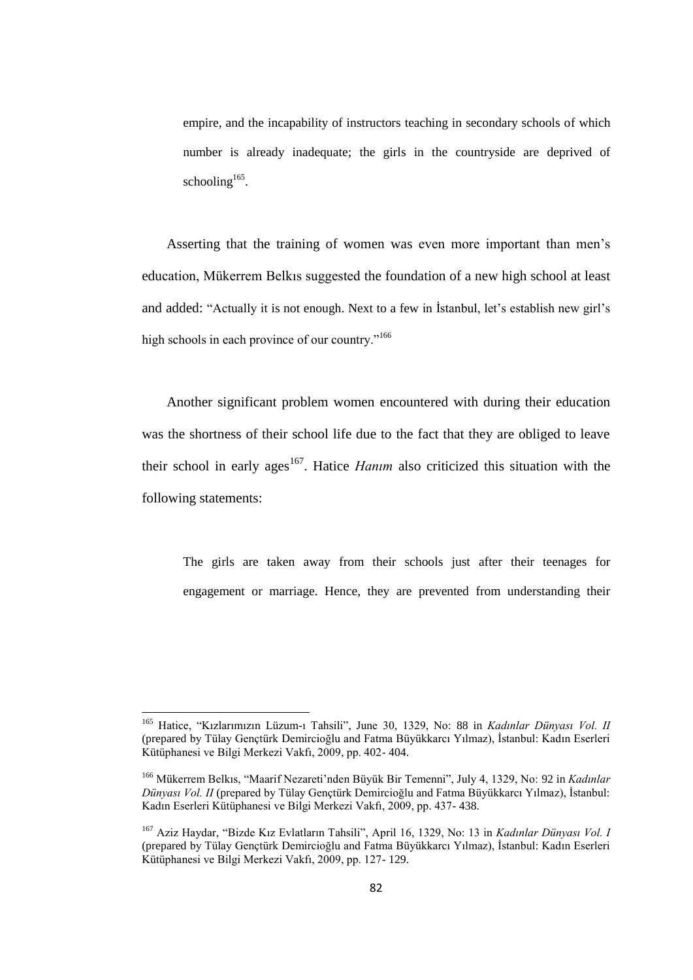empire, and the incapability of instructors teaching in secondary schools of which number is already inadequate; the girls in the countryside are deprived of schooling $165$ .

Asserting that the training of women was even more important than men"s education, Mükerrem Belkıs suggested the foundation of a new high school at least and added: "Actually it is not enough. Next to a few in Istanbul, let's establish new girl's high schools in each province of our country."<sup>166</sup>

Another significant problem women encountered with during their education was the shortness of their school life due to the fact that they are obliged to leave their school in early ages<sup>167</sup>. Hatice *Hanim* also criticized this situation with the following statements:

The girls are taken away from their schools just after their teenages for engagement or marriage. Hence, they are prevented from understanding their

<sup>165</sup> Hatice, "Kızlarımızın Lüzum-ı Tahsili", June 30, 1329, No: 88 in *Kadınlar Dünyası Vol. II*  (prepared by Tülay Gençtürk Demircioğlu and Fatma Büyükkarcı Yılmaz), İstanbul: Kadın Eserleri Kütüphanesi ve Bilgi Merkezi Vakfı, 2009, pp. 402- 404.

<sup>&</sup>lt;sup>166</sup> Mükerrem Belkıs, "Maarif Nezareti'nden Büyük Bir Temenni", July 4, 1329, No: 92 in *Kadınlar Dünyası Vol. II* (prepared by Tülay Gençtürk Demircioğlu and Fatma Büyükkarcı Yılmaz), İstanbul: Kadın Eserleri Kütüphanesi ve Bilgi Merkezi Vakfı, 2009, pp. 437- 438.

<sup>167</sup> Aziz Haydar, "Bizde Kız Evlatların Tahsili", April 16, 1329, No: 13 in *Kadınlar Dünyası Vol. I* (prepared by Tülay Gençtürk Demircioğlu and Fatma Büyükkarcı Yılmaz), İstanbul: Kadın Eserleri Kütüphanesi ve Bilgi Merkezi Vakfı, 2009, pp. 127- 129.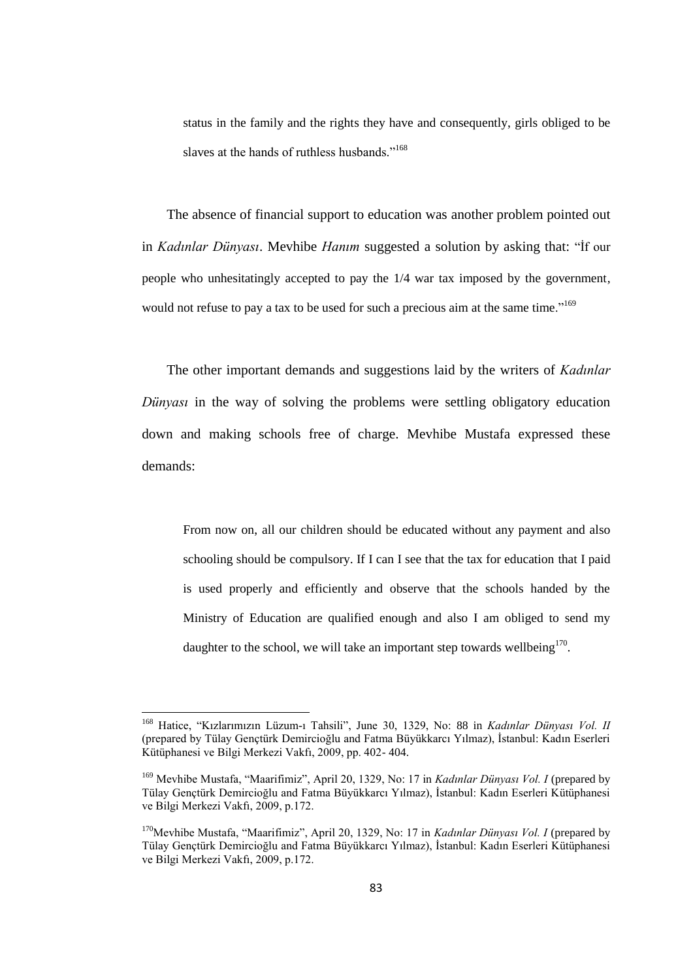status in the family and the rights they have and consequently, girls obliged to be slaves at the hands of ruthless husbands."<sup>168</sup>

The absence of financial support to education was another problem pointed out in *Kadınlar Dünyası*. Mevhibe *Hanım* suggested a solution by asking that: "İf our people who unhesitatingly accepted to pay the 1/4 war tax imposed by the government, would not refuse to pay a tax to be used for such a precious aim at the same time."<sup>169</sup>

The other important demands and suggestions laid by the writers of *Kadınlar Dünyası* in the way of solving the problems were settling obligatory education down and making schools free of charge. Mevhibe Mustafa expressed these demands:

From now on, all our children should be educated without any payment and also schooling should be compulsory. If I can I see that the tax for education that I paid is used properly and efficiently and observe that the schools handed by the Ministry of Education are qualified enough and also I am obliged to send my daughter to the school, we will take an important step towards wellbeing $170$ .

<sup>168</sup> Hatice, "Kızlarımızın Lüzum-ı Tahsili", June 30, 1329, No: 88 in *Kadınlar Dünyası Vol. II* (prepared by Tülay Gençtürk Demircioğlu and Fatma Büyükkarcı Yılmaz), İstanbul: Kadın Eserleri Kütüphanesi ve Bilgi Merkezi Vakfı, 2009, pp. 402- 404.

<sup>169</sup> Mevhibe Mustafa, "Maarifimiz", April 20, 1329, No: 17 in *Kadınlar Dünyası Vol. I* (prepared by Tülay Gençtürk Demircioğlu and Fatma Büyükkarcı Yılmaz), İstanbul: Kadın Eserleri Kütüphanesi ve Bilgi Merkezi Vakfı, 2009, p.172.

<sup>&</sup>lt;sup>170</sup>Mevhibe Mustafa, "Maarifimiz", April 20, 1329, No: 17 in *Kadınlar Dünyası Vol. I* (prepared by Tülay Gençtürk Demircioğlu and Fatma Büyükkarcı Yılmaz), İstanbul: Kadın Eserleri Kütüphanesi ve Bilgi Merkezi Vakfı, 2009, p.172.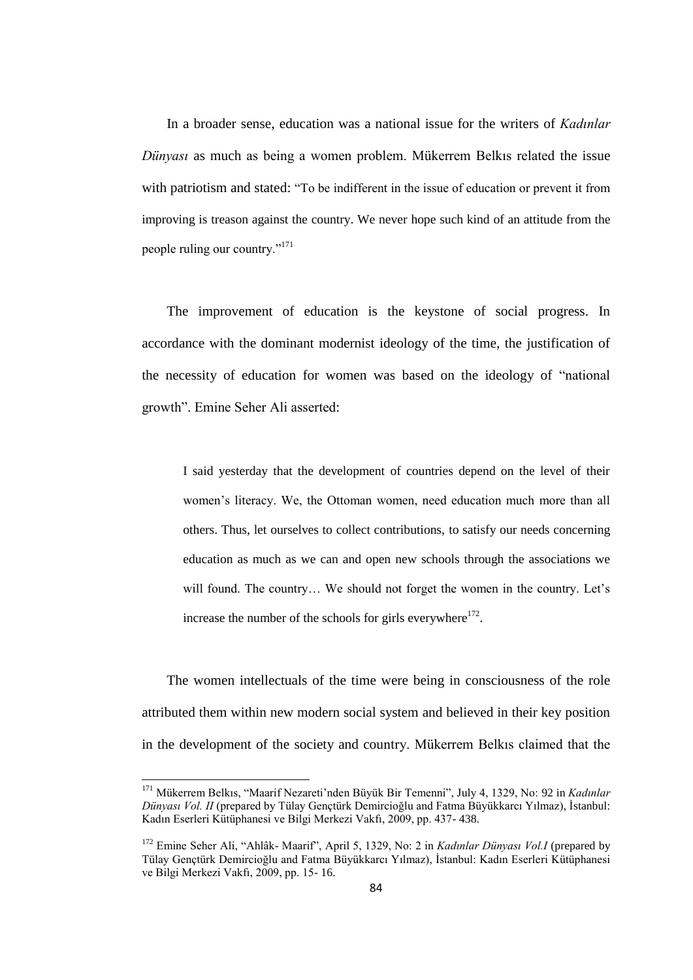In a broader sense, education was a national issue for the writers of *Kadınlar Dünyası* as much as being a women problem. Mükerrem Belkıs related the issue with patriotism and stated: "To be indifferent in the issue of education or prevent it from improving is treason against the country. We never hope such kind of an attitude from the people ruling our country."<sup>171</sup>

The improvement of education is the keystone of social progress. In accordance with the dominant modernist ideology of the time, the justification of the necessity of education for women was based on the ideology of "national growth". Emine Seher Ali asserted:

I said yesterday that the development of countries depend on the level of their women's literacy. We, the Ottoman women, need education much more than all others. Thus, let ourselves to collect contributions, to satisfy our needs concerning education as much as we can and open new schools through the associations we will found. The country... We should not forget the women in the country. Let's increase the number of the schools for girls everywhere $172$ .

The women intellectuals of the time were being in consciousness of the role attributed them within new modern social system and believed in their key position in the development of the society and country. Mükerrem Belkıs claimed that the

 $\overline{a}$ 

<sup>&</sup>lt;sup>171</sup> Mükerrem Belkıs, "Maarif Nezareti'nden Büyük Bir Temenni", July 4, 1329, No: 92 in *Kadınlar Dünyası Vol. II* (prepared by Tülay Gençtürk Demircioğlu and Fatma Büyükkarcı Yılmaz), İstanbul: Kadın Eserleri Kütüphanesi ve Bilgi Merkezi Vakfı, 2009, pp. 437- 438.

<sup>172</sup> Emine Seher Ali, "Ahlâk- Maarif", April 5, 1329, No: 2 in *Kadınlar Dünyası Vol.I* (prepared by Tülay Gençtürk Demircioğlu and Fatma Büyükkarcı Yılmaz), İstanbul: Kadın Eserleri Kütüphanesi ve Bilgi Merkezi Vakfı, 2009, pp. 15- 16.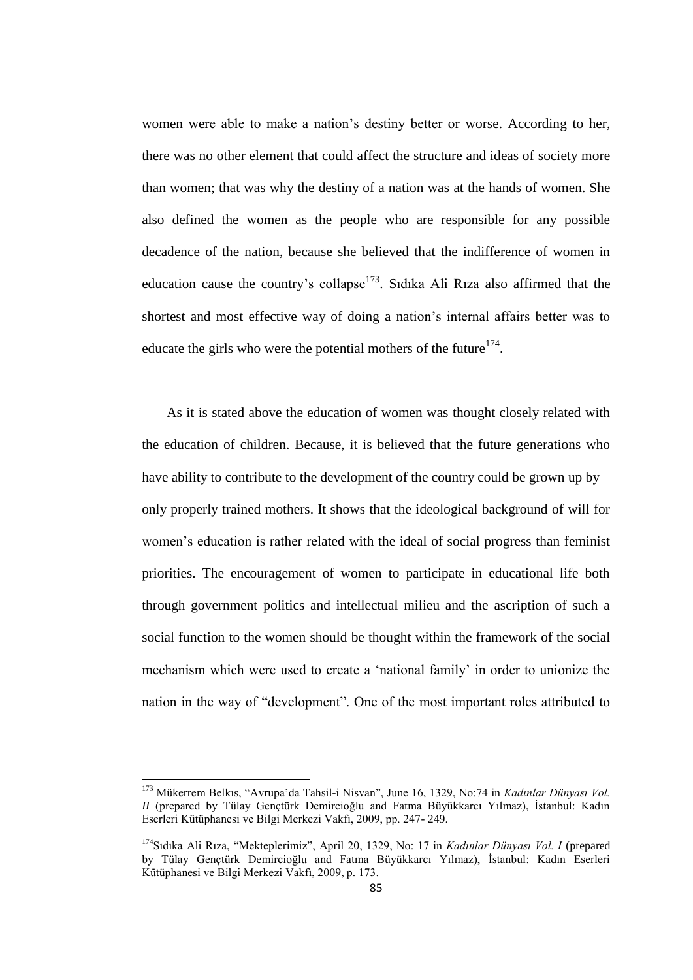women were able to make a nation"s destiny better or worse. According to her, there was no other element that could affect the structure and ideas of society more than women; that was why the destiny of a nation was at the hands of women. She also defined the women as the people who are responsible for any possible decadence of the nation, because she believed that the indifference of women in education cause the country's collapse<sup>173</sup>. Sidika Ali Riza also affirmed that the shortest and most effective way of doing a nation"s internal affairs better was to educate the girls who were the potential mothers of the future  $174$ .

As it is stated above the education of women was thought closely related with the education of children. Because, it is believed that the future generations who have ability to contribute to the development of the country could be grown up by only properly trained mothers. It shows that the ideological background of will for women"s education is rather related with the ideal of social progress than feminist priorities. The encouragement of women to participate in educational life both through government politics and intellectual milieu and the ascription of such a social function to the women should be thought within the framework of the social mechanism which were used to create a "national family" in order to unionize the nation in the way of "development". One of the most important roles attributed to

 $\overline{a}$ 

<sup>173</sup> Mükerrem Belkıs, "Avrupa"da Tahsil-i Nisvan", June 16, 1329, No:74 in *Kadınlar Dünyası Vol. II* (prepared by Tülay Gençtürk Demircioğlu and Fatma Büyükkarcı Yılmaz), İstanbul: Kadın Eserleri Kütüphanesi ve Bilgi Merkezi Vakfı, 2009, pp. 247- 249.

<sup>174</sup>Sıdıka Ali Rıza, "Mekteplerimiz", April 20, 1329, No: 17 in *Kadınlar Dünyası Vol. I* (prepared by Tülay Gençtürk Demircioğlu and Fatma Büyükkarcı Yılmaz), İstanbul: Kadın Eserleri Kütüphanesi ve Bilgi Merkezi Vakfı, 2009, p. 173.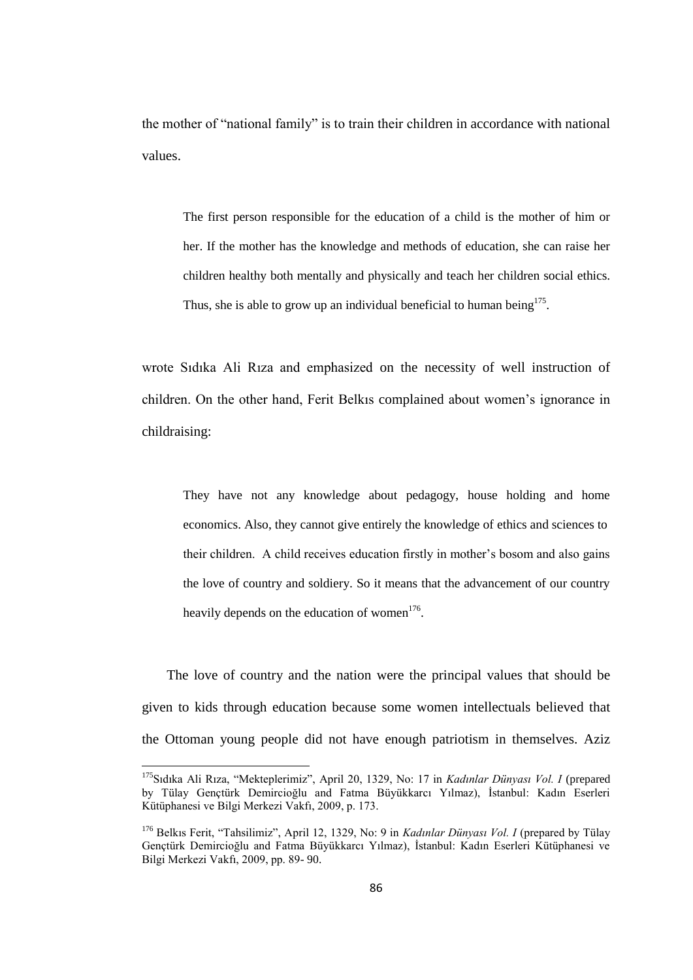the mother of "national family" is to train their children in accordance with national values.

The first person responsible for the education of a child is the mother of him or her. If the mother has the knowledge and methods of education, she can raise her children healthy both mentally and physically and teach her children social ethics. Thus, she is able to grow up an individual beneficial to human being $^{175}$ .

wrote Sıdıka Ali Rıza and emphasized on the necessity of well instruction of children. On the other hand, Ferit Belkıs complained about women"s ignorance in childraising:

They have not any knowledge about pedagogy, house holding and home economics. Also, they cannot give entirely the knowledge of ethics and sciences to their children. A child receives education firstly in mother"s bosom and also gains the love of country and soldiery. So it means that the advancement of our country heavily depends on the education of women<sup>176</sup>.

The love of country and the nation were the principal values that should be given to kids through education because some women intellectuals believed that the Ottoman young people did not have enough patriotism in themselves. Aziz

<sup>175</sup>Sıdıka Ali Rıza, "Mekteplerimiz", April 20, 1329, No: 17 in *Kadınlar Dünyası Vol. I* (prepared by Tülay Gençtürk Demircioğlu and Fatma Büyükkarcı Yılmaz), İstanbul: Kadın Eserleri Kütüphanesi ve Bilgi Merkezi Vakfı, 2009, p. 173.

<sup>176</sup> Belkıs Ferit, "Tahsilimiz", April 12, 1329, No: 9 in *Kadınlar Dünyası Vol. I* (prepared by Tülay Gençtürk Demircioğlu and Fatma Büyükkarcı Yılmaz), İstanbul: Kadın Eserleri Kütüphanesi ve Bilgi Merkezi Vakfı, 2009, pp. 89- 90.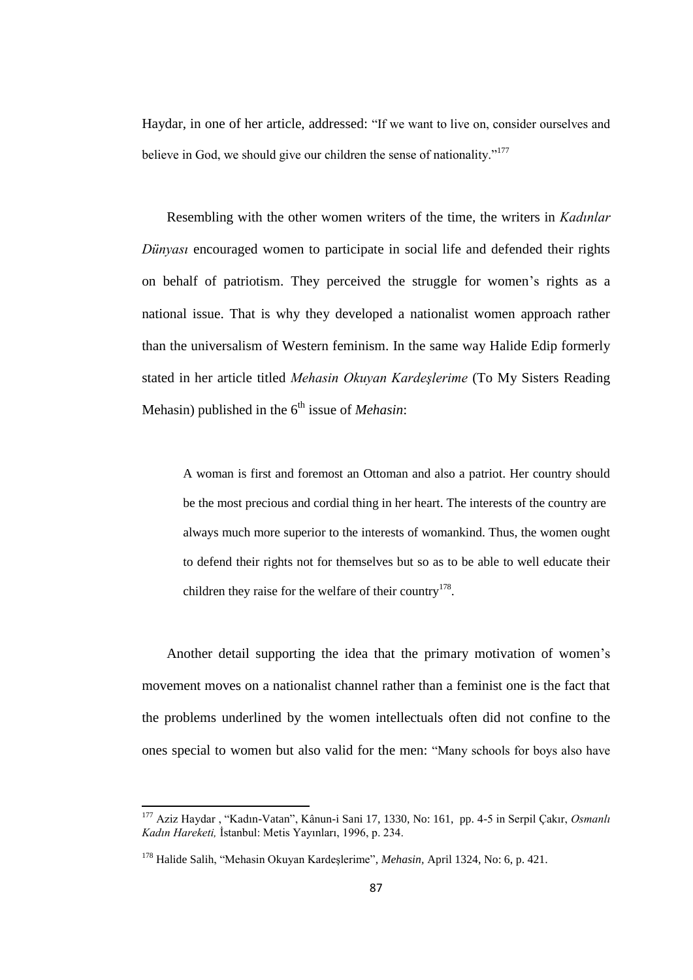Haydar, in one of her article, addressed: "If we want to live on, consider ourselves and believe in God, we should give our children the sense of nationality."<sup>177</sup>

Resembling with the other women writers of the time, the writers in *Kadınlar Dünyası* encouraged women to participate in social life and defended their rights on behalf of patriotism. They perceived the struggle for women"s rights as a national issue. That is why they developed a nationalist women approach rather than the universalism of Western feminism. In the same way Halide Edip formerly stated in her article titled *Mehasin Okuyan Kardeşlerime* (To My Sisters Reading Mehasin) published in the 6<sup>th</sup> issue of *Mehasin*:

A woman is first and foremost an Ottoman and also a patriot. Her country should be the most precious and cordial thing in her heart. The interests of the country are always much more superior to the interests of womankind. Thus, the women ought to defend their rights not for themselves but so as to be able to well educate their children they raise for the welfare of their country<sup>178</sup>.

Another detail supporting the idea that the primary motivation of women"s movement moves on a nationalist channel rather than a feminist one is the fact that the problems underlined by the women intellectuals often did not confine to the ones special to women but also valid for the men: "Many schools for boys also have

<sup>177</sup> Aziz Haydar , "Kadın-Vatan", Kânun-i Sani 17, 1330, No: 161, pp. 4-5 in Serpil Çakır, *Osmanlı Kadın Hareketi,* İstanbul: Metis Yayınları, 1996, p. 234.

<sup>178</sup> Halide Salih, "Mehasin Okuyan Kardeşlerime", *Mehasin,* April 1324, No: 6, p. 421.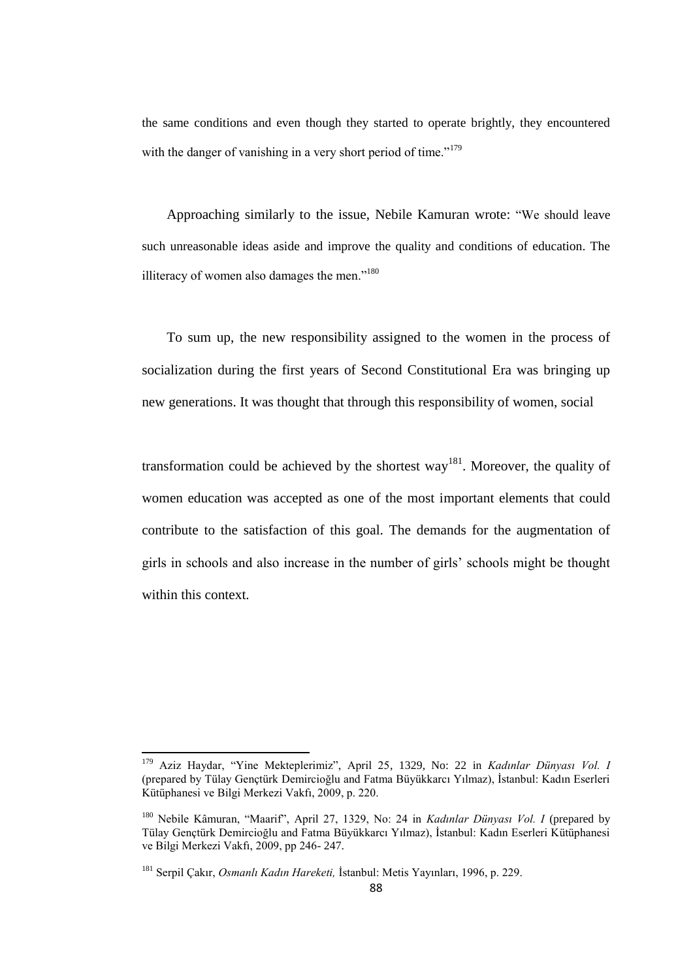the same conditions and even though they started to operate brightly, they encountered with the danger of vanishing in a very short period of time."<sup>179</sup>

Approaching similarly to the issue, Nebile Kamuran wrote: "We should leave such unreasonable ideas aside and improve the quality and conditions of education. The illiteracy of women also damages the men. $180$ 

To sum up, the new responsibility assigned to the women in the process of socialization during the first years of Second Constitutional Era was bringing up new generations. It was thought that through this responsibility of women, social

transformation could be achieved by the shortest way<sup>181</sup>. Moreover, the quality of women education was accepted as one of the most important elements that could contribute to the satisfaction of this goal. The demands for the augmentation of girls in schools and also increase in the number of girls" schools might be thought within this context.

<sup>179</sup> Aziz Haydar, "Yine Mekteplerimiz", April 25, 1329, No: 22 in *Kadınlar Dünyası Vol. I* (prepared by Tülay Gençtürk Demircioğlu and Fatma Büyükkarcı Yılmaz), İstanbul: Kadın Eserleri Kütüphanesi ve Bilgi Merkezi Vakfı, 2009, p. 220.

<sup>180</sup> Nebile Kâmuran, "Maarif", April 27, 1329, No: 24 in *Kadınlar Dünyası Vol. I* (prepared by Tülay Gençtürk Demircioğlu and Fatma Büyükkarcı Yılmaz), İstanbul: Kadın Eserleri Kütüphanesi ve Bilgi Merkezi Vakfı, 2009, pp 246- 247.

<sup>181</sup> Serpil Çakır, *Osmanlı Kadın Hareketi,* İstanbul: Metis Yayınları, 1996, p. 229.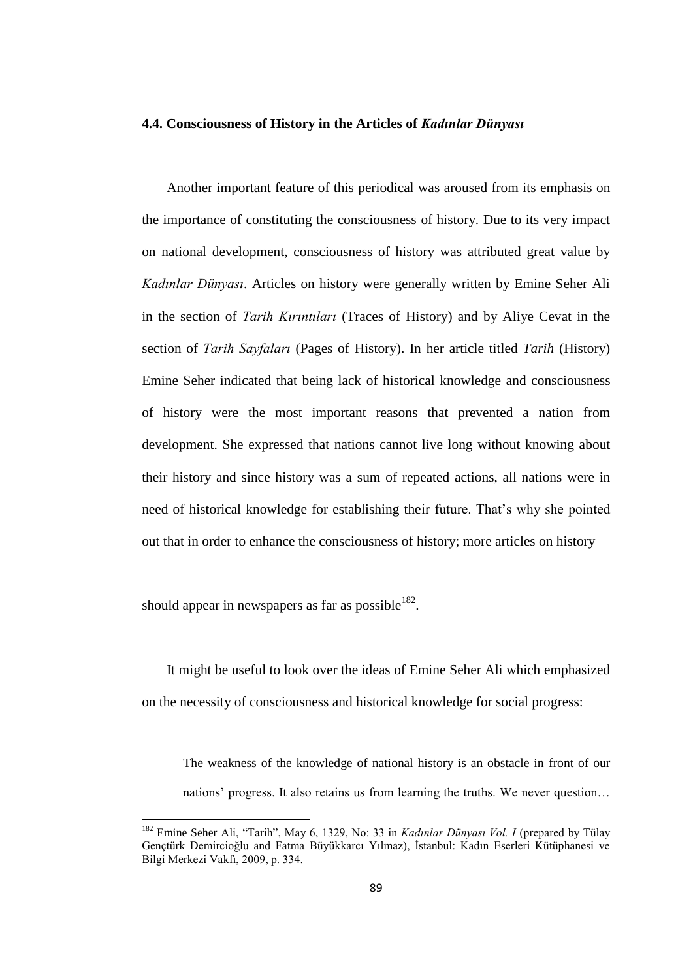#### **4.4. Consciousness of History in the Articles of** *Kadınlar Dünyası*

Another important feature of this periodical was aroused from its emphasis on the importance of constituting the consciousness of history. Due to its very impact on national development, consciousness of history was attributed great value by *Kadınlar Dünyası*. Articles on history were generally written by Emine Seher Ali in the section of *Tarih Kırıntıları* (Traces of History) and by Aliye Cevat in the section of *Tarih Sayfaları* (Pages of History). In her article titled *Tarih* (History) Emine Seher indicated that being lack of historical knowledge and consciousness of history were the most important reasons that prevented a nation from development. She expressed that nations cannot live long without knowing about their history and since history was a sum of repeated actions, all nations were in need of historical knowledge for establishing their future. That"s why she pointed out that in order to enhance the consciousness of history; more articles on history

should appear in newspapers as far as possible $^{182}$ .

1

It might be useful to look over the ideas of Emine Seher Ali which emphasized on the necessity of consciousness and historical knowledge for social progress:

The weakness of the knowledge of national history is an obstacle in front of our nations' progress. It also retains us from learning the truths. We never question...

<sup>&</sup>lt;sup>182</sup> Emine Seher Ali, "Tarih", May 6, 1329, No: 33 in *Kadınlar Dünyası Vol. I* (prepared by Tülay Gençtürk Demircioğlu and Fatma Büyükkarcı Yılmaz), İstanbul: Kadın Eserleri Kütüphanesi ve Bilgi Merkezi Vakfı, 2009, p. 334.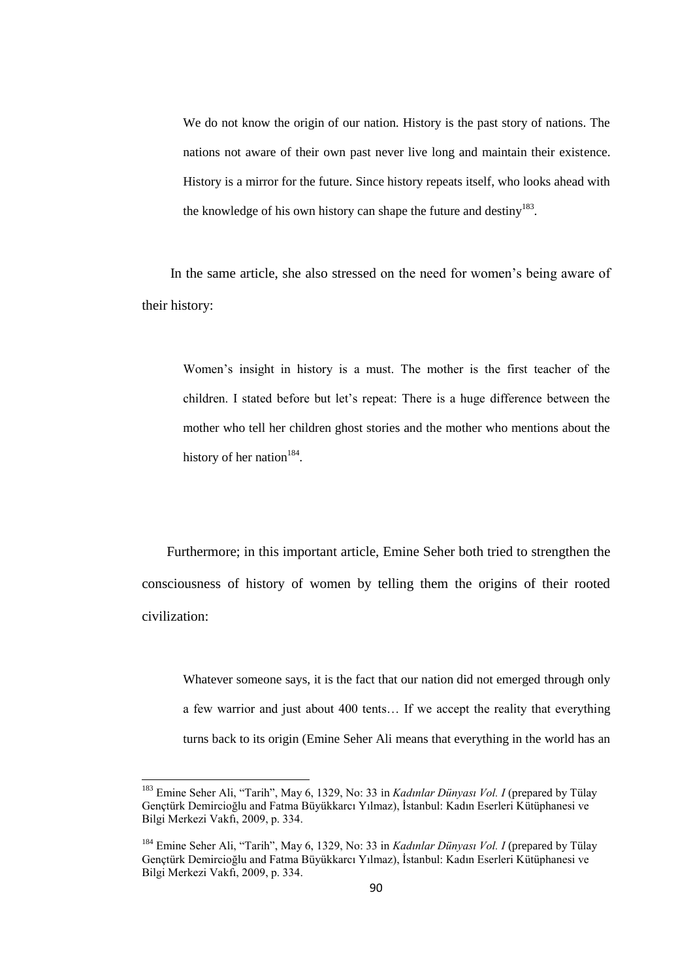We do not know the origin of our nation. History is the past story of nations. The nations not aware of their own past never live long and maintain their existence. History is a mirror for the future. Since history repeats itself, who looks ahead with the knowledge of his own history can shape the future and destiny $^{183}$ .

In the same article, she also stressed on the need for women"s being aware of their history:

Women"s insight in history is a must. The mother is the first teacher of the children. I stated before but let"s repeat: There is a huge difference between the mother who tell her children ghost stories and the mother who mentions about the history of her nation<sup>184</sup>.

Furthermore; in this important article, Emine Seher both tried to strengthen the consciousness of history of women by telling them the origins of their rooted civilization:

Whatever someone says, it is the fact that our nation did not emerged through only a few warrior and just about 400 tents… If we accept the reality that everything turns back to its origin (Emine Seher Ali means that everything in the world has an

 $\overline{a}$ 

<sup>183</sup> Emine Seher Ali, "Tarih", May 6, 1329, No: 33 in *Kadınlar Dünyası Vol. I* (prepared by Tülay Gençtürk Demircioğlu and Fatma Büyükkarcı Yılmaz), İstanbul: Kadın Eserleri Kütüphanesi ve Bilgi Merkezi Vakfı, 2009, p. 334.

<sup>&</sup>lt;sup>184</sup> Emine Seher Ali, "Tarih", May 6, 1329, No: 33 in *Kadınlar Dünyası Vol. I* (prepared by Tülay Gençtürk Demircioğlu and Fatma Büyükkarcı Yılmaz), İstanbul: Kadın Eserleri Kütüphanesi ve Bilgi Merkezi Vakfı, 2009, p. 334.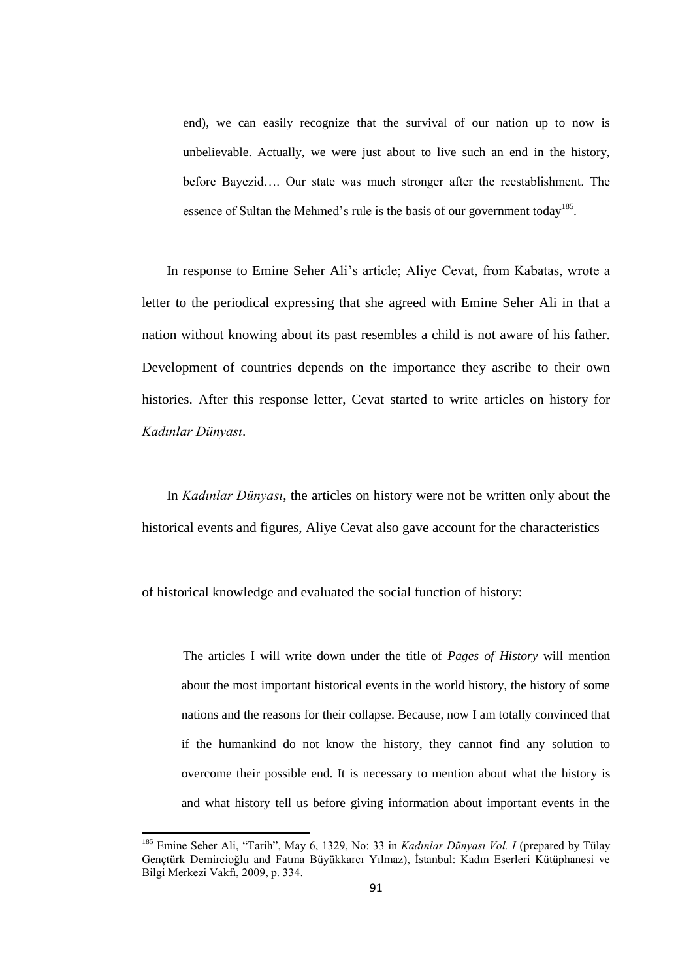end), we can easily recognize that the survival of our nation up to now is unbelievable. Actually, we were just about to live such an end in the history, before Bayezid…. Our state was much stronger after the reestablishment. The essence of Sultan the Mehmed's rule is the basis of our government today<sup>185</sup>.

In response to Emine Seher Ali"s article; Aliye Cevat, from Kabatas, wrote a letter to the periodical expressing that she agreed with Emine Seher Ali in that a nation without knowing about its past resembles a child is not aware of his father. Development of countries depends on the importance they ascribe to their own histories. After this response letter, Cevat started to write articles on history for *Kadınlar Dünyası*.

In *Kadınlar Dünyası*, the articles on history were not be written only about the historical events and figures, Aliye Cevat also gave account for the characteristics

of historical knowledge and evaluated the social function of history:

**.** 

The articles I will write down under the title of *Pages of History* will mention about the most important historical events in the world history, the history of some nations and the reasons for their collapse. Because, now I am totally convinced that if the humankind do not know the history, they cannot find any solution to overcome their possible end. It is necessary to mention about what the history is and what history tell us before giving information about important events in the

<sup>&</sup>lt;sup>185</sup> Emine Seher Ali, "Tarih", May 6, 1329, No: 33 in *Kadınlar Dünyası Vol. I* (prepared by Tülay Gençtürk Demircioğlu and Fatma Büyükkarcı Yılmaz), İstanbul: Kadın Eserleri Kütüphanesi ve Bilgi Merkezi Vakfı, 2009, p. 334.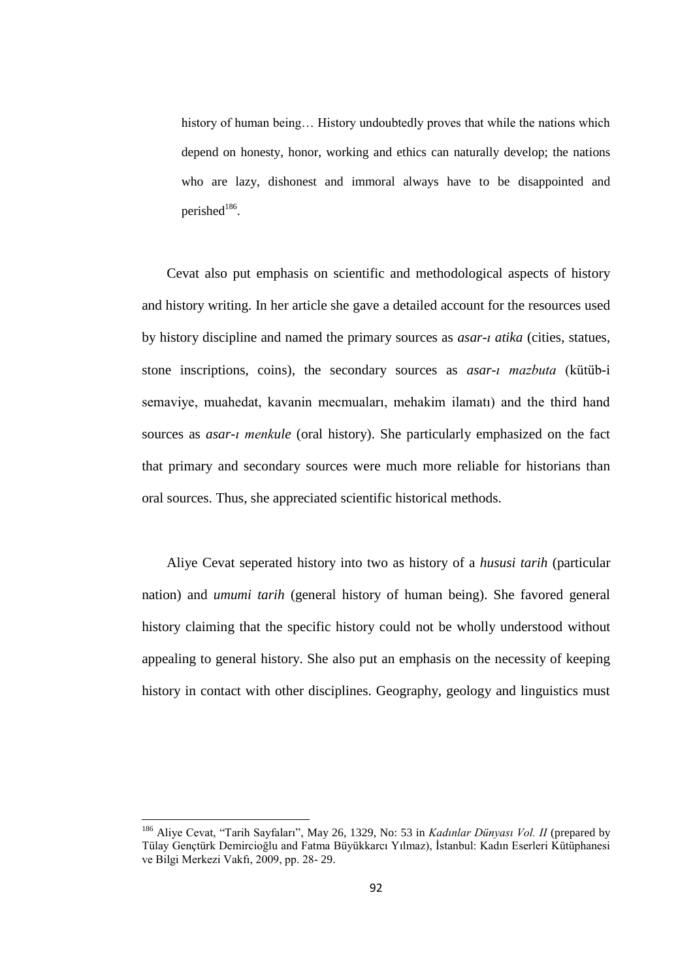history of human being… History undoubtedly proves that while the nations which depend on honesty, honor, working and ethics can naturally develop; the nations who are lazy, dishonest and immoral always have to be disappointed and perished<sup>186</sup>.

Cevat also put emphasis on scientific and methodological aspects of history and history writing. In her article she gave a detailed account for the resources used by history discipline and named the primary sources as *asar-ı atika* (cities, statues, stone inscriptions, coins), the secondary sources as *asar-ı mazbuta* (kütüb-i semaviye, muahedat, kavanin mecmuaları, mehakim ilamatı) and the third hand sources as *asar-ı menkule* (oral history). She particularly emphasized on the fact that primary and secondary sources were much more reliable for historians than oral sources. Thus, she appreciated scientific historical methods.

Aliye Cevat seperated history into two as history of a *hususi tarih* (particular nation) and *umumi tarih* (general history of human being). She favored general history claiming that the specific history could not be wholly understood without appealing to general history. She also put an emphasis on the necessity of keeping history in contact with other disciplines. Geography, geology and linguistics must

<sup>186</sup> Aliye Cevat, "Tarih Sayfaları", May 26, 1329, No: 53 in *Kadınlar Dünyası Vol. II* (prepared by Tülay Gençtürk Demircioğlu and Fatma Büyükkarcı Yılmaz), İstanbul: Kadın Eserleri Kütüphanesi ve Bilgi Merkezi Vakfı, 2009, pp. 28- 29.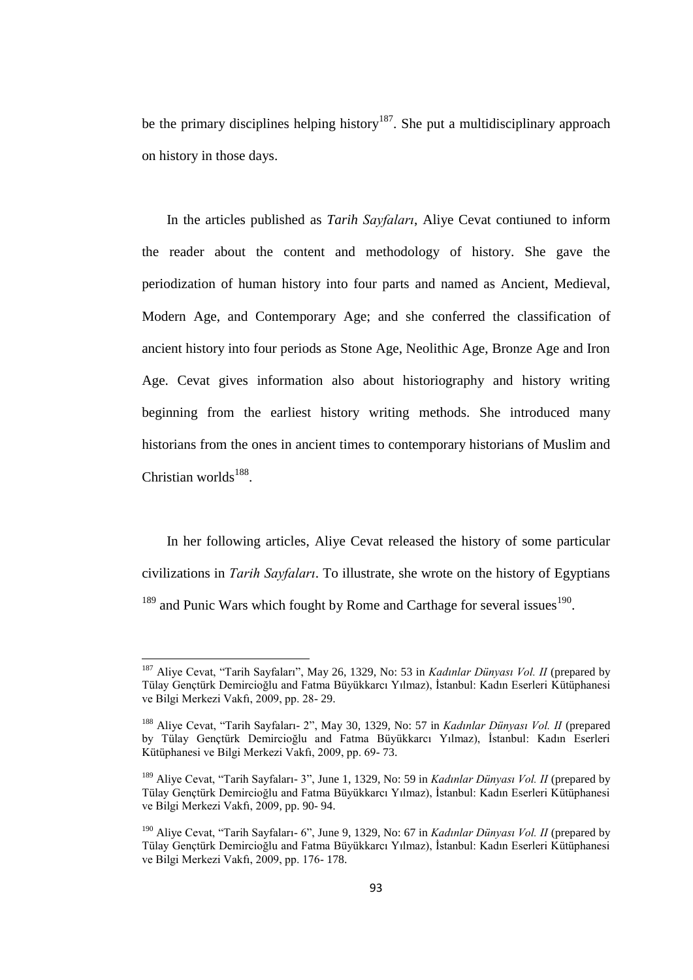be the primary disciplines helping history<sup>187</sup>. She put a multidisciplinary approach on history in those days.

In the articles published as *Tarih Sayfaları*, Aliye Cevat contiuned to inform the reader about the content and methodology of history. She gave the periodization of human history into four parts and named as Ancient, Medieval, Modern Age, and Contemporary Age; and she conferred the classification of ancient history into four periods as Stone Age, Neolithic Age, Bronze Age and Iron Age. Cevat gives information also about historiography and history writing beginning from the earliest history writing methods. She introduced many historians from the ones in ancient times to contemporary historians of Muslim and Christian worlds<sup>188</sup>.

In her following articles, Aliye Cevat released the history of some particular civilizations in *Tarih Sayfaları*. To illustrate, she wrote on the history of Egyptians  $189$  and Punic Wars which fought by Rome and Carthage for several issues  $190$ .

<sup>187</sup> Aliye Cevat, "Tarih Sayfaları", May 26, 1329, No: 53 in *Kadınlar Dünyası Vol. II* (prepared by Tülay Gençtürk Demircioğlu and Fatma Büyükkarcı Yılmaz), İstanbul: Kadın Eserleri Kütüphanesi ve Bilgi Merkezi Vakfı, 2009, pp. 28- 29.

<sup>188</sup> Aliye Cevat, "Tarih Sayfaları- 2", May 30, 1329, No: 57 in *Kadınlar Dünyası Vol. II* (prepared by Tülay Gençtürk Demircioğlu and Fatma Büyükkarcı Yılmaz), İstanbul: Kadın Eserleri Kütüphanesi ve Bilgi Merkezi Vakfı, 2009, pp. 69- 73.

<sup>189</sup> Aliye Cevat, "Tarih Sayfaları- 3", June 1, 1329, No: 59 in *Kadınlar Dünyası Vol. II* (prepared by Tülay Gençtürk Demircioğlu and Fatma Büyükkarcı Yılmaz), İstanbul: Kadın Eserleri Kütüphanesi ve Bilgi Merkezi Vakfı, 2009, pp. 90- 94.

<sup>190</sup> Aliye Cevat, "Tarih Sayfaları- 6", June 9, 1329, No: 67 in *Kadınlar Dünyası Vol. II* (prepared by Tülay Gençtürk Demircioğlu and Fatma Büyükkarcı Yılmaz), İstanbul: Kadın Eserleri Kütüphanesi ve Bilgi Merkezi Vakfı, 2009, pp. 176- 178.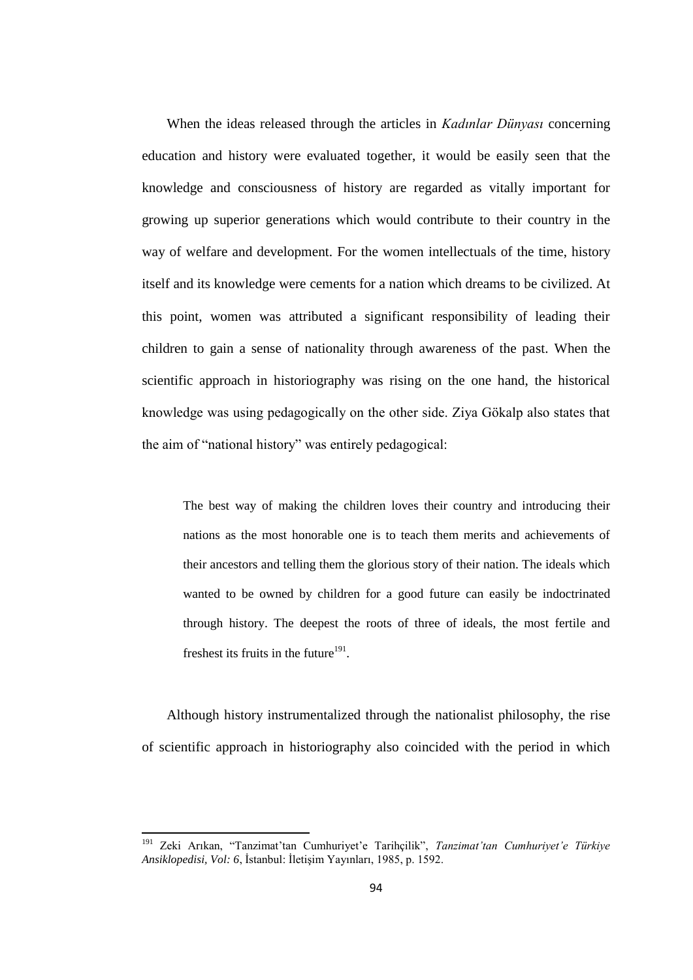When the ideas released through the articles in *Kadınlar Dünyası* concerning education and history were evaluated together, it would be easily seen that the knowledge and consciousness of history are regarded as vitally important for growing up superior generations which would contribute to their country in the way of welfare and development. For the women intellectuals of the time, history itself and its knowledge were cements for a nation which dreams to be civilized. At this point, women was attributed a significant responsibility of leading their children to gain a sense of nationality through awareness of the past. When the scientific approach in historiography was rising on the one hand, the historical knowledge was using pedagogically on the other side. Ziya Gökalp also states that the aim of "national history" was entirely pedagogical:

The best way of making the children loves their country and introducing their nations as the most honorable one is to teach them merits and achievements of their ancestors and telling them the glorious story of their nation. The ideals which wanted to be owned by children for a good future can easily be indoctrinated through history. The deepest the roots of three of ideals, the most fertile and freshest its fruits in the future $191$ .

Although history instrumentalized through the nationalist philosophy, the rise of scientific approach in historiography also coincided with the period in which

<sup>191</sup> Zeki Arıkan, "Tanzimat"tan Cumhuriyet"e Tarihçilik", *Tanzimat'tan Cumhuriyet'e Türkiye Ansiklopedisi, Vol: 6*, İstanbul: İletişim Yayınları, 1985, p. 1592.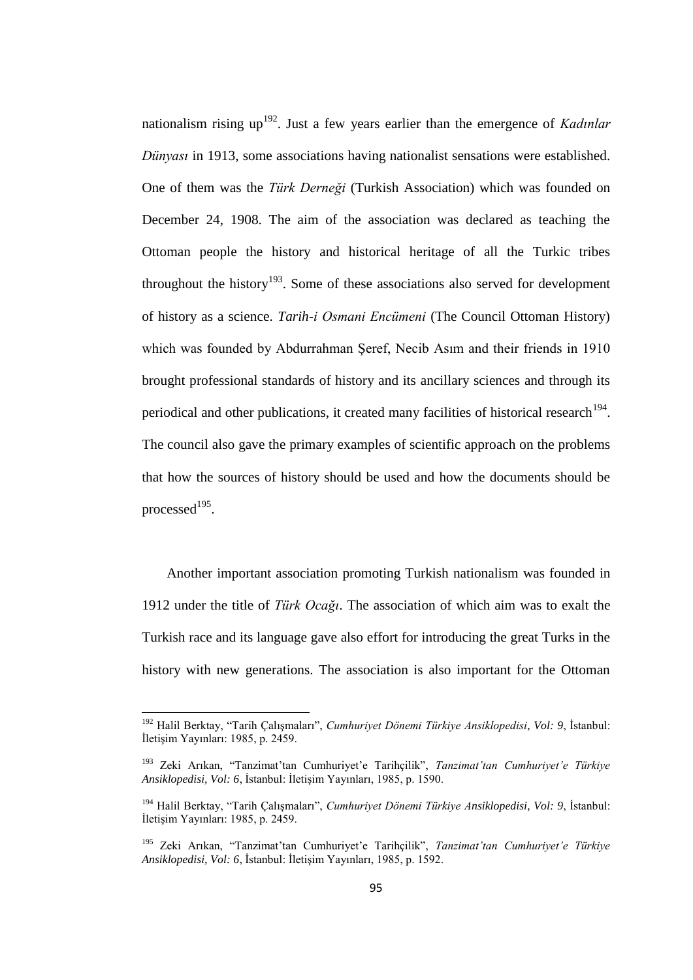nationalism rising up<sup>192</sup>. Just a few years earlier than the emergence of *Kadınlar Dünyası* in 1913, some associations having nationalist sensations were established. One of them was the *Türk Derneği* (Turkish Association) which was founded on December 24, 1908. The aim of the association was declared as teaching the Ottoman people the history and historical heritage of all the Turkic tribes throughout the history<sup>193</sup>. Some of these associations also served for development of history as a science. *Tarih-i Osmani Encümeni* (The Council Ottoman History) which was founded by Abdurrahman Şeref, Necib Asım and their friends in 1910 brought professional standards of history and its ancillary sciences and through its periodical and other publications, it created many facilities of historical research<sup>194</sup>. The council also gave the primary examples of scientific approach on the problems that how the sources of history should be used and how the documents should be processed $^{195}$ .

Another important association promoting Turkish nationalism was founded in 1912 under the title of *Türk Ocağı*. The association of which aim was to exalt the Turkish race and its language gave also effort for introducing the great Turks in the history with new generations. The association is also important for the Ottoman

<sup>192</sup> Halil Berktay, "Tarih Çalışmaları", *Cumhuriyet Dönemi Türkiye Ansiklopedisi*, *Vol: 9*, İstanbul: İletişim Yayınları: 1985, p. 2459.

<sup>193</sup> Zeki Arıkan, "Tanzimat"tan Cumhuriyet"e Tarihçilik", *Tanzimat'tan Cumhuriyet'e Türkiye Ansiklopedisi, Vol: 6*, İstanbul: İletişim Yayınları, 1985, p. 1590.

<sup>194</sup> Halil Berktay, "Tarih Çalışmaları", *Cumhuriyet Dönemi Türkiye Ansiklopedisi*, *Vol: 9*, İstanbul: İletişim Yayınları: 1985, p. 2459.

<sup>195</sup> Zeki Arıkan, "Tanzimat"tan Cumhuriyet"e Tarihçilik", *Tanzimat'tan Cumhuriyet'e Türkiye Ansiklopedisi, Vol: 6*, İstanbul: İletişim Yayınları, 1985, p. 1592.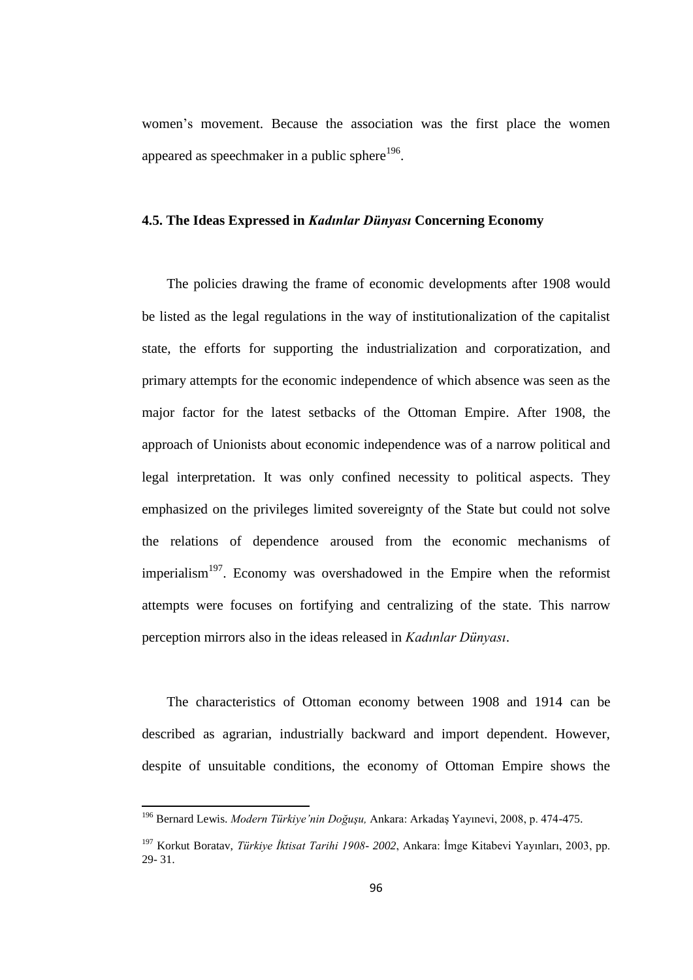women"s movement. Because the association was the first place the women appeared as speechmaker in a public sphere<sup>196</sup>.

### **4.5. The Ideas Expressed in** *Kadınlar Dünyası* **Concerning Economy**

The policies drawing the frame of economic developments after 1908 would be listed as the legal regulations in the way of institutionalization of the capitalist state, the efforts for supporting the industrialization and corporatization, and primary attempts for the economic independence of which absence was seen as the major factor for the latest setbacks of the Ottoman Empire. After 1908, the approach of Unionists about economic independence was of a narrow political and legal interpretation. It was only confined necessity to political aspects. They emphasized on the privileges limited sovereignty of the State but could not solve the relations of dependence aroused from the economic mechanisms of imperialism<sup>197</sup>. Economy was overshadowed in the Empire when the reformist attempts were focuses on fortifying and centralizing of the state. This narrow perception mirrors also in the ideas released in *Kadınlar Dünyası*.

The characteristics of Ottoman economy between 1908 and 1914 can be described as agrarian, industrially backward and import dependent. However, despite of unsuitable conditions, the economy of Ottoman Empire shows the

<sup>196</sup> Bernard Lewis. *Modern Türkiye'nin Doğuşu,* Ankara: Arkadaş Yayınevi, 2008, p. 474-475.

<sup>197</sup> Korkut Boratav, *Türkiye İktisat Tarihi 1908- 2002*, Ankara: İmge Kitabevi Yayınları, 2003, pp. 29- 31.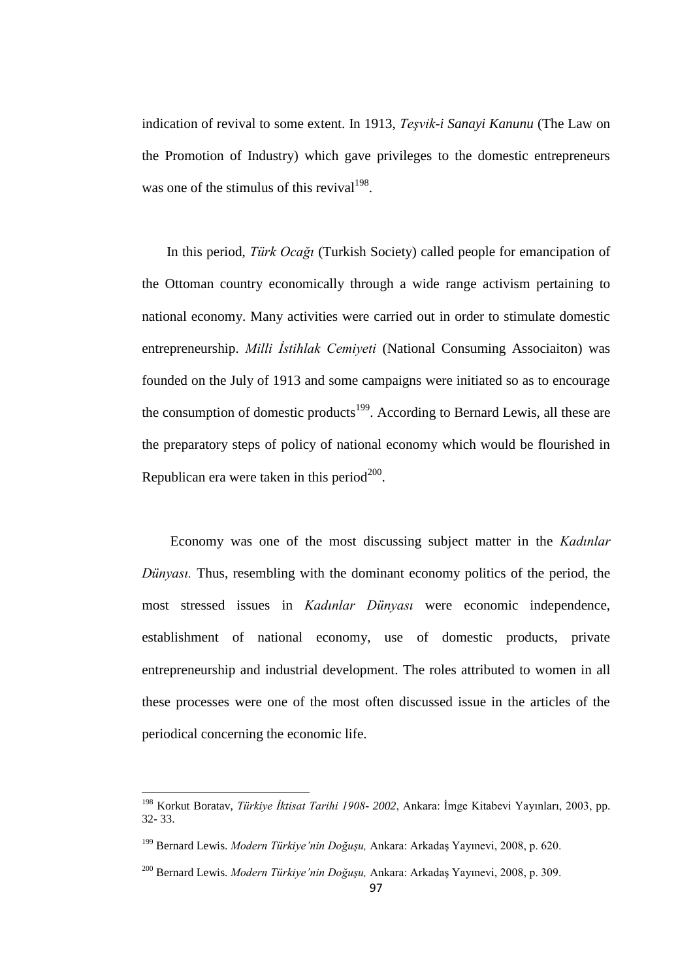indication of revival to some extent. In 1913, *Teşvik-i Sanayi Kanunu* (The Law on the Promotion of Industry) which gave privileges to the domestic entrepreneurs was one of the stimulus of this revival  $198$ .

In this period, *Türk Ocağı* (Turkish Society) called people for emancipation of the Ottoman country economically through a wide range activism pertaining to national economy. Many activities were carried out in order to stimulate domestic entrepreneurship. *Milli İstihlak Cemiyeti* (National Consuming Associaiton) was founded on the July of 1913 and some campaigns were initiated so as to encourage the consumption of domestic products<sup>199</sup>. According to Bernard Lewis, all these are the preparatory steps of policy of national economy which would be flourished in Republican era were taken in this period<sup>200</sup>.

Economy was one of the most discussing subject matter in the *Kadınlar Dünyasi.* Thus, resembling with the dominant economy politics of the period, the most stressed issues in *Kadınlar Dünyası* were economic independence, establishment of national economy, use of domestic products, private entrepreneurship and industrial development. The roles attributed to women in all these processes were one of the most often discussed issue in the articles of the periodical concerning the economic life.

1

<sup>198</sup> Korkut Boratav, *Türkiye İktisat Tarihi 1908- 2002*, Ankara: İmge Kitabevi Yayınları, 2003, pp. 32- 33.

<sup>199</sup> Bernard Lewis. *Modern Türkiye'nin Doğuşu,* Ankara: Arkadaş Yayınevi, 2008, p. 620.

<sup>200</sup> Bernard Lewis. *Modern Türkiye'nin Doğuşu,* Ankara: Arkadaş Yayınevi, 2008, p. 309.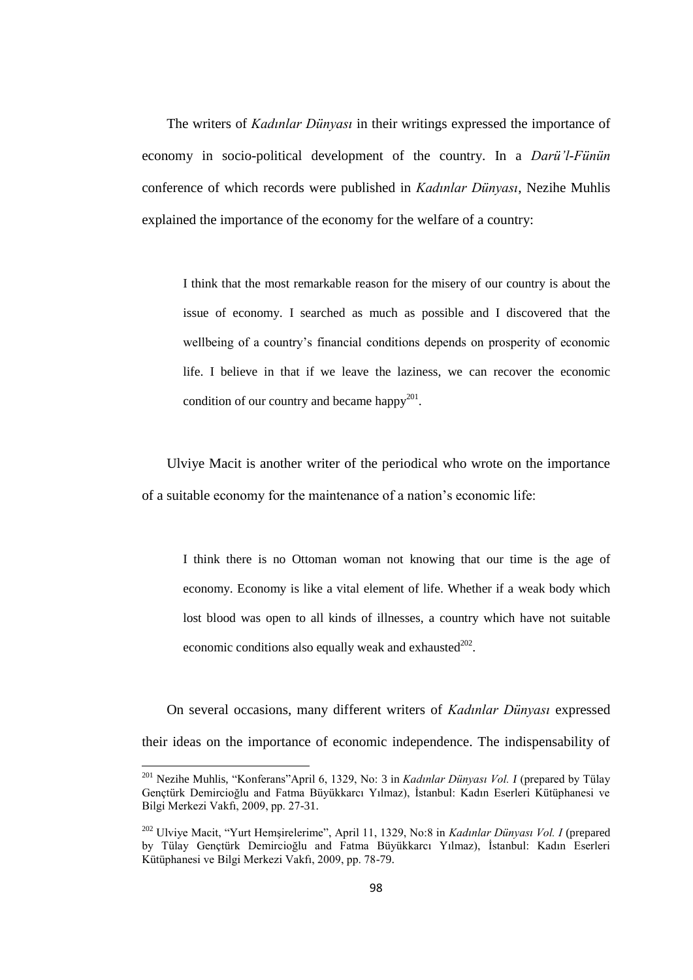The writers of *Kadınlar Dünyası* in their writings expressed the importance of economy in socio-political development of the country. In a *Darü'l-Fünün*  conference of which records were published in *Kadınlar Dünyası*, Nezihe Muhlis explained the importance of the economy for the welfare of a country:

I think that the most remarkable reason for the misery of our country is about the issue of economy. I searched as much as possible and I discovered that the wellbeing of a country's financial conditions depends on prosperity of economic life. I believe in that if we leave the laziness, we can recover the economic condition of our country and became happy<sup>201</sup>.

Ulviye Macit is another writer of the periodical who wrote on the importance of a suitable economy for the maintenance of a nation"s economic life:

I think there is no Ottoman woman not knowing that our time is the age of economy. Economy is like a vital element of life. Whether if a weak body which lost blood was open to all kinds of illnesses, a country which have not suitable economic conditions also equally weak and exhausted $^{202}$ .

On several occasions, many different writers of *Kadınlar Dünyası* expressed their ideas on the importance of economic independence. The indispensability of

<sup>201</sup> Nezihe Muhlis, "Konferans"April 6, 1329, No: 3 in *Kadınlar Dünyası Vol. I* (prepared by Tülay Gençtürk Demircioğlu and Fatma Büyükkarcı Yılmaz), İstanbul: Kadın Eserleri Kütüphanesi ve Bilgi Merkezi Vakfı, 2009, pp. 27-31.

<sup>202</sup> Ulviye Macit, "Yurt Hemşirelerime", April 11, 1329, No:8 in *Kadınlar Dünyası Vol. I* (prepared by Tülay Gençtürk Demircioğlu and Fatma Büyükkarcı Yılmaz), İstanbul: Kadın Eserleri Kütüphanesi ve Bilgi Merkezi Vakfı, 2009, pp. 78-79.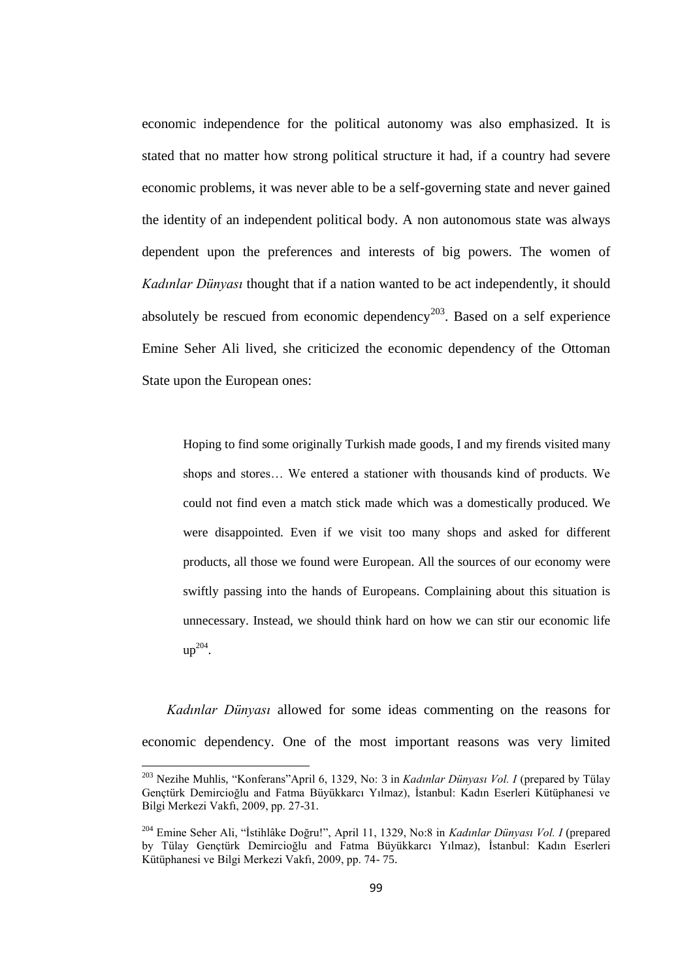economic independence for the political autonomy was also emphasized. It is stated that no matter how strong political structure it had, if a country had severe economic problems, it was never able to be a self-governing state and never gained the identity of an independent political body. A non autonomous state was always dependent upon the preferences and interests of big powers. The women of *Kadınlar Dünyası* thought that if a nation wanted to be act independently, it should absolutely be rescued from economic dependency<sup>203</sup>. Based on a self experience Emine Seher Ali lived, she criticized the economic dependency of the Ottoman State upon the European ones:

Hoping to find some originally Turkish made goods, I and my firends visited many shops and stores… We entered a stationer with thousands kind of products. We could not find even a match stick made which was a domestically produced. We were disappointed. Even if we visit too many shops and asked for different products, all those we found were European. All the sources of our economy were swiftly passing into the hands of Europeans. Complaining about this situation is unnecessary. Instead, we should think hard on how we can stir our economic life  $up^{204}$ .

*Kadınlar Dünyası* allowed for some ideas commenting on the reasons for economic dependency. One of the most important reasons was very limited

<sup>203</sup> Nezihe Muhlis, "Konferans"April 6, 1329, No: 3 in *Kadınlar Dünyası Vol. I* (prepared by Tülay Gençtürk Demircioğlu and Fatma Büyükkarcı Yılmaz), İstanbul: Kadın Eserleri Kütüphanesi ve Bilgi Merkezi Vakfı, 2009, pp. 27-31.

<sup>204</sup> Emine Seher Ali, "İstihlâke Doğru!", April 11, 1329, No:8 in *Kadınlar Dünyası Vol. I* (prepared by Tülay Gençtürk Demircioğlu and Fatma Büyükkarcı Yılmaz), İstanbul: Kadın Eserleri Kütüphanesi ve Bilgi Merkezi Vakfı, 2009, pp. 74- 75.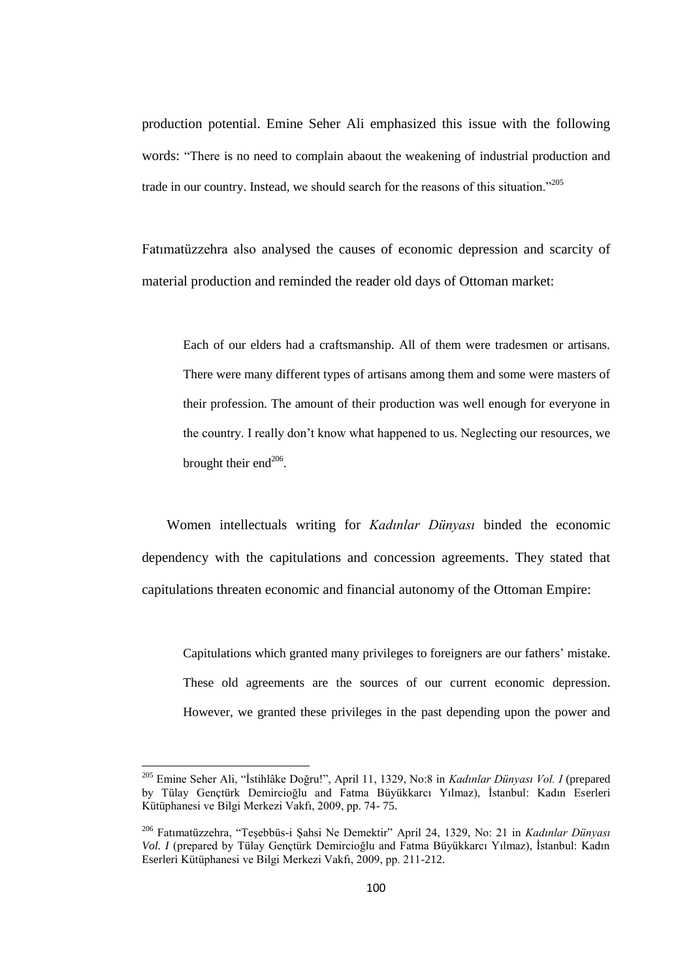production potential. Emine Seher Ali emphasized this issue with the following words: "There is no need to complain abaout the weakening of industrial production and trade in our country. Instead, we should search for the reasons of this situation."<sup>205</sup>

Fatımatüzzehra also analysed the causes of economic depression and scarcity of material production and reminded the reader old days of Ottoman market:

Each of our elders had a craftsmanship. All of them were tradesmen or artisans. There were many different types of artisans among them and some were masters of their profession. The amount of their production was well enough for everyone in the country. I really don"t know what happened to us. Neglecting our resources, we brought their end $^{206}$ .

Women intellectuals writing for *Kadınlar Dünyası* binded the economic dependency with the capitulations and concession agreements. They stated that capitulations threaten economic and financial autonomy of the Ottoman Empire:

Capitulations which granted many privileges to foreigners are our fathers" mistake. These old agreements are the sources of our current economic depression. However, we granted these privileges in the past depending upon the power and

<sup>205</sup> Emine Seher Ali, "İstihlâke Doğru!", April 11, 1329, No:8 in *Kadınlar Dünyası Vol. I* (prepared by Tülay Gençtürk Demircioğlu and Fatma Büyükkarcı Yılmaz), İstanbul: Kadın Eserleri Kütüphanesi ve Bilgi Merkezi Vakfı, 2009, pp. 74- 75.

<sup>206</sup> Fatımatüzzehra, "Teşebbüs-i Şahsi Ne Demektir" April 24, 1329, No: 21 in *Kadınlar Dünyası Vol. I* (prepared by Tülay Gençtürk Demircioğlu and Fatma Büyükkarcı Yılmaz), İstanbul: Kadın Eserleri Kütüphanesi ve Bilgi Merkezi Vakfı, 2009, pp. 211-212.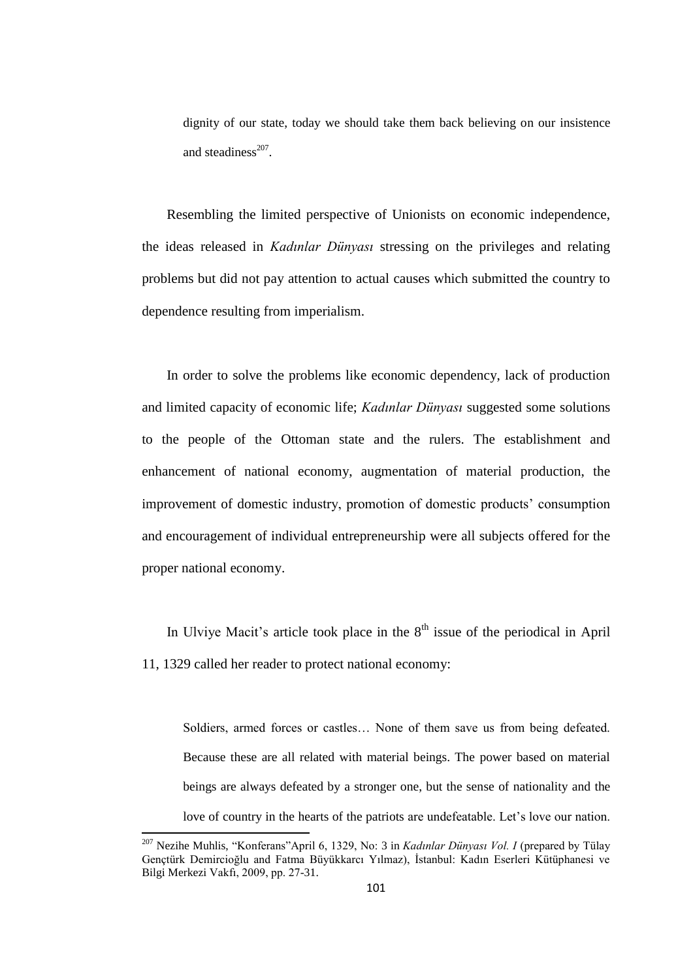dignity of our state, today we should take them back believing on our insistence and steadiness $^{207}$ .

Resembling the limited perspective of Unionists on economic independence, the ideas released in *Kadınlar Dünyası* stressing on the privileges and relating problems but did not pay attention to actual causes which submitted the country to dependence resulting from imperialism.

In order to solve the problems like economic dependency, lack of production and limited capacity of economic life; *Kadınlar Dünyası* suggested some solutions to the people of the Ottoman state and the rulers. The establishment and enhancement of national economy, augmentation of material production, the improvement of domestic industry, promotion of domestic products" consumption and encouragement of individual entrepreneurship were all subjects offered for the proper national economy.

In Ulviye Macit's article took place in the  $8<sup>th</sup>$  issue of the periodical in April 11, 1329 called her reader to protect national economy:

Soldiers, armed forces or castles… None of them save us from being defeated. Because these are all related with material beings. The power based on material beings are always defeated by a stronger one, but the sense of nationality and the love of country in the hearts of the patriots are undefeatable. Let"s love our nation.

<sup>207</sup> Nezihe Muhlis, "Konferans"April 6, 1329, No: 3 in *Kadınlar Dünyası Vol. I* (prepared by Tülay Gençtürk Demircioğlu and Fatma Büyükkarcı Yılmaz), İstanbul: Kadın Eserleri Kütüphanesi ve Bilgi Merkezi Vakfı, 2009, pp. 27-31.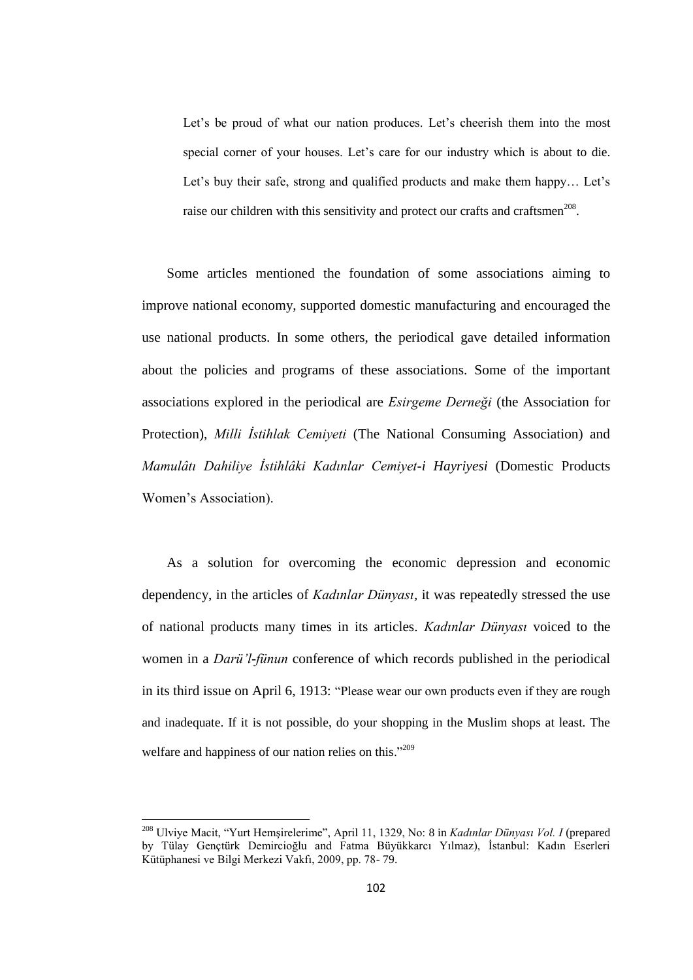Let's be proud of what our nation produces. Let's cheerish them into the most special corner of your houses. Let's care for our industry which is about to die. Let's buy their safe, strong and qualified products and make them happy... Let's raise our children with this sensitivity and protect our crafts and craftsmen<sup>208</sup>.

Some articles mentioned the foundation of some associations aiming to improve national economy, supported domestic manufacturing and encouraged the use national products. In some others, the periodical gave detailed information about the policies and programs of these associations. Some of the important associations explored in the periodical are *Esirgeme Derneği* (the Association for Protection), *Milli İstihlak Cemiyeti* (The National Consuming Association) and *Mamulâtı Dahiliye İstihlâki Kadınlar Cemiyet-i Hayriyesi* (Domestic Products Women"s Association).

As a solution for overcoming the economic depression and economic dependency, in the articles of *Kadınlar Dünyası,* it was repeatedly stressed the use of national products many times in its articles. *Kadınlar Dünyası* voiced to the women in a *Darü'l-fünun* conference of which records published in the periodical in its third issue on April 6, 1913: "Please wear our own products even if they are rough and inadequate. If it is not possible, do your shopping in the Muslim shops at least. The welfare and happiness of our nation relies on this."<sup>209</sup>

1

<sup>208</sup> Ulviye Macit, "Yurt Hemşirelerime", April 11, 1329, No: 8 in *Kadınlar Dünyası Vol. I* (prepared by Tülay Gençtürk Demircioğlu and Fatma Büyükkarcı Yılmaz), İstanbul: Kadın Eserleri Kütüphanesi ve Bilgi Merkezi Vakfı, 2009, pp. 78- 79.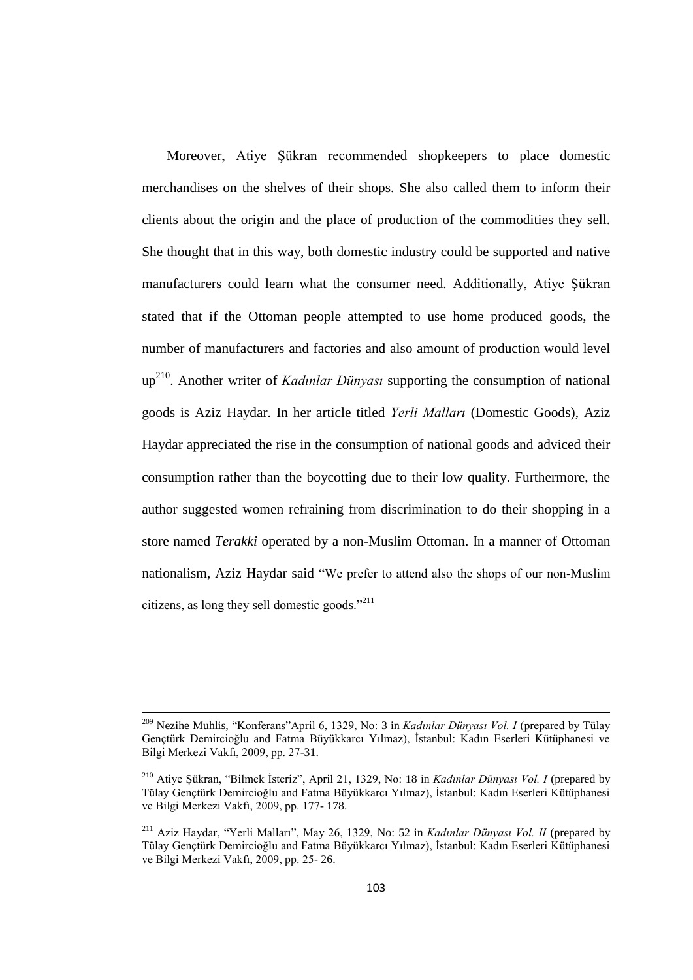Moreover, Atiye Şükran recommended shopkeepers to place domestic merchandises on the shelves of their shops. She also called them to inform their clients about the origin and the place of production of the commodities they sell. She thought that in this way, both domestic industry could be supported and native manufacturers could learn what the consumer need. Additionally, Atiye Şükran stated that if the Ottoman people attempted to use home produced goods, the number of manufacturers and factories and also amount of production would level up<sup>210</sup>. Another writer of *Kadınlar Dünyası* supporting the consumption of national goods is Aziz Haydar. In her article titled *Yerli Malları* (Domestic Goods), Aziz Haydar appreciated the rise in the consumption of national goods and adviced their consumption rather than the boycotting due to their low quality. Furthermore, the author suggested women refraining from discrimination to do their shopping in a store named *Terakki* operated by a non-Muslim Ottoman. In a manner of Ottoman nationalism, Aziz Haydar said "We prefer to attend also the shops of our non-Muslim citizens, as long they sell domestic goods."<sup>211</sup>

<sup>209</sup> Nezihe Muhlis, "Konferans"April 6, 1329, No: 3 in *Kadınlar Dünyası Vol. I* (prepared by Tülay Gençtürk Demircioğlu and Fatma Büyükkarcı Yılmaz), İstanbul: Kadın Eserleri Kütüphanesi ve Bilgi Merkezi Vakfı, 2009, pp. 27-31.

<sup>210</sup> Atiye Şükran, "Bilmek İsteriz", April 21, 1329, No: 18 in *Kadınlar Dünyası Vol. I* (prepared by Tülay Gençtürk Demircioğlu and Fatma Büyükkarcı Yılmaz), İstanbul: Kadın Eserleri Kütüphanesi ve Bilgi Merkezi Vakfı, 2009, pp. 177- 178.

<sup>211</sup> Aziz Haydar, "Yerli Malları", May 26, 1329, No: 52 in *Kadınlar Dünyası Vol. II* (prepared by Tülay Gençtürk Demircioğlu and Fatma Büyükkarcı Yılmaz), İstanbul: Kadın Eserleri Kütüphanesi ve Bilgi Merkezi Vakfı, 2009, pp. 25- 26.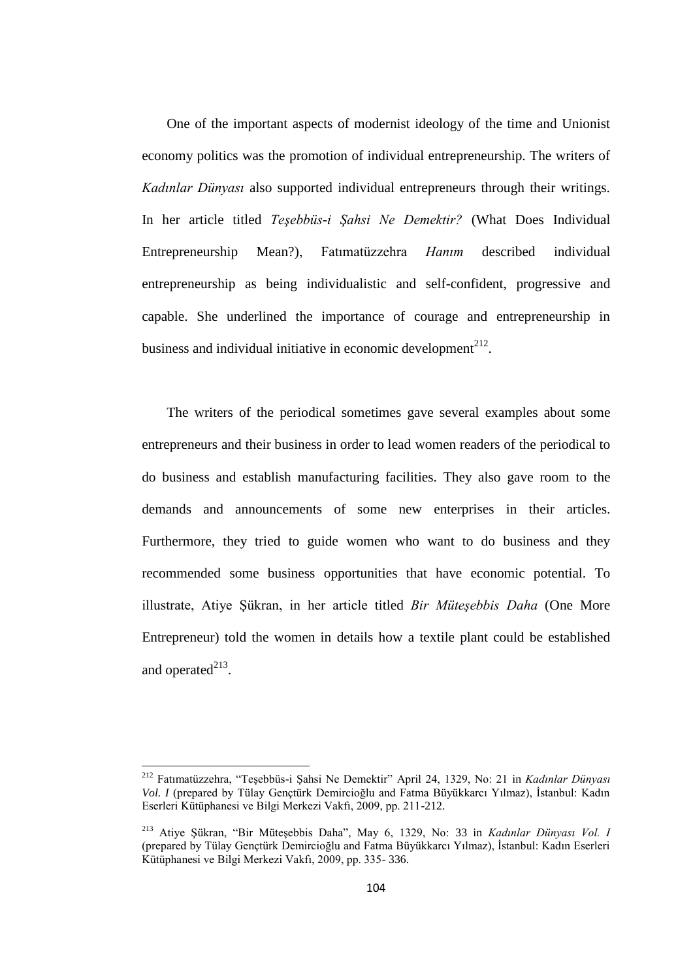One of the important aspects of modernist ideology of the time and Unionist economy politics was the promotion of individual entrepreneurship. The writers of *Kadınlar Dünyası* also supported individual entrepreneurs through their writings. In her article titled *Teşebbüs-i Şahsi Ne Demektir?* (What Does Individual Entrepreneurship Mean?), Fatımatüzzehra *Hanım* described individual entrepreneurship as being individualistic and self-confident, progressive and capable. She underlined the importance of courage and entrepreneurship in business and individual initiative in economic development $^{212}$ .

The writers of the periodical sometimes gave several examples about some entrepreneurs and their business in order to lead women readers of the periodical to do business and establish manufacturing facilities. They also gave room to the demands and announcements of some new enterprises in their articles. Furthermore, they tried to guide women who want to do business and they recommended some business opportunities that have economic potential. To illustrate, Atiye Şükran, in her article titled *Bir Müteşebbis Daha* (One More Entrepreneur) told the women in details how a textile plant could be established and operated $^{213}$ .

<sup>212</sup> Fatımatüzzehra, "Teşebbüs-i Şahsi Ne Demektir" April 24, 1329, No: 21 in *Kadınlar Dünyası Vol. I* (prepared by Tülay Gençtürk Demircioğlu and Fatma Büyükkarcı Yılmaz), İstanbul: Kadın Eserleri Kütüphanesi ve Bilgi Merkezi Vakfı, 2009, pp. 211-212.

<sup>213</sup> Atiye Şükran, "Bir Müteşebbis Daha", May 6, 1329, No: 33 in *Kadınlar Dünyası Vol. I* (prepared by Tülay Gençtürk Demircioğlu and Fatma Büyükkarcı Yılmaz), İstanbul: Kadın Eserleri Kütüphanesi ve Bilgi Merkezi Vakfı, 2009, pp. 335- 336.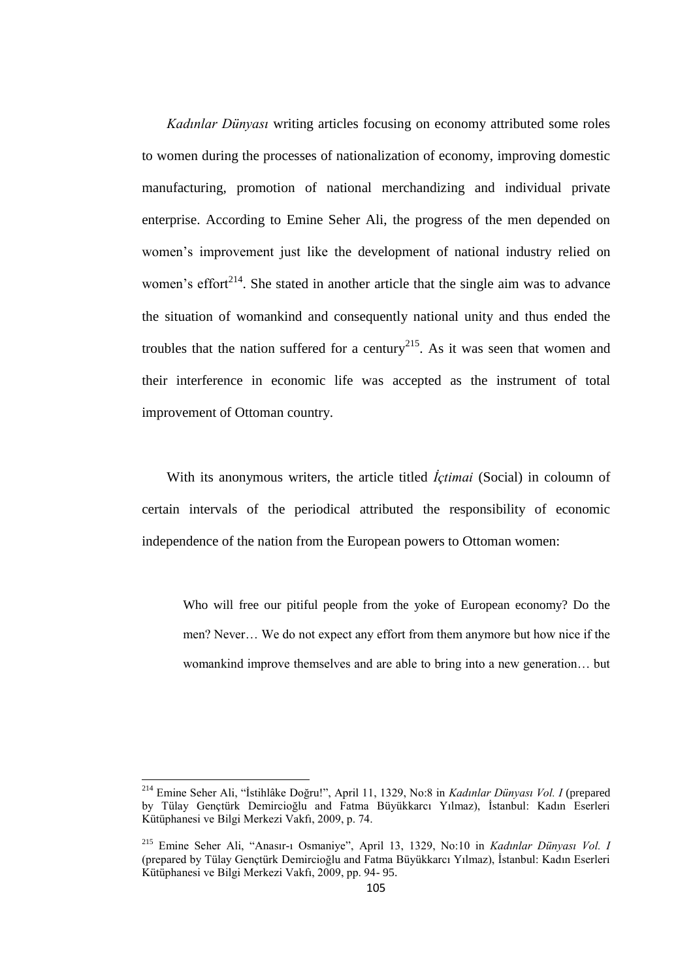*Kadınlar Dünyası* writing articles focusing on economy attributed some roles to women during the processes of nationalization of economy, improving domestic manufacturing, promotion of national merchandizing and individual private enterprise. According to Emine Seher Ali, the progress of the men depended on women"s improvement just like the development of national industry relied on women's effort<sup>214</sup>. She stated in another article that the single aim was to advance the situation of womankind and consequently national unity and thus ended the troubles that the nation suffered for a century<sup>215</sup>. As it was seen that women and their interference in economic life was accepted as the instrument of total improvement of Ottoman country.

With its anonymous writers, the article titled *İçtimai* (Social) in coloumn of certain intervals of the periodical attributed the responsibility of economic independence of the nation from the European powers to Ottoman women:

Who will free our pitiful people from the yoke of European economy? Do the men? Never… We do not expect any effort from them anymore but how nice if the womankind improve themselves and are able to bring into a new generation… but

 $\overline{a}$ 

<sup>214</sup> Emine Seher Ali, "İstihlâke Doğru!", April 11, 1329, No:8 in *Kadınlar Dünyası Vol. I* (prepared by Tülay Gençtürk Demircioğlu and Fatma Büyükkarcı Yılmaz), İstanbul: Kadın Eserleri Kütüphanesi ve Bilgi Merkezi Vakfı, 2009, p. 74.

<sup>215</sup> Emine Seher Ali, "Anasır-ı Osmaniye", April 13, 1329, No:10 in *Kadınlar Dünyası Vol. I* (prepared by Tülay Gençtürk Demircioğlu and Fatma Büyükkarcı Yılmaz), İstanbul: Kadın Eserleri Kütüphanesi ve Bilgi Merkezi Vakfı, 2009, pp. 94- 95.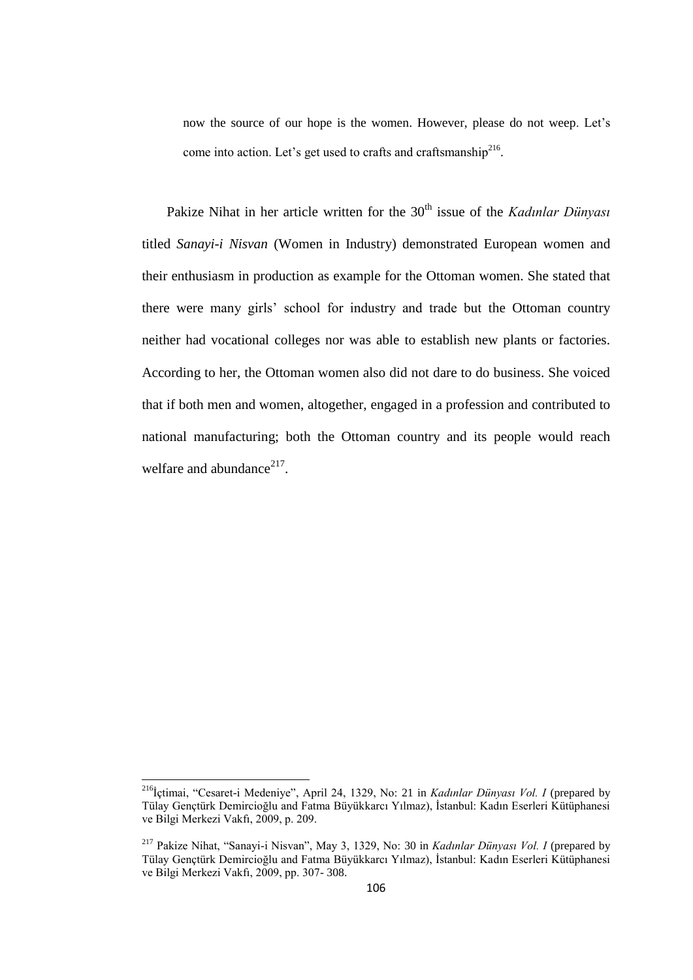now the source of our hope is the women. However, please do not weep. Let"s come into action. Let's get used to crafts and craftsmanship<sup>216</sup>.

Pakize Nihat in her article written for the 30<sup>th</sup> issue of the *Kadınlar Dünyası* titled *Sanayi-i Nisvan* (Women in Industry) demonstrated European women and their enthusiasm in production as example for the Ottoman women. She stated that there were many girls" school for industry and trade but the Ottoman country neither had vocational colleges nor was able to establish new plants or factories. According to her, the Ottoman women also did not dare to do business. She voiced that if both men and women, altogether, engaged in a profession and contributed to national manufacturing; both the Ottoman country and its people would reach welfare and abundance $217$ .

 $\overline{a}$ 

<sup>216</sup>İçtimai, "Cesaret-i Medeniye", April 24, 1329, No: 21 in *Kadınlar Dünyası Vol. I* (prepared by Tülay Gençtürk Demircioğlu and Fatma Büyükkarcı Yılmaz), İstanbul: Kadın Eserleri Kütüphanesi ve Bilgi Merkezi Vakfı, 2009, p. 209.

<sup>217</sup> Pakize Nihat, "Sanayi-i Nisvan", May 3, 1329, No: 30 in *Kadınlar Dünyası Vol. I* (prepared by Tülay Gençtürk Demircioğlu and Fatma Büyükkarcı Yılmaz), İstanbul: Kadın Eserleri Kütüphanesi ve Bilgi Merkezi Vakfı, 2009, pp. 307- 308.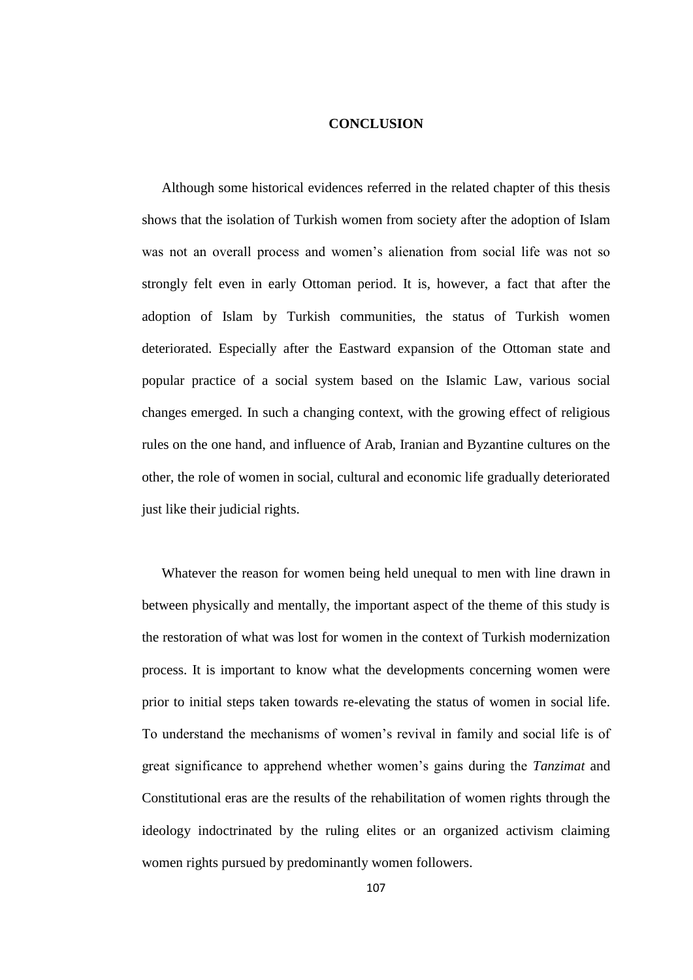## **CONCLUSION**

Although some historical evidences referred in the related chapter of this thesis shows that the isolation of Turkish women from society after the adoption of Islam was not an overall process and women"s alienation from social life was not so strongly felt even in early Ottoman period. It is, however, a fact that after the adoption of Islam by Turkish communities, the status of Turkish women deteriorated. Especially after the Eastward expansion of the Ottoman state and popular practice of a social system based on the Islamic Law, various social changes emerged. In such a changing context, with the growing effect of religious rules on the one hand, and influence of Arab, Iranian and Byzantine cultures on the other, the role of women in social, cultural and economic life gradually deteriorated just like their judicial rights.

Whatever the reason for women being held unequal to men with line drawn in between physically and mentally, the important aspect of the theme of this study is the restoration of what was lost for women in the context of Turkish modernization process. It is important to know what the developments concerning women were prior to initial steps taken towards re-elevating the status of women in social life. To understand the mechanisms of women"s revival in family and social life is of great significance to apprehend whether women"s gains during the *Tanzimat* and Constitutional eras are the results of the rehabilitation of women rights through the ideology indoctrinated by the ruling elites or an organized activism claiming women rights pursued by predominantly women followers.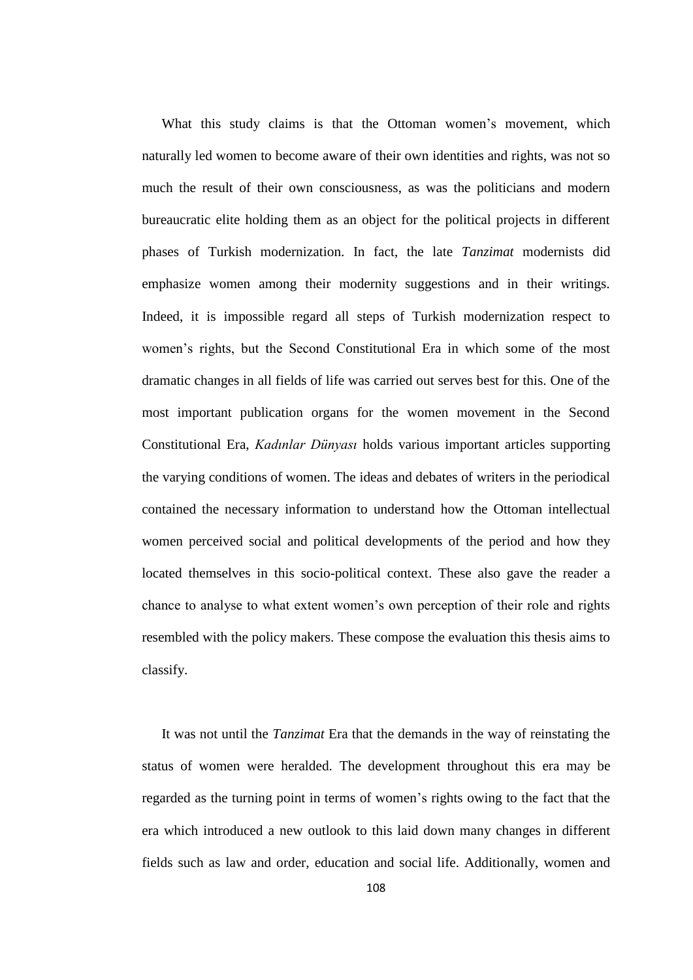What this study claims is that the Ottoman women's movement, which naturally led women to become aware of their own identities and rights, was not so much the result of their own consciousness, as was the politicians and modern bureaucratic elite holding them as an object for the political projects in different phases of Turkish modernization. In fact, the late *Tanzimat* modernists did emphasize women among their modernity suggestions and in their writings. Indeed, it is impossible regard all steps of Turkish modernization respect to women"s rights, but the Second Constitutional Era in which some of the most dramatic changes in all fields of life was carried out serves best for this. One of the most important publication organs for the women movement in the Second Constitutional Era, *Kadınlar Dünyası* holds various important articles supporting the varying conditions of women. The ideas and debates of writers in the periodical contained the necessary information to understand how the Ottoman intellectual women perceived social and political developments of the period and how they located themselves in this socio-political context. These also gave the reader a chance to analyse to what extent women"s own perception of their role and rights resembled with the policy makers. These compose the evaluation this thesis aims to classify.

It was not until the *Tanzimat* Era that the demands in the way of reinstating the status of women were heralded. The development throughout this era may be regarded as the turning point in terms of women"s rights owing to the fact that the era which introduced a new outlook to this laid down many changes in different fields such as law and order, education and social life. Additionally, women and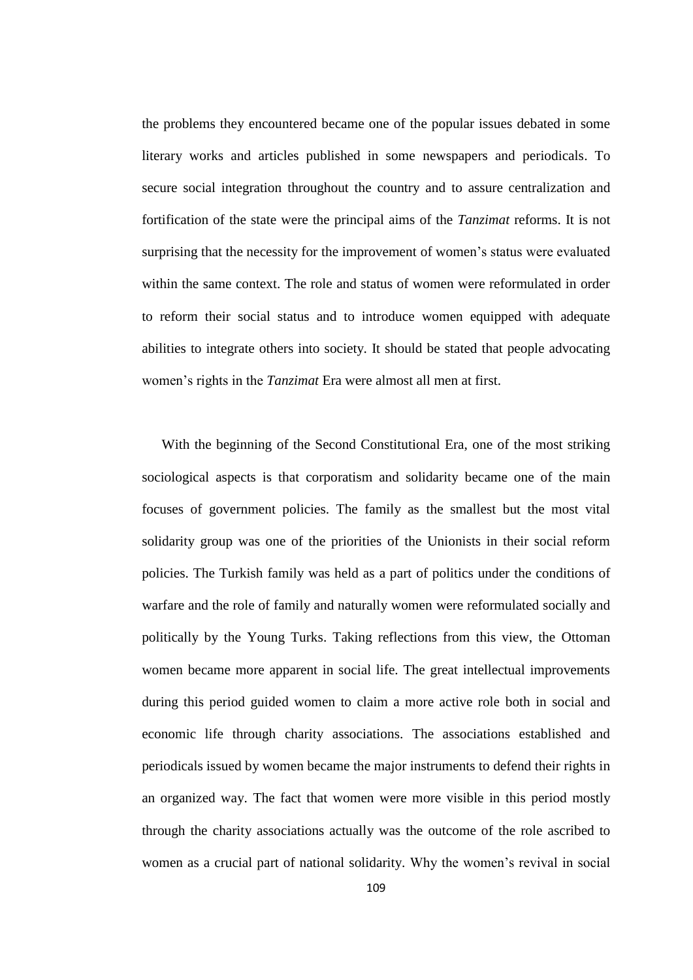the problems they encountered became one of the popular issues debated in some literary works and articles published in some newspapers and periodicals. To secure social integration throughout the country and to assure centralization and fortification of the state were the principal aims of the *Tanzimat* reforms. It is not surprising that the necessity for the improvement of women's status were evaluated within the same context. The role and status of women were reformulated in order to reform their social status and to introduce women equipped with adequate abilities to integrate others into society. It should be stated that people advocating women"s rights in the *Tanzimat* Era were almost all men at first.

With the beginning of the Second Constitutional Era, one of the most striking sociological aspects is that corporatism and solidarity became one of the main focuses of government policies. The family as the smallest but the most vital solidarity group was one of the priorities of the Unionists in their social reform policies. The Turkish family was held as a part of politics under the conditions of warfare and the role of family and naturally women were reformulated socially and politically by the Young Turks. Taking reflections from this view, the Ottoman women became more apparent in social life. The great intellectual improvements during this period guided women to claim a more active role both in social and economic life through charity associations. The associations established and periodicals issued by women became the major instruments to defend their rights in an organized way. The fact that women were more visible in this period mostly through the charity associations actually was the outcome of the role ascribed to women as a crucial part of national solidarity. Why the women"s revival in social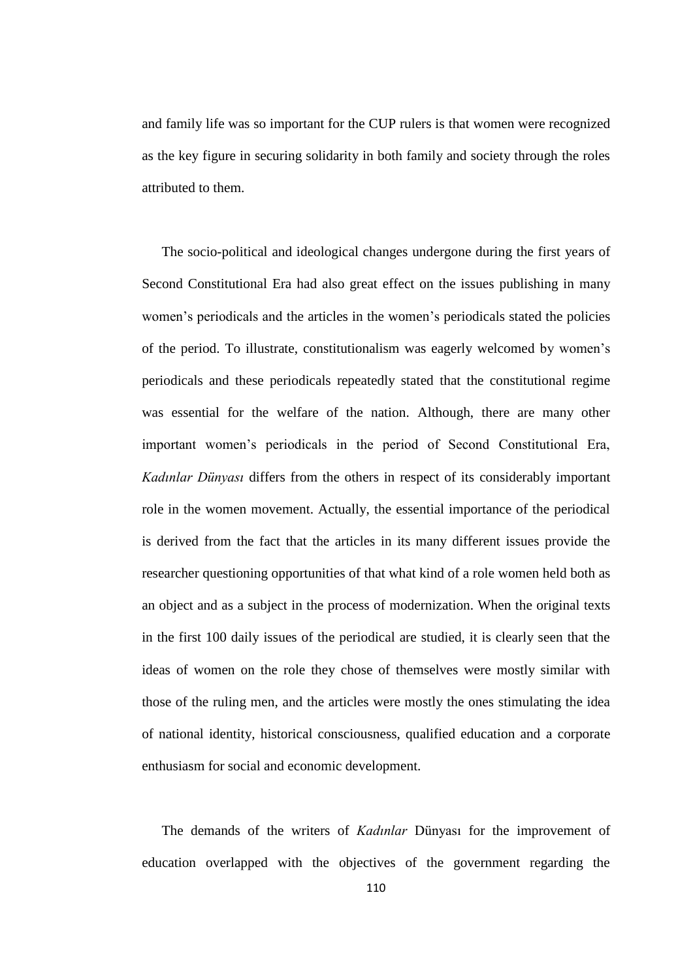and family life was so important for the CUP rulers is that women were recognized as the key figure in securing solidarity in both family and society through the roles attributed to them.

The socio-political and ideological changes undergone during the first years of Second Constitutional Era had also great effect on the issues publishing in many women"s periodicals and the articles in the women"s periodicals stated the policies of the period. To illustrate, constitutionalism was eagerly welcomed by women"s periodicals and these periodicals repeatedly stated that the constitutional regime was essential for the welfare of the nation. Although, there are many other important women"s periodicals in the period of Second Constitutional Era, *Kadınlar Dünyası* differs from the others in respect of its considerably important role in the women movement. Actually, the essential importance of the periodical is derived from the fact that the articles in its many different issues provide the researcher questioning opportunities of that what kind of a role women held both as an object and as a subject in the process of modernization. When the original texts in the first 100 daily issues of the periodical are studied, it is clearly seen that the ideas of women on the role they chose of themselves were mostly similar with those of the ruling men, and the articles were mostly the ones stimulating the idea of national identity, historical consciousness, qualified education and a corporate enthusiasm for social and economic development.

The demands of the writers of *Kadınlar* Dünyası for the improvement of education overlapped with the objectives of the government regarding the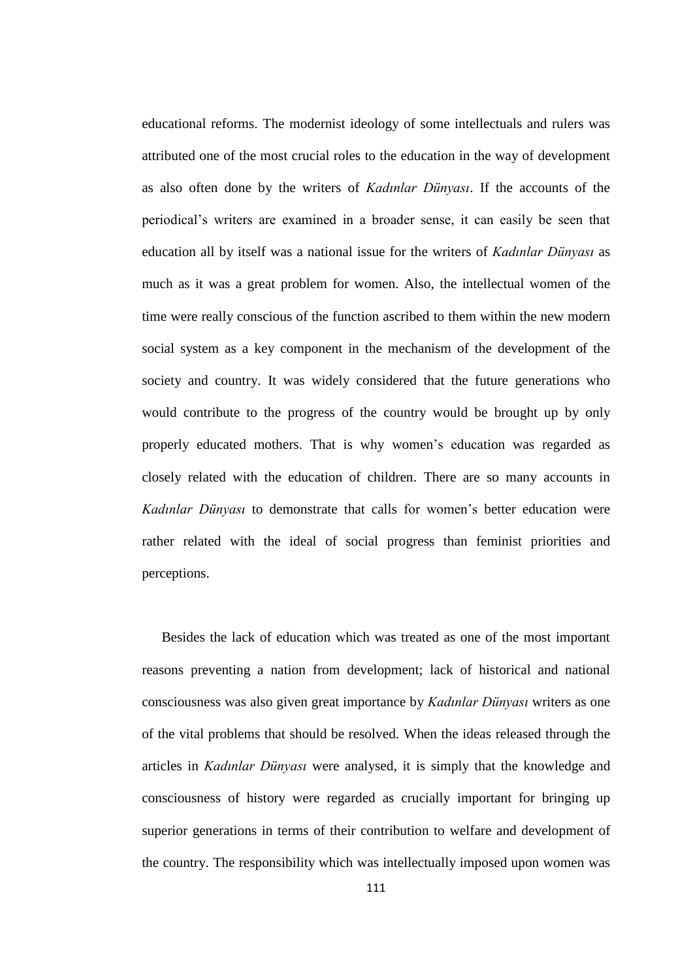educational reforms. The modernist ideology of some intellectuals and rulers was attributed one of the most crucial roles to the education in the way of development as also often done by the writers of *Kadınlar Dünyası*. If the accounts of the periodical"s writers are examined in a broader sense, it can easily be seen that education all by itself was a national issue for the writers of *Kadınlar Dünyası* as much as it was a great problem for women. Also, the intellectual women of the time were really conscious of the function ascribed to them within the new modern social system as a key component in the mechanism of the development of the society and country. It was widely considered that the future generations who would contribute to the progress of the country would be brought up by only properly educated mothers. That is why women"s education was regarded as closely related with the education of children. There are so many accounts in *Kadınlar Dünyası* to demonstrate that calls for women"s better education were rather related with the ideal of social progress than feminist priorities and perceptions.

Besides the lack of education which was treated as one of the most important reasons preventing a nation from development; lack of historical and national consciousness was also given great importance by *Kadınlar Dünyası* writers as one of the vital problems that should be resolved. When the ideas released through the articles in *Kadınlar Dünyası* were analysed, it is simply that the knowledge and consciousness of history were regarded as crucially important for bringing up superior generations in terms of their contribution to welfare and development of the country. The responsibility which was intellectually imposed upon women was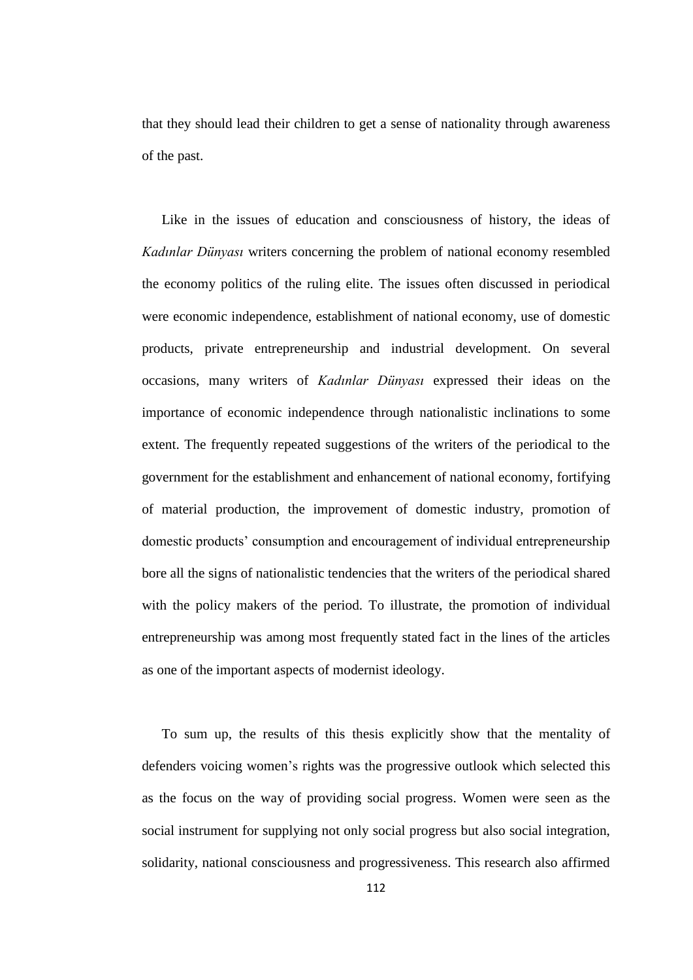that they should lead their children to get a sense of nationality through awareness of the past.

Like in the issues of education and consciousness of history, the ideas of *Kadınlar Dünyası* writers concerning the problem of national economy resembled the economy politics of the ruling elite. The issues often discussed in periodical were economic independence, establishment of national economy, use of domestic products, private entrepreneurship and industrial development. On several occasions, many writers of *Kadınlar Dünyası* expressed their ideas on the importance of economic independence through nationalistic inclinations to some extent. The frequently repeated suggestions of the writers of the periodical to the government for the establishment and enhancement of national economy, fortifying of material production, the improvement of domestic industry, promotion of domestic products" consumption and encouragement of individual entrepreneurship bore all the signs of nationalistic tendencies that the writers of the periodical shared with the policy makers of the period. To illustrate, the promotion of individual entrepreneurship was among most frequently stated fact in the lines of the articles as one of the important aspects of modernist ideology.

To sum up, the results of this thesis explicitly show that the mentality of defenders voicing women"s rights was the progressive outlook which selected this as the focus on the way of providing social progress. Women were seen as the social instrument for supplying not only social progress but also social integration, solidarity, national consciousness and progressiveness. This research also affirmed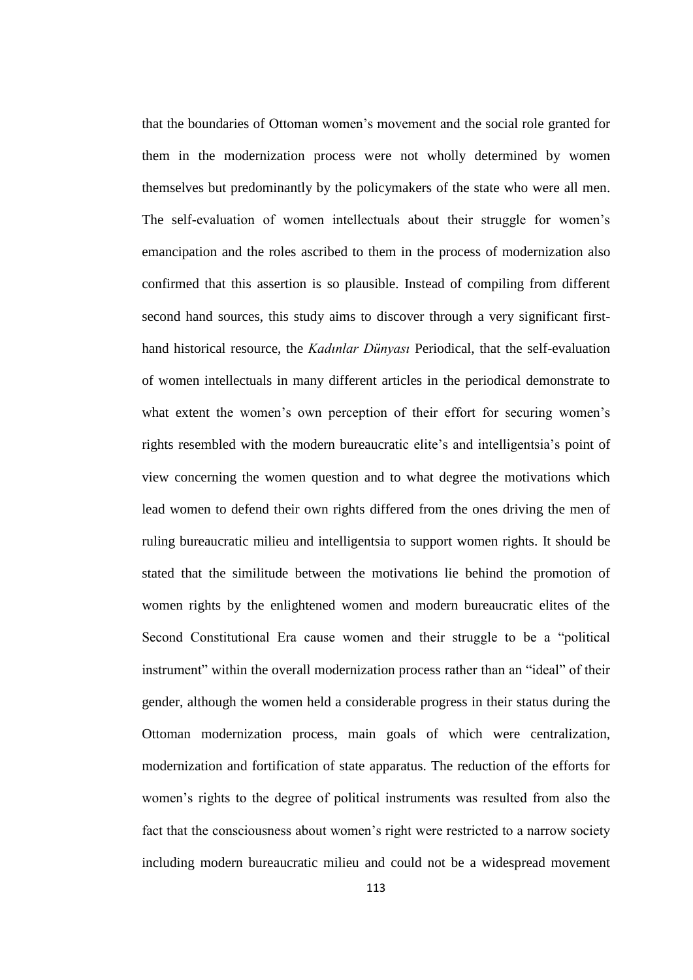that the boundaries of Ottoman women"s movement and the social role granted for them in the modernization process were not wholly determined by women themselves but predominantly by the policymakers of the state who were all men. The self-evaluation of women intellectuals about their struggle for women's emancipation and the roles ascribed to them in the process of modernization also confirmed that this assertion is so plausible. Instead of compiling from different second hand sources, this study aims to discover through a very significant firsthand historical resource, the *Kadınlar Dünyası* Periodical, that the self-evaluation of women intellectuals in many different articles in the periodical demonstrate to what extent the women's own perception of their effort for securing women's rights resembled with the modern bureaucratic elite"s and intelligentsia"s point of view concerning the women question and to what degree the motivations which lead women to defend their own rights differed from the ones driving the men of ruling bureaucratic milieu and intelligentsia to support women rights. It should be stated that the similitude between the motivations lie behind the promotion of women rights by the enlightened women and modern bureaucratic elites of the Second Constitutional Era cause women and their struggle to be a "political instrument" within the overall modernization process rather than an "ideal" of their gender, although the women held a considerable progress in their status during the Ottoman modernization process, main goals of which were centralization, modernization and fortification of state apparatus. The reduction of the efforts for women"s rights to the degree of political instruments was resulted from also the fact that the consciousness about women"s right were restricted to a narrow society including modern bureaucratic milieu and could not be a widespread movement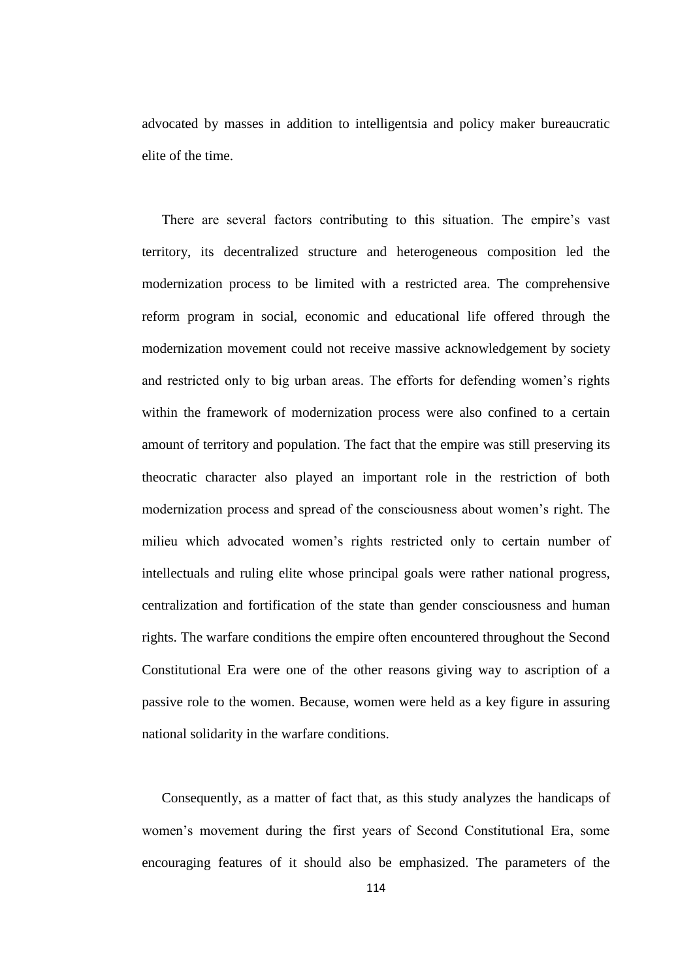advocated by masses in addition to intelligentsia and policy maker bureaucratic elite of the time.

There are several factors contributing to this situation. The empire's vast territory, its decentralized structure and heterogeneous composition led the modernization process to be limited with a restricted area. The comprehensive reform program in social, economic and educational life offered through the modernization movement could not receive massive acknowledgement by society and restricted only to big urban areas. The efforts for defending women"s rights within the framework of modernization process were also confined to a certain amount of territory and population. The fact that the empire was still preserving its theocratic character also played an important role in the restriction of both modernization process and spread of the consciousness about women"s right. The milieu which advocated women"s rights restricted only to certain number of intellectuals and ruling elite whose principal goals were rather national progress, centralization and fortification of the state than gender consciousness and human rights. The warfare conditions the empire often encountered throughout the Second Constitutional Era were one of the other reasons giving way to ascription of a passive role to the women. Because, women were held as a key figure in assuring national solidarity in the warfare conditions.

Consequently, as a matter of fact that, as this study analyzes the handicaps of women"s movement during the first years of Second Constitutional Era, some encouraging features of it should also be emphasized. The parameters of the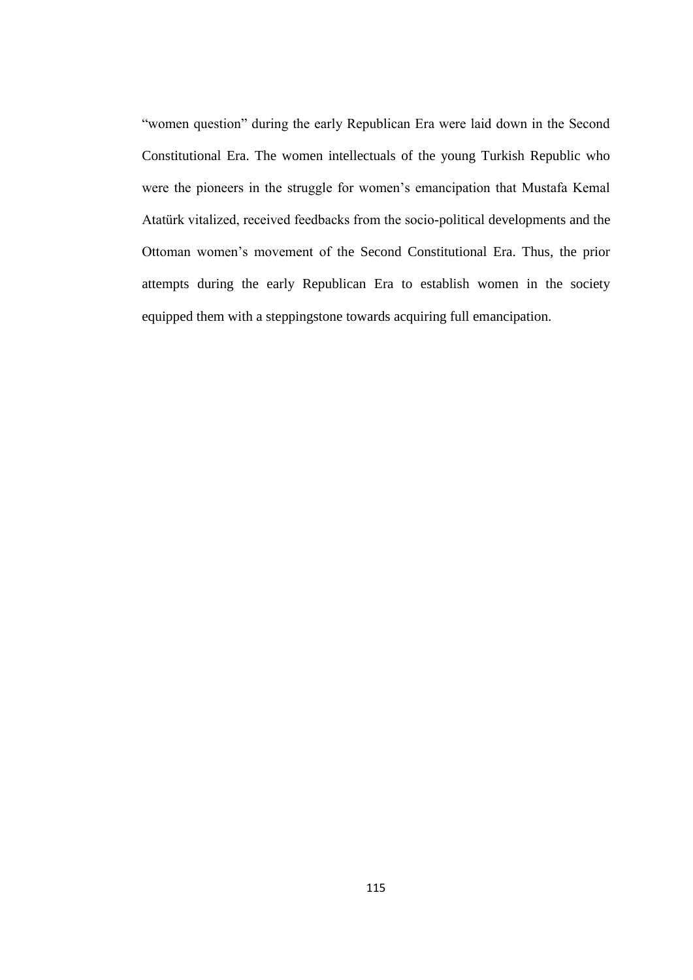"women question" during the early Republican Era were laid down in the Second Constitutional Era. The women intellectuals of the young Turkish Republic who were the pioneers in the struggle for women"s emancipation that Mustafa Kemal Atatürk vitalized, received feedbacks from the socio-political developments and the Ottoman women"s movement of the Second Constitutional Era. Thus, the prior attempts during the early Republican Era to establish women in the society equipped them with a steppingstone towards acquiring full emancipation.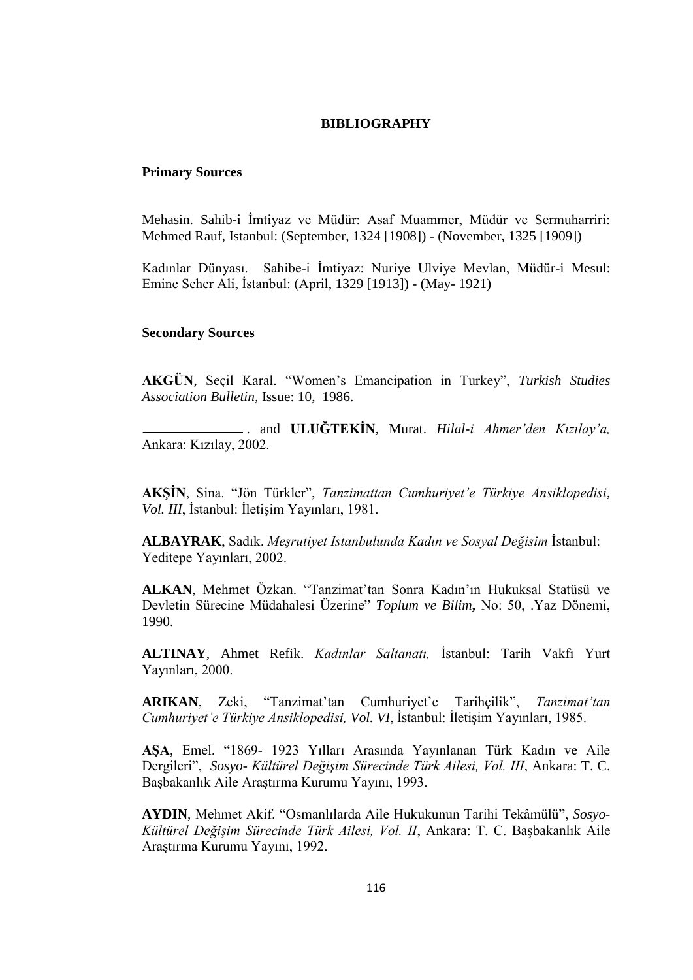## **BIBLIOGRAPHY**

## **Primary Sources**

Mehasin. Sahib-i İmtiyaz ve Müdür: Asaf Muammer, Müdür ve Sermuharriri: Mehmed Rauf, Istanbul: (September, 1324 [1908]) - (November, 1325 [1909])

Kadınlar Dünyası. Sahibe-i İmtiyaz: Nuriye Ulviye Mevlan, Müdür-i Mesul: Emine Seher Ali, İstanbul: (April, 1329 [1913]) - (May- 1921)

## **Secondary Sources**

**AKGÜN**, Seçil Karal. "Women"s Emancipation in Turkey", *Turkish Studies Association Bulletin,* Issue: 10, 1986.

 . and **ULUĞTEKİN**, Murat. *Hilal-i Ahmer'den Kızılay'a,*  Ankara: Kızılay, 2002.

**AKŞİN**, Sina. "Jön Türkler", *Tanzimattan Cumhuriyet'e Türkiye Ansiklopedisi*, *Vol. III*, İstanbul: İletişim Yayınları, 1981.

**ALBAYRAK**, Sadık. *Meşrutiyet Istanbulunda Kadın ve Sosyal Değisim* İstanbul: Yeditepe Yayınları, 2002.

**ALKAN**, Mehmet Özkan. "Tanzimat"tan Sonra Kadın"ın Hukuksal Statüsü ve Devletin Sürecine Müdahalesi Üzerine" *Toplum ve Bilim***,** No: 50, .Yaz Dönemi, 1990.

**ALTINAY**, Ahmet Refik. *Kadınlar Saltanatı,* İstanbul: Tarih Vakfı Yurt Yayınları, 2000.

**ARIKAN**, Zeki, "Tanzimat"tan Cumhuriyet"e Tarihçilik", *Tanzimat'tan Cumhuriyet'e Türkiye Ansiklopedisi, Vol. VI*, İstanbul: İletişim Yayınları, 1985.

**AŞA**, Emel. "1869- 1923 Yılları Arasında Yayınlanan Türk Kadın ve Aile Dergileri", *Sosyo- Kültürel Değişim Sürecinde Türk Ailesi, Vol. III*, Ankara: T. C. Başbakanlık Aile Araştırma Kurumu Yayını, 1993.

**AYDIN**, Mehmet Akif. "Osmanlılarda Aile Hukukunun Tarihi Tekâmülü", *Sosyo-Kültürel Değişim Sürecinde Türk Ailesi, Vol. II*, Ankara: T. C. Başbakanlık Aile Araştırma Kurumu Yayını, 1992.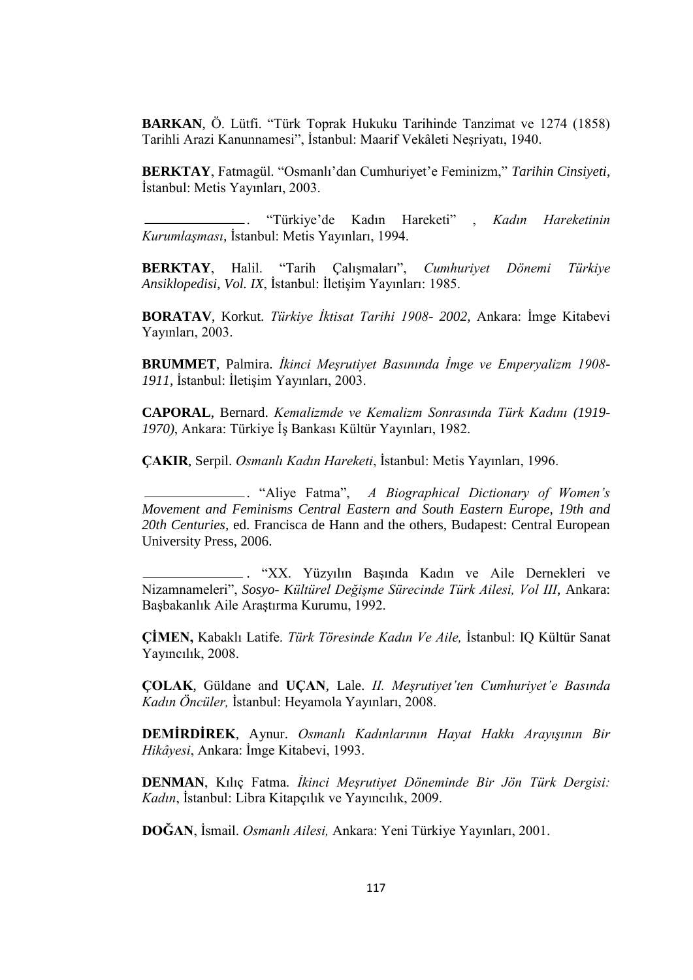**BARKAN**, Ö. Lütfi. "Türk Toprak Hukuku Tarihinde Tanzimat ve 1274 (1858) Tarihli Arazi Kanunnamesi", İstanbul: Maarif Vekâleti Neşriyatı, 1940.

BERKTAY, Fatmagül. "Osmanlı'dan Cumhuriyet'e Feminizm," Tarihin Cinsiyeti, İstanbul: Metis Yayınları, 2003.

 . "Türkiye"de Kadın Hareketi" , *Kadın Hareketinin Kurumlaşması,* İstanbul: Metis Yayınları, 1994.

**BERKTAY**, Halil. "Tarih Çalışmaları", *Cumhuriyet Dönemi Türkiye Ansiklopedisi*, *Vol. IX*, İstanbul: İletişim Yayınları: 1985.

**BORATAV**, Korkut. *Türkiye İktisat Tarihi 1908- 2002,* Ankara: İmge Kitabevi Yayınları, 2003.

**BRUMMET**, Palmira. *İkinci Meşrutiyet Basınında İmge ve Emperyalizm 1908- 1911,* İstanbul: İletişim Yayınları, 2003.

**CAPORAL**, Bernard. *Kemalizmde ve Kemalizm Sonrasında Türk Kadını (1919- 1970)*, Ankara: Türkiye İş Bankası Kültür Yayınları, 1982.

**ÇAKIR**, Serpil. *Osmanlı Kadın Hareketi*, İstanbul: Metis Yayınları, 1996.

 . "Aliye Fatma", *A Biographical Dictionary of Women's Movement and Feminisms Central Eastern and South Eastern Europe, 19th and 20th Centuries,* ed. Francisca de Hann and the others, Budapest: Central European University Press, 2006.

 . "XX. Yüzyılın Başında Kadın ve Aile Dernekleri ve Nizamnameleri", *Sosyo- Kültürel Değişme Sürecinde Türk Ailesi, Vol III*, Ankara: Başbakanlık Aile Araştırma Kurumu, 1992.

**ÇİMEN,** Kabaklı Latife. *Türk Töresinde Kadın Ve Aile,* İstanbul: IQ Kültür Sanat Yayıncılık, 2008.

**ÇOLAK**, Güldane and **UÇAN**, Lale. *II. Meşrutiyet'ten Cumhuriyet'e Basında Kadın Öncüler,* İstanbul: Heyamola Yayınları, 2008.

**DEMİRDİREK**, Aynur. *Osmanlı Kadınlarının Hayat Hakkı Arayışının Bir Hikâyesi*, Ankara: İmge Kitabevi, 1993.

**DENMAN**, Kılıç Fatma. *İkinci Meşrutiyet Döneminde Bir Jön Türk Dergisi: Kadın*, İstanbul: Libra Kitapçılık ve Yayıncılık, 2009.

**DOĞAN**, İsmail. *Osmanlı Ailesi,* Ankara: Yeni Türkiye Yayınları, 2001.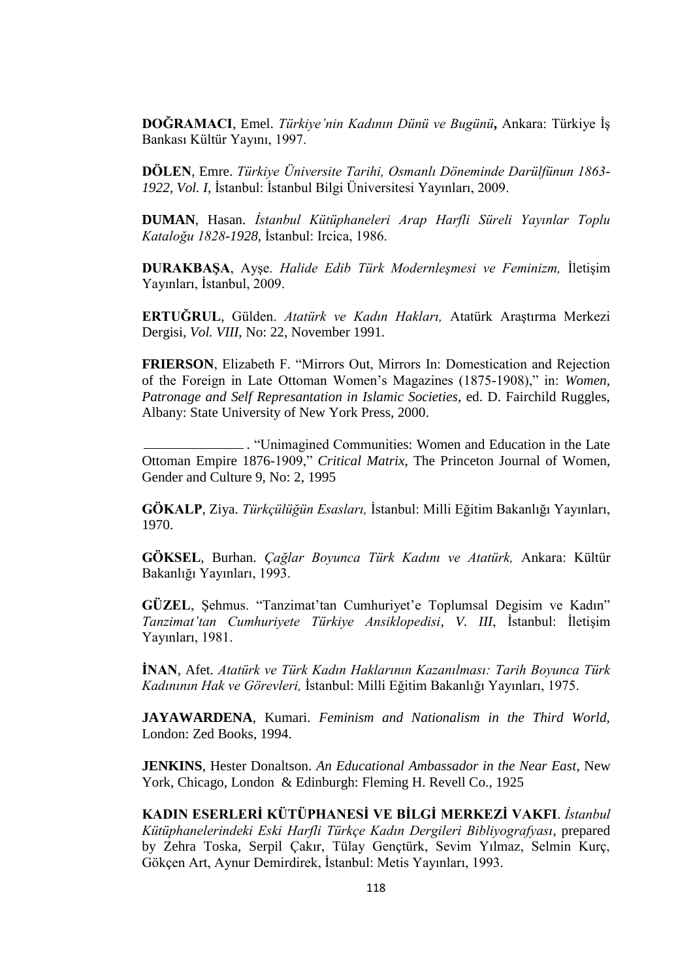**DOĞRAMACI**, Emel. *Türkiye'nin Kadının Dünü ve Bugünü***,** Ankara: Türkiye İş Bankası Kültür Yayını, 1997.

**DÖLEN**, Emre. *Türkiye Üniversite Tarihi, Osmanlı Döneminde Darülfünun 1863- 1922, Vol. I,* İstanbul: İstanbul Bilgi Üniversitesi Yayınları, 2009.

**DUMAN**, Hasan. *İstanbul Kütüphaneleri Arap Harfli Süreli Yayınlar Toplu Kataloğu 1828-1928,* İstanbul: Ircica, 1986.

**DURAKBAŞA**, Ayşe. *Halide Edib Türk Modernleşmesi ve Feminizm,* İletişim Yayınları, İstanbul, 2009.

**ERTUĞRUL**, Gülden. *Atatürk ve Kadın Hakları,* Atatürk Araştırma Merkezi Dergisi, *Vol. VIII*, No: 22, November 1991.

**FRIERSON**, Elizabeth F. "Mirrors Out, Mirrors In: Domestication and Rejection of the Foreign in Late Ottoman Women"s Magazines (1875-1908)," in: *Women, Patronage and Self Represantation in Islamic Societies*, ed. D. Fairchild Ruggles, Albany: State University of New York Press, 2000.

. "Unimagined Communities: Women and Education in the Late Ottoman Empire 1876-1909," *Critical Matrix*, The Princeton Journal of Women, Gender and Culture 9, No: 2, 1995

**GÖKALP**, Ziya. *Türkçülüğün Esasları,* İstanbul: Milli Eğitim Bakanlığı Yayınları, 1970.

**GÖKSEL**, Burhan. *Çağlar Boyunca Türk Kadını ve Atatürk,* Ankara: Kültür Bakanlığı Yayınları, 1993.

**GÜZEL**, Sehmus. "Tanzimat'tan Cumhuriyet'e Toplumsal Degisim ve Kadın" *Tanzimat'tan Cumhuriyete Türkiye Ansiklopedisi*, *V. III*, İstanbul: İletişim Yayınları, 1981.

**İNAN**, Afet. *Atatürk ve Türk Kadın Haklarının Kazanılması: Tarih Boyunca Türk Kadınının Hak ve Görevleri,* İstanbul: Milli Eğitim Bakanlığı Yayınları, 1975.

**JAYAWARDENA**, Kumari. *Feminism and Nationalism in the Third World,*  London: Zed Books, 1994.

**JENKINS**, Hester Donaltson. *An Educational Ambassador in the Near East*, New York, Chicago, London & Edinburgh: Fleming H. Revell Co., 1925

**KADIN ESERLERİ KÜTÜPHANESİ VE BİLGİ MERKEZİ VAKFI**. *İstanbul Kütüphanelerindeki Eski Harfli Türkçe Kadın Dergileri Bibliyografyası*, prepared by Zehra Toska, Serpil Çakır, Tülay Gençtürk, Sevim Yılmaz, Selmin Kurç, Gökçen Art, Aynur Demirdirek, İstanbul: Metis Yayınları, 1993.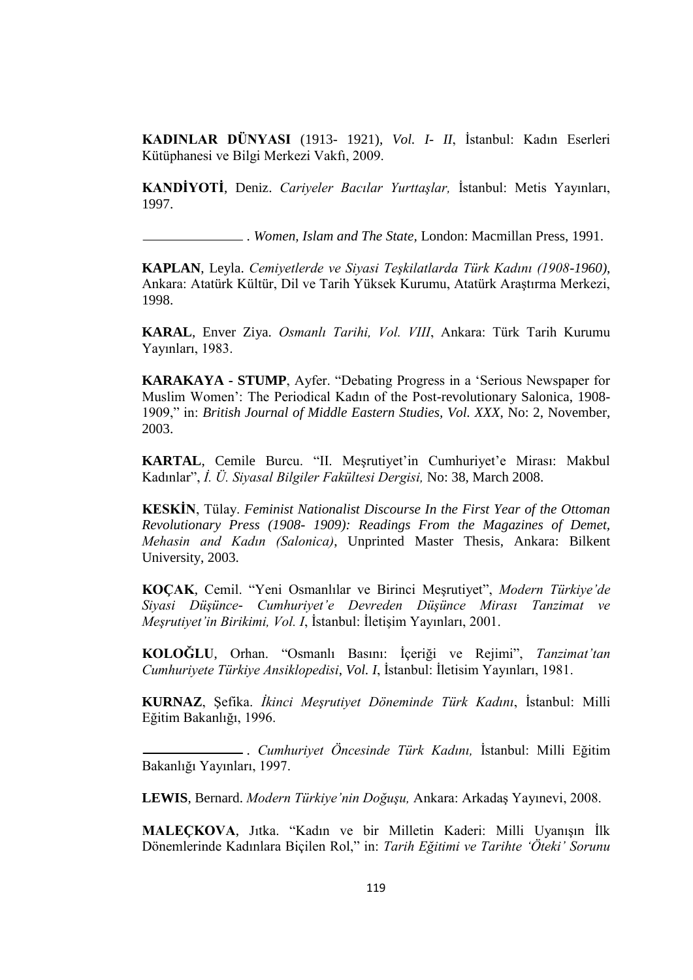**KADINLAR DÜNYASI** (1913- 1921), *Vol. I- II*, İstanbul: Kadın Eserleri Kütüphanesi ve Bilgi Merkezi Vakfı, 2009.

**KANDİYOTİ**, Deniz. *Cariyeler Bacılar Yurttaşlar,* İstanbul: Metis Yayınları, 1997.

. *Women, Islam and The State,* London: Macmillan Press, 1991.

**KAPLAN**, Leyla. *Cemiyetlerde ve Siyasi Teşkilatlarda Türk Kadını (1908-1960)*, Ankara: Atatürk Kültür, Dil ve Tarih Yüksek Kurumu, Atatürk Araştırma Merkezi, 1998.

**KARAL**, Enver Ziya. *Osmanlı Tarihi, Vol. VIII*, Ankara: Türk Tarih Kurumu Yayınları, 1983.

**KARAKAYA - STUMP**, Ayfer. "Debating Progress in a "Serious Newspaper for Muslim Women": The Periodical Kadın of the Post-revolutionary Salonica, 1908- 1909," in: *British Journal of Middle Eastern Studies, Vol. XXX*, No: 2, November, 2003.

**KARTAL, Cemile Burcu.** "II. Mesrutiyet'in Cumhuriyet'e Mirası: Makbul Kadınlar", *İ. Ü. Siyasal Bilgiler Fakültesi Dergisi,* No: 38, March 2008.

**KESKİN**, Tülay. *Feminist Nationalist Discourse In the First Year of the Ottoman Revolutionary Press (1908- 1909): Readings From the Magazines of Demet, Mehasin and Kadın (Salonica)*, Unprinted Master Thesis, Ankara: Bilkent University, 2003.

**KOÇAK**, Cemil. "Yeni Osmanlılar ve Birinci Meşrutiyet", *Modern Türkiye'de Siyasi Düşünce- Cumhuriyet'e Devreden Düşünce Mirası Tanzimat ve Meşrutiyet'in Birikimi, Vol. I*, İstanbul: İletişim Yayınları, 2001.

**KOLOĞLU**, Orhan. "Osmanlı Basını: İçeriği ve Rejimi", *Tanzimat'tan Cumhuriyete Türkiye Ansiklopedisi*, *Vol. I*, İstanbul: İletisim Yayınları, 1981.

**KURNAZ**, Şefika. *İkinci Meşrutiyet Döneminde Türk Kadını*, İstanbul: Milli Eğitim Bakanlığı, 1996.

 . *Cumhuriyet Öncesinde Türk Kadını,* İstanbul: Milli Eğitim Bakanlığı Yayınları, 1997.

**LEWIS**, Bernard. *Modern Türkiye'nin Doğuşu,* Ankara: Arkadaş Yayınevi, 2008.

**MALEÇKOVA**, Jıtka. "Kadın ve bir Milletin Kaderi: Milli Uyanışın İlk Dönemlerinde Kadınlara Biçilen Rol," in: *Tarih Eğitimi ve Tarihte 'Öteki' Sorunu*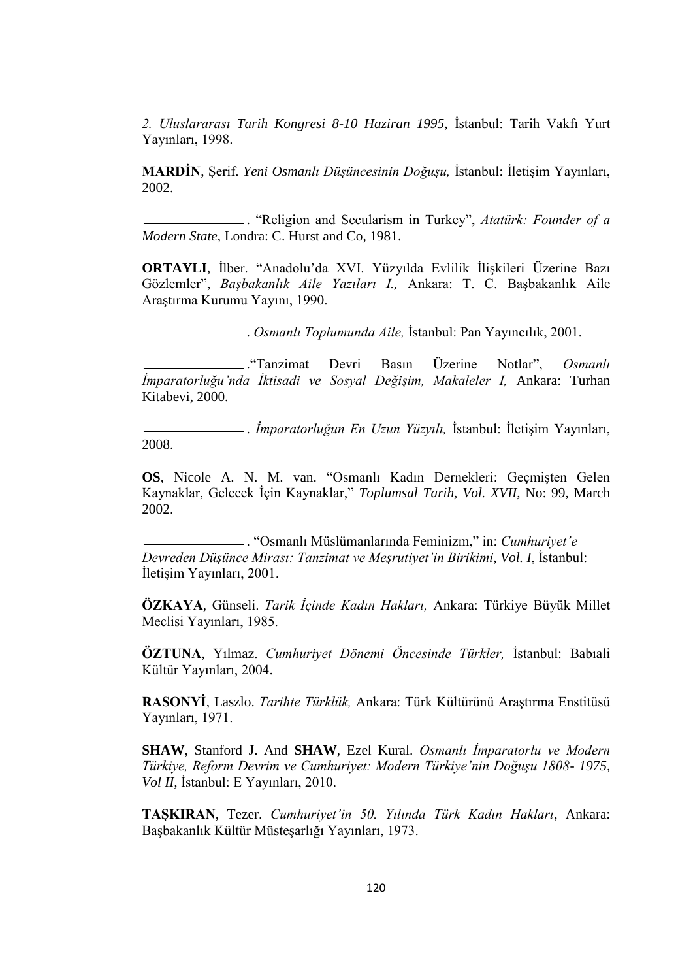*2. Uluslararası Tarih Kongresi 8-10 Haziran 1995,* İstanbul: Tarih Vakfı Yurt Yayınları, 1998.

**MARDİN**, Şerif. *Yeni Osmanlı Düşüncesinin Doğuşu,* İstanbul: İletişim Yayınları, 2002.

 . "Religion and Secularism in Turkey", *Atatürk: Founder of a Modern State*, Londra: C. Hurst and Co, 1981.

**ORTAYLI**, İlber. "Anadolu"da XVI. Yüzyılda Evlilik İlişkileri Üzerine Bazı Gözlemler", *Başbakanlık Aile Yazıları I.,* Ankara: T. C. Başbakanlık Aile Araştırma Kurumu Yayını, 1990.

. *Osmanlı Toplumunda Aile,* İstanbul: Pan Yayıncılık, 2001.

 ."Tanzimat Devri Basın Üzerine Notlar", *Osmanlı İmparatorluğu'nda İktisadi ve Sosyal Değişim, Makaleler I,* Ankara: Turhan Kitabevi, 2000.

 . *İmparatorluğun En Uzun Yüzyılı,* İstanbul: İletişim Yayınları, 2008.

**OS**, Nicole A. N. M. van. "Osmanlı Kadın Dernekleri: Geçmişten Gelen Kaynaklar, Gelecek İçin Kaynaklar," *Toplumsal Tarih, Vol. XVII*, No: 99, March 2002.

 . "Osmanlı Müslümanlarında Feminizm," in: *Cumhuriyet'e Devreden Düşünce Mirası: Tanzimat ve Meşrutiyet'in Birikimi*, *Vol. I*, İstanbul: İletişim Yayınları, 2001.

**ÖZKAYA**, Günseli. *Tarik İçinde Kadın Hakları,* Ankara: Türkiye Büyük Millet Meclisi Yayınları, 1985.

**ÖZTUNA**, Yılmaz. *Cumhuriyet Dönemi Öncesinde Türkler,* İstanbul: Babıali Kültür Yayınları, 2004.

**RASONYİ**, Laszlo. *Tarihte Türklük,* Ankara: Türk Kültürünü Araştırma Enstitüsü Yayınları, 1971.

**SHAW**, Stanford J. And **SHAW**, Ezel Kural. *Osmanlı İmparatorlu ve Modern Türkiye, Reform Devrim ve Cumhuriyet: Modern Türkiye'nin Doğuşu 1808- 1975, Vol II,* İstanbul: E Yayınları, 2010.

**TAŞKIRAN**, Tezer. *Cumhuriyet'in 50. Yılında Türk Kadın Hakları*, Ankara: Başbakanlık Kültür Müsteşarlığı Yayınları, 1973.